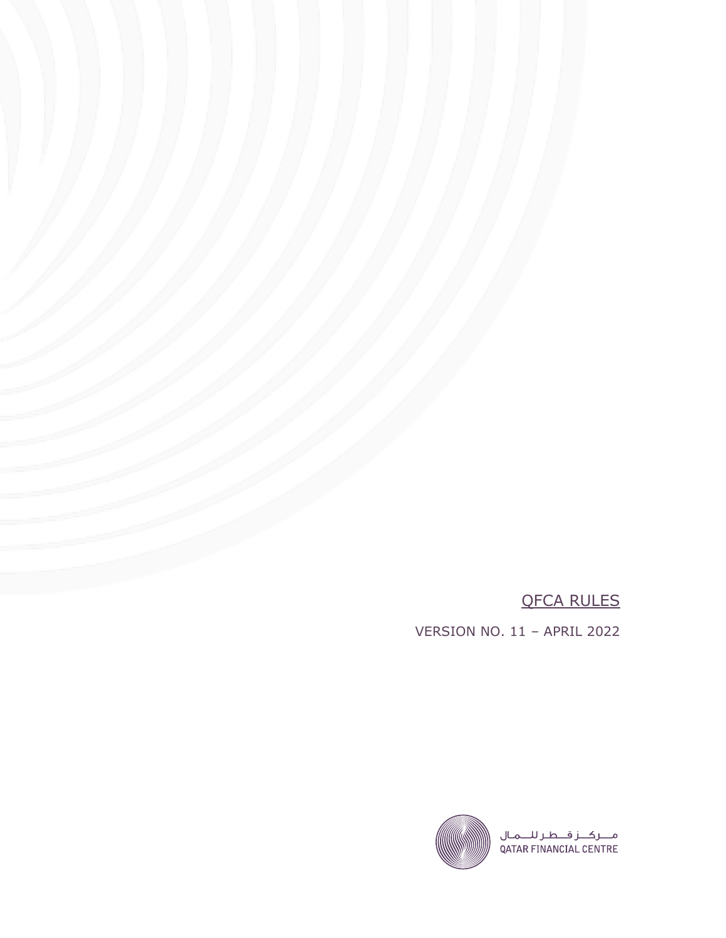# QFCA RULES

VERSION NO. 11 – APRIL 2022

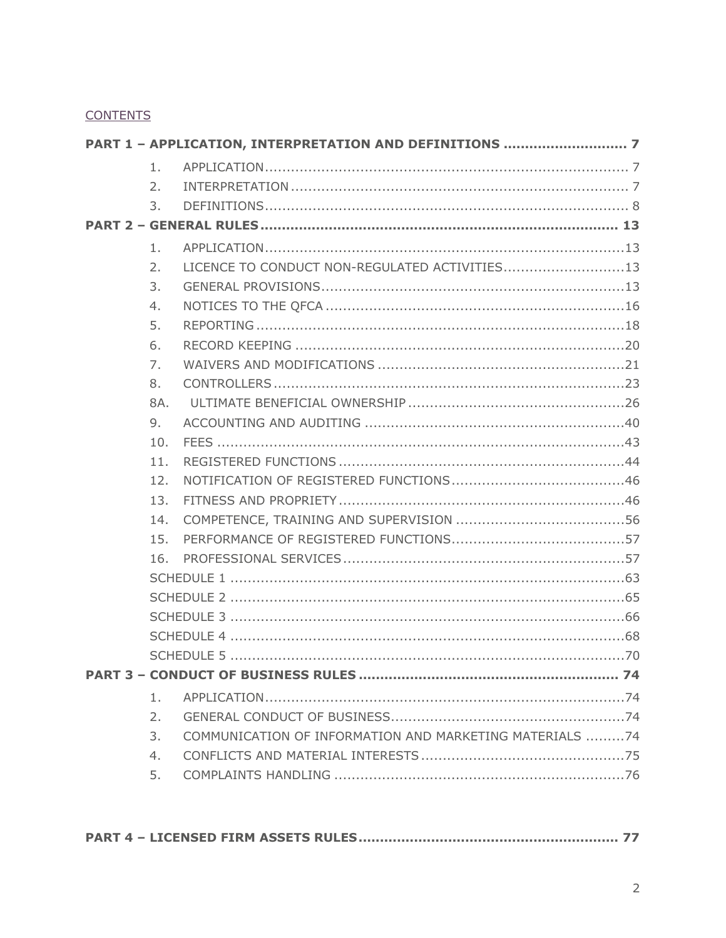#### **CONTENTS**

|  | 1.  |                                                         |  |  |  |
|--|-----|---------------------------------------------------------|--|--|--|
|  | 2.  |                                                         |  |  |  |
|  | 3.  |                                                         |  |  |  |
|  |     |                                                         |  |  |  |
|  | 1.  |                                                         |  |  |  |
|  | 2.  | LICENCE TO CONDUCT NON-REGULATED ACTIVITIES13           |  |  |  |
|  | 3.  |                                                         |  |  |  |
|  | 4.  |                                                         |  |  |  |
|  | 5.  |                                                         |  |  |  |
|  | 6.  |                                                         |  |  |  |
|  | 7.  |                                                         |  |  |  |
|  | 8.  |                                                         |  |  |  |
|  | 8A. |                                                         |  |  |  |
|  | 9.  |                                                         |  |  |  |
|  | 10. |                                                         |  |  |  |
|  | 11. |                                                         |  |  |  |
|  | 12. |                                                         |  |  |  |
|  | 13. |                                                         |  |  |  |
|  | 14. |                                                         |  |  |  |
|  | 15. |                                                         |  |  |  |
|  | 16. |                                                         |  |  |  |
|  |     |                                                         |  |  |  |
|  |     |                                                         |  |  |  |
|  |     |                                                         |  |  |  |
|  |     |                                                         |  |  |  |
|  |     |                                                         |  |  |  |
|  |     |                                                         |  |  |  |
|  | 1.  |                                                         |  |  |  |
|  | 2.  |                                                         |  |  |  |
|  | 3.  | COMMUNICATION OF INFORMATION AND MARKETING MATERIALS 74 |  |  |  |
|  | 4.  |                                                         |  |  |  |
|  | 5.  |                                                         |  |  |  |

|--|--|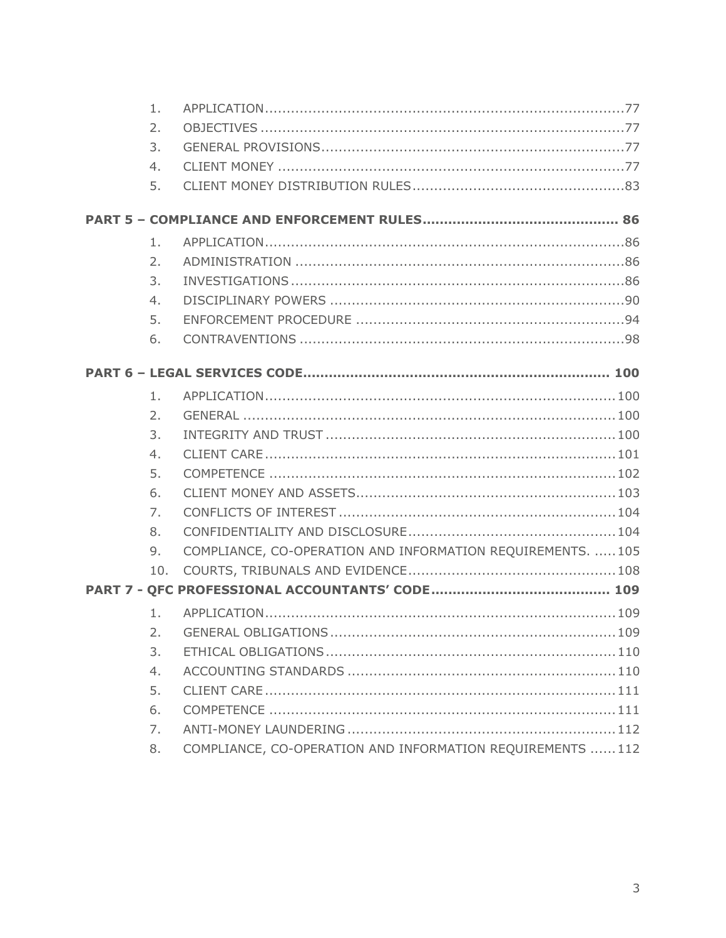|  | 1.             |                                                             |  |  |  |
|--|----------------|-------------------------------------------------------------|--|--|--|
|  | 2.             |                                                             |  |  |  |
|  | 3.             |                                                             |  |  |  |
|  | 4.             |                                                             |  |  |  |
|  | 5.             |                                                             |  |  |  |
|  |                |                                                             |  |  |  |
|  | 1.             |                                                             |  |  |  |
|  | 2.             |                                                             |  |  |  |
|  | 3 <sub>1</sub> |                                                             |  |  |  |
|  | 4.             |                                                             |  |  |  |
|  | 5.             |                                                             |  |  |  |
|  | 6.             |                                                             |  |  |  |
|  |                |                                                             |  |  |  |
|  | 1.             |                                                             |  |  |  |
|  | 2.             |                                                             |  |  |  |
|  | 3.             |                                                             |  |  |  |
|  | 4.             |                                                             |  |  |  |
|  | 5.             |                                                             |  |  |  |
|  | 6.             |                                                             |  |  |  |
|  | 7.             |                                                             |  |  |  |
|  | 8.             |                                                             |  |  |  |
|  | 9.             | COMPLIANCE, CO-OPERATION AND INFORMATION REQUIREMENTS.  105 |  |  |  |
|  | 10.            |                                                             |  |  |  |
|  |                |                                                             |  |  |  |
|  | 1.             |                                                             |  |  |  |
|  | 2.             |                                                             |  |  |  |
|  | 3.             |                                                             |  |  |  |
|  | 4.             |                                                             |  |  |  |
|  | 5.             |                                                             |  |  |  |
|  | 6.             |                                                             |  |  |  |
|  | 7.             |                                                             |  |  |  |
|  | 8.             | COMPLIANCE, CO-OPERATION AND INFORMATION REQUIREMENTS  112  |  |  |  |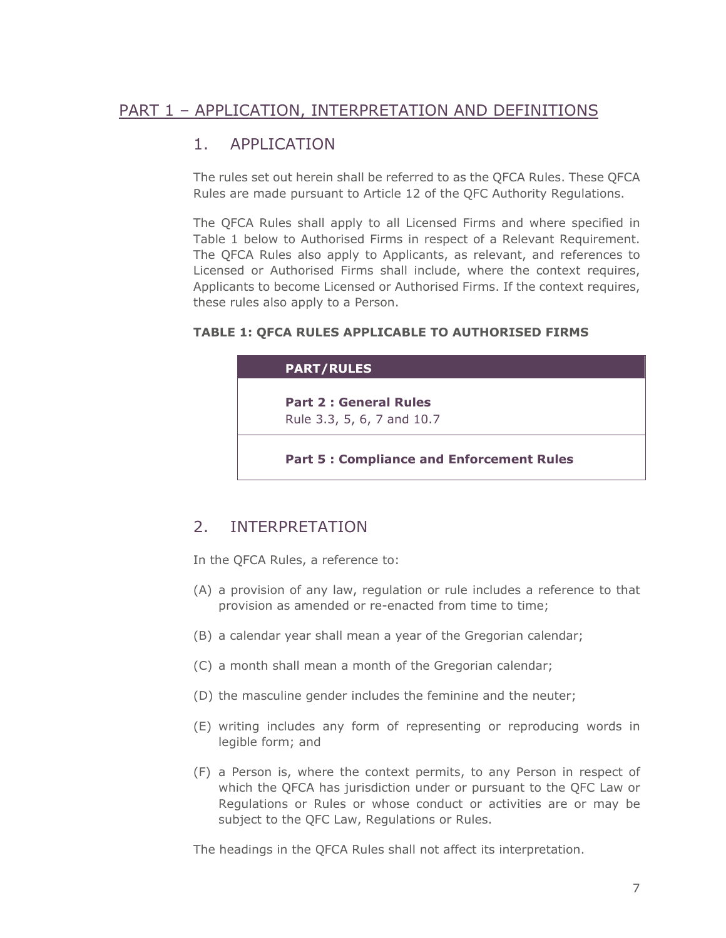# <span id="page-3-1"></span><span id="page-3-0"></span>1. APPLICATION

The rules set out herein shall be referred to as the QFCA Rules. These QFCA Rules are made pursuant to Article 12 of the QFC Authority Regulations.

The QFCA Rules shall apply to all Licensed Firms and where specified in Table 1 below to Authorised Firms in respect of a Relevant Requirement. The QFCA Rules also apply to Applicants, as relevant, and references to Licensed or Authorised Firms shall include, where the context requires, Applicants to become Licensed or Authorised Firms. If the context requires, these rules also apply to a Person.

#### **TABLE 1: QFCA RULES APPLICABLE TO AUTHORISED FIRMS**

# **PART/RULES Part 2 : General Rules** Rule 3.3, 5, 6, 7 and 10.7 **Part 5 : Compliance and Enforcement Rules**

# <span id="page-3-2"></span>2. INTERPRETATION

In the QFCA Rules, a reference to:

- (A) a provision of any law, regulation or rule includes a reference to that provision as amended or re-enacted from time to time;
- (B) a calendar year shall mean a year of the Gregorian calendar;
- (C) a month shall mean a month of the Gregorian calendar;
- (D) the masculine gender includes the feminine and the neuter;
- (E) writing includes any form of representing or reproducing words in legible form; and
- (F) a Person is, where the context permits, to any Person in respect of which the QFCA has jurisdiction under or pursuant to the QFC Law or Regulations or Rules or whose conduct or activities are or may be subject to the QFC Law, Regulations or Rules.

The headings in the QFCA Rules shall not affect its interpretation.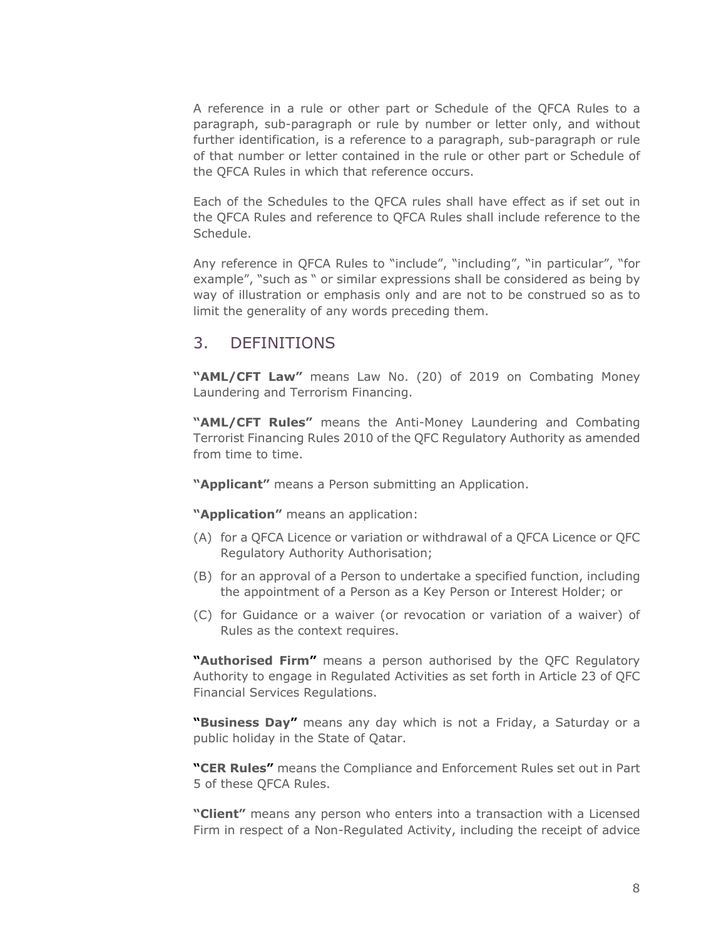A reference in a rule or other part or Schedule of the QFCA Rules to a paragraph, sub-paragraph or rule by number or letter only, and without further identification, is a reference to a paragraph, sub-paragraph or rule of that number or letter contained in the rule or other part or Schedule of the QFCA Rules in which that reference occurs.

Each of the Schedules to the QFCA rules shall have effect as if set out in the QFCA Rules and reference to QFCA Rules shall include reference to the Schedule.

Any reference in QFCA Rules to "include", "including", "in particular", "for example", "such as " or similar expressions shall be considered as being by way of illustration or emphasis only and are not to be construed so as to limit the generality of any words preceding them.

#### <span id="page-4-0"></span>3. DEFINITIONS

**"AML/CFT Law"** means Law No. (20) of 2019 on Combating Money Laundering and Terrorism Financing.

**"AML/CFT Rules"** means the Anti-Money Laundering and Combating Terrorist Financing Rules 2010 of the QFC Regulatory Authority as amended from time to time.

**"Applicant"** means a Person submitting an Application.

**"Application"** means an application:

- (A) for a QFCA Licence or variation or withdrawal of a QFCA Licence or QFC Regulatory Authority Authorisation;
- (B) for an approval of a Person to undertake a specified function, including the appointment of a Person as a Key Person or Interest Holder; or
- (C) for Guidance or a waiver (or revocation or variation of a waiver) of Rules as the context requires.

**"Authorised Firm"** means a person authorised by the QFC Regulatory Authority to engage in Regulated Activities as set forth in Article 23 of QFC Financial Services Regulations.

**"Business Day"** means any day which is not a Friday, a Saturday or a public holiday in the State of Qatar.

**"CER Rules"** means the Compliance and Enforcement Rules set out in Part 5 of these QFCA Rules.

**"Client"** means any person who enters into a transaction with a Licensed Firm in respect of a Non-Regulated Activity, including the receipt of advice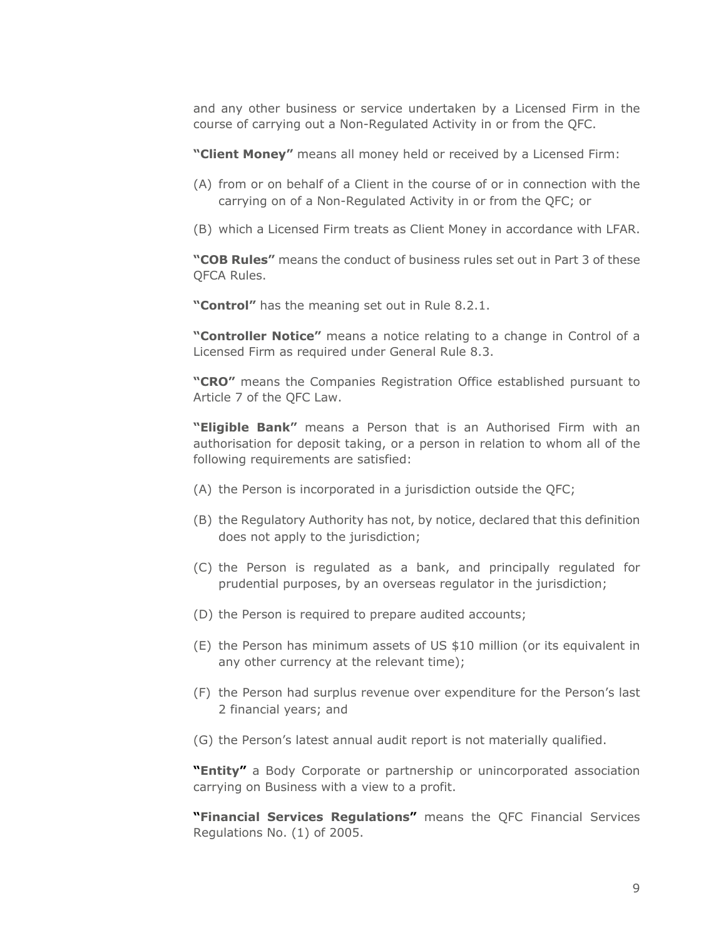and any other business or service undertaken by a Licensed Firm in the course of carrying out a Non-Regulated Activity in or from the QFC.

**"Client Money"** means all money held or received by a Licensed Firm:

- (A) from or on behalf of a Client in the course of or in connection with the carrying on of a Non-Regulated Activity in or from the QFC; or
- (B) which a Licensed Firm treats as Client Money in accordance with LFAR.

**"COB Rules"** means the conduct of business rules set out in Part 3 of these QFCA Rules.

**"Control"** has the meaning set out in Rule 8.2.1.

**"Controller Notice"** means a notice relating to a change in Control of a Licensed Firm as required under General Rule 8.3.

**"CRO"** means the Companies Registration Office established pursuant to Article 7 of the QFC Law.

**"Eligible Bank"** means a Person that is an Authorised Firm with an authorisation for deposit taking, or a person in relation to whom all of the following requirements are satisfied:

- (A) the Person is incorporated in a jurisdiction outside the QFC;
- (B) the Regulatory Authority has not, by notice, declared that this definition does not apply to the jurisdiction;
- (C) the Person is regulated as a bank, and principally regulated for prudential purposes, by an overseas regulator in the jurisdiction;
- (D) the Person is required to prepare audited accounts;
- (E) the Person has minimum assets of US \$10 million (or its equivalent in any other currency at the relevant time);
- (F) the Person had surplus revenue over expenditure for the Person's last 2 financial years; and
- (G) the Person's latest annual audit report is not materially qualified.

**"Entity"** a [Body Corporate](javascript:void(gwin=window.open() or partnership or unincorporated association carrying on [Business](javascript:void(gwin=window.open() with a view to a profit.

**"Financial Services Regulations"** means the QFC Financial Services Regulations No. (1) of 2005.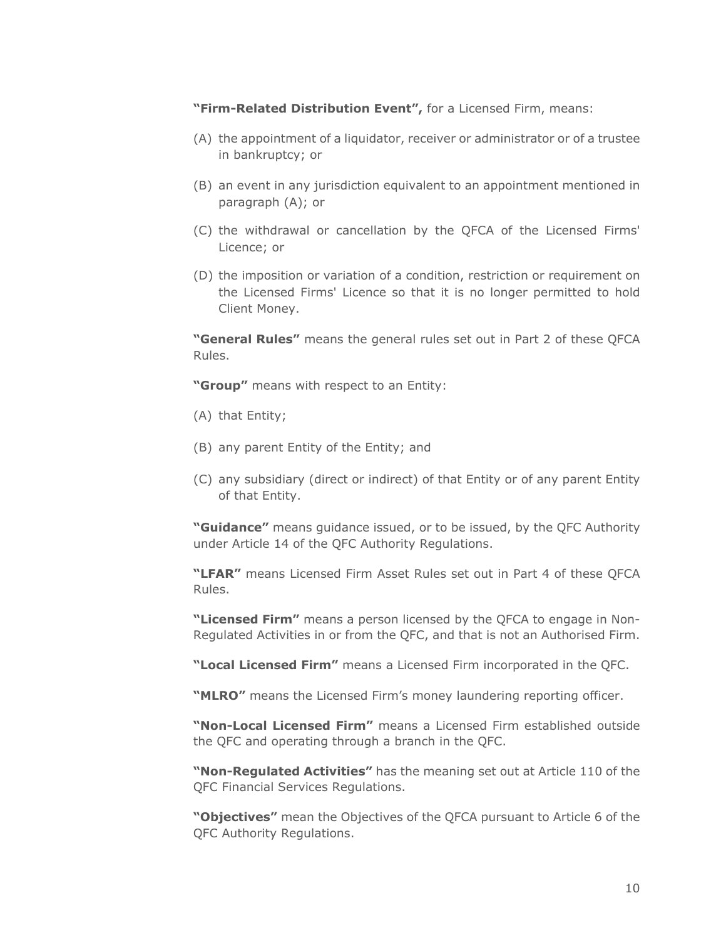**"Firm-Related Distribution Event",** for a Licensed Firm, means:

- (A) the appointment of a liquidator, receiver or administrator or of a trustee in bankruptcy; or
- (B) an event in any jurisdiction equivalent to an appointment mentioned in paragraph (A); or
- (C) the withdrawal or cancellation by the QFCA of the Licensed Firms' Licence; or
- (D) the imposition or variation of a condition, restriction or requirement on the Licensed Firms' Licence so that it is no longer permitted to hold Client Money.

**"General Rules"** means the general rules set out in Part 2 of these QFCA Rules.

**"Group"** means with respect to an Entity:

- (A) that Entity;
- (B) any parent Entity of the Entity; and
- (C) any subsidiary (direct or indirect) of that Entity or of any parent Entity of that Entity.

**"Guidance"** means guidance issued, or to be issued, by the QFC Authority under Article 14 of the QFC Authority Regulations.

**"LFAR"** means Licensed Firm Asset Rules set out in Part 4 of these QFCA Rules.

**"Licensed Firm"** means a person licensed by the QFCA to engage in Non-Regulated Activities in or from the QFC, and that is not an Authorised Firm.

**"Local Licensed Firm"** means a Licensed Firm incorporated in the QFC.

**"MLRO"** means the Licensed Firm's money laundering reporting officer.

**"Non-Local Licensed Firm"** means a Licensed Firm established outside the QFC and operating through a branch in the QFC.

**"Non-Regulated Activities"** has the meaning set out at Article 110 of the QFC Financial Services Regulations.

**"Objectives"** mean the Objectives of the QFCA pursuant to Article 6 of the QFC Authority Regulations.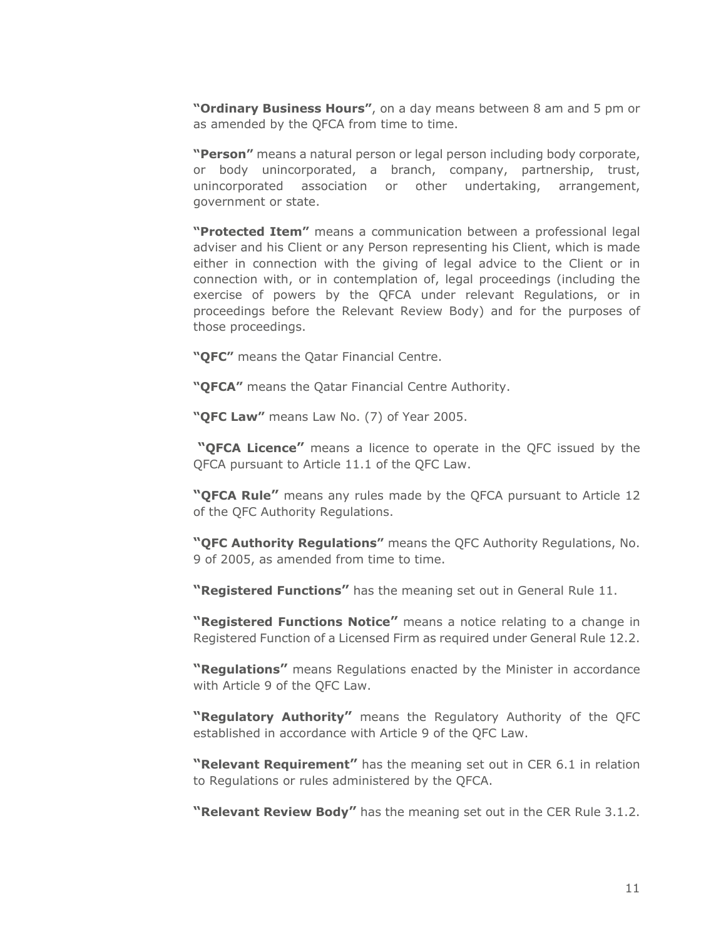**"Ordinary Business Hours"**, on a day means between 8 am and 5 pm or as amended by the QFCA from time to time.

**"Person"** means a natural person or legal person including body corporate, or body unincorporated, a branch, company, partnership, trust, unincorporated association or other undertaking, arrangement, government or state.

**"Protected Item"** means a communication between a professional legal adviser and his Client or any Person representing his Client, which is made either in connection with the giving of legal advice to the Client or in connection with, or in contemplation of, legal proceedings (including the exercise of powers by the QFCA under relevant Regulations, or in proceedings before the Relevant Review Body) and for the purposes of those proceedings.

**"QFC"** means the Qatar Financial Centre.

**"QFCA"** means the Qatar Financial Centre Authority.

**"QFC Law"** means Law No. (7) of Year 2005.

**"QFCA Licence"** means a licence to operate in the QFC issued by the QFCA pursuant to Article 11.1 of the QFC Law.

**"QFCA Rule"** means any rules made by the QFCA pursuant to Article 12 of the QFC Authority Regulations.

**"QFC Authority Regulations"** means the QFC Authority Regulations, No. 9 of 2005, as amended from time to time.

**"Registered Functions"** has the meaning set out in General Rule 11.

**"Registered Functions Notice"** means a notice relating to a change in Registered Function of a Licensed Firm as required under General Rule 12.2.

**"Regulations"** means Regulations enacted by the Minister in accordance with Article 9 of the QFC Law.

**"Regulatory Authority"** means the Regulatory Authority of the QFC established in accordance with Article 9 of the QFC Law.

**"Relevant Requirement"** has the meaning set out in CER 6.1 in relation to Regulations or rules administered by the QFCA.

**"Relevant Review Body"** has the meaning set out in the CER Rule 3.1.2.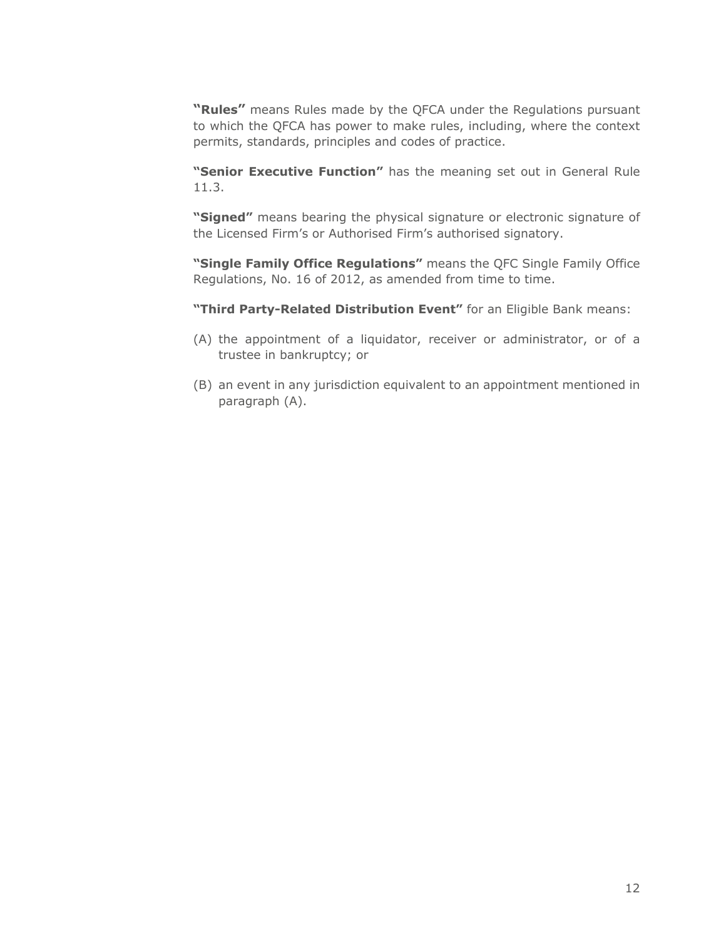**"Rules"** means Rules made by the QFCA under the [Regulations](javascript:void(gwin=window.open() pursuant to which the QFCA has power to make rules, including, where the context permits, standards, principles and codes of practice.

**"Senior Executive Function"** has the meaning set out in General Rule 11.3.

**"Signed"** means bearing the physical signature or electronic signature of the Licensed Firm's or Authorised Firm's authorised signatory.

**"Single Family Office Regulations"** means the QFC Single Family Office Regulations, No. 16 of 2012, as amended from time to time.

**"Third Party-Related Distribution Event"** for an Eligible Bank means:

- (A) the appointment of a liquidator, receiver or administrator, or of a trustee in bankruptcy; or
- (B) an event in any jurisdiction equivalent to an appointment mentioned in paragraph (A).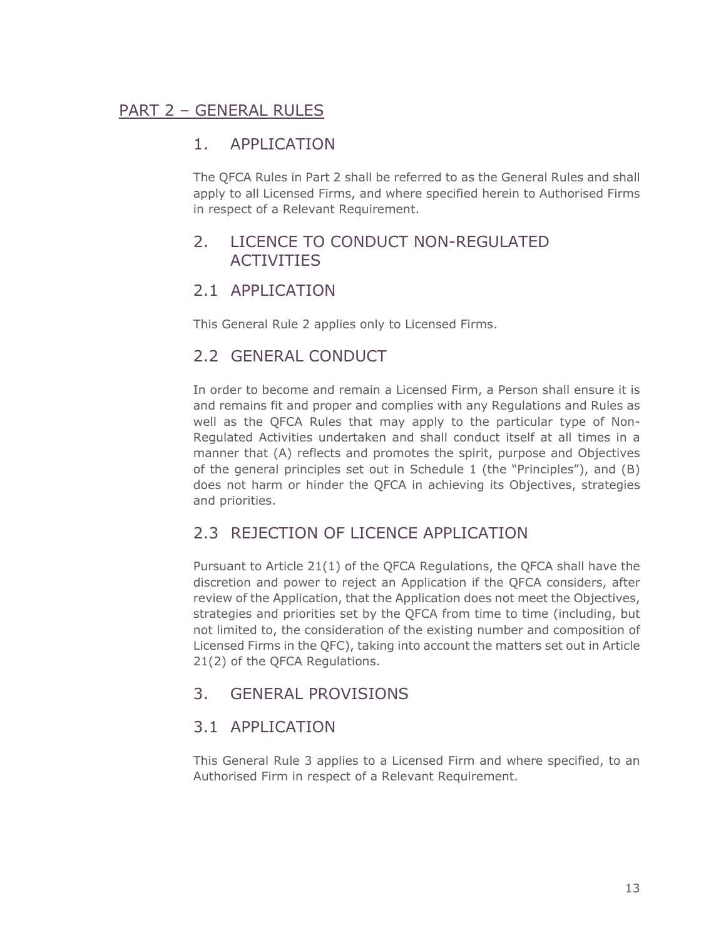# <span id="page-9-1"></span><span id="page-9-0"></span>1. APPLICATION

The QFCA Rules in Part 2 shall be referred to as the General Rules and shall apply to all Licensed Firms, and where specified herein to Authorised Firms in respect of a Relevant Requirement.

# <span id="page-9-2"></span>2. LICENCE TO CONDUCT NON-REGULATED **ACTIVITIES**

# 2.1 APPLICATION

This General Rule 2 applies only to Licensed Firms.

# 2.2 GENERAL CONDUCT

In order to become and remain a Licensed Firm, a Person shall ensure it is and remains fit and proper and complies with any Regulations and Rules as well as the QFCA Rules that may apply to the particular type of Non-Regulated Activities undertaken and shall conduct itself at all times in a manner that (A) reflects and promotes the spirit, purpose and Objectives of the general principles set out in Schedule 1 (the "Principles"), and (B) does not harm or hinder the QFCA in achieving its Objectives, strategies and priorities.

# 2.3 REJECTION OF LICENCE APPLICATION

Pursuant to Article 21(1) of the QFCA Regulations, the QFCA shall have the discretion and power to reject an Application if the QFCA considers, after review of the Application, that the Application does not meet the Objectives, strategies and priorities set by the QFCA from time to time (including, but not limited to, the consideration of the existing number and composition of Licensed Firms in the QFC), taking into account the matters set out in Article 21(2) of the QFCA Regulations.

# <span id="page-9-3"></span>3. GENERAL PROVISIONS

# 3.1 APPLICATION

This General Rule 3 applies to a Licensed Firm and where specified, to an Authorised Firm in respect of a Relevant Requirement.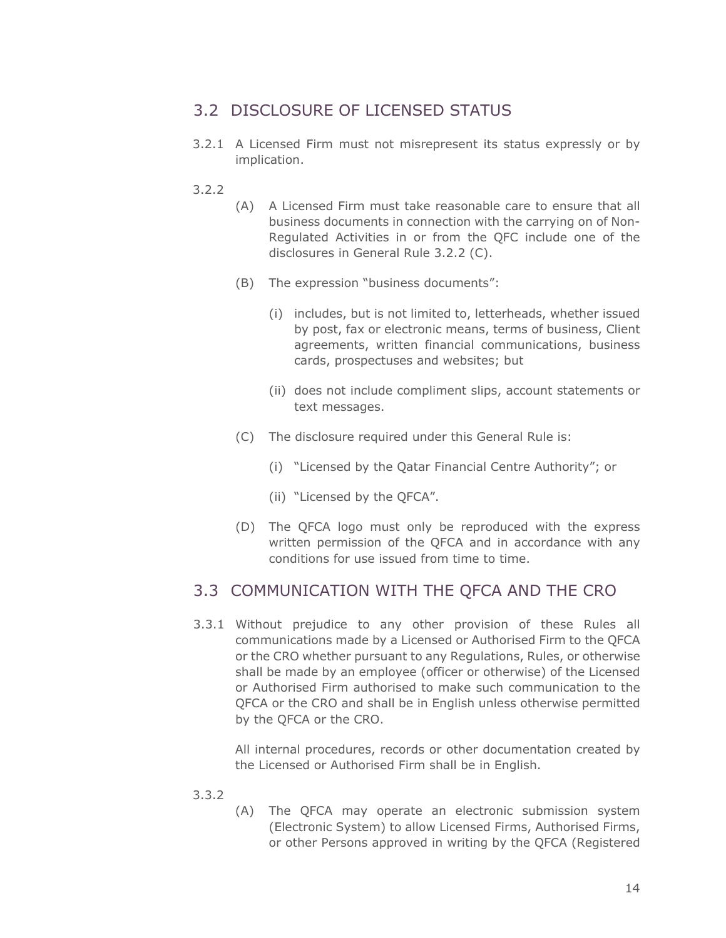# 3.2 DISCLOSURE OF LICENSED STATUS

- 3.2.1 A Licensed Firm must not misrepresent its status expressly or by implication.
- 3.2.2
- (A) A Licensed Firm must take reasonable care to ensure that all business documents in connection with the carrying on of Non-Regulated Activities in or from the QFC include one of the disclosures in General Rule 3.2.2 (C).
- (B) The expression "business documents":
	- (i) includes, but is not limited to, letterheads, whether issued by post, fax or electronic means, terms of business, Client agreements, written financial communications, business cards, prospectuses and websites; but
	- (ii) does not include compliment slips, account statements or text messages.
- (C) The disclosure required under this General Rule is:
	- (i) "Licensed by the Qatar Financial Centre Authority"; or
	- (ii) "Licensed by the QFCA".
- (D) The QFCA logo must only be reproduced with the express written permission of the QFCA and in accordance with any conditions for use issued from time to time.

## 3.3 COMMUNICATION WITH THE QFCA AND THE CRO

3.3.1 Without prejudice to any other provision of these Rules all communications made by a Licensed or Authorised Firm to the QFCA or the CRO whether pursuant to any Regulations, Rules, or otherwise shall be made by an employee (officer or otherwise) of the Licensed or Authorised Firm authorised to make such communication to the QFCA or the CRO and shall be in English unless otherwise permitted by the QFCA or the CRO.

All internal procedures, records or other documentation created by the Licensed or Authorised Firm shall be in English.

- 3.3.2
- (A) The QFCA may operate an electronic submission system (Electronic System) to allow Licensed Firms, Authorised Firms, or other Persons approved in writing by the QFCA (Registered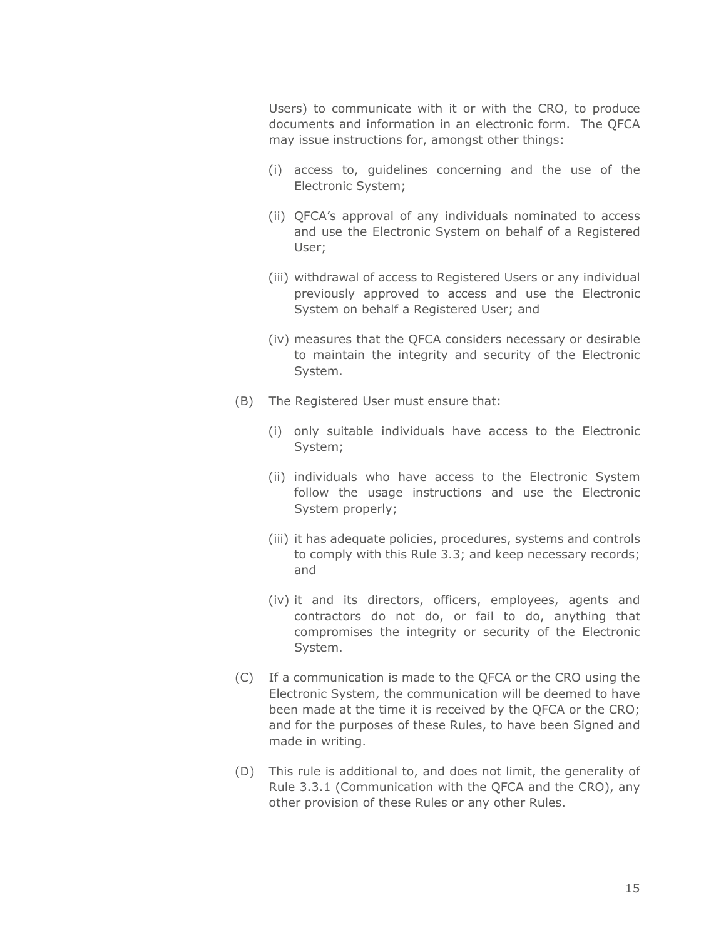Users) to communicate with it or with the CRO, to produce documents and information in an electronic form. The QFCA may issue instructions for, amongst other things:

- (i) access to, guidelines concerning and the use of the Electronic System;
- (ii) QFCA's approval of any individuals nominated to access and use the Electronic System on behalf of a Registered User;
- (iii) withdrawal of access to Registered Users or any individual previously approved to access and use the Electronic System on behalf a Registered User; and
- (iv) measures that the QFCA considers necessary or desirable to maintain the integrity and security of the Electronic System.
- (B) The Registered User must ensure that:
	- (i) only suitable individuals have access to the Electronic System;
	- (ii) individuals who have access to the Electronic System follow the usage instructions and use the Electronic System properly;
	- (iii) it has adequate policies, procedures, systems and controls to comply with this Rule 3.3; and keep necessary records; and
	- (iv) it and its directors, officers, employees, agents and contractors do not do, or fail to do, anything that compromises the integrity or security of the Electronic System.
- (C) If a communication is made to the QFCA or the CRO using the Electronic System, the communication will be deemed to have been made at the time it is received by the QFCA or the CRO; and for the purposes of these Rules, to have been Signed and made in writing.
- (D) This rule is additional to, and does not limit, the generality of Rule 3.3.1 (Communication with the QFCA and the CRO), any other provision of these Rules or any other Rules.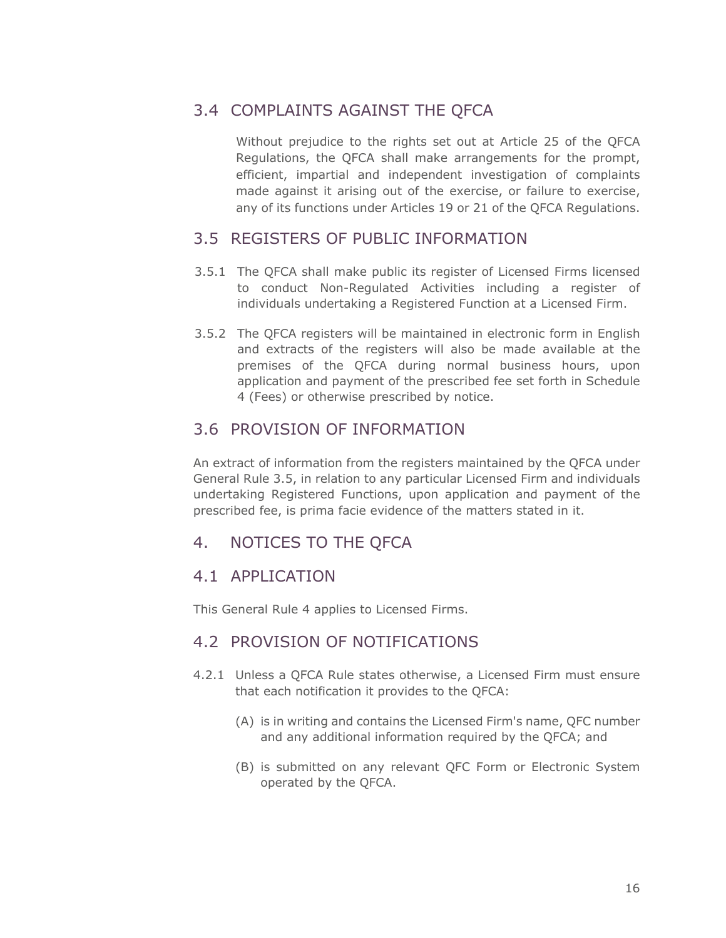## 3.4 COMPLAINTS AGAINST THE QFCA

Without prejudice to the rights set out at Article 25 of the QFCA Regulations, the QFCA shall make arrangements for the prompt, efficient, impartial and independent investigation of complaints made against it arising out of the exercise, or failure to exercise, any of its functions under Articles 19 or 21 of the QFCA Regulations.

#### 3.5 REGISTERS OF PUBLIC INFORMATION

- 3.5.1 The QFCA shall make public its register of Licensed Firms licensed to conduct Non-Regulated Activities including a register of individuals undertaking a Registered Function at a Licensed Firm.
- 3.5.2 The QFCA registers will be maintained in electronic form in English and extracts of the registers will also be made available at the premises of the QFCA during normal business hours, upon application and payment of the prescribed fee set forth in Schedule 4 (Fees) or otherwise prescribed by notice.

## 3.6 PROVISION OF INFORMATION

An extract of information from the registers maintained by the QFCA under General Rule 3.5, in relation to any particular Licensed Firm and individuals undertaking Registered Functions, upon application and payment of the prescribed fee, is prima facie evidence of the matters stated in it.

# <span id="page-12-0"></span>4. NOTICES TO THE QFCA

#### 4.1 APPLICATION

This General Rule 4 applies to Licensed Firms.

#### 4.2 PROVISION OF NOTIFICATIONS

- 4.2.1 Unless a QFCA Rule states otherwise, a Licensed Firm must ensure that each notification it provides to the QFCA:
	- (A) is in writing and contains the Licensed Firm's name, QFC number and any additional information required by the QFCA; and
	- (B) is submitted on any relevant QFC Form or Electronic System operated by the QFCA.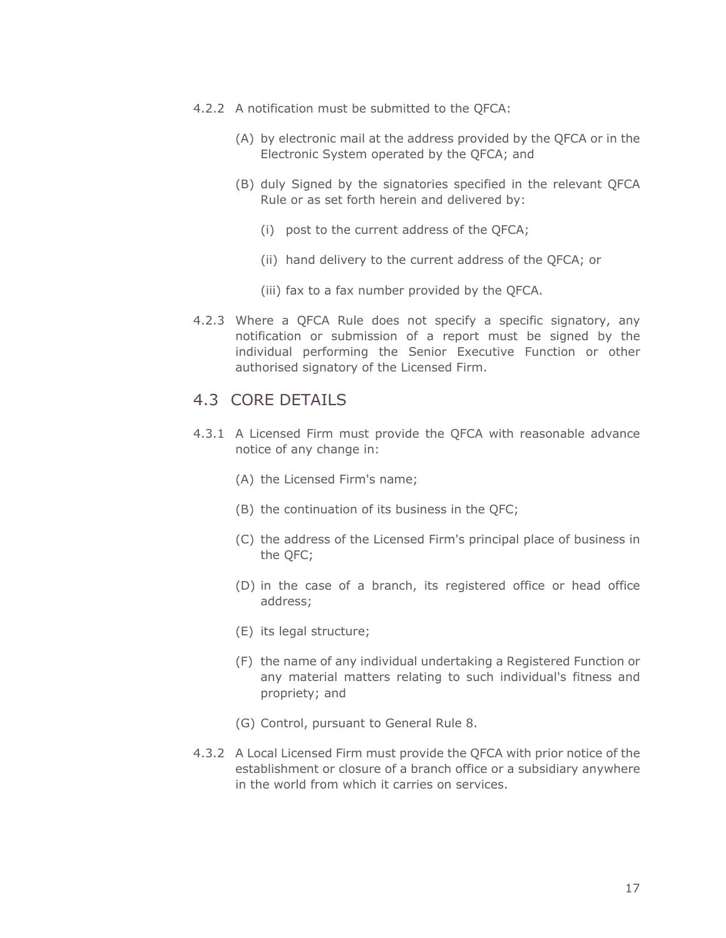- 4.2.2 A notification must be submitted to the QFCA:
	- (A) by electronic mail at the address provided by the QFCA or in the Electronic System operated by the QFCA; and
	- (B) duly Signed by the signatories specified in the relevant QFCA Rule or as set forth herein and delivered by:
		- (i) post to the current address of the QFCA;
		- (ii) hand delivery to the current address of the QFCA; or
		- (iii) fax to a fax number provided by the QFCA.
- 4.2.3 Where a QFCA Rule does not specify a specific signatory, any notification or submission of a report must be signed by the individual performing the Senior Executive Function or other authorised signatory of the Licensed Firm.

#### 4.3 CORE DETAILS

- 4.3.1 A Licensed Firm must provide the QFCA with reasonable advance notice of any change in:
	- (A) the Licensed Firm's name;
	- (B) the continuation of its business in the QFC;
	- (C) the address of the Licensed Firm's principal place of business in the QFC;
	- (D) in the case of a branch, its registered office or head office address;
	- (E) its legal structure;
	- (F) the name of any individual undertaking a Registered Function or any material matters relating to such individual's fitness and propriety; and
	- (G) Control, pursuant to General Rule 8.
- 4.3.2 A Local Licensed Firm must provide the QFCA with prior notice of the establishment or closure of a branch office or a subsidiary anywhere in the world from which it carries on services.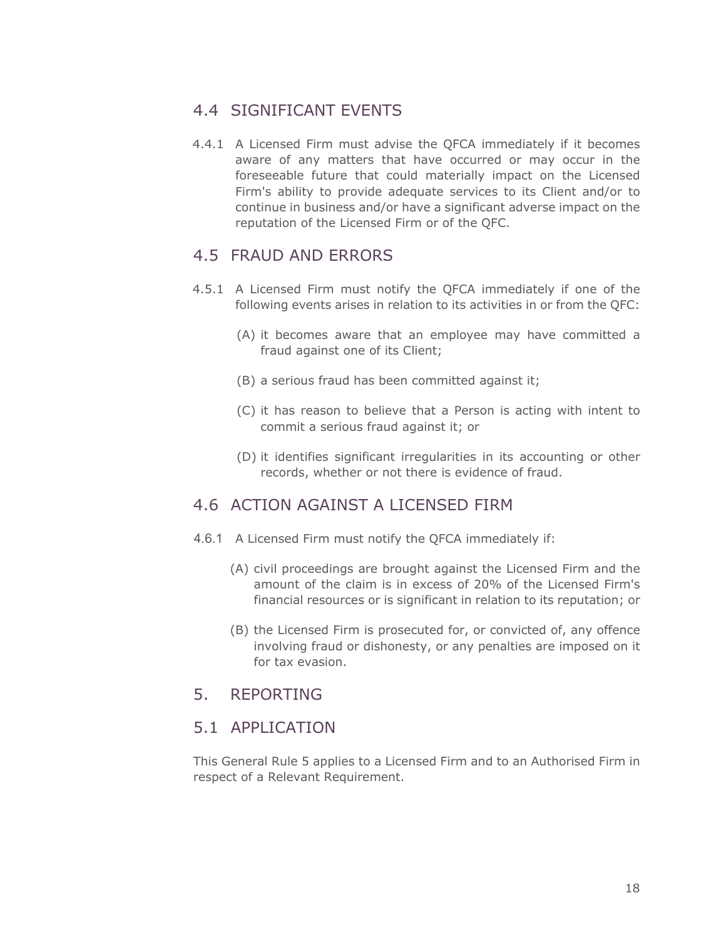#### 4.4 SIGNIFICANT EVENTS

4.4.1 A Licensed Firm must advise the QFCA immediately if it becomes aware of any matters that have occurred or may occur in the foreseeable future that could materially impact on the Licensed Firm's ability to provide adequate services to its Client and/or to continue in business and/or have a significant adverse impact on the reputation of the Licensed Firm or of the QFC.

#### 4.5 FRAUD AND ERRORS

- 4.5.1 A Licensed Firm must notify the QFCA immediately if one of the following events arises in relation to its activities in or from the QFC:
	- (A) it becomes aware that an employee may have committed a fraud against one of its Client;
	- (B) a serious fraud has been committed against it;
	- (C) it has reason to believe that a Person is acting with intent to commit a serious fraud against it; or
	- (D) it identifies significant irregularities in its accounting or other records, whether or not there is evidence of fraud.

#### 4.6 ACTION AGAINST A LICENSED FIRM

- 4.6.1 A Licensed Firm must notify the QFCA immediately if:
	- (A) civil proceedings are brought against the Licensed Firm and the amount of the claim is in excess of 20% of the Licensed Firm's financial resources or is significant in relation to its reputation; or
	- (B) the Licensed Firm is prosecuted for, or convicted of, any offence involving fraud or dishonesty, or any penalties are imposed on it for tax evasion.

## <span id="page-14-0"></span>5. REPORTING

#### 5.1 APPLICATION

This General Rule 5 applies to a Licensed Firm and to an Authorised Firm in respect of a Relevant Requirement.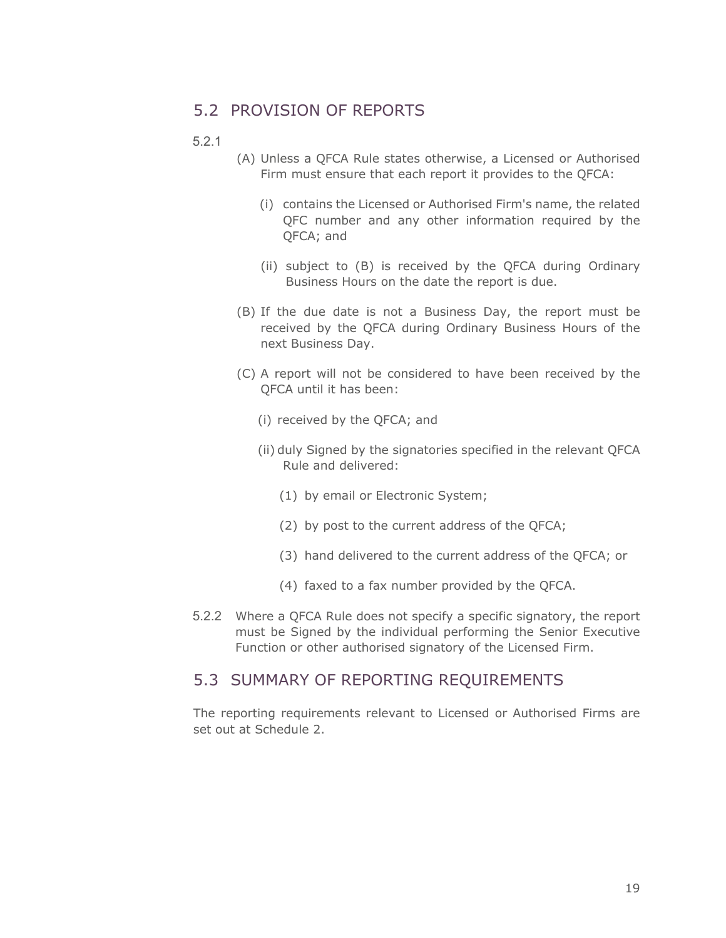#### 5.2 PROVISION OF REPORTS

#### 5.2.1

- (A) Unless a QFCA Rule states otherwise, a Licensed or Authorised Firm must ensure that each report it provides to the QFCA:
	- (i) contains the Licensed or Authorised Firm's name, the related QFC number and any other information required by the QFCA; and
	- (ii) subject to (B) is received by the QFCA during Ordinary Business Hours on the date the report is due.
- (B) If the due date is not a Business Day, the report must be received by the QFCA during Ordinary Business Hours of the next Business Day.
- (C) A report will not be considered to have been received by the QFCA until it has been:
	- (i) received by the QFCA; and
	- (ii) duly Signed by the signatories specified in the relevant QFCA Rule and delivered:
		- (1) by email or Electronic System;
		- (2) by post to the current address of the QFCA;
		- (3) hand delivered to the current address of the QFCA; or
		- (4) faxed to a fax number provided by the QFCA.
- 5.2.2 Where a QFCA Rule does not specify a specific signatory, the report must be Signed by the individual performing the Senior Executive Function or other authorised signatory of the Licensed Firm.

#### 5.3 SUMMARY OF REPORTING REQUIREMENTS

The reporting requirements relevant to Licensed or Authorised Firms are set out at Schedule 2.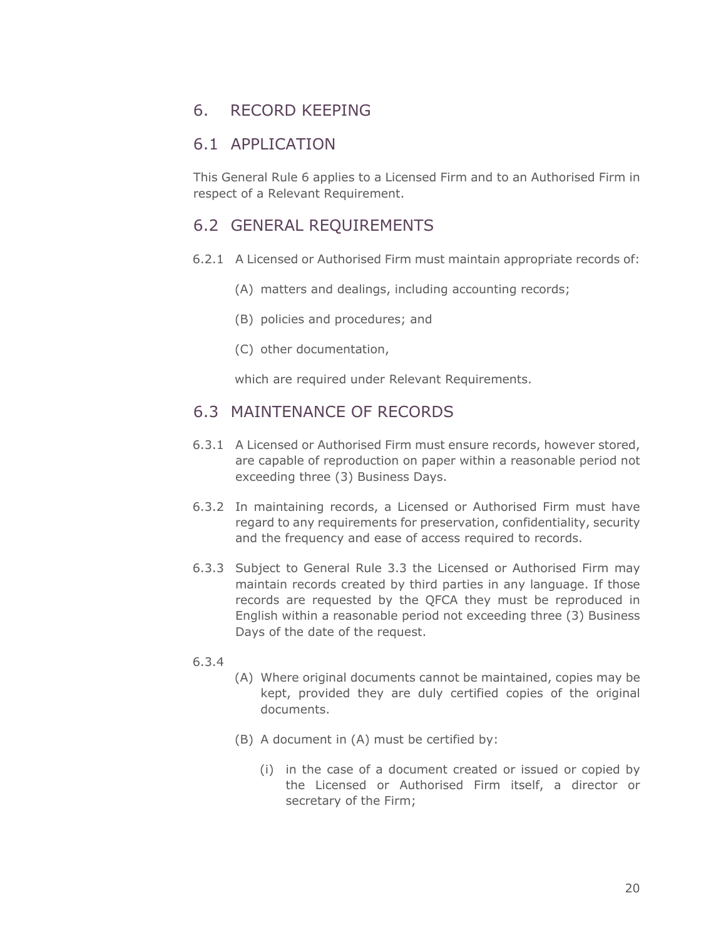## <span id="page-16-0"></span>6. RECORD KEEPING

#### 6.1 APPLICATION

This General Rule 6 applies to a Licensed Firm and to an Authorised Firm in respect of a Relevant Requirement.

# 6.2 GENERAL REQUIREMENTS

- 6.2.1 A Licensed or Authorised Firm must maintain appropriate records of:
	- (A) matters and dealings, including accounting records;
	- (B) policies and procedures; and
	- (C) other documentation,

which are required under Relevant Requirements.

#### 6.3 MAINTENANCE OF RECORDS

- 6.3.1 A Licensed or Authorised Firm must ensure records, however stored, are capable of reproduction on paper within a reasonable period not exceeding three (3) Business Days.
- 6.3.2 In maintaining records, a Licensed or Authorised Firm must have regard to any requirements for preservation, confidentiality, security and the frequency and ease of access required to records.
- 6.3.3 Subject to General Rule 3.3 the Licensed or Authorised Firm may maintain records created by third parties in any language. If those records are requested by the QFCA they must be reproduced in English within a reasonable period not exceeding three (3) Business Days of the date of the request.
- 6.3.4
- (A) Where original documents cannot be maintained, copies may be kept, provided they are duly certified copies of the original documents.
- (B) A document in (A) must be certified by:
	- (i) in the case of a document created or issued or copied by the Licensed or Authorised Firm itself, a director or secretary of the Firm;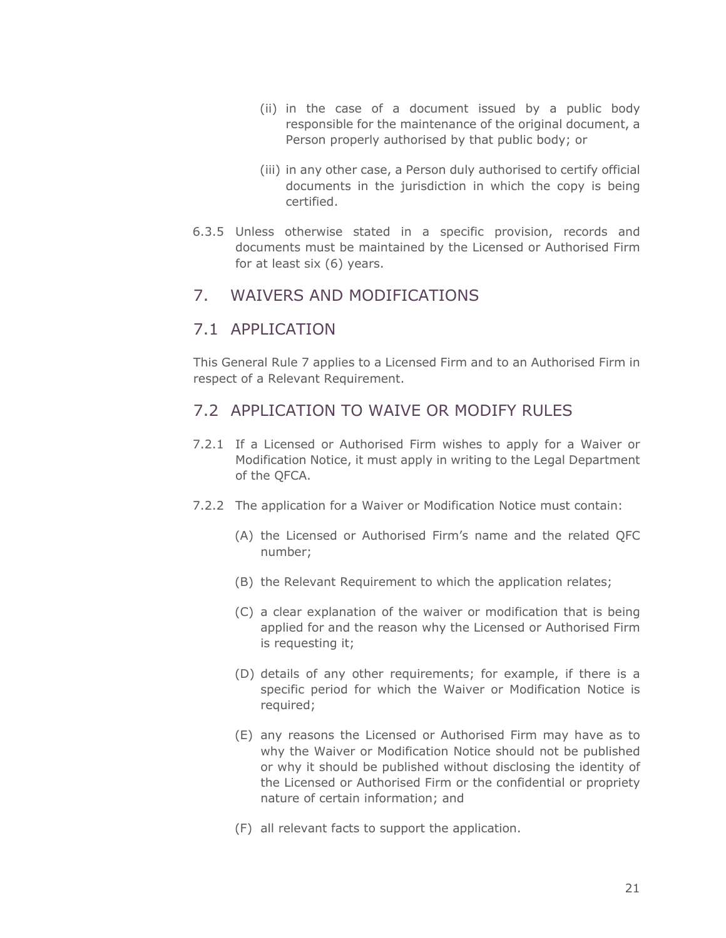- (ii) in the case of a document issued by a public body responsible for the maintenance of the original document, a Person properly authorised by that public body; or
- (iii) in any other case, a Person duly authorised to certify official documents in the jurisdiction in which the copy is being certified.
- 6.3.5 Unless otherwise stated in a specific provision, records and documents must be maintained by the Licensed or Authorised Firm for at least six (6) years.

## <span id="page-17-0"></span>7. WAIVERS AND MODIFICATIONS

#### 7.1 APPLICATION

This General Rule 7 applies to a Licensed Firm and to an Authorised Firm in respect of a Relevant Requirement.

## 7.2 APPLICATION TO WAIVE OR MODIFY RULES

- 7.2.1 If a Licensed or Authorised Firm wishes to apply for a Waiver or Modification Notice, it must apply in writing to the Legal Department of the QFCA.
- 7.2.2 The application for a Waiver or Modification Notice must contain:
	- (A) the Licensed or Authorised Firm's name and the related QFC number;
	- (B) the Relevant Requirement to which the application relates;
	- (C) a clear explanation of the waiver or modification that is being applied for and the reason why the Licensed or Authorised Firm is requesting it;
	- (D) details of any other requirements; for example, if there is a specific period for which the Waiver or Modification Notice is required;
	- (E) any reasons the Licensed or Authorised Firm may have as to why the Waiver or Modification Notice should not be published or why it should be published without disclosing the identity of the Licensed or Authorised Firm or the confidential or propriety nature of certain information; and
	- (F) all relevant facts to support the application.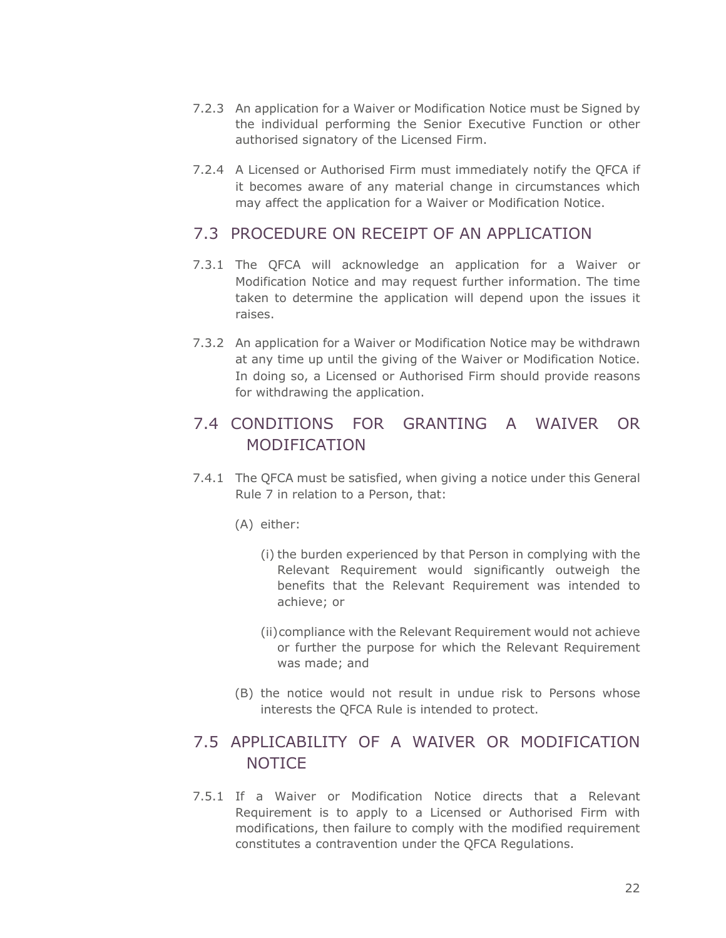- 7.2.3 An application for a Waiver or Modification Notice must be Signed by the individual performing the Senior Executive Function or other authorised signatory of the Licensed Firm.
- 7.2.4 A Licensed or Authorised Firm must immediately notify the QFCA if it becomes aware of any material change in circumstances which may affect the application for a Waiver or Modification Notice.

#### 7.3 PROCEDURE ON RECEIPT OF AN APPLICATION

- 7.3.1 The QFCA will acknowledge an application for a Waiver or Modification Notice and may request further information. The time taken to determine the application will depend upon the issues it raises.
- 7.3.2 An application for a Waiver or Modification Notice may be withdrawn at any time up until the giving of the Waiver or Modification Notice. In doing so, a Licensed or Authorised Firm should provide reasons for withdrawing the application.

# 7.4 CONDITIONS FOR GRANTING A WAIVER OR MODIFICATION

- 7.4.1 The QFCA must be satisfied, when giving a notice under this General Rule 7 in relation to a Person, that:
	- (A) either:
		- (i) the burden experienced by that Person in complying with the Relevant Requirement would significantly outweigh the benefits that the Relevant Requirement was intended to achieve; or
		- (ii)compliance with the Relevant Requirement would not achieve or further the purpose for which the Relevant Requirement was made; and
	- (B) the notice would not result in undue risk to Persons whose interests the QFCA Rule is intended to protect.

# 7.5 APPLICABILITY OF A WAIVER OR MODIFICATION **NOTICE**

7.5.1 If a Waiver or Modification Notice directs that a Relevant Requirement is to apply to a Licensed or Authorised Firm with modifications, then failure to comply with the modified requirement constitutes a contravention under the QFCA Regulations.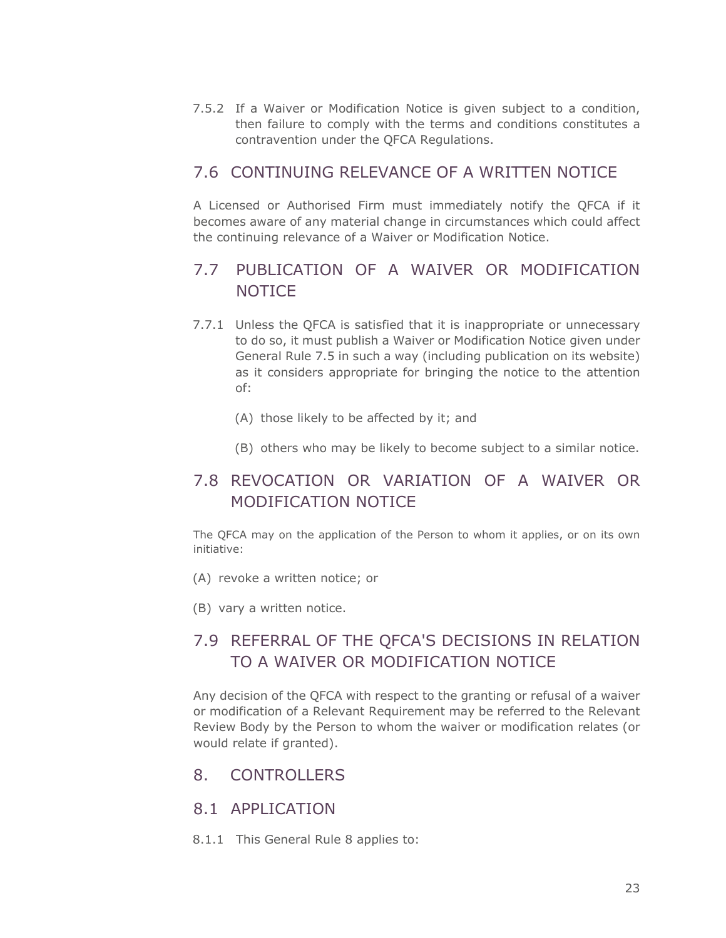7.5.2 If a Waiver or Modification Notice is given subject to a condition, then failure to comply with the terms and conditions constitutes a contravention under the QFCA Regulations.

#### 7.6 CONTINUING RELEVANCE OF A WRITTEN NOTICE

A Licensed or Authorised Firm must immediately notify the QFCA if it becomes aware of any material change in circumstances which could affect the continuing relevance of a Waiver or Modification Notice.

# 7.7 PUBLICATION OF A WAIVER OR MODIFICATION **NOTICE**

- 7.7.1 Unless the QFCA is satisfied that it is inappropriate or unnecessary to do so, it must publish a Waiver or Modification Notice given under General Rule 7.5 in such a way (including publication on its website) as it considers appropriate for bringing the notice to the attention of:
	- (A) those likely to be affected by it; and
	- (B) others who may be likely to become subject to a similar notice.

# 7.8 REVOCATION OR VARIATION OF A WAIVER OR MODIFICATION NOTICE

The QFCA may on the application of the Person to whom it applies, or on its own initiative:

- (A) revoke a written notice; or
- (B) vary a written notice.

# 7.9 REFERRAL OF THE QFCA'S DECISIONS IN RELATION TO A WAIVER OR MODIFICATION NOTICE

Any decision of the QFCA with respect to the granting or refusal of a waiver or modification of a Relevant Requirement may be referred to the Relevant Review Body by the Person to whom the waiver or modification relates (or would relate if granted).

#### <span id="page-19-0"></span>8. CONTROLLERS

#### 8.1 APPLICATION

8.1.1 This General Rule 8 applies to: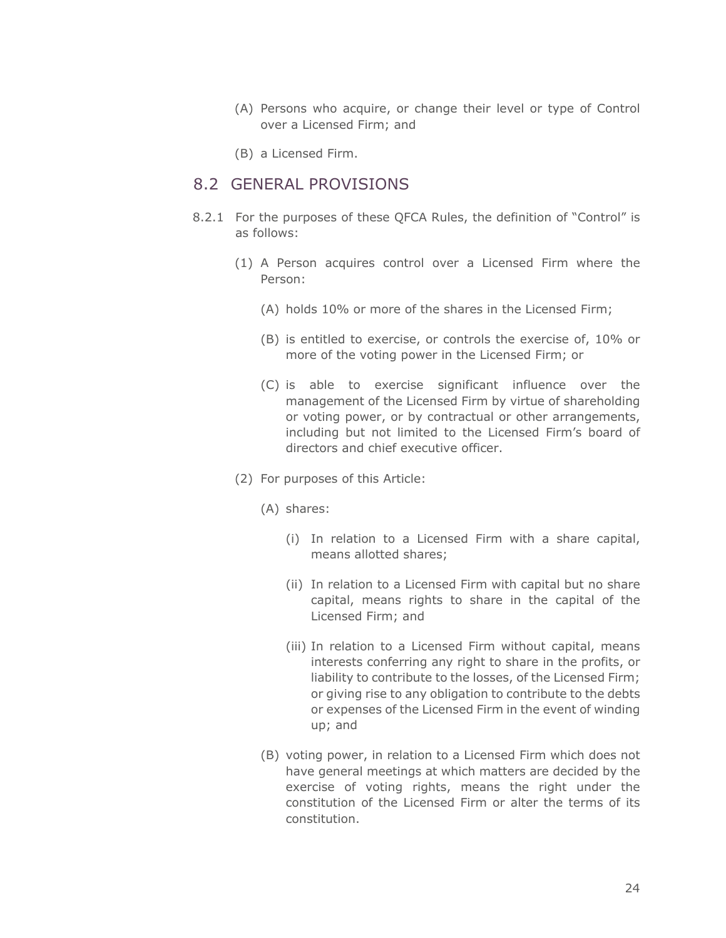- (A) Persons who acquire, or change their level or type of Control over a Licensed Firm; and
- (B) a Licensed Firm.

#### 8.2 GENERAL PROVISIONS

- 8.2.1 For the purposes of these QFCA Rules, the definition of "Control" is as follows:
	- (1) A Person acquires control over a Licensed Firm where the Person:
		- (A) holds 10% or more of the shares in the Licensed Firm;
		- (B) is entitled to exercise, or controls the exercise of, 10% or more of the voting power in the Licensed Firm; or
		- (C) is able to exercise significant influence over the management of the Licensed Firm by virtue of shareholding or voting power, or by contractual or other arrangements, including but not limited to the Licensed Firm's board of directors and chief executive officer.
	- (2) For purposes of this Article:
		- (A) shares:
			- (i) In relation to a Licensed Firm with a share capital, means allotted shares;
			- (ii) In relation to a Licensed Firm with capital but no share capital, means rights to share in the capital of the Licensed Firm; and
			- (iii) In relation to a Licensed Firm without capital, means interests conferring any right to share in the profits, or liability to contribute to the losses, of the Licensed Firm; or giving rise to any obligation to contribute to the debts or expenses of the Licensed Firm in the event of winding up; and
		- (B) voting power, in relation to a Licensed Firm which does not have general meetings at which matters are decided by the exercise of voting rights, means the right under the constitution of the Licensed Firm or alter the terms of its constitution.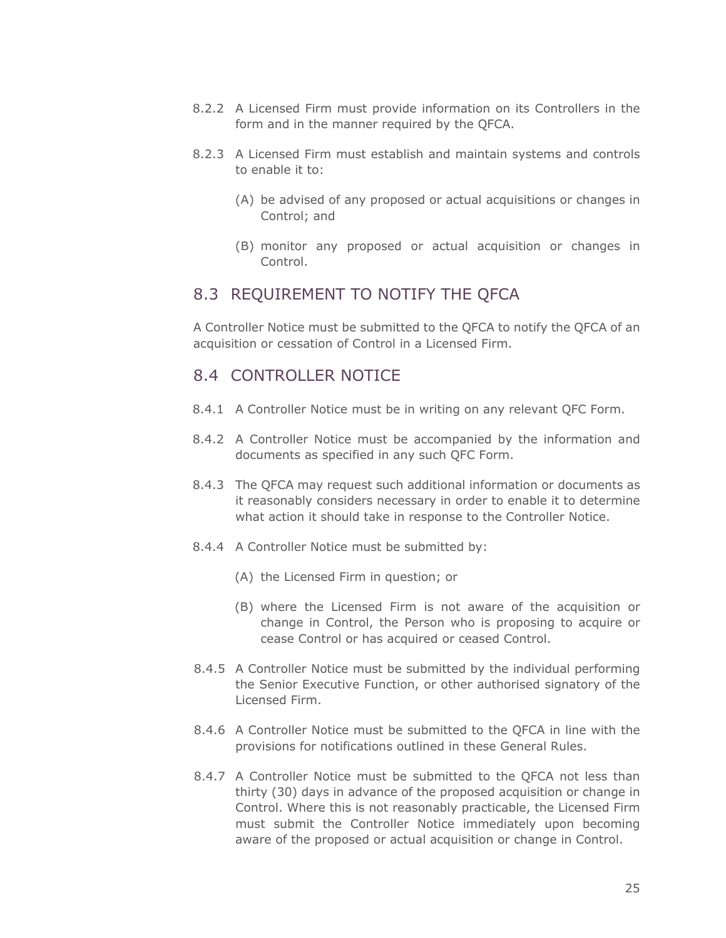- 8.2.2 A Licensed Firm must provide information on its Controllers in the form and in the manner required by the QFCA.
- 8.2.3 A Licensed Firm must establish and maintain systems and controls to enable it to:
	- (A) be advised of any proposed or actual acquisitions or changes in Control; and
	- (B) monitor any proposed or actual acquisition or changes in Control.

#### 8.3 REQUIREMENT TO NOTIFY THE QFCA

A Controller Notice must be submitted to the QFCA to notify the QFCA of an acquisition or cessation of Control in a Licensed Firm.

#### 8.4 CONTROLLER NOTICE

- 8.4.1 A Controller Notice must be in writing on any relevant QFC Form.
- 8.4.2 A Controller Notice must be accompanied by the information and documents as specified in any such QFC Form.
- 8.4.3 The QFCA may request such additional information or documents as it reasonably considers necessary in order to enable it to determine what action it should take in response to the Controller Notice.
- 8.4.4 A Controller Notice must be submitted by:
	- (A) the Licensed Firm in question; or
	- (B) where the Licensed Firm is not aware of the acquisition or change in Control, the Person who is proposing to acquire or cease Control or has acquired or ceased Control.
- 8.4.5 A Controller Notice must be submitted by the individual performing the Senior Executive Function, or other authorised signatory of the Licensed Firm.
- 8.4.6 A Controller Notice must be submitted to the QFCA in line with the provisions for notifications outlined in these General Rules.
- 8.4.7 A Controller Notice must be submitted to the QFCA not less than thirty (30) days in advance of the proposed acquisition or change in Control. Where this is not reasonably practicable, the Licensed Firm must submit the Controller Notice immediately upon becoming aware of the proposed or actual acquisition or change in Control.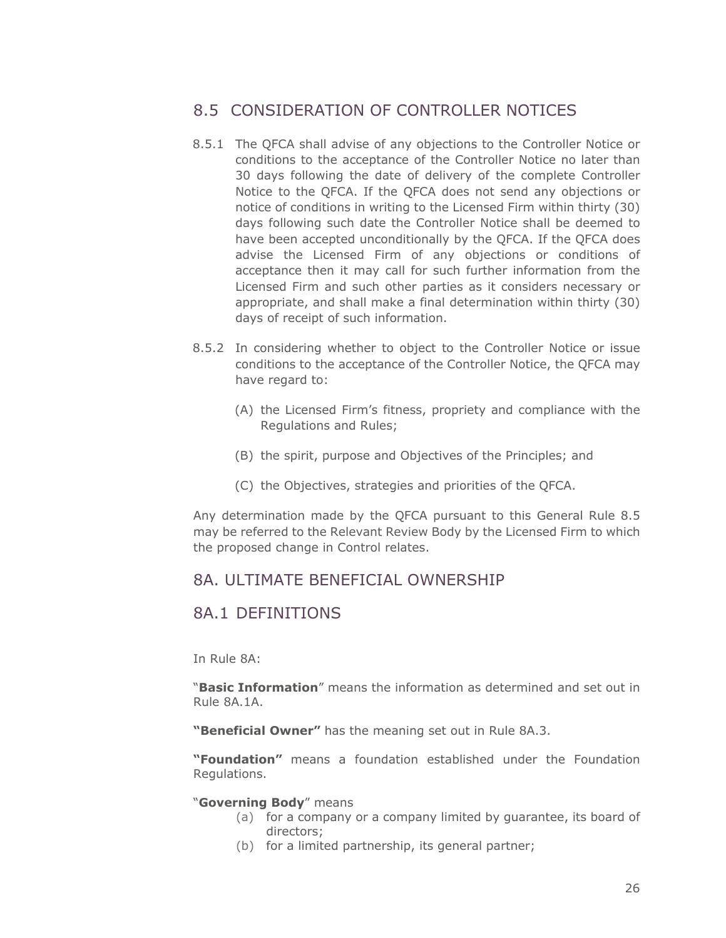## 8.5 CONSIDERATION OF CONTROLLER NOTICES

- 8.5.1 The QFCA shall advise of any objections to the Controller Notice or conditions to the acceptance of the Controller Notice no later than 30 days following the date of delivery of the complete Controller Notice to the QFCA. If the QFCA does not send any objections or notice of conditions in writing to the Licensed Firm within thirty (30) days following such date the Controller Notice shall be deemed to have been accepted unconditionally by the QFCA. If the QFCA does advise the Licensed Firm of any objections or conditions of acceptance then it may call for such further information from the Licensed Firm and such other parties as it considers necessary or appropriate, and shall make a final determination within thirty (30) days of receipt of such information.
- 8.5.2 In considering whether to object to the Controller Notice or issue conditions to the acceptance of the Controller Notice, the QFCA may have regard to:
	- (A) the Licensed Firm's fitness, propriety and compliance with the Regulations and Rules;
	- (B) the spirit, purpose and Objectives of the Principles; and
	- (C) the Objectives, strategies and priorities of the QFCA.

Any determination made by the QFCA pursuant to this General Rule 8.5 may be referred to the Relevant Review Body by the Licensed Firm to which the proposed change in Control relates.

#### <span id="page-22-0"></span>8A. ULTIMATE BENEFICIAL OWNERSHIP

#### 8A.1 DEFINITIONS

In Rule 8A:

"**Basic Information**" means the information as determined and set out in Rule 8A.1A.

**"Beneficial Owner"** has the meaning set out in Rule 8A.3.

**"Foundation"** means a foundation established under the Foundation Regulations.

#### "**Governing Body**" means

- (a) for a company or a company limited by guarantee, its board of directors;
- (b) for a limited partnership, its general partner;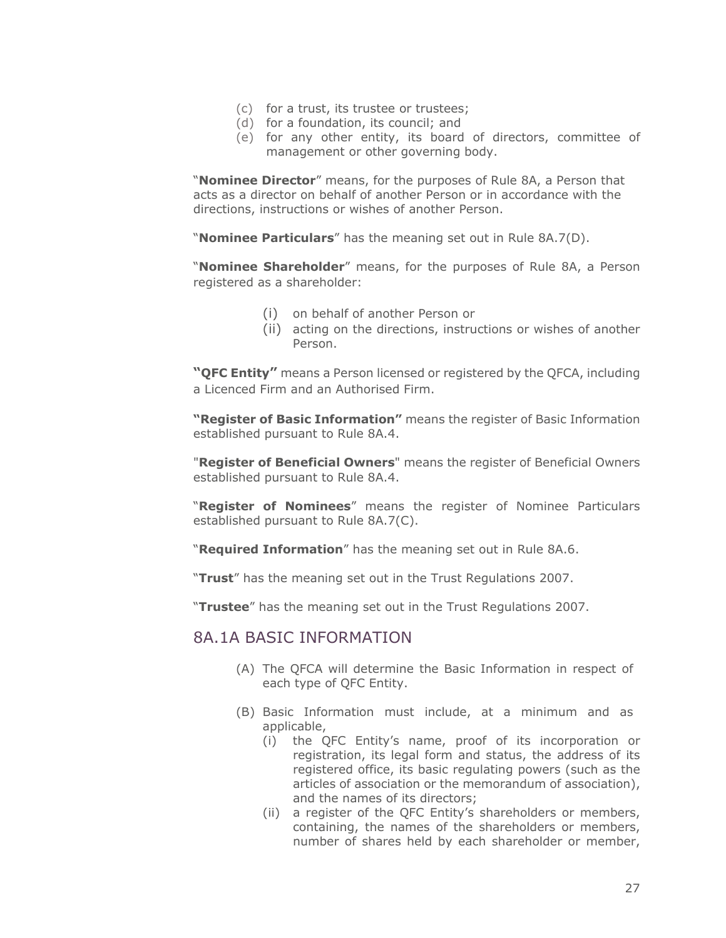- (c) for a trust, its trustee or trustees;
- (d) for a foundation, its council; and
- (e) for any other entity, its board of directors, committee of management or other governing body.

"**Nominee Director**" means, for the purposes of Rule 8A, a Person that acts as a director on behalf of another Person or in accordance with the directions, instructions or wishes of another Person.

"**Nominee Particulars**" has the meaning set out in Rule 8A.7(D).

"**Nominee Shareholder**" means, for the purposes of Rule 8A, a Person registered as a shareholder:

- (i) on behalf of another Person or
- (ii) acting on the directions, instructions or wishes of another Person.

**"QFC Entity"** means a Person licensed or registered by the QFCA, including a Licenced Firm and an Authorised Firm.

**"Register of Basic Information"** means the register of Basic Information established pursuant to Rule 8A.4.

"**Register of Beneficial Owners**" means the register of Beneficial Owners established pursuant to Rule 8A.4.

"**Register of Nominees**" means the register of Nominee Particulars established pursuant to Rule 8A.7(C).

"**Required Information**" has the meaning set out in Rule 8A.6.

"**Trust**" has the meaning set out in the Trust Regulations 2007.

"**Trustee**" has the meaning set out in the Trust Regulations 2007.

#### 8A.1A BASIC INFORMATION

- (A) The QFCA will determine the Basic Information in respect of each type of QFC Entity.
- (B) Basic Information must include, at a minimum and as applicable,
	- (i) the QFC Entity's name, proof of its incorporation or registration, its legal form and status, the address of its registered office, its basic regulating powers (such as the articles of association or the memorandum of association), and the names of its directors;
	- (ii) a register of the QFC Entity's shareholders or members, containing, the names of the shareholders or members, number of shares held by each shareholder or member,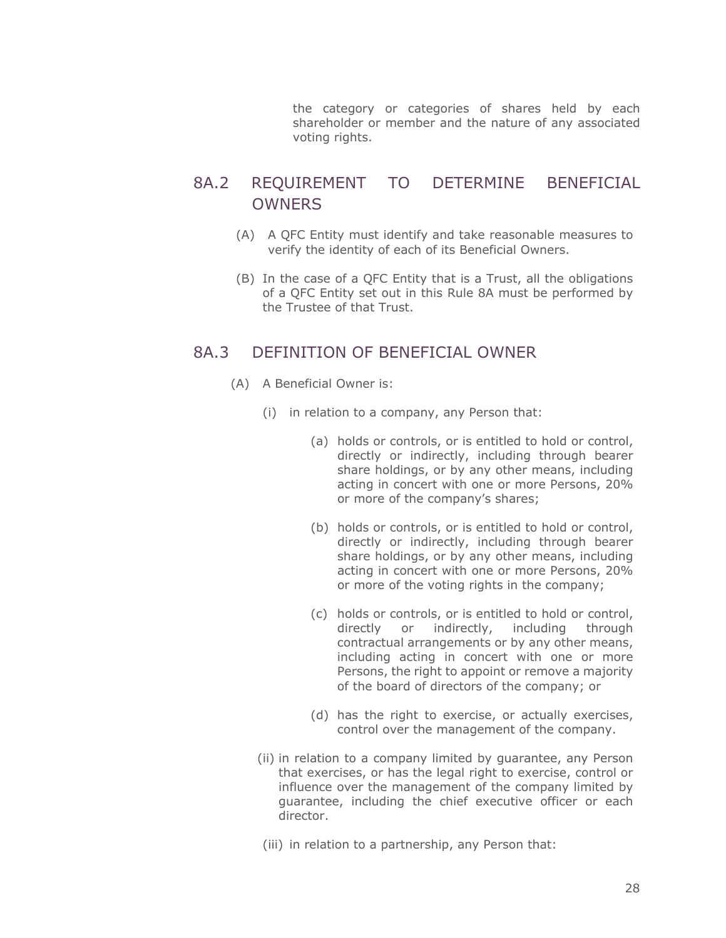the category or categories of shares held by each shareholder or member and the nature of any associated voting rights.

## 8A.2 REQUIREMENT TO DETERMINE BENEFICIAL **OWNERS**

- (A) A QFC Entity must identify and take reasonable measures to verify the identity of each of its Beneficial Owners.
- (B) In the case of a QFC Entity that is a Trust, all the obligations of a QFC Entity set out in this Rule 8A must be performed by the Trustee of that Trust.

## 8A.3 DEFINITION OF BENEFICIAL OWNER

- (A) A Beneficial Owner is:
	- (i) in relation to a company, any Person that:
		- (a) holds or controls, or is entitled to hold or control, directly or indirectly, including through bearer share holdings, or by any other means, including acting in concert with one or more Persons, 20% or more of the company's shares;
		- (b) holds or controls, or is entitled to hold or control, directly or indirectly, including through bearer share holdings, or by any other means, including acting in concert with one or more Persons, 20% or more of the voting rights in the company;
		- (c) holds or controls, or is entitled to hold or control, directly or indirectly, including through contractual arrangements or by any other means, including acting in concert with one or more Persons, the right to appoint or remove a majority of the board of directors of the company; or
		- (d) has the right to exercise, or actually exercises, control over the management of the company.
	- (ii) in relation to a company limited by guarantee, any Person that exercises, or has the legal right to exercise, control or influence over the management of the company limited by guarantee, including the chief executive officer or each director.
	- (iii) in relation to a partnership, any Person that: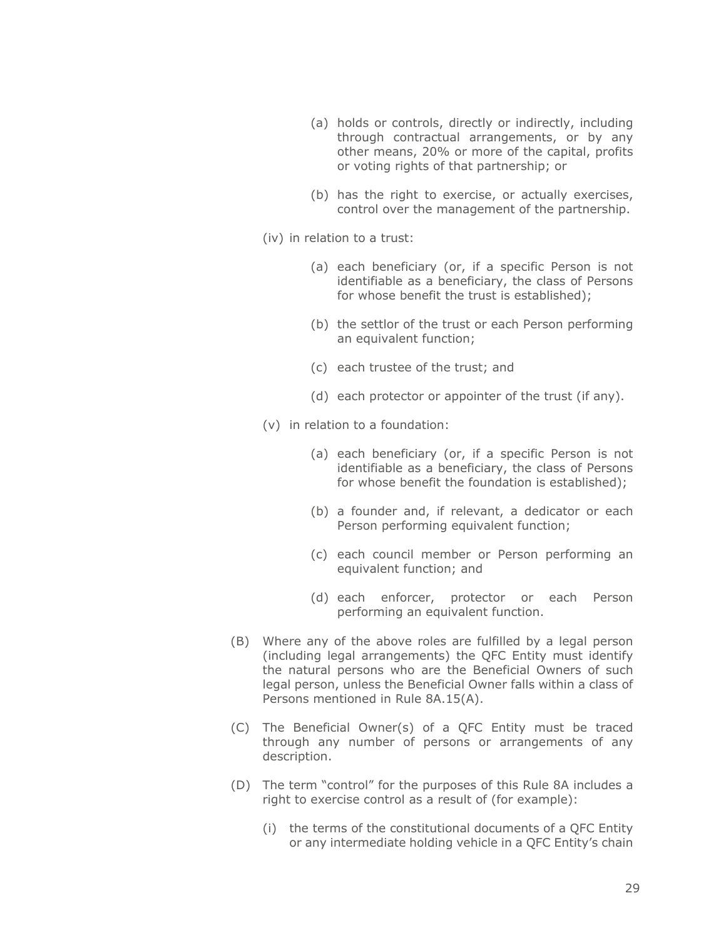- (a) holds or controls, directly or indirectly, including through contractual arrangements, or by any other means, 20% or more of the capital, profits or voting rights of that partnership; or
- (b) has the right to exercise, or actually exercises, control over the management of the partnership.

(iv) in relation to a trust:

- (a) each beneficiary (or, if a specific Person is not identifiable as a beneficiary, the class of Persons for whose benefit the trust is established);
- (b) the settlor of the trust or each Person performing an equivalent function;
- (c) each trustee of the trust; and
- (d) each protector or appointer of the trust (if any).
- (v) in relation to a foundation:
	- (a) each beneficiary (or, if a specific Person is not identifiable as a beneficiary, the class of Persons for whose benefit the foundation is established);
	- (b) a founder and, if relevant, a dedicator or each Person performing equivalent function;
	- (c) each council member or Person performing an equivalent function; and
	- (d) each enforcer, protector or each Person performing an equivalent function.
- (B) Where any of the above roles are fulfilled by a legal person (including legal arrangements) the QFC Entity must identify the natural persons who are the Beneficial Owners of such legal person, unless the Beneficial Owner falls within a class of Persons mentioned in Rule 8A.15(A).
- (C) The Beneficial Owner(s) of a QFC Entity must be traced through any number of persons or arrangements of any description.
- (D) The term "control" for the purposes of this Rule 8A includes a right to exercise control as a result of (for example):
	- (i) the terms of the constitutional documents of a QFC Entity or any intermediate holding vehicle in a QFC Entity's chain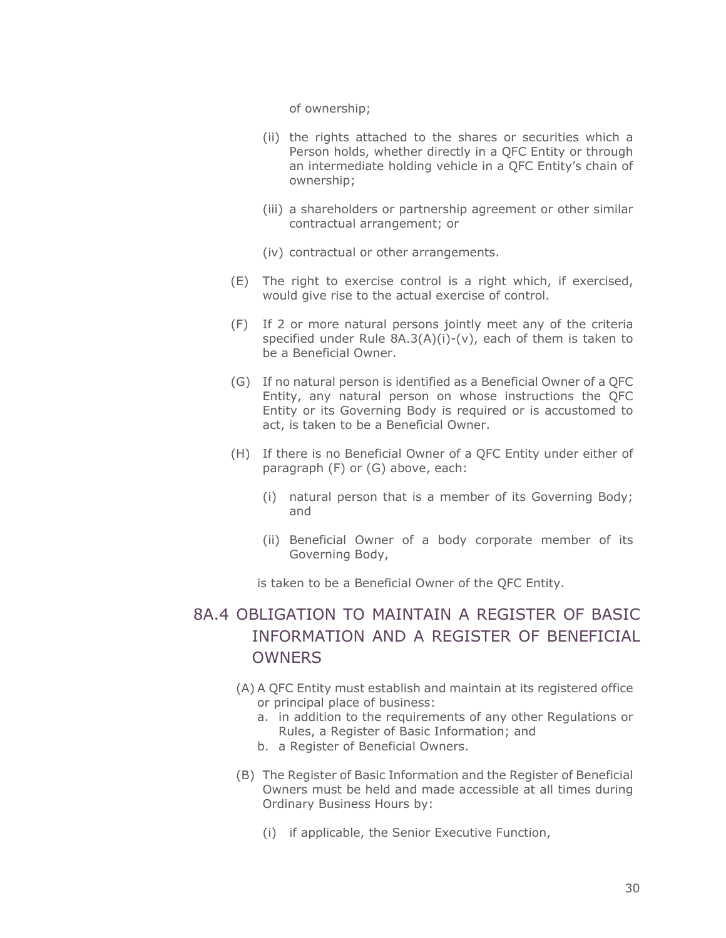of ownership;

- (ii) the rights attached to the shares or securities which a Person holds, whether directly in a QFC Entity or through an intermediate holding vehicle in a QFC Entity's chain of ownership;
- (iii) a shareholders or partnership agreement or other similar contractual arrangement; or
- (iv) contractual or other arrangements.
- (E) The right to exercise control is a right which, if exercised, would give rise to the actual exercise of control.
- (F) If 2 or more natural persons jointly meet any of the criteria specified under Rule 8A.3(A)(i)-(v), each of them is taken to be a Beneficial Owner.
- (G) If no natural person is identified as a Beneficial Owner of a QFC Entity, any natural person on whose instructions the QFC Entity or its Governing Body is required or is accustomed to act, is taken to be a Beneficial Owner.
- (H) If there is no Beneficial Owner of a QFC Entity under either of paragraph (F) or (G) above, each:
	- (i) natural person that is a member of its Governing Body; and
	- (ii) Beneficial Owner of a body corporate member of its Governing Body,

is taken to be a Beneficial Owner of the QFC Entity.

# 8A.4 OBLIGATION TO MAINTAIN A REGISTER OF BASIC INFORMATION AND A REGISTER OF BENEFICIAL **OWNERS**

- (A) A QFC Entity must establish and maintain at its registered office or principal place of business:
	- a. in addition to the requirements of any other Regulations or Rules, a Register of Basic Information; and
	- b. a Register of Beneficial Owners.
- (B) The Register of Basic Information and the Register of Beneficial Owners must be held and made accessible at all times during Ordinary Business Hours by:
	- (i) if applicable, the Senior Executive Function,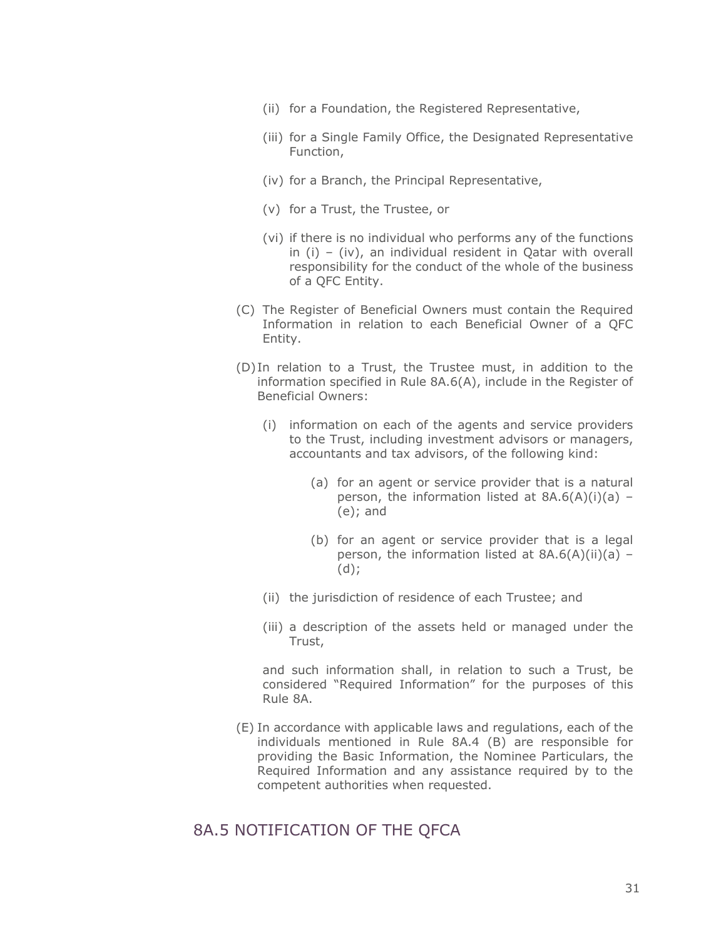- (ii) for a Foundation, the Registered Representative,
- (iii) for a Single Family Office, the Designated Representative Function,
- (iv) for a Branch, the Principal Representative,
- (v) for a Trust, the Trustee, or
- (vi) if there is no individual who performs any of the functions in  $(i) - (iv)$ , an individual resident in Qatar with overall responsibility for the conduct of the whole of the business of a QFC Entity.
- (C) The Register of Beneficial Owners must contain the Required Information in relation to each Beneficial Owner of a QFC Entity.
- (D) In relation to a Trust, the Trustee must, in addition to the information specified in Rule 8A.6(A), include in the Register of Beneficial Owners:
	- (i) information on each of the agents and service providers to the Trust, including investment advisors or managers, accountants and tax advisors, of the following kind:
		- (a) for an agent or service provider that is a natural person, the information listed at  $8A.6(A)(i)(a)$  -(e); and
		- (b) for an agent or service provider that is a legal person, the information listed at  $8A.6(A)(ii)(a)$  – (d);
	- (ii) the jurisdiction of residence of each Trustee; and
	- (iii) a description of the assets held or managed under the Trust,

and such information shall, in relation to such a Trust, be considered "Required Information" for the purposes of this Rule 8A.

(E) In accordance with applicable laws and regulations, each of the individuals mentioned in Rule 8A.4 (B) are responsible for providing the Basic Information, the Nominee Particulars, the Required Information and any assistance required by to the competent authorities when requested.

#### 8A.5 NOTIFICATION OF THE QFCA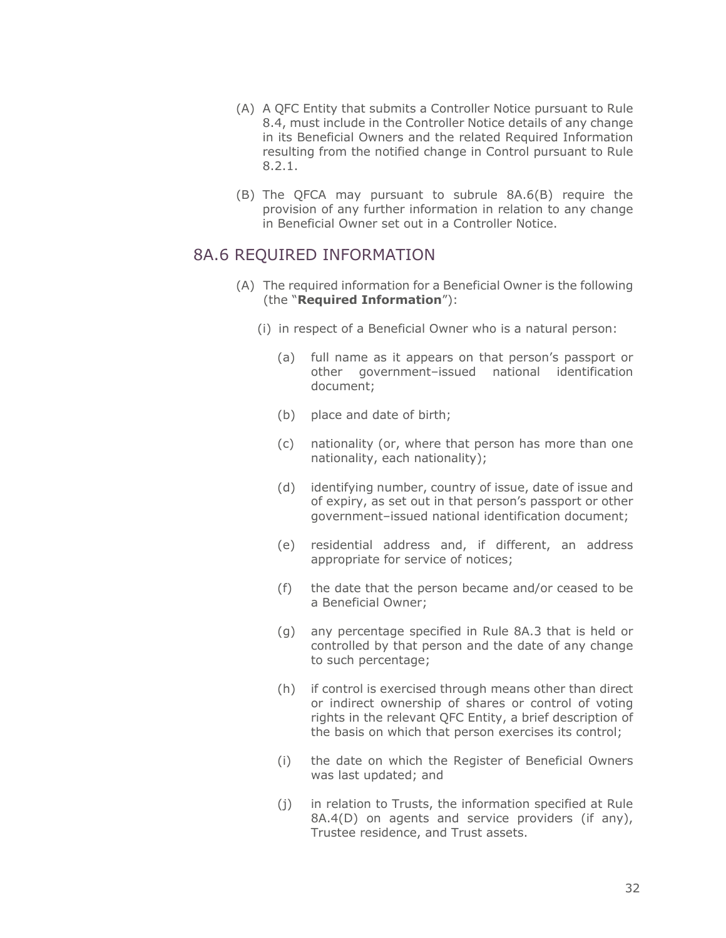- (A) A QFC Entity that submits a Controller Notice pursuant to Rule 8.4, must include in the Controller Notice details of any change in its Beneficial Owners and the related Required Information resulting from the notified change in Control pursuant to Rule 8.2.1.
- (B) The QFCA may pursuant to subrule 8A.6(B) require the provision of any further information in relation to any change in Beneficial Owner set out in a Controller Notice.

#### 8A.6 REQUIRED INFORMATION

- (A) The required information for a Beneficial Owner is the following (the "**Required Information**"):
	- (i) in respect of a Beneficial Owner who is a natural person:
		- (a) full name as it appears on that person's passport or other government–issued national identification document;
		- (b) place and date of birth;
		- (c) nationality (or, where that person has more than one nationality, each nationality);
		- (d) identifying number, country of issue, date of issue and of expiry, as set out in that person's passport or other government–issued national identification document;
		- (e) residential address and, if different, an address appropriate for service of notices;
		- (f) the date that the person became and/or ceased to be a Beneficial Owner;
		- (g) any percentage specified in Rule 8A.3 that is held or controlled by that person and the date of any change to such percentage;
		- (h) if control is exercised through means other than direct or indirect ownership of shares or control of voting rights in the relevant QFC Entity, a brief description of the basis on which that person exercises its control;
		- (i) the date on which the Register of Beneficial Owners was last updated; and
		- (j) in relation to Trusts, the information specified at Rule 8A.4(D) on agents and service providers (if any), Trustee residence, and Trust assets.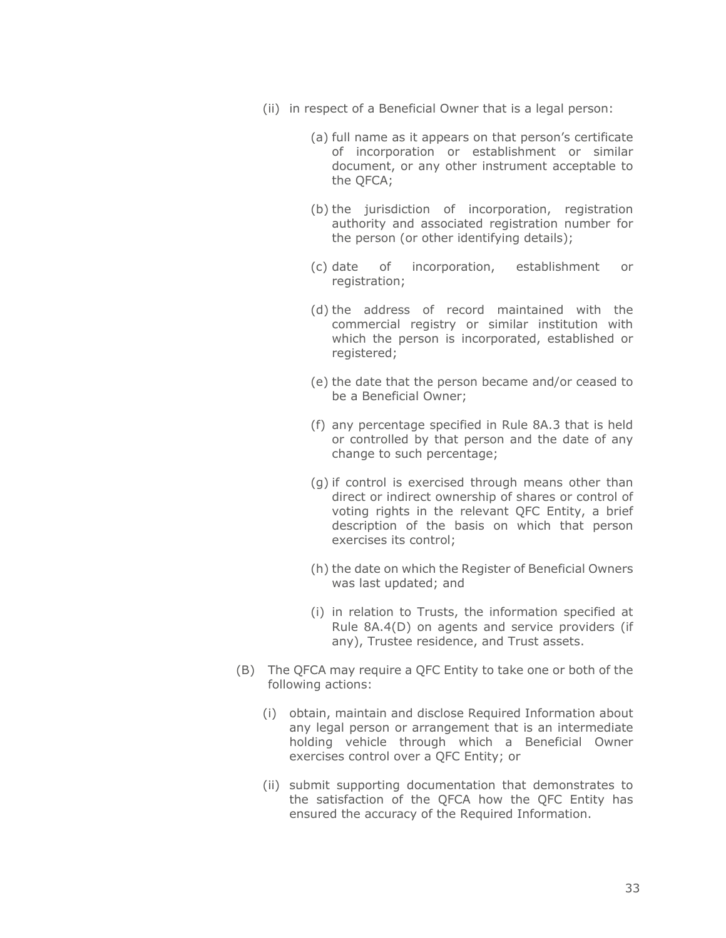- (ii) in respect of a Beneficial Owner that is a legal person:
	- (a) full name as it appears on that person's certificate of incorporation or establishment or similar document, or any other instrument acceptable to the QFCA;
	- (b) the jurisdiction of incorporation, registration authority and associated registration number for the person (or other identifying details);
	- (c) date of incorporation, establishment or registration;
	- (d) the address of record maintained with the commercial registry or similar institution with which the person is incorporated, established or registered;
	- (e) the date that the person became and/or ceased to be a Beneficial Owner;
	- (f) any percentage specified in Rule 8A.3 that is held or controlled by that person and the date of any change to such percentage;
	- (g) if control is exercised through means other than direct or indirect ownership of shares or control of voting rights in the relevant QFC Entity, a brief description of the basis on which that person exercises its control;
	- (h) the date on which the Register of Beneficial Owners was last updated; and
	- (i) in relation to Trusts, the information specified at Rule 8A.4(D) on agents and service providers (if any), Trustee residence, and Trust assets.
- (B) The QFCA may require a QFC Entity to take one or both of the following actions:
	- (i) obtain, maintain and disclose Required Information about any legal person or arrangement that is an intermediate holding vehicle through which a Beneficial Owner exercises control over a QFC Entity; or
	- (ii) submit supporting documentation that demonstrates to the satisfaction of the QFCA how the QFC Entity has ensured the accuracy of the Required Information.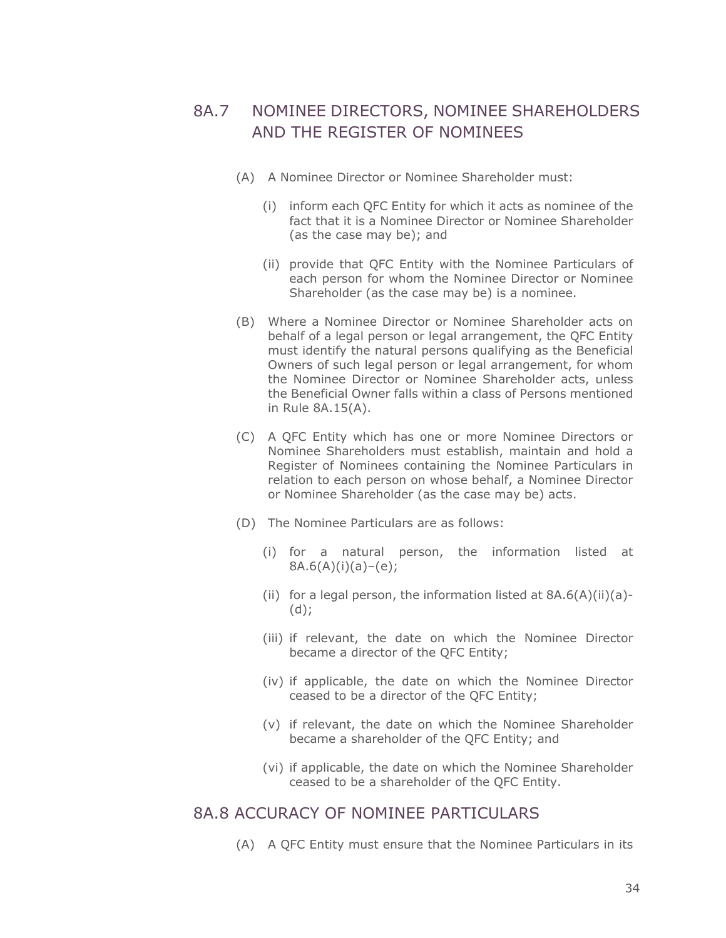# 8A.7 NOMINEE DIRECTORS, NOMINEE SHAREHOLDERS AND THE REGISTER OF NOMINEES

- (A) A Nominee Director or Nominee Shareholder must:
	- (i) inform each QFC Entity for which it acts as nominee of the fact that it is a Nominee Director or Nominee Shareholder (as the case may be); and
	- (ii) provide that QFC Entity with the Nominee Particulars of each person for whom the Nominee Director or Nominee Shareholder (as the case may be) is a nominee.
- (B) Where a Nominee Director or Nominee Shareholder acts on behalf of a legal person or legal arrangement, the QFC Entity must identify the natural persons qualifying as the Beneficial Owners of such legal person or legal arrangement, for whom the Nominee Director or Nominee Shareholder acts, unless the Beneficial Owner falls within a class of Persons mentioned in Rule 8A.15(A).
- (C) A QFC Entity which has one or more Nominee Directors or Nominee Shareholders must establish, maintain and hold a Register of Nominees containing the Nominee Particulars in relation to each person on whose behalf, a Nominee Director or Nominee Shareholder (as the case may be) acts.
- (D) The Nominee Particulars are as follows:
	- (i) for a natural person, the information listed at  $8A.6(A)(i)(a)-(e)$ ;
	- (ii) for a legal person, the information listed at  $8A.6(A)(ii)(a)$ -(d);
	- (iii) if relevant, the date on which the Nominee Director became a director of the QFC Entity;
	- (iv) if applicable, the date on which the Nominee Director ceased to be a director of the QFC Entity;
	- (v) if relevant, the date on which the Nominee Shareholder became a shareholder of the QFC Entity; and
	- (vi) if applicable, the date on which the Nominee Shareholder ceased to be a shareholder of the QFC Entity.

#### 8A.8 ACCURACY OF NOMINEE PARTICULARS

(A) A QFC Entity must ensure that the Nominee Particulars in its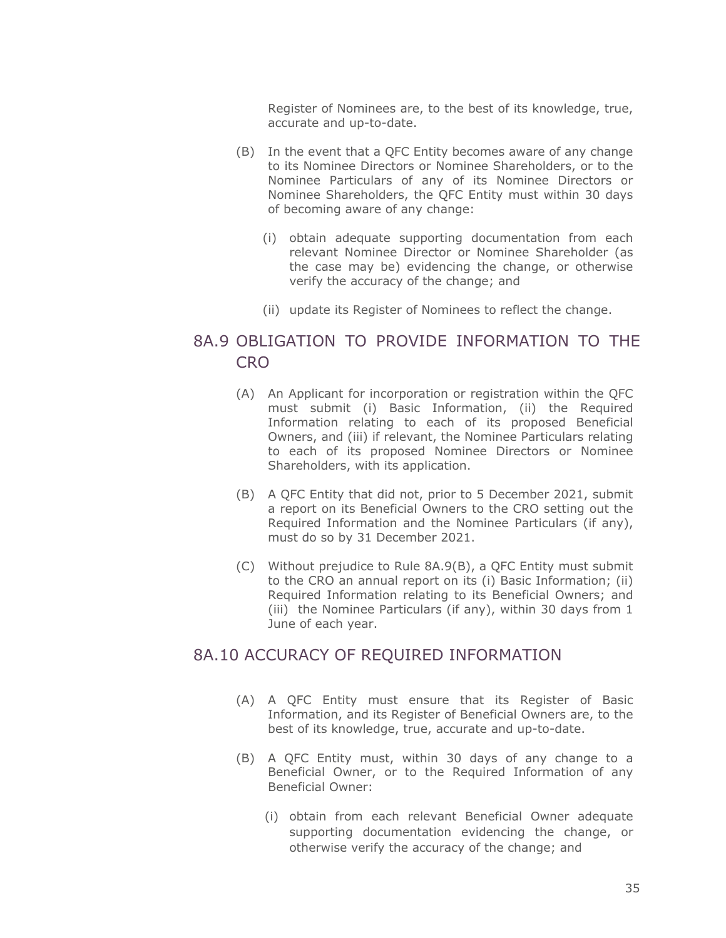Register of Nominees are, to the best of its knowledge, true, accurate and up-to-date.

- (B) In the event that a QFC Entity becomes aware of any change to its Nominee Directors or Nominee Shareholders, or to the Nominee Particulars of any of its Nominee Directors or Nominee Shareholders, the QFC Entity must within 30 days of becoming aware of any change:
	- (i) obtain adequate supporting documentation from each relevant Nominee Director or Nominee Shareholder (as the case may be) evidencing the change, or otherwise verify the accuracy of the change; and
	- (ii) update its Register of Nominees to reflect the change.

# 8A.9 OBLIGATION TO PROVIDE INFORMATION TO THE CRO<sub>1</sub>

- (A) An Applicant for incorporation or registration within the QFC must submit (i) Basic Information, (ii) the Required Information relating to each of its proposed Beneficial Owners, and (iii) if relevant, the Nominee Particulars relating to each of its proposed Nominee Directors or Nominee Shareholders, with its application.
- (B) A QFC Entity that did not, prior to 5 December 2021, submit a report on its Beneficial Owners to the CRO setting out the Required Information and the Nominee Particulars (if any), must do so by 31 December 2021.
- (C) Without prejudice to Rule 8A.9(B), a QFC Entity must submit to the CRO an annual report on its (i) Basic Information; (ii) Required Information relating to its Beneficial Owners; and (iii) the Nominee Particulars (if any), within 30 days from 1 June of each year.

#### 8A.10 ACCURACY OF REQUIRED INFORMATION

- (A) A QFC Entity must ensure that its Register of Basic Information, and its Register of Beneficial Owners are, to the best of its knowledge, true, accurate and up-to-date.
- (B) A QFC Entity must, within 30 days of any change to a Beneficial Owner, or to the Required Information of any Beneficial Owner:
	- (i) obtain from each relevant Beneficial Owner adequate supporting documentation evidencing the change, or otherwise verify the accuracy of the change; and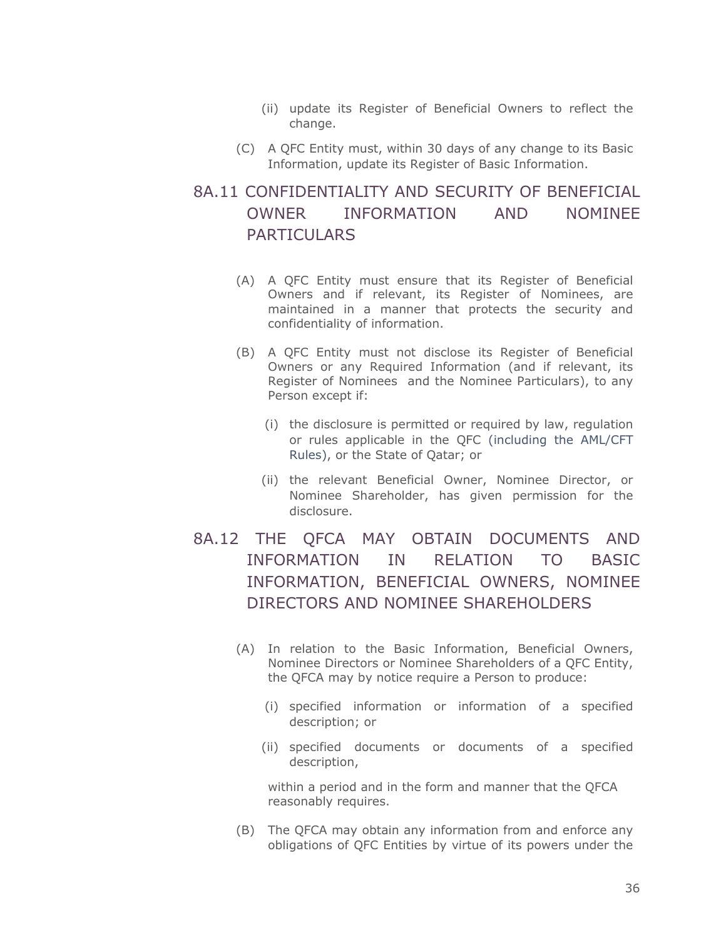- (ii) update its Register of Beneficial Owners to reflect the change.
- (C) A QFC Entity must, within 30 days of any change to its Basic Information, update its Register of Basic Information.

# 8A.11 CONFIDENTIALITY AND SECURITY OF BENEFICIAL OWNER INFORMATION AND NOMINEE PARTICULARS

- (A) A QFC Entity must ensure that its Register of Beneficial Owners and if relevant, its Register of Nominees, are maintained in a manner that protects the security and confidentiality of information.
- (B) A QFC Entity must not disclose its Register of Beneficial Owners or any Required Information (and if relevant, its Register of Nominees and the Nominee Particulars), to any Person except if:
	- (i) the disclosure is permitted or required by law, regulation or rules applicable in the QFC (including the AML/CFT Rules), or the State of Qatar; or
	- (ii) the relevant Beneficial Owner, Nominee Director, or Nominee Shareholder, has given permission for the disclosure.
- 8A.12 THE QFCA MAY OBTAIN DOCUMENTS AND INFORMATION IN RELATION TO BASIC INFORMATION, BENEFICIAL OWNERS, NOMINEE DIRECTORS AND NOMINEE SHAREHOLDERS
	- (A) In relation to the Basic Information, Beneficial Owners, Nominee Directors or Nominee Shareholders of a QFC Entity, the QFCA may by notice require a Person to produce:
		- (i) specified information or information of a specified description; or
		- (ii) specified documents or documents of a specified description,

within a period and in the form and manner that the QFCA reasonably requires.

(B) The QFCA may obtain any information from and enforce any obligations of QFC Entities by virtue of its powers under the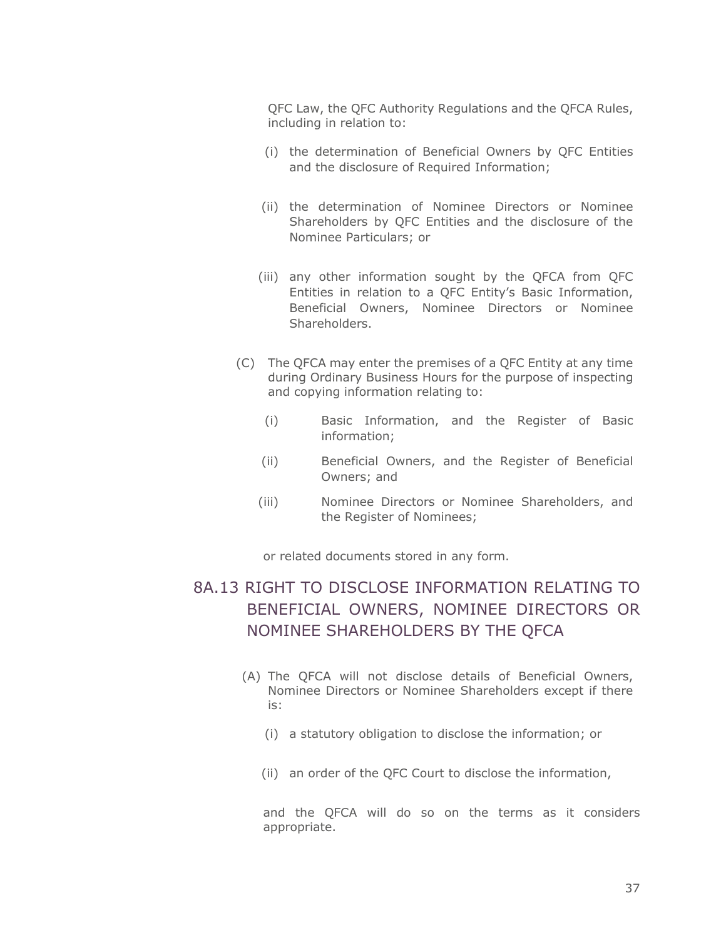QFC Law, the QFC Authority Regulations and the QFCA Rules, including in relation to:

- (i) the determination of Beneficial Owners by QFC Entities and the disclosure of Required Information;
- (ii) the determination of Nominee Directors or Nominee Shareholders by QFC Entities and the disclosure of the Nominee Particulars; or
- (iii) any other information sought by the QFCA from QFC Entities in relation to a QFC Entity's Basic Information, Beneficial Owners, Nominee Directors or Nominee Shareholders.
- (C) The QFCA may enter the premises of a QFC Entity at any time during Ordinary Business Hours for the purpose of inspecting and copying information relating to:
	- (i) Basic Information, and the Register of Basic information;
	- (ii) Beneficial Owners, and the Register of Beneficial Owners; and
	- (iii) Nominee Directors or Nominee Shareholders, and the Register of Nominees;

or related documents stored in any form.

# 8A.13 RIGHT TO DISCLOSE INFORMATION RELATING TO BENEFICIAL OWNERS, NOMINEE DIRECTORS OR NOMINEE SHAREHOLDERS BY THE QFCA

- (A) The QFCA will not disclose details of Beneficial Owners, Nominee Directors or Nominee Shareholders except if there is:
	- (i) a statutory obligation to disclose the information; or
	- (ii) an order of the QFC Court to disclose the information,

and the QFCA will do so on the terms as it considers appropriate.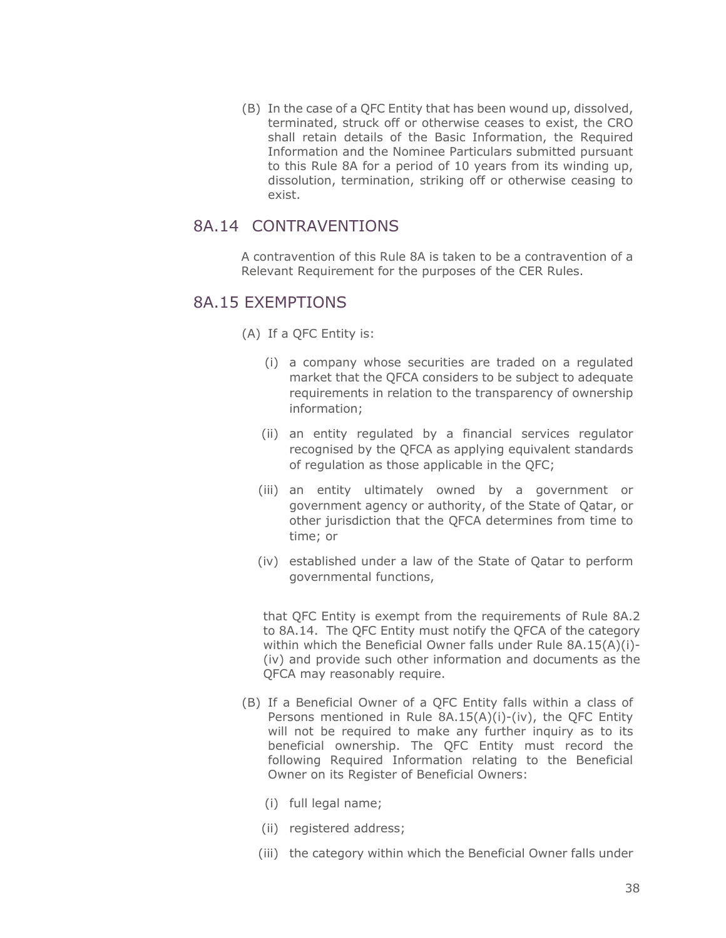(B) In the case of a QFC Entity that has been wound up, dissolved, terminated, struck off or otherwise ceases to exist, the CRO shall retain details of the Basic Information, the Required Information and the Nominee Particulars submitted pursuant to this Rule 8A for a period of 10 years from its winding up, dissolution, termination, striking off or otherwise ceasing to exist.

#### 8A.14 CONTRAVENTIONS

A contravention of this Rule 8A is taken to be a contravention of a Relevant Requirement for the purposes of the CER Rules.

#### 8A.15 EXEMPTIONS

(A) If a QFC Entity is:

- (i) a company whose securities are traded on a regulated market that the QFCA considers to be subject to adequate requirements in relation to the transparency of ownership information;
- (ii) an entity regulated by a financial services regulator recognised by the QFCA as applying equivalent standards of regulation as those applicable in the QFC;
- (iii) an entity ultimately owned by a government or government agency or authority, of the State of Qatar, or other jurisdiction that the QFCA determines from time to time; or
- (iv) established under a law of the State of Qatar to perform governmental functions,

that QFC Entity is exempt from the requirements of Rule 8A.2 to 8A.14. The QFC Entity must notify the QFCA of the category within which the Beneficial Owner falls under Rule 8A.15(A)(i)- (iv) and provide such other information and documents as the QFCA may reasonably require.

- (B) If a Beneficial Owner of a QFC Entity falls within a class of Persons mentioned in Rule 8A.15(A)(i)-(iv), the QFC Entity will not be required to make any further inquiry as to its beneficial ownership. The QFC Entity must record the following Required Information relating to the Beneficial Owner on its Register of Beneficial Owners:
	- (i) full legal name;
	- (ii) registered address;
	- (iii) the category within which the Beneficial Owner falls under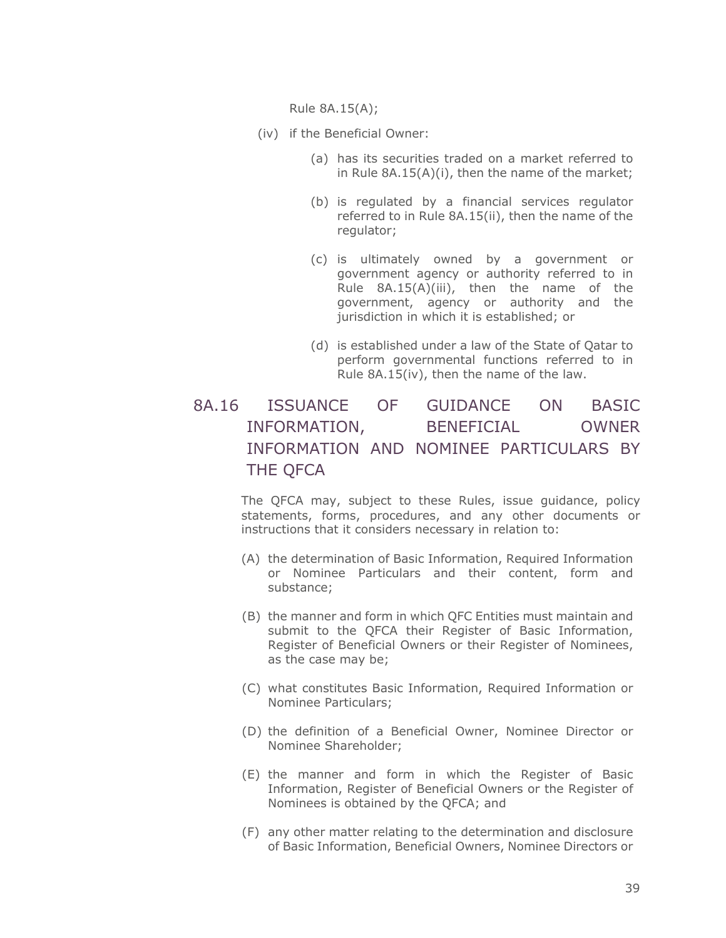Rule 8A.15(A);

- (iv) if the Beneficial Owner:
	- (a) has its securities traded on a market referred to in Rule 8A.15(A)(i), then the name of the market;
	- (b) is regulated by a financial services regulator referred to in Rule 8A.15(ii), then the name of the regulator;
	- (c) is ultimately owned by a government or government agency or authority referred to in Rule 8A.15(A)(iii), then the name of the government, agency or authority and the jurisdiction in which it is established; or
	- (d) is established under a law of the State of Qatar to perform governmental functions referred to in Rule 8A.15(iv), then the name of the law.

# 8A.16 ISSUANCE OF GUIDANCE ON BASIC INFORMATION, BENEFICIAL OWNER INFORMATION AND NOMINEE PARTICULARS BY THE QFCA

The QFCA may, subject to these Rules, issue guidance, policy statements, forms, procedures, and any other documents or instructions that it considers necessary in relation to:

- (A) the determination of Basic Information, Required Information or Nominee Particulars and their content, form and substance;
- (B) the manner and form in which QFC Entities must maintain and submit to the QFCA their Register of Basic Information, Register of Beneficial Owners or their Register of Nominees, as the case may be;
- (C) what constitutes Basic Information, Required Information or Nominee Particulars;
- (D) the definition of a Beneficial Owner, Nominee Director or Nominee Shareholder;
- (E) the manner and form in which the Register of Basic Information, Register of Beneficial Owners or the Register of Nominees is obtained by the QFCA; and
- (F) any other matter relating to the determination and disclosure of Basic Information, Beneficial Owners, Nominee Directors or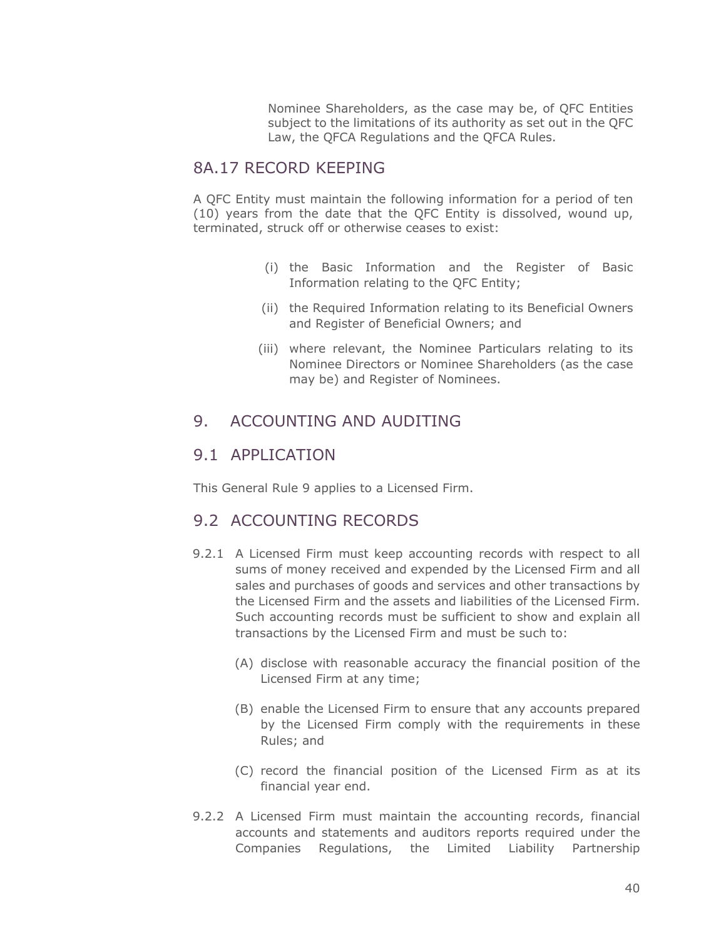Nominee Shareholders, as the case may be, of QFC Entities subject to the limitations of its authority as set out in the QFC Law, the QFCA Regulations and the QFCA Rules.

### 8A.17 RECORD KEEPING

A QFC Entity must maintain the following information for a period of ten (10) years from the date that the QFC Entity is dissolved, wound up, terminated, struck off or otherwise ceases to exist:

- (i) the Basic Information and the Register of Basic Information relating to the QFC Entity;
- (ii) the Required Information relating to its Beneficial Owners and Register of Beneficial Owners; and
- (iii) where relevant, the Nominee Particulars relating to its Nominee Directors or Nominee Shareholders (as the case may be) and Register of Nominees.

## 9. ACCOUNTING AND AUDITING

#### 9.1 APPLICATION

This General Rule 9 applies to a Licensed Firm.

## 9.2 ACCOUNTING RECORDS

- 9.2.1 A Licensed Firm must keep accounting records with respect to all sums of money received and expended by the Licensed Firm and all sales and purchases of goods and services and other transactions by the Licensed Firm and the assets and liabilities of the Licensed Firm. Such accounting records must be sufficient to show and explain all transactions by the Licensed Firm and must be such to:
	- (A) disclose with reasonable accuracy the financial position of the Licensed Firm at any time;
	- (B) enable the Licensed Firm to ensure that any accounts prepared by the Licensed Firm comply with the requirements in these Rules; and
	- (C) record the financial position of the Licensed Firm as at its financial year end.
- 9.2.2 A Licensed Firm must maintain the accounting records, financial accounts and statements and auditors reports required under the Companies Regulations, the Limited Liability Partnership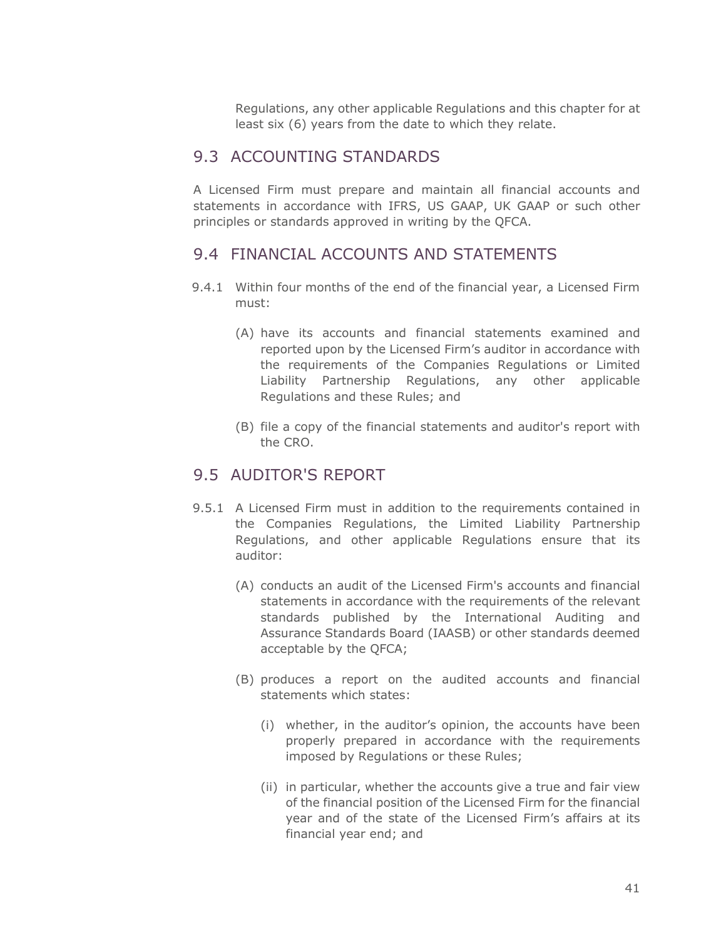Regulations, any other applicable Regulations and this chapter for at least six (6) years from the date to which they relate.

## 9.3 ACCOUNTING STANDARDS

A Licensed Firm must prepare and maintain all financial accounts and statements in accordance with IFRS, US GAAP, UK GAAP or such other principles or standards approved in writing by the QFCA.

## 9.4 FINANCIAL ACCOUNTS AND STATEMENTS

- 9.4.1 Within four months of the end of the financial year, a Licensed Firm must:
	- (A) have its accounts and financial statements examined and reported upon by the Licensed Firm's auditor in accordance with the requirements of the Companies Regulations or Limited Liability Partnership Regulations, any other applicable Regulations and these Rules; and
	- (B) file a copy of the financial statements and auditor's report with the CRO.

## 9.5 AUDITOR'S REPORT

- 9.5.1 A Licensed Firm must in addition to the requirements contained in the Companies Regulations, the Limited Liability Partnership Regulations, and other applicable Regulations ensure that its auditor:
	- (A) conducts an audit of the Licensed Firm's accounts and financial statements in accordance with the requirements of the relevant standards published by the International Auditing and Assurance Standards Board (IAASB) or other standards deemed acceptable by the QFCA;
	- (B) produces a report on the audited accounts and financial statements which states:
		- (i) whether, in the auditor's opinion, the accounts have been properly prepared in accordance with the requirements imposed by Regulations or these Rules;
		- (ii) in particular, whether the accounts give a true and fair view of the financial position of the Licensed Firm for the financial year and of the state of the Licensed Firm's affairs at its financial year end; and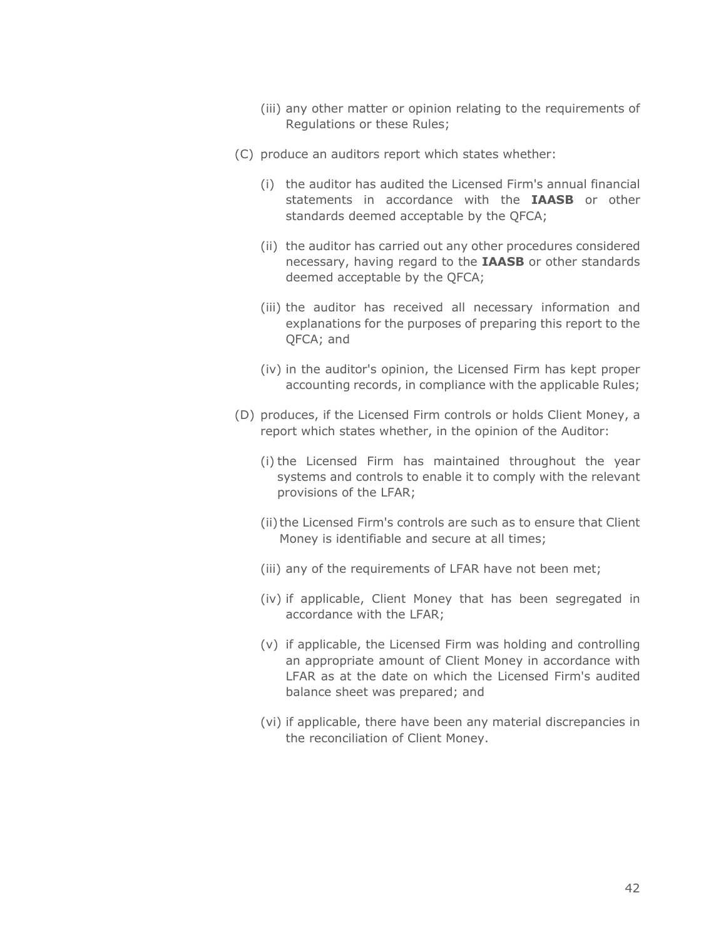- (iii) any other matter or opinion relating to the requirements of Regulations or these Rules;
- (C) produce an auditors report which states whether:
	- (i) the auditor has audited the Licensed Firm's annual financial statements in accordance with the **IAASB** or other standards deemed acceptable by the QFCA;
	- (ii) the auditor has carried out any other procedures considered necessary, having regard to the **IAASB** or other standards deemed acceptable by the QFCA;
	- (iii) the auditor has received all necessary information and explanations for the purposes of preparing this report to the QFCA; and
	- (iv) in the auditor's opinion, the Licensed Firm has kept proper accounting records, in compliance with the applicable Rules;
- (D) produces, if the Licensed Firm controls or holds Client Money, a report which states whether, in the opinion of the Auditor:
	- (i) the Licensed Firm has maintained throughout the year systems and controls to enable it to comply with the relevant provisions of the LFAR;
	- (ii) the Licensed Firm's controls are such as to ensure that Client Money is identifiable and secure at all times;
	- (iii) any of the requirements of LFAR have not been met;
	- (iv) if applicable, Client Money that has been segregated in accordance with the LFAR;
	- (v) if applicable, the Licensed Firm was holding and controlling an appropriate amount of Client Money in accordance with LFAR as at the date on which the Licensed Firm's audited balance sheet was prepared; and
	- (vi) if applicable, there have been any material discrepancies in the reconciliation of Client Money.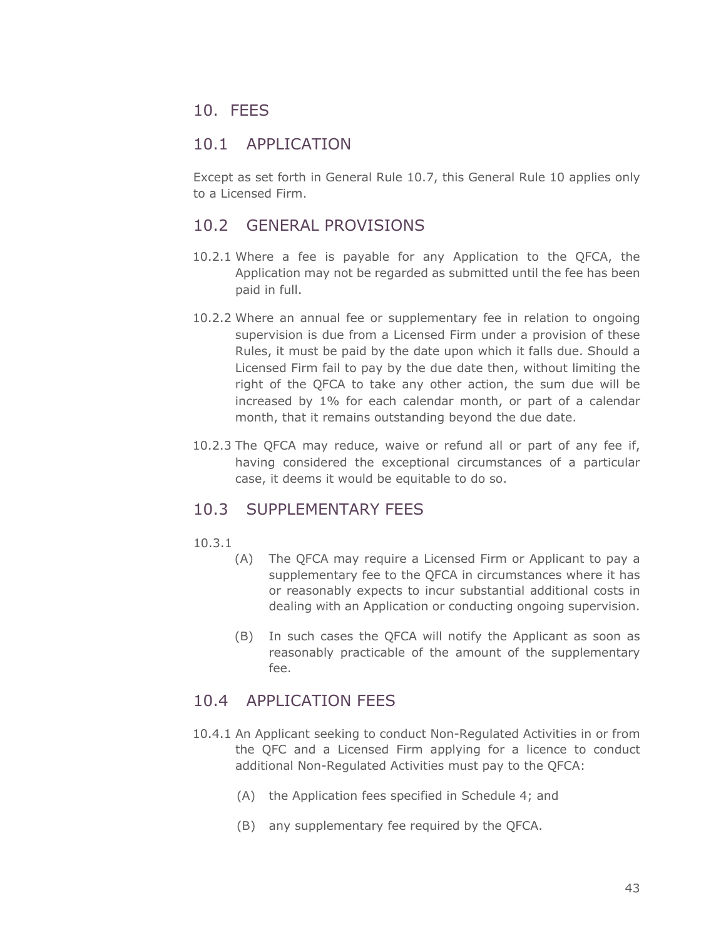## 10. FEES

## 10.1 APPLICATION

Except as set forth in General Rule 10.7, this General Rule 10 applies only to a Licensed Firm.

## 10.2 GENERAL PROVISIONS

- 10.2.1 Where a fee is payable for any Application to the QFCA, the Application may not be regarded as submitted until the fee has been paid in full.
- 10.2.2 Where an annual fee or supplementary fee in relation to ongoing supervision is due from a Licensed Firm under a provision of these Rules, it must be paid by the date upon which it falls due. Should a Licensed Firm fail to pay by the due date then, without limiting the right of the QFCA to take any other action, the sum due will be increased by 1% for each calendar month, or part of a calendar month, that it remains outstanding beyond the due date.
- 10.2.3 The QFCA may reduce, waive or refund all or part of any fee if, having considered the exceptional circumstances of a particular case, it deems it would be equitable to do so.

## 10.3 SUPPLEMENTARY FEES

10.3.1

- (A) The QFCA may require a Licensed Firm or Applicant to pay a supplementary fee to the QFCA in circumstances where it has or reasonably expects to incur substantial additional costs in dealing with an Application or conducting ongoing supervision.
- (B) In such cases the QFCA will notify the Applicant as soon as reasonably practicable of the amount of the supplementary fee.

## 10.4 APPLICATION FEES

- 10.4.1 An Applicant seeking to conduct Non-Regulated Activities in or from the QFC and a Licensed Firm applying for a licence to conduct additional Non-Regulated Activities must pay to the QFCA:
	- (A) the Application fees specified in Schedule 4; and
	- (B) any supplementary fee required by the QFCA.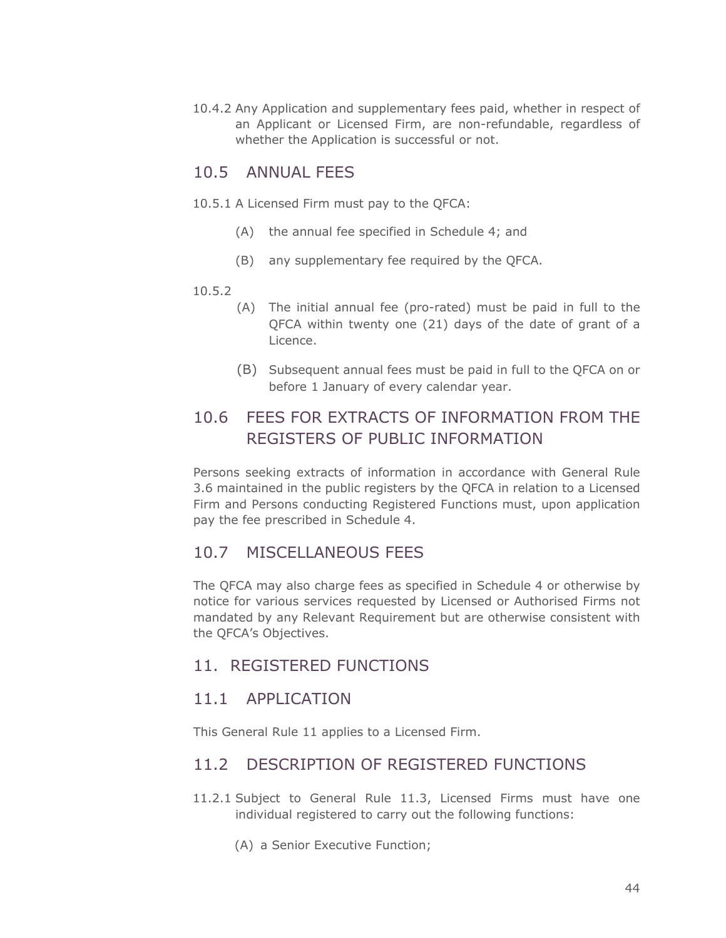10.4.2 Any Application and supplementary fees paid, whether in respect of an Applicant or Licensed Firm, are non-refundable, regardless of whether the Application is successful or not.

## 10.5 ANNUAL FEES

- 10.5.1 A Licensed Firm must pay to the QFCA:
	- (A) the annual fee specified in Schedule 4; and
	- (B) any supplementary fee required by the QFCA.

#### 10.5.2

- (A) The initial annual fee (pro-rated) must be paid in full to the QFCA within twenty one (21) days of the date of grant of a Licence.
- (B) Subsequent annual fees must be paid in full to the QFCA on or before 1 January of every calendar year.

# 10.6 FEES FOR EXTRACTS OF INFORMATION FROM THE REGISTERS OF PUBLIC INFORMATION

Persons seeking extracts of information in accordance with General Rule 3.6 maintained in the public registers by the QFCA in relation to a Licensed Firm and Persons conducting Registered Functions must, upon application pay the fee prescribed in Schedule 4.

# 10.7 MISCELLANEOUS FEES

The QFCA may also charge fees as specified in Schedule 4 or otherwise by notice for various services requested by Licensed or Authorised Firms not mandated by any Relevant Requirement but are otherwise consistent with the QFCA's Objectives.

## 11. REGISTERED FUNCTIONS

## 11.1 APPLICATION

This General Rule 11 applies to a Licensed Firm.

## 11.2 DESCRIPTION OF REGISTERED FUNCTIONS

- 11.2.1 Subject to General Rule 11.3, Licensed Firms must have one individual registered to carry out the following functions:
	- (A) a Senior Executive Function;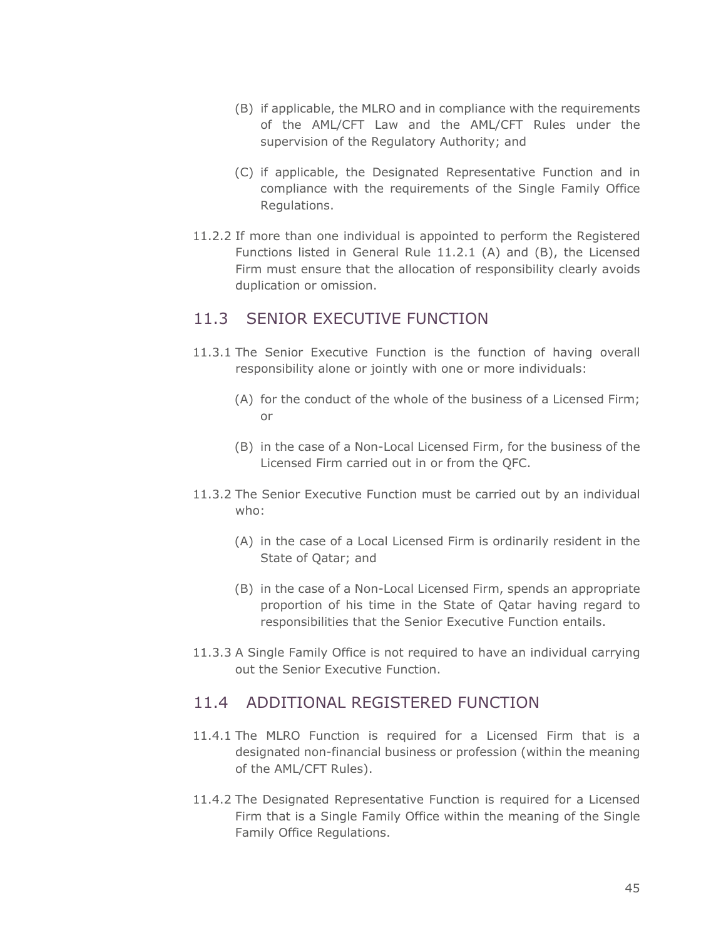- (B) if applicable, the MLRO and in compliance with the requirements of the AML/CFT Law and the AML/CFT Rules under the supervision of the Regulatory Authority; and
- (C) if applicable, the Designated Representative Function and in compliance with the requirements of the Single Family Office Regulations.
- 11.2.2 If more than one individual is appointed to perform the Registered Functions listed in General Rule 11.2.1 (A) and (B), the Licensed Firm must ensure that the allocation of responsibility clearly avoids duplication or omission.

## 11.3 SENIOR EXECUTIVE FUNCTION

- 11.3.1 The Senior Executive Function is the function of having overall responsibility alone or jointly with one or more individuals:
	- (A) for the conduct of the whole of the business of a Licensed Firm; or
	- (B) in the case of a Non-Local Licensed Firm, for the business of the Licensed Firm carried out in or from the QFC.
- 11.3.2 The Senior Executive Function must be carried out by an individual who:
	- (A) in the case of a Local Licensed Firm is ordinarily resident in the State of Qatar; and
	- (B) in the case of a Non-Local Licensed Firm, spends an appropriate proportion of his time in the State of Qatar having regard to responsibilities that the Senior Executive Function entails.
- 11.3.3 A Single Family Office is not required to have an individual carrying out the Senior Executive Function.

## 11.4 ADDITIONAL REGISTERED FUNCTION

- 11.4.1 The MLRO Function is required for a Licensed Firm that is a designated non-financial business or profession (within the meaning of the AML/CFT Rules).
- 11.4.2 The Designated Representative Function is required for a Licensed Firm that is a Single Family Office within the meaning of the Single Family Office Regulations.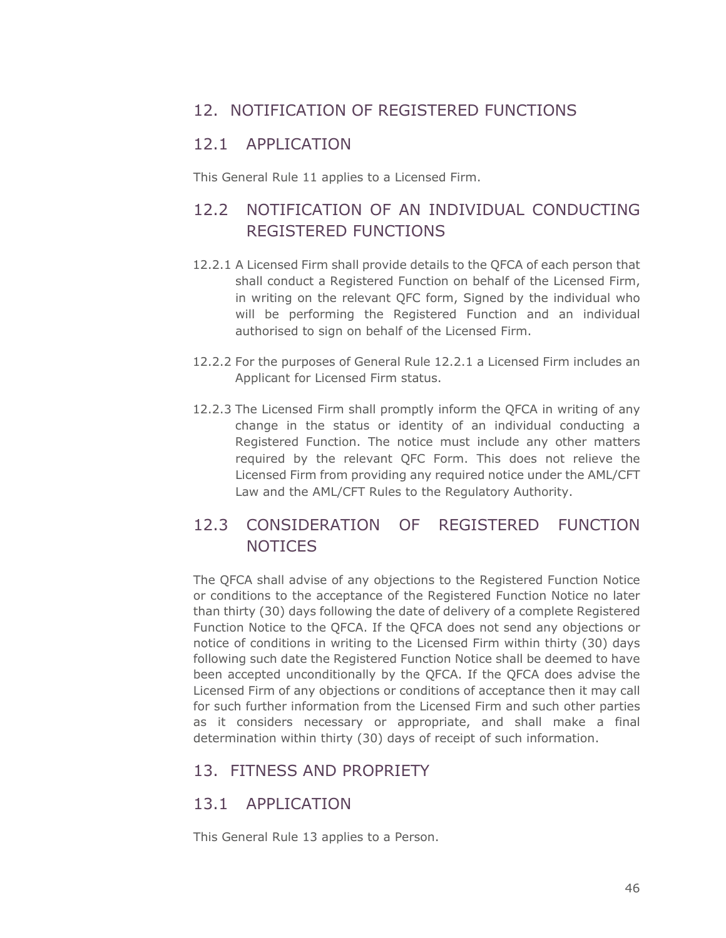# 12. NOTIFICATION OF REGISTERED FUNCTIONS

## 12.1 APPLICATION

This General Rule 11 applies to a Licensed Firm.

# 12.2 NOTIFICATION OF AN INDIVIDUAL CONDUCTING REGISTERED FUNCTIONS

- 12.2.1 A Licensed Firm shall provide details to the QFCA of each person that shall conduct a Registered Function on behalf of the Licensed Firm, in writing on the relevant QFC form, Signed by the individual who will be performing the Registered Function and an individual authorised to sign on behalf of the Licensed Firm.
- 12.2.2 For the purposes of General Rule 12.2.1 a Licensed Firm includes an Applicant for Licensed Firm status.
- 12.2.3 The Licensed Firm shall promptly inform the QFCA in writing of any change in the status or identity of an individual conducting a Registered Function. The notice must include any other matters required by the relevant QFC Form. This does not relieve the Licensed Firm from providing any required notice under the AML/CFT Law and the AML/CFT Rules to the Regulatory Authority.

# 12.3 CONSIDERATION OF REGISTERED FUNCTION **NOTICES**

The QFCA shall advise of any objections to the Registered Function Notice or conditions to the acceptance of the Registered Function Notice no later than thirty (30) days following the date of delivery of a complete Registered Function Notice to the QFCA. If the QFCA does not send any objections or notice of conditions in writing to the Licensed Firm within thirty (30) days following such date the Registered Function Notice shall be deemed to have been accepted unconditionally by the QFCA. If the QFCA does advise the Licensed Firm of any objections or conditions of acceptance then it may call for such further information from the Licensed Firm and such other parties as it considers necessary or appropriate, and shall make a final determination within thirty (30) days of receipt of such information.

## 13. FITNESS AND PROPRIETY

## 13.1 APPLICATION

This General Rule 13 applies to a Person.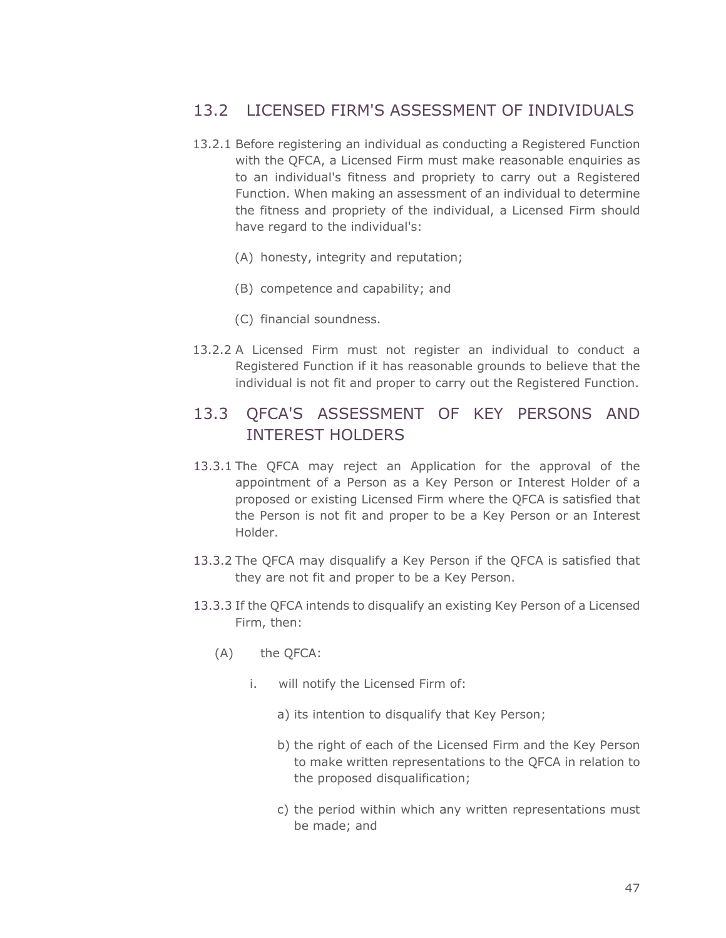## 13.2 LICENSED FIRM'S ASSESSMENT OF INDIVIDUALS

- 13.2.1 Before registering an individual as conducting a Registered Function with the QFCA, a Licensed Firm must make reasonable enquiries as to an individual's fitness and propriety to carry out a Registered Function. When making an assessment of an individual to determine the fitness and propriety of the individual, a Licensed Firm should have regard to the individual's:
	- (A) honesty, integrity and reputation;
	- (B) competence and capability; and
	- (C) financial soundness.
- 13.2.2 A Licensed Firm must not register an individual to conduct a Registered Function if it has reasonable grounds to believe that the individual is not fit and proper to carry out the Registered Function.

# 13.3 QFCA'S ASSESSMENT OF KEY PERSONS AND INTEREST HOLDERS

- 13.3.1 The QFCA may reject an Application for the approval of the appointment of a Person as a Key Person or Interest Holder of a proposed or existing Licensed Firm where the QFCA is satisfied that the Person is not fit and proper to be a Key Person or an Interest Holder.
- 13.3.2 The QFCA may disqualify a Key Person if the QFCA is satisfied that they are not fit and proper to be a Key Person.
- 13.3.3 If the QFCA intends to disqualify an existing Key Person of a Licensed Firm, then:
	- (A) the QFCA:
		- i. will notify the Licensed Firm of:
			- a) its intention to disqualify that Key Person;
			- b) the right of each of the Licensed Firm and the Key Person to make written representations to the [QFCA](https://qfcra-en.thomsonreuters.com/glossary-tag/QFCA) in relation to the proposed disqualification;
			- c) the period within which any written representations must be made; and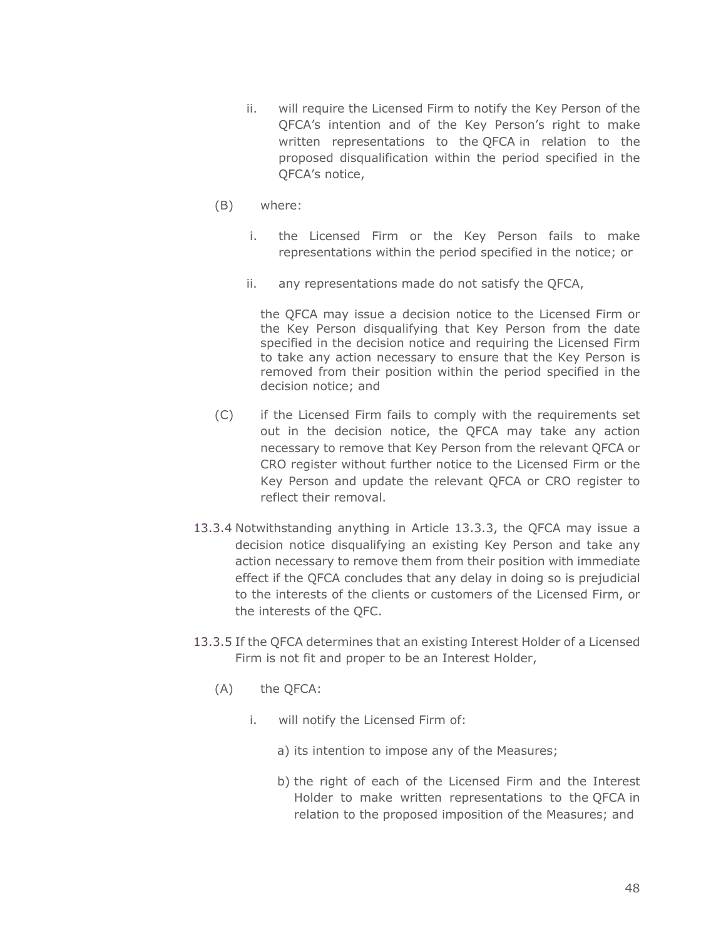- ii. will require the Licensed Firm to notify the Key Person of the QFCA's intention and of the Key Person's right to make written representations to the [QFCA](https://qfcra-en.thomsonreuters.com/glossary-tag/QFCA) in relation to the proposed disqualification within the period specified in the QFCA's notice,
- (B) where:
	- i. the Licensed Firm or the Key Person fails to make representations within the period specified in the notice; or
	- ii. any representations made do not satisfy the QFCA,

the QFCA may issue a decision notice to the Licensed Firm or the Key Person disqualifying that Key Person from the date specified in the decision notice and requiring the Licensed Firm to take any action necessary to ensure that the Key Person is removed from their position within the period specified in the decision notice; and

- (C) if the Licensed Firm fails to comply with the requirements set out in the decision notice, the QFCA may take any action necessary to remove that Key Person from the relevant QFCA or CRO register without further notice to the Licensed Firm or the Key Person and update the relevant QFCA or CRO register to reflect their removal.
- 13.3.4 Notwithstanding anything in Article 13.3.3, the QFCA may issue a decision notice disqualifying an existing Key Person and take any action necessary to remove them from their position with immediate effect if the [QFCA](https://qfcra-en.thomsonreuters.com/glossary-tag/QFCA) concludes that any delay in doing so is prejudicial to the interests of the clients or customers of the Licensed Firm, or the interests of the QFC.
- 13.3.5 If the QFCA determines that an existing Interest Holder of a Licensed Firm is not fit and proper to be an Interest Holder,
	- (A) the QFCA:
		- i. will notify the Licensed Firm of:
			- a) its intention to impose any of the Measures;
			- b) the right of each of the Licensed Firm and the Interest Holder to make written representations to the [QFCA](https://qfcra-en.thomsonreuters.com/glossary-tag/QFCA) in relation to the proposed imposition of the Measures; and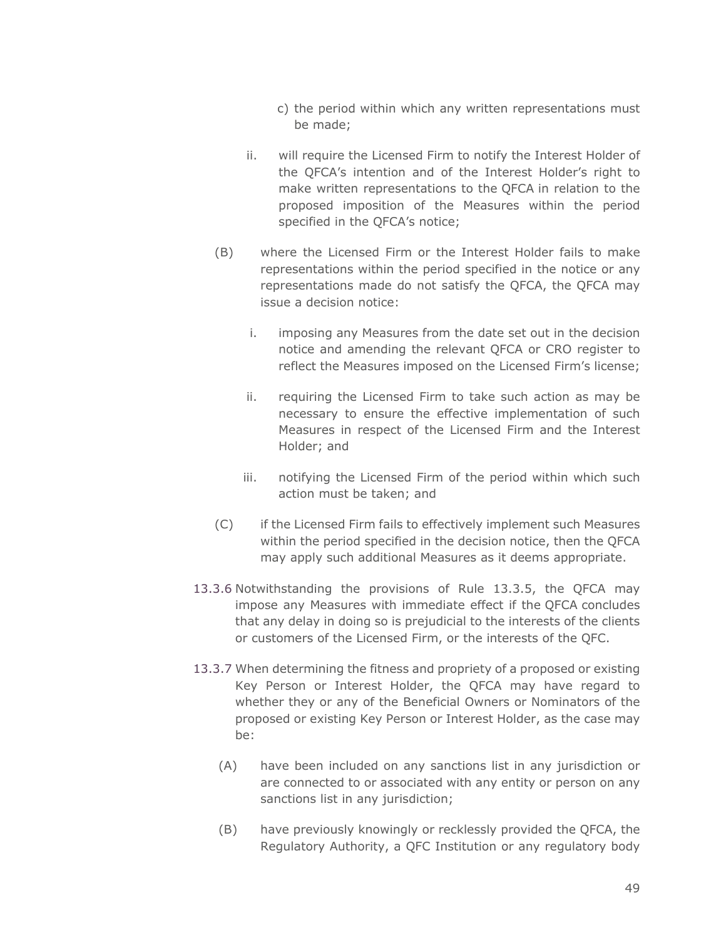- c) the period within which any written representations must be made;
- ii. will require the Licensed Firm to notify the Interest Holder of the QFCA's intention and of the Interest Holder's right to make written representations to the [QFCA](https://qfcra-en.thomsonreuters.com/glossary-tag/QFCA) in relation to the proposed imposition of the Measures within the period specified in the QFCA's notice;
- (B) where the Licensed Firm or the Interest Holder fails to make representations within the period specified in the notice or any representations made do not satisfy the QFCA, the QFCA may issue a decision notice:
	- i. imposing any Measures from the date set out in the decision notice and amending the relevant QFCA or CRO register to reflect the Measures imposed on the Licensed Firm's license;
	- ii. requiring the Licensed Firm to take such action as may be necessary to ensure the effective implementation of such Measures in respect of the Licensed Firm and the Interest Holder; and
	- iii. notifying the Licensed Firm of the period within which such action must be taken; and
- (C) if the Licensed Firm fails to effectively implement such Measures within the period specified in the decision notice, then the QFCA may apply such additional Measures as it deems appropriate.
- 13.3.6 Notwithstanding the provisions of Rule 13.3.5, the QFCA may impose any Measures with immediate effect if the [QFCA](https://qfcra-en.thomsonreuters.com/glossary-tag/QFCA) concludes that any delay in doing so is prejudicial to the interests of the clients or customers of the Licensed Firm, or the interests of the QFC.
- 13.3.7 When determining the fitness and propriety of a proposed or existing Key Person or Interest Holder, the QFCA may have regard to whether they or any of the Beneficial Owners or Nominators of the proposed or existing Key Person or Interest Holder, as the case may be:
	- (A) have been included on any sanctions list in any jurisdiction or are connected to or associated with any entity or person on any sanctions list in any jurisdiction;
	- (B) have previously knowingly or recklessly provided the QFCA, the Regulatory Authority, a QFC Institution or any regulatory body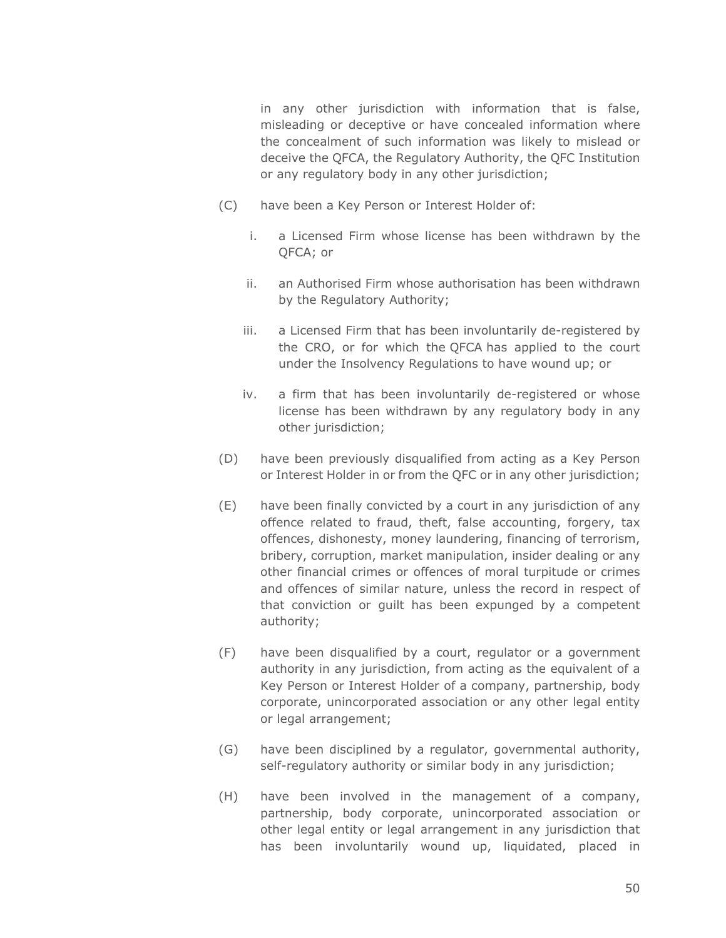in any other jurisdiction with information that is false, misleading or deceptive or have concealed information where the concealment of such information was likely to mislead or deceive the QFCA, the Regulatory Authority, the QFC Institution or any regulatory body in any other jurisdiction;

- (C) have been a Key Person or Interest Holder of:
	- i. a Licensed Firm whose license has been withdrawn by the QFCA; or
	- ii. an Authorised Firm whose authorisation has been withdrawn by the Regulatory Authority;
	- iii. a Licensed Firm that has been involuntarily de-registered by the CRO, or for which the [QFCA](https://qfcra-en.thomsonreuters.com/glossary-tag/QFC%20Authority) has applied to the court under the Insolvency Regulations to have wound up; or
	- iv. a firm that has been involuntarily de-registered or whose license has been withdrawn by any regulatory body in any other jurisdiction;
- (D) have been previously disqualified from acting as a Key Person or Interest Holder in or from the QFC or in any other jurisdiction;
- (E) have been finally convicted by a court in any jurisdiction of any offence related to fraud, theft, false accounting, forgery, tax offences, dishonesty, money laundering, financing of terrorism, bribery, corruption, market manipulation, insider dealing or any other financial crimes or offences of moral turpitude or crimes and offences of similar nature, unless the record in respect of that conviction or guilt has been expunged by a competent authority;
- (F) have been disqualified by a court, regulator or a government authority in any jurisdiction, from acting as the equivalent of a Key Person or Interest Holder of a company, partnership, body corporate, unincorporated association or any other legal entity or legal arrangement;
- (G) have been disciplined by a regulator, governmental authority, self-regulatory authority or similar body in any jurisdiction;
- (H) have been involved in the management of a company, partnership, body corporate, unincorporated association or other legal entity or legal arrangement in any jurisdiction that has been involuntarily wound up, liquidated, placed in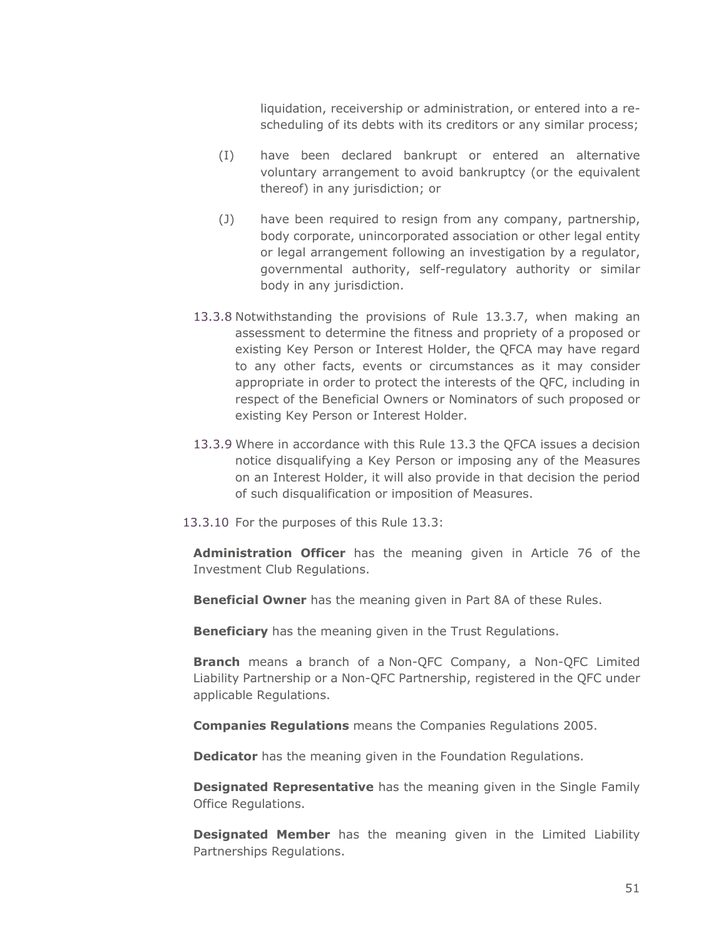liquidation, receivership or administration, or entered into a rescheduling of its debts with its creditors or any similar process;

- (I) have been declared bankrupt or entered an alternative voluntary arrangement to avoid bankruptcy (or the equivalent thereof) in any jurisdiction; or
- (J) have been required to resign from any company, partnership, body corporate, unincorporated association or other legal entity or legal arrangement following an investigation by a regulator, governmental authority, self-regulatory authority or similar body in any jurisdiction.
- 13.3.8 Notwithstanding the provisions of Rule 13.3.7, when making an assessment to determine the fitness and propriety of a proposed or existing Key Person or Interest Holder, the QFCA may have regard to any other facts, events or circumstances as it may consider appropriate in order to protect the interests of the [QFC,](https://qfcra-en.thomsonreuters.com/glossary-tag/QFC) including in respect of the Beneficial Owners or Nominators of such proposed or existing Key Person or Interest Holder.
- 13.3.9 Where in accordance with this Rule 13.3 the QFCA issues a decision notice disqualifying a Key Person or imposing any of the Measures on an Interest Holder, it will also provide in that decision the period of such disqualification or imposition of Measures.
- 13.3.10 For the purposes of this Rule 13.3:

**Administration Officer** has the meaning given in Article 76 of the Investment Club Regulations.

**Beneficial Owner** has the meaning given in Part 8A of these Rules.

**Beneficiary** has the meaning given in the Trust Regulations.

**Branch** means a branch of a Non-QFC [Company,](https://qfcra-en.thomsonreuters.com/glossary-tag/Non-QFC%20Company) a Non-QFC Limited Liability Partnership or a Non-QFC Partnership, registered in the [QFC](https://qfcra-en.thomsonreuters.com/glossary-tag/QFC) under applicable [Regulations.](https://qfcra-en.thomsonreuters.com/glossary-tag/Regulations)

**Companies Regulations** means the Companies Regulations 2005.

**Dedicator** has the meaning given in the Foundation Regulations.

**Designated Representative** has the meaning given in the Single Family Office Regulations.

**Designated Member** has the meaning given in the Limited Liability Partnerships Regulations.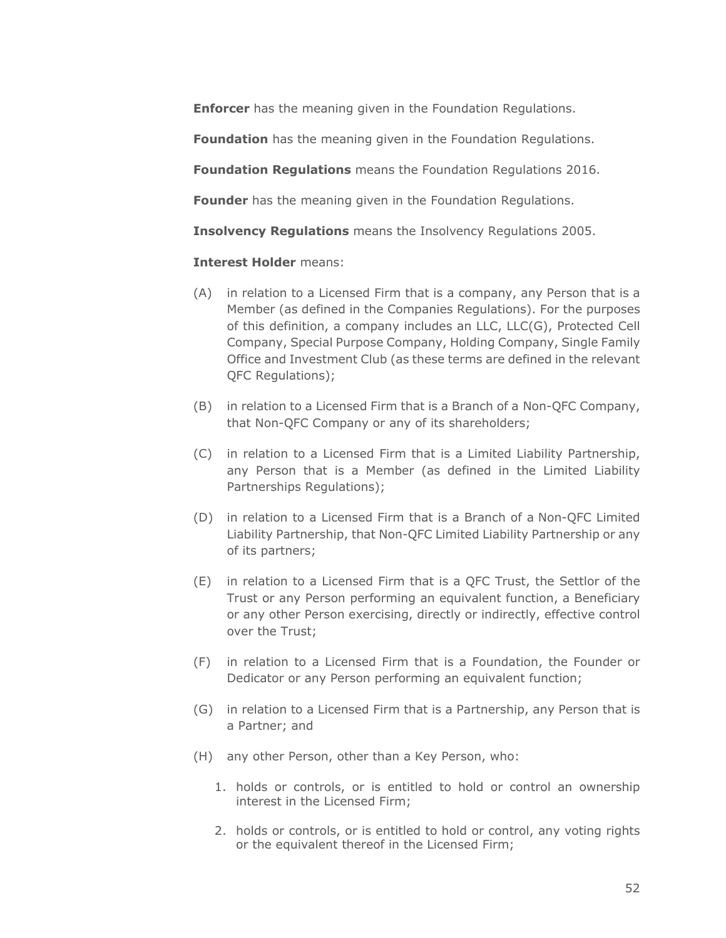**Enforcer** has the meaning given in the Foundation Regulations.

**Foundation** has the meaning given in the Foundation Regulations.

**Foundation Regulations** means the Foundation Regulations 2016.

**Founder** has the meaning given in the Foundation Regulations.

**Insolvency Regulations** means the Insolvency Regulations 2005.

#### **Interest Holder** means:

- (A) in relation to a Licensed Firm that is a company, any Person that is a Member (as defined in the Companies Regulations). For the purposes of this definition, a company includes an LLC, LLC(G), Protected Cell Company, Special Purpose Company, Holding Company, Single Family Office and Investment Club (as these terms are defined in the relevant QFC Regulations);
- (B) in relation to a Licensed Firm that is a Branch of a [Non-QFC Company,](https://qfcra-en.thomsonreuters.com/glossary-tag/Non-QFC%20Company) that Non-QFC Company or any of its shareholders;
- (C) in relation to a Licensed Firm that is a Limited Liability Partnership, any Person that is a Member (as defined in the Limited Liability Partnerships Regulations);
- (D) in relation to a Licensed Firm that is a Branch of a [Non-QFC Lim](https://qfcra-en.thomsonreuters.com/glossary-tag/Non-QFC%20Company)ited Liability Partnership, that [Non-QFC Lim](https://qfcra-en.thomsonreuters.com/glossary-tag/Non-QFC%20Company)ited Liability Partnership or any of its partners;
- (E) in relation to a Licensed Firm that is a QFC Trust, the Settlor of the Trust or any Person performing an equivalent function, a Beneficiary or any other Person exercising, directly or indirectly, effective control over the Trust;
- (F) in relation to a Licensed Firm that is a Foundation, the Founder or Dedicator or any Person performing an equivalent function;
- (G) in relation to a Licensed Firm that is a Partnership, any Person that is a Partner; and
- (H) any other Person, other than a Key Person, who:
	- 1. holds or controls, or is entitled to hold or control an ownership interest in the Licensed Firm;
	- 2. holds or controls, or is entitled to hold or control, any voting rights or the equivalent thereof in the Licensed Firm;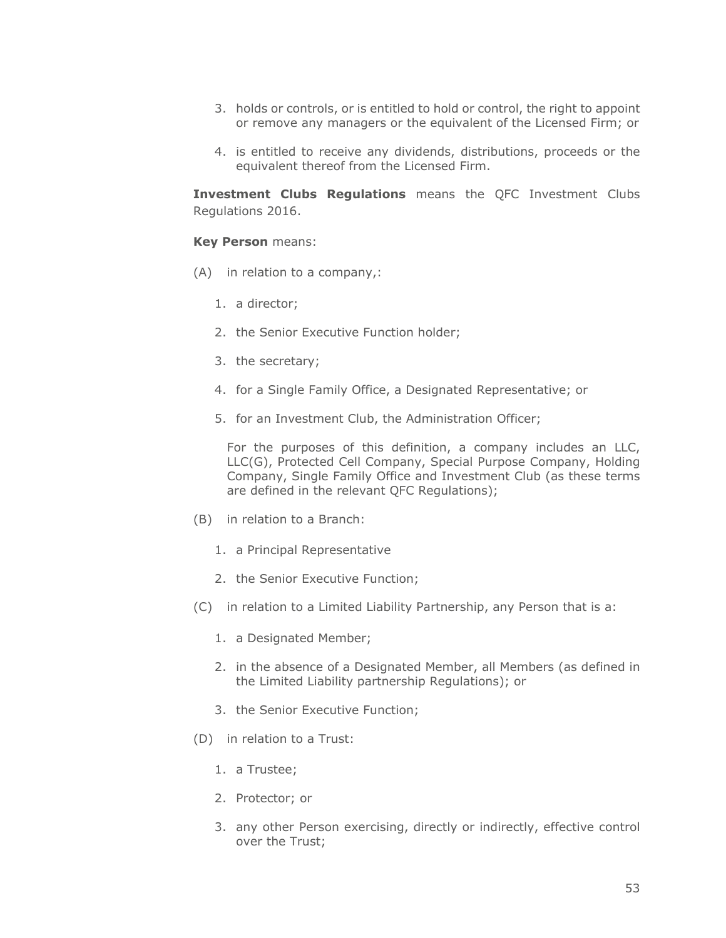- 3. holds or controls, or is entitled to hold or control, the right to appoint or remove any managers or the equivalent of the Licensed Firm; or
- 4. is entitled to receive any dividends, distributions, proceeds or the equivalent thereof from the Licensed Firm.

**Investment Clubs Regulations** means the QFC Investment Clubs Regulations 2016.

#### **Key Person** means:

- (A) in relation to a company,:
	- 1. a director;
	- 2. the Senior Executive Function holder;
	- 3. the secretary;
	- 4. for a Single Family Office, a Designated Representative; or
	- 5. for an Investment Club, the Administration Officer;

For the purposes of this definition, a company includes an LLC, LLC(G), Protected Cell Company, Special Purpose Company, Holding Company, Single Family Office and Investment Club (as these terms are defined in the relevant QFC Regulations);

- (B) in relation to a Branch:
	- 1. a Principal Representative
	- 2. the Senior Executive Function;
- (C) in relation to a Limited Liability Partnership, any Person that is a:
	- 1. a Designated Member;
	- 2. in the absence of a Designated Member, all Members (as defined in the Limited Liability partnership Regulations); or
	- 3. the Senior Executive Function;
- (D) in relation to a Trust:
	- 1. a Trustee;
	- 2. Protector; or
	- 3. any other Person exercising, directly or indirectly, effective control over the Trust;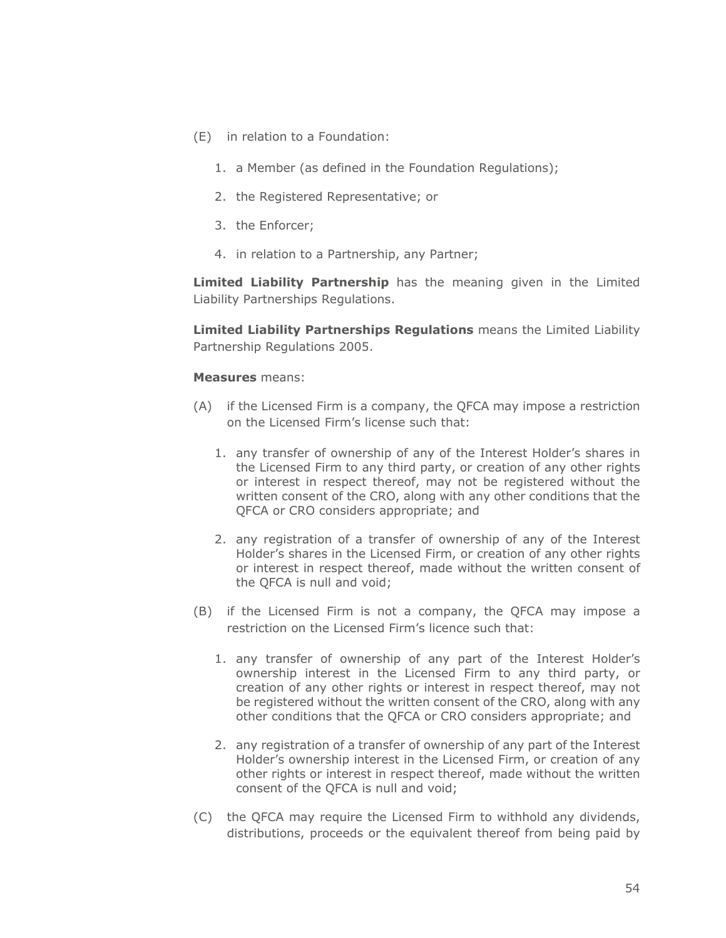- (E) in relation to a Foundation:
	- 1. a Member (as defined in the Foundation Regulations);
	- 2. the Registered Representative; or
	- 3. the Enforcer;
	- 4. in relation to a Partnership, any Partner;

**Limited Liability Partnership** has the meaning given in the Limited Liability Partnerships Regulations.

**Limited Liability Partnerships Regulations** means the Limited Liability Partnership Regulations 2005.

#### **Measures** means:

- (A) if the Licensed Firm is a company, the QFCA may impose a restriction on the Licensed Firm's license such that:
	- 1. any transfer of ownership of any of the Interest Holder's shares in the Licensed Firm to any third party, or creation of any other rights or interest in respect thereof, may not be registered without the written consent of the CRO, along with any other conditions that the QFCA or CRO considers appropriate; and
	- 2. any registration of a transfer of ownership of any of the Interest Holder's shares in the Licensed Firm, or creation of any other rights or interest in respect thereof, made without the written consent of the QFCA is null and void;
- (B) if the Licensed Firm is not a company, the QFCA may impose a restriction on the Licensed Firm's licence such that:
	- 1. any transfer of ownership of any part of the Interest Holder's ownership interest in the Licensed Firm to any third party, or creation of any other rights or interest in respect thereof, may not be registered without the written consent of the CRO, along with any other conditions that the QFCA or CRO considers appropriate; and
	- 2. any registration of a transfer of ownership of any part of the Interest Holder's ownership interest in the Licensed Firm, or creation of any other rights or interest in respect thereof, made without the written consent of the QFCA is null and void;
- (C) the QFCA may require the Licensed Firm to withhold any dividends, distributions, proceeds or the equivalent thereof from being paid by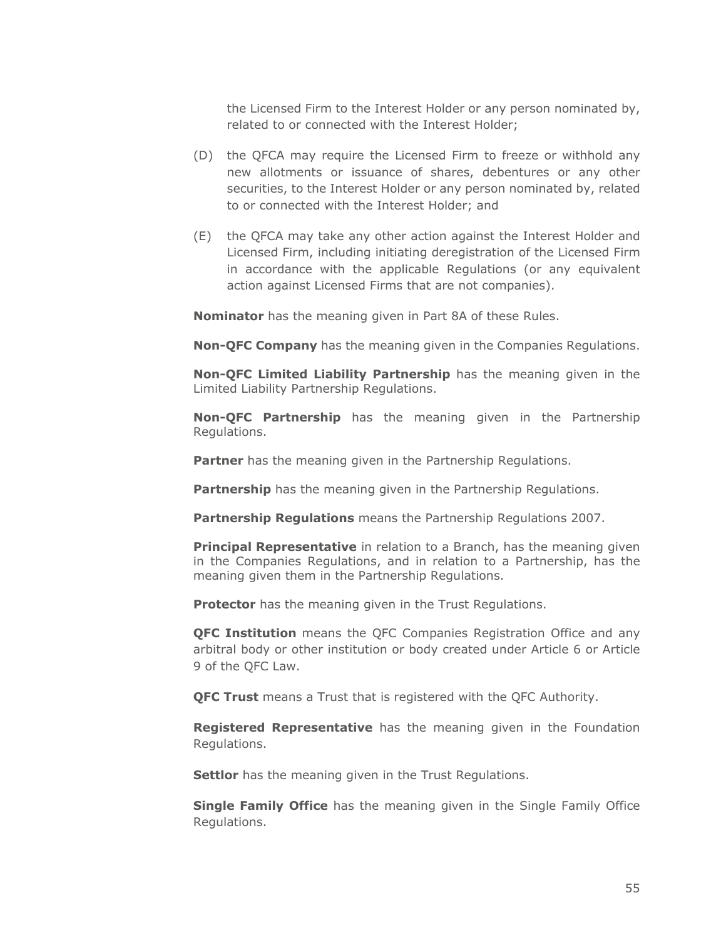the Licensed Firm to the Interest Holder or any person nominated by, related to or connected with the Interest Holder;

- (D) the QFCA may require the Licensed Firm to freeze or withhold any new allotments or issuance of shares, debentures or any other securities, to the Interest Holder or any person nominated by, related to or connected with the Interest Holder; and
- (E) the QFCA may take any other action against the Interest Holder and Licensed Firm, including initiating deregistration of the Licensed Firm in accordance with the applicable Regulations (or any equivalent action against Licensed Firms that are not companies).

**Nominator** has the meaning given in Part 8A of these Rules.

**Non-QFC Company** has the meaning given in the Companies Regulations.

**Non-QFC Limited Liability Partnership** has the meaning given in the Limited Liability Partnership Regulations.

**Non-QFC Partnership** has the meaning given in the Partnership Regulations.

**Partner** has the meaning given in the Partnership Regulations.

**Partnership** has the meaning given in the Partnership Regulations.

**Partnership Regulations** means the Partnership Regulations 2007.

**Principal Representative** in relation to a Branch, has the meaning given in the Companies Regulations, and in relation to a Partnership, has the meaning given them in the Partnership Regulations.

**Protector** has the meaning given in the Trust Regulations.

**QFC Institution** means the QFC Companies Registration Office and any arbitral body or other institution or body created under Article 6 or Article 9 of the QFC Law.

**QFC [Trust](https://qfcra-en.thomsonreuters.com/glossary-tag/Trust)** means a Trust that is registered with the [QFC](https://qfcra-en.thomsonreuters.com/glossary-tag/QFC) Authority.

**Registered Representative** has the meaning given in the Foundation Regulations.

**Settlor** has the meaning given in the Trust Regulations.

**Single Family Office** has the meaning given in the Single Family Office Regulations.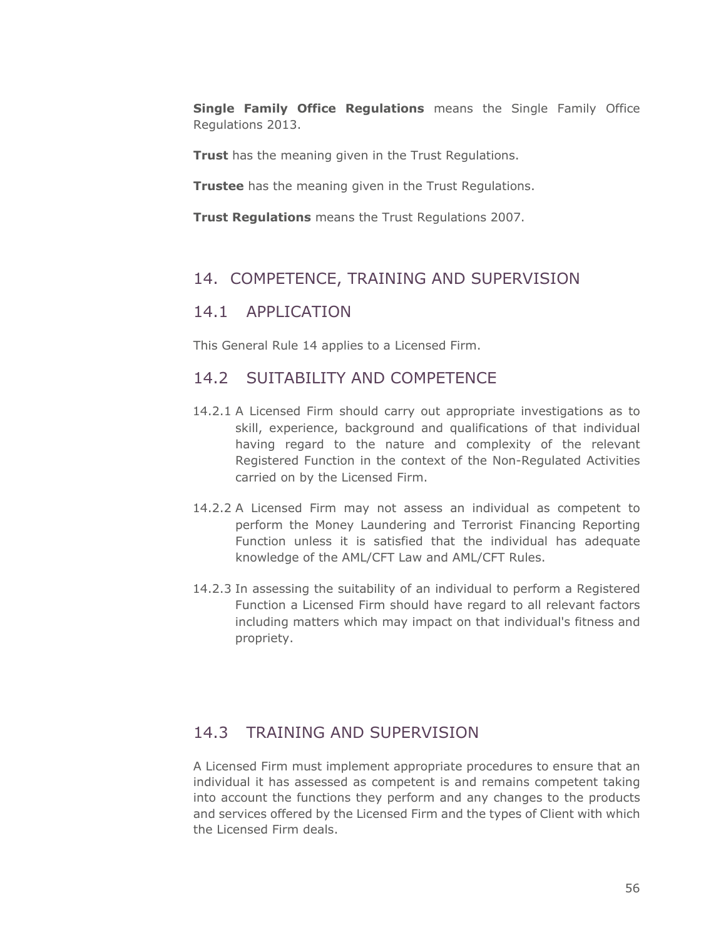**Single Family Office Regulations** means the Single Family Office Regulations 2013.

**Trust** has the meaning given in the Trust Regulations.

**Trustee** has the meaning given in the Trust Regulations.

**Trust Regulations** means the Trust Regulations 2007.

## 14. COMPETENCE, TRAINING AND SUPERVISION

## 14.1 APPLICATION

This General Rule 14 applies to a Licensed Firm.

## 14.2 SUITABILITY AND COMPETENCE

- 14.2.1 A Licensed Firm should carry out appropriate investigations as to skill, experience, background and qualifications of that individual having regard to the nature and complexity of the relevant Registered Function in the context of the Non-Regulated Activities carried on by the Licensed Firm.
- 14.2.2 A Licensed Firm may not assess an individual as competent to perform the Money Laundering and Terrorist Financing Reporting Function unless it is satisfied that the individual has adequate knowledge of the AML/CFT Law and AML/CFT Rules.
- 14.2.3 In assessing the suitability of an individual to perform a Registered Function a Licensed Firm should have regard to all relevant factors including matters which may impact on that individual's fitness and propriety.

## 14.3 TRAINING AND SUPERVISION

A Licensed Firm must implement appropriate procedures to ensure that an individual it has assessed as competent is and remains competent taking into account the functions they perform and any changes to the products and services offered by the Licensed Firm and the types of Client with which the Licensed Firm deals.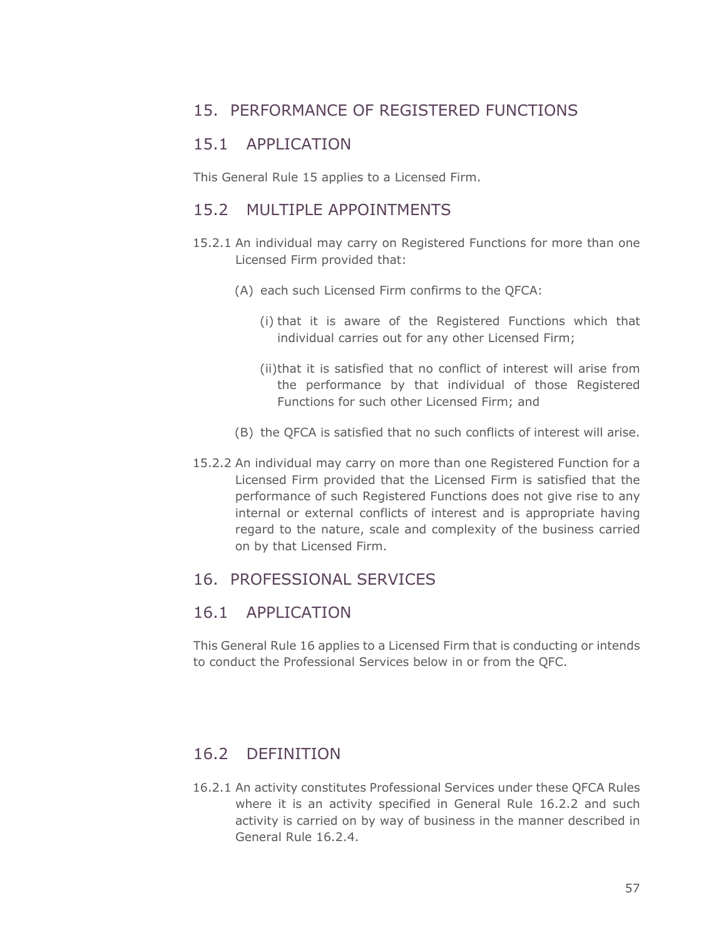## 15. PERFORMANCE OF REGISTERED FUNCTIONS

### 15.1 APPLICATION

This General Rule 15 applies to a Licensed Firm.

## 15.2 MULTIPLE APPOINTMENTS

- 15.2.1 An individual may carry on Registered Functions for more than one Licensed Firm provided that:
	- (A) each such Licensed Firm confirms to the QFCA:
		- (i) that it is aware of the Registered Functions which that individual carries out for any other Licensed Firm;
		- (ii)that it is satisfied that no conflict of interest will arise from the performance by that individual of those Registered Functions for such other Licensed Firm; and
	- (B) the QFCA is satisfied that no such conflicts of interest will arise.
- 15.2.2 An individual may carry on more than one Registered Function for a Licensed Firm provided that the Licensed Firm is satisfied that the performance of such Registered Functions does not give rise to any internal or external conflicts of interest and is appropriate having regard to the nature, scale and complexity of the business carried on by that Licensed Firm.

## 16. PROFESSIONAL SERVICES

## 16.1 APPLICATION

This General Rule 16 applies to a Licensed Firm that is conducting or intends to conduct the Professional Services below in or from the QFC.

## 16.2 DEFINITION

16.2.1 An activity constitutes Professional Services under these QFCA Rules where it is an activity specified in General Rule 16.2.2 and such activity is carried on by way of business in the manner described in General Rule 16.2.4.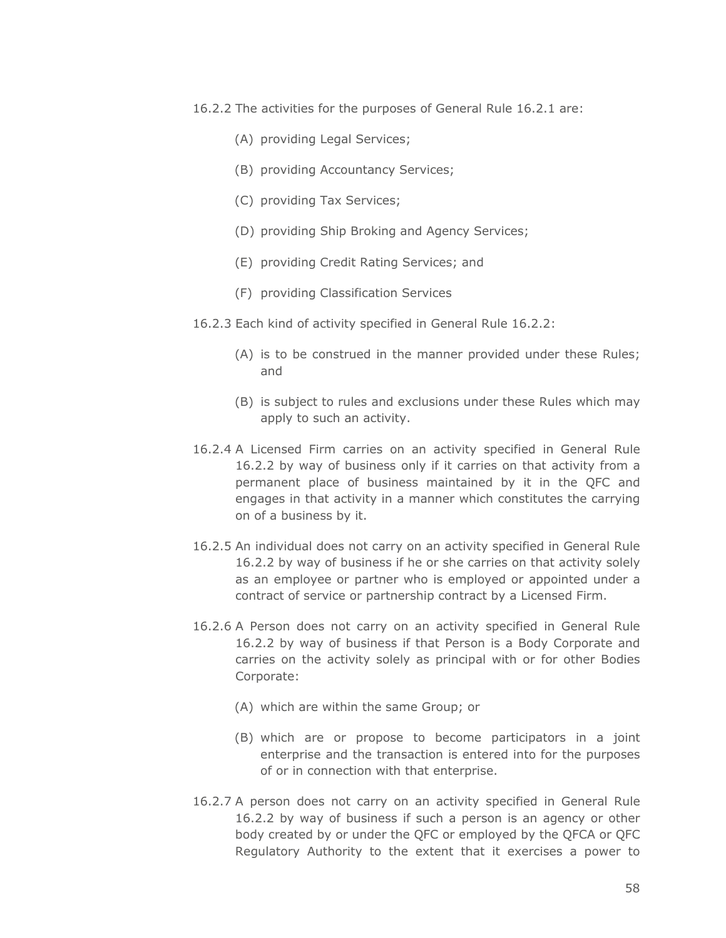- 16.2.2 The activities for the purposes of General Rule 16.2.1 are:
	- (A) providing Legal Services;
	- (B) providing Accountancy Services;
	- (C) providing Tax Services;
	- (D) providing Ship Broking and Agency Services;
	- (E) providing Credit Rating Services; and
	- (F) providing Classification Services
- 16.2.3 Each kind of activity specified in General Rule 16.2.2:
	- (A) is to be construed in the manner provided under these Rules; and
	- (B) is subject to rules and exclusions under these Rules which may apply to such an activity.
- 16.2.4 A Licensed Firm carries on an activity specified in General Rule 16.2.2 by way of business only if it carries on that activity from a permanent place of business maintained by it in the QFC and engages in that activity in a manner which constitutes the carrying on of a business by it.
- 16.2.5 An individual does not carry on an activity specified in General Rule 16.2.2 by way of business if he or she carries on that activity solely as an employee or partner who is employed or appointed under a contract of service or partnership contract by a Licensed Firm.
- 16.2.6 A Person does not carry on an activity specified in General Rule 16.2.2 by way of business if that Person is a Body Corporate and carries on the activity solely as principal with or for other Bodies Corporate:
	- (A) which are within the same Group; or
	- (B) which are or propose to become participators in a joint enterprise and the transaction is entered into for the purposes of or in connection with that enterprise.
- 16.2.7 A person does not carry on an activity specified in General Rule 16.2.2 by way of business if such a person is an agency or other body created by or under the QFC or employed by the QFCA or QFC Regulatory Authority to the extent that it exercises a power to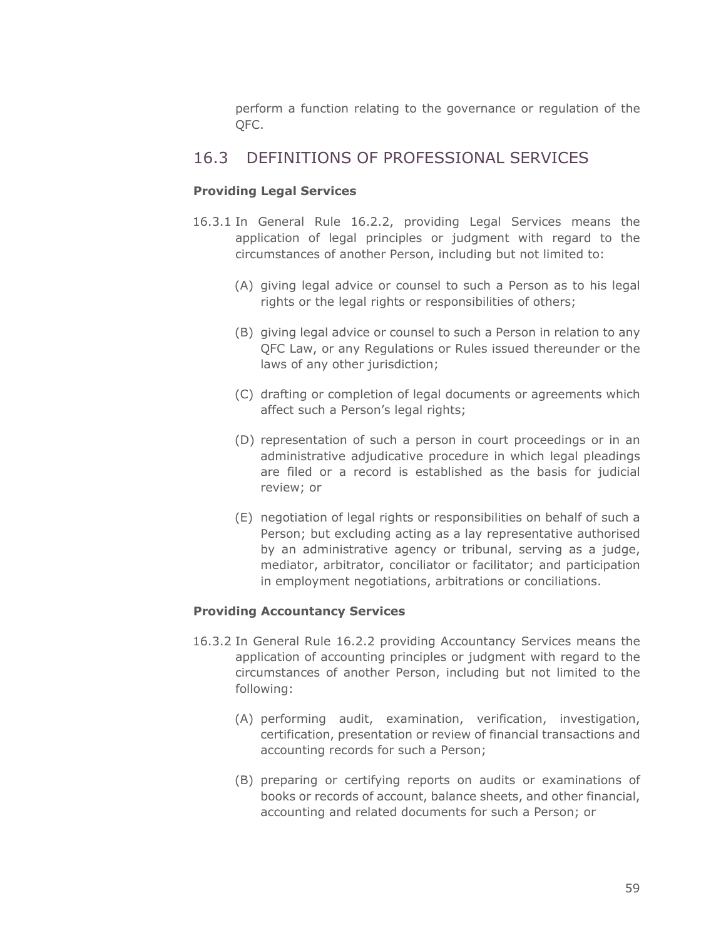perform a function relating to the governance or regulation of the QFC.

## 16.3 DEFINITIONS OF PROFESSIONAL SERVICES

#### **Providing Legal Services**

- 16.3.1 In General Rule 16.2.2, providing Legal Services means the application of legal principles or judgment with regard to the circumstances of another Person, including but not limited to:
	- (A) giving legal advice or counsel to such a Person as to his legal rights or the legal rights or responsibilities of others;
	- (B) giving legal advice or counsel to such a Person in relation to any QFC Law, or any Regulations or Rules issued thereunder or the laws of any other jurisdiction;
	- (C) drafting or completion of legal documents or agreements which affect such a Person's legal rights;
	- (D) representation of such a person in court proceedings or in an administrative adjudicative procedure in which legal pleadings are filed or a record is established as the basis for judicial review; or
	- (E) negotiation of legal rights or responsibilities on behalf of such a Person; but excluding acting as a lay representative authorised by an administrative agency or tribunal, serving as a judge, mediator, arbitrator, conciliator or facilitator; and participation in employment negotiations, arbitrations or conciliations.

#### **Providing Accountancy Services**

- 16.3.2 In General Rule 16.2.2 providing Accountancy Services means the application of accounting principles or judgment with regard to the circumstances of another Person, including but not limited to the following:
	- (A) performing audit, examination, verification, investigation, certification, presentation or review of financial transactions and accounting records for such a Person;
	- (B) preparing or certifying reports on audits or examinations of books or records of account, balance sheets, and other financial, accounting and related documents for such a Person; or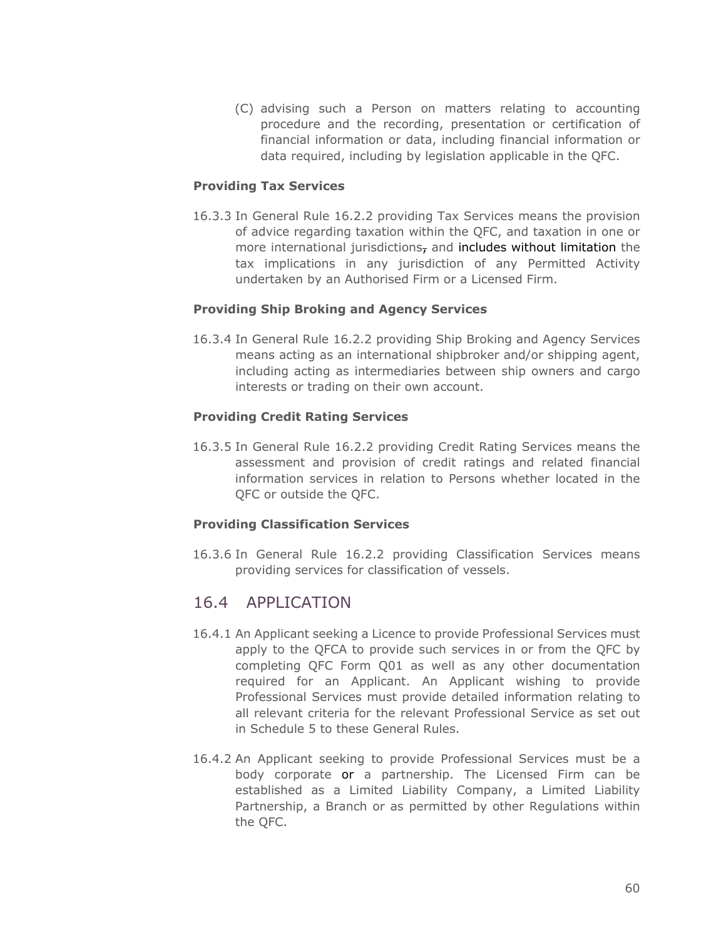(C) advising such a Person on matters relating to accounting procedure and the recording, presentation or certification of financial information or data, including financial information or data required, including by legislation applicable in the QFC.

#### **Providing Tax Services**

16.3.3 In General Rule 16.2.2 providing Tax Services means the provision of advice regarding taxation within the QFC, and taxation in one or more international jurisdictions, and includes without limitation the tax implications in any jurisdiction of any Permitted Activity undertaken by an Authorised Firm or a Licensed Firm.

#### **Providing Ship Broking and Agency Services**

16.3.4 In General Rule 16.2.2 providing Ship Broking and Agency Services means acting as an international shipbroker and/or shipping agent, including acting as intermediaries between ship owners and cargo interests or trading on their own account.

#### **Providing Credit Rating Services**

16.3.5 In General Rule 16.2.2 providing Credit Rating Services means the assessment and provision of credit ratings and related financial information services in relation to Persons whether located in the QFC or outside the QFC.

#### **Providing Classification Services**

16.3.6 In General Rule 16.2.2 providing Classification Services means providing services for classification of vessels.

#### 16.4 APPLICATION

- 16.4.1 An Applicant seeking a Licence to provide Professional Services must apply to the QFCA to provide such services in or from the QFC by completing QFC Form Q01 as well as any other documentation required for an Applicant. An Applicant wishing to provide Professional Services must provide detailed information relating to all relevant criteria for the relevant Professional Service as set out in Schedule 5 to these General Rules.
- 16.4.2 An Applicant seeking to provide Professional Services must be a body corporate or a partnership. The Licensed Firm can be established as a Limited Liability Company, a Limited Liability Partnership, a Branch or as permitted by other Regulations within the QFC.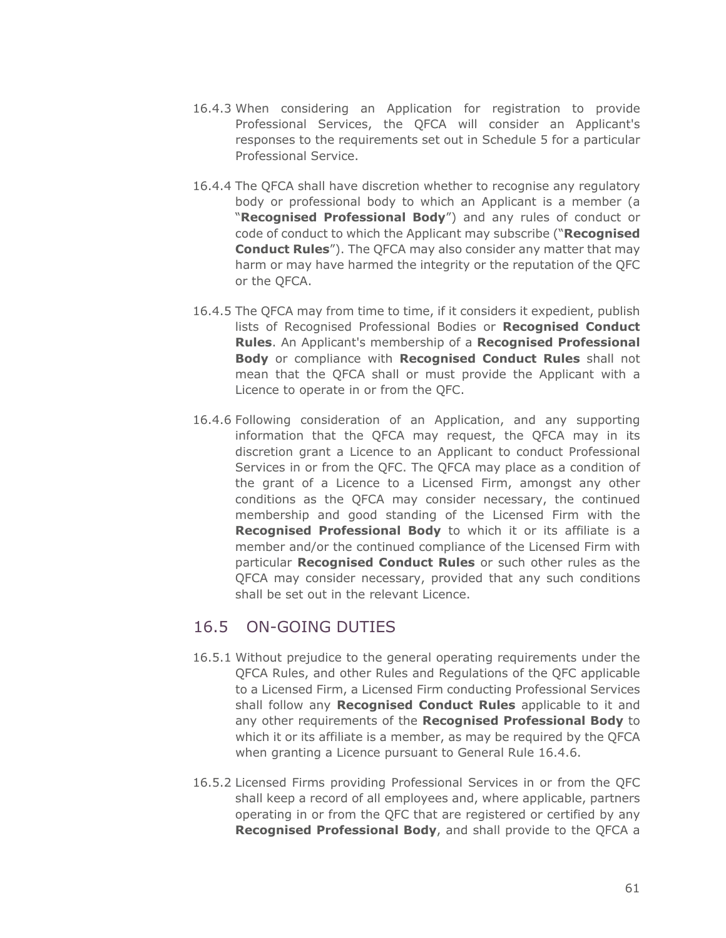- 16.4.3 When considering an Application for registration to provide Professional Services, the QFCA will consider an Applicant's responses to the requirements set out in Schedule 5 for a particular Professional Service.
- 16.4.4 The QFCA shall have discretion whether to recognise any regulatory body or professional body to which an Applicant is a member (a "**Recognised Professional Body**") and any rules of conduct or code of conduct to which the Applicant may subscribe ("**Recognised Conduct Rules**"). The QFCA may also consider any matter that may harm or may have harmed the integrity or the reputation of the QFC or the QFCA.
- 16.4.5 The QFCA may from time to time, if it considers it expedient, publish lists of Recognised Professional Bodies or **Recognised Conduct Rules**. An Applicant's membership of a **Recognised Professional Body** or compliance with **Recognised Conduct Rules** shall not mean that the QFCA shall or must provide the Applicant with a Licence to operate in or from the QFC.
- 16.4.6 Following consideration of an Application, and any supporting information that the QFCA may request, the QFCA may in its discretion grant a Licence to an Applicant to conduct Professional Services in or from the QFC. The QFCA may place as a condition of the grant of a Licence to a Licensed Firm, amongst any other conditions as the QFCA may consider necessary, the continued membership and good standing of the Licensed Firm with the **Recognised Professional Body** to which it or its affiliate is a member and/or the continued compliance of the Licensed Firm with particular **Recognised Conduct Rules** or such other rules as the QFCA may consider necessary, provided that any such conditions shall be set out in the relevant Licence.

## 16.5 ON-GOING DUTIES

- 16.5.1 Without prejudice to the general operating requirements under the QFCA Rules, and other Rules and Regulations of the QFC applicable to a Licensed Firm, a Licensed Firm conducting Professional Services shall follow any **Recognised Conduct Rules** applicable to it and any other requirements of the **Recognised Professional Body** to which it or its affiliate is a member, as may be required by the QFCA when granting a Licence pursuant to General Rule 16.4.6.
- 16.5.2 Licensed Firms providing Professional Services in or from the QFC shall keep a record of all employees and, where applicable, partners operating in or from the QFC that are registered or certified by any **Recognised Professional Body**, and shall provide to the QFCA a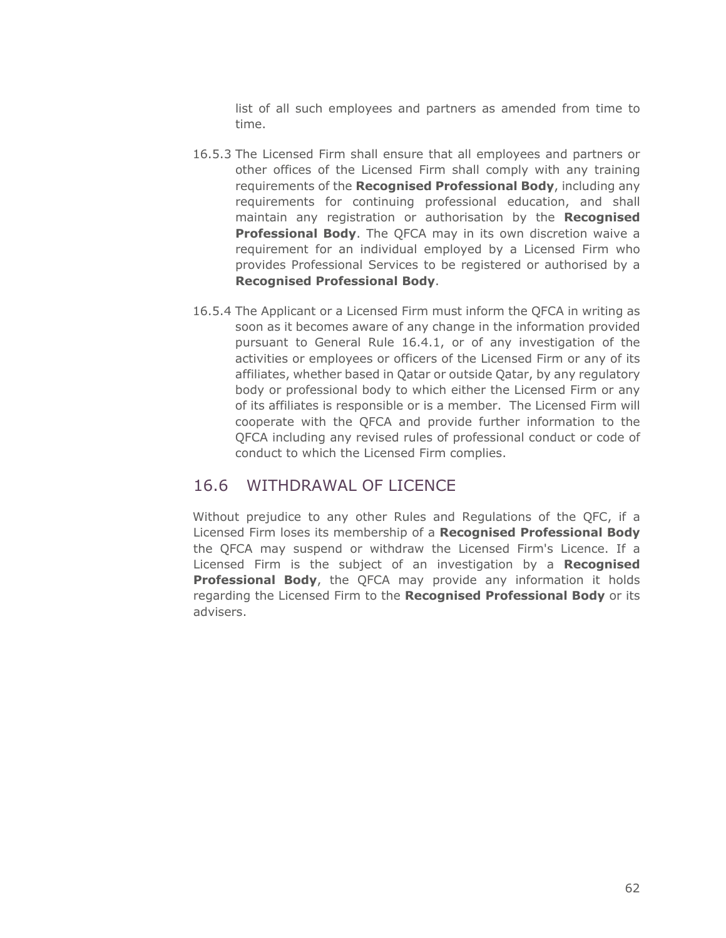list of all such employees and partners as amended from time to time.

- 16.5.3 The Licensed Firm shall ensure that all employees and partners or other offices of the Licensed Firm shall comply with any training requirements of the **Recognised Professional Body**, including any requirements for continuing professional education, and shall maintain any registration or authorisation by the **Recognised Professional Body**. The QFCA may in its own discretion waive a requirement for an individual employed by a Licensed Firm who provides Professional Services to be registered or authorised by a **Recognised Professional Body**.
- 16.5.4 The Applicant or a Licensed Firm must inform the QFCA in writing as soon as it becomes aware of any change in the information provided pursuant to General Rule 16.4.1, or of any investigation of the activities or employees or officers of the Licensed Firm or any of its affiliates, whether based in Qatar or outside Qatar, by any regulatory body or professional body to which either the Licensed Firm or any of its affiliates is responsible or is a member. The Licensed Firm will cooperate with the QFCA and provide further information to the QFCA including any revised rules of professional conduct or code of conduct to which the Licensed Firm complies.

## 16.6 WITHDRAWAL OF LICENCE

Without prejudice to any other Rules and Regulations of the QFC, if a Licensed Firm loses its membership of a **Recognised Professional Body** the QFCA may suspend or withdraw the Licensed Firm's Licence. If a Licensed Firm is the subject of an investigation by a **Recognised Professional Body**, the QFCA may provide any information it holds regarding the Licensed Firm to the **Recognised Professional Body** or its advisers.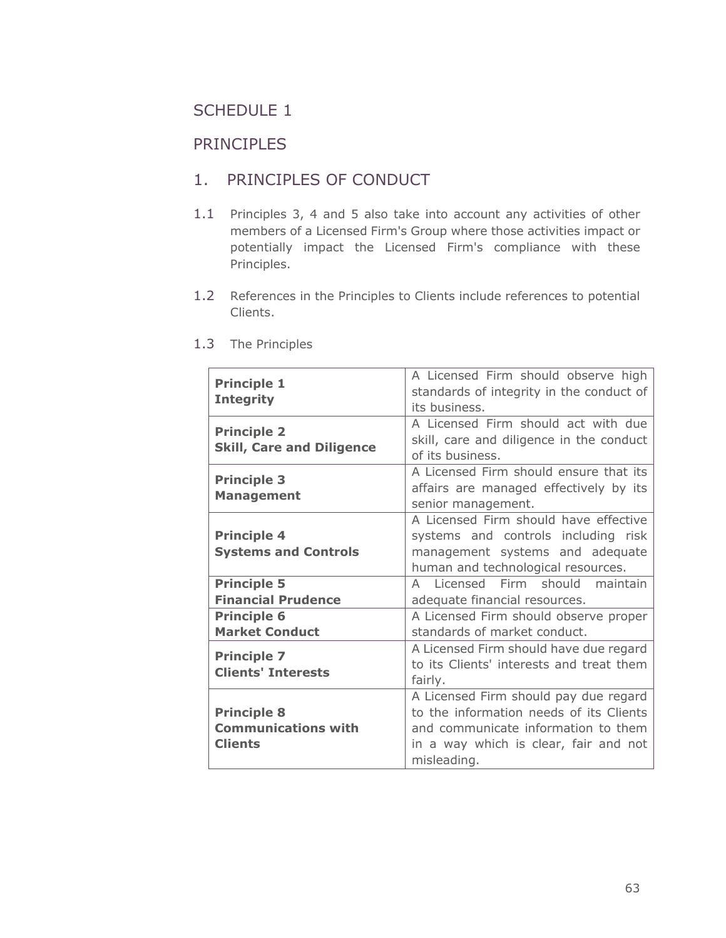## **PRINCIPLES**

# 1. PRINCIPLES OF CONDUCT

- 1.1 Principles 3, 4 and 5 also take into account any activities of other members of a Licensed Firm's Group where those activities impact or potentially impact the Licensed Firm's compliance with these Principles.
- 1.2 References in the Principles to Clients include references to potential Clients.

| <b>Principle 1</b><br><b>Integrity</b>                             | A Licensed Firm should observe high<br>standards of integrity in the conduct of<br>its business.                                                                                |  |
|--------------------------------------------------------------------|---------------------------------------------------------------------------------------------------------------------------------------------------------------------------------|--|
| <b>Principle 2</b><br><b>Skill, Care and Diligence</b>             | A Licensed Firm should act with due<br>skill, care and diligence in the conduct<br>of its business.                                                                             |  |
| <b>Principle 3</b><br><b>Management</b>                            | A Licensed Firm should ensure that its<br>affairs are managed effectively by its<br>senior management.                                                                          |  |
| <b>Principle 4</b><br><b>Systems and Controls</b>                  | A Licensed Firm should have effective<br>systems and controls including risk<br>management systems and adequate<br>human and technological resources.                           |  |
| <b>Principle 5</b><br><b>Financial Prudence</b>                    | Licensed Firm should maintain<br>A<br>adequate financial resources.                                                                                                             |  |
| <b>Principle 6</b><br><b>Market Conduct</b>                        | A Licensed Firm should observe proper<br>standards of market conduct.                                                                                                           |  |
| <b>Principle 7</b><br><b>Clients' Interests</b>                    | A Licensed Firm should have due regard<br>to its Clients' interests and treat them<br>fairly.                                                                                   |  |
| <b>Principle 8</b><br><b>Communications with</b><br><b>Clients</b> | A Licensed Firm should pay due regard<br>to the information needs of its Clients<br>and communicate information to them<br>in a way which is clear, fair and not<br>misleading. |  |

1.3 The Principles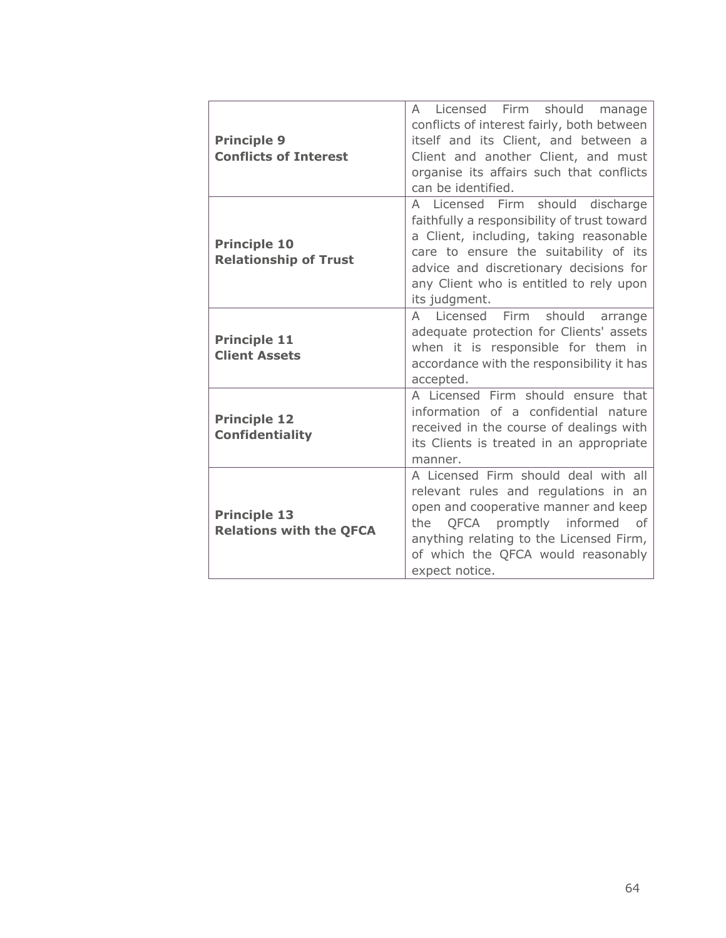| <b>Principle 9</b><br><b>Conflicts of Interest</b>    | A Licensed Firm should manage<br>conflicts of interest fairly, both between<br>itself and its Client, and between a<br>Client and another Client, and must<br>organise its affairs such that conflicts<br>can be identified.                                             |
|-------------------------------------------------------|--------------------------------------------------------------------------------------------------------------------------------------------------------------------------------------------------------------------------------------------------------------------------|
| <b>Principle 10</b><br><b>Relationship of Trust</b>   | A Licensed Firm should discharge<br>faithfully a responsibility of trust toward<br>a Client, including, taking reasonable<br>care to ensure the suitability of its<br>advice and discretionary decisions for<br>any Client who is entitled to rely upon<br>its judgment. |
| <b>Principle 11</b><br><b>Client Assets</b>           | A Licensed Firm<br>should<br>arrange<br>adequate protection for Clients' assets<br>when it is responsible for them in<br>accordance with the responsibility it has<br>accepted.                                                                                          |
| <b>Principle 12</b><br><b>Confidentiality</b>         | A Licensed Firm should ensure that<br>information of a confidential nature<br>received in the course of dealings with<br>its Clients is treated in an appropriate<br>manner.                                                                                             |
| <b>Principle 13</b><br><b>Relations with the QFCA</b> | A Licensed Firm should deal with all<br>relevant rules and regulations in an<br>open and cooperative manner and keep<br>QFCA promptly informed<br>the<br>of<br>anything relating to the Licensed Firm,<br>of which the QFCA would reasonably<br>expect notice.           |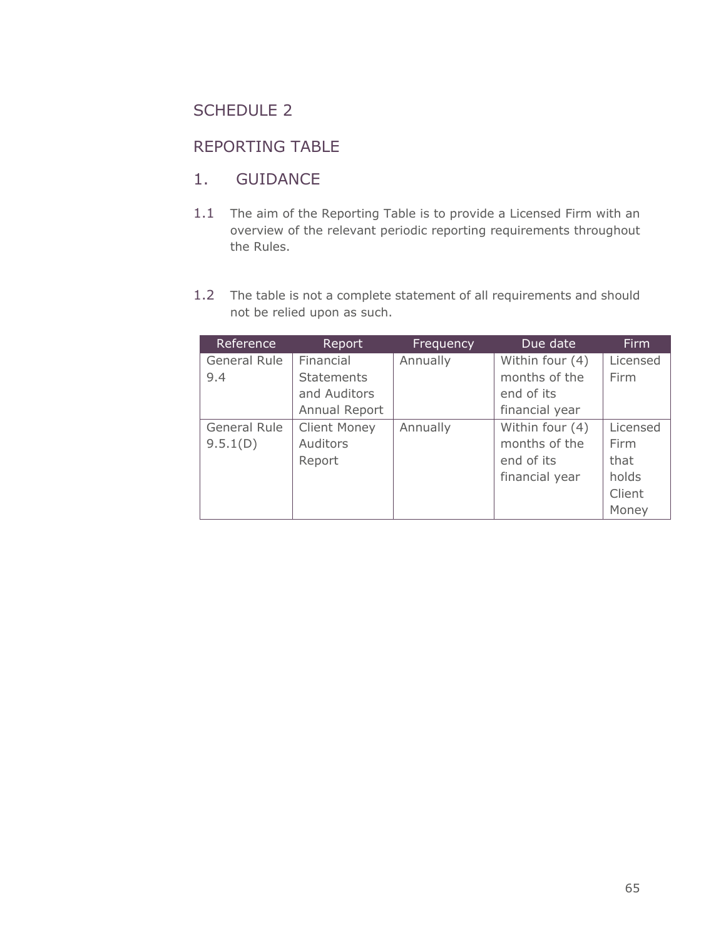# REPORTING TABLE

# 1. GUIDANCE

- 1.1 The aim of the Reporting Table is to provide a Licensed Firm with an overview of the relevant periodic reporting requirements throughout the Rules.
- 1.2 The table is not a complete statement of all requirements and should not be relied upon as such.

| Reference    | Report              | Frequency | Due date        | <b>Firm</b> |
|--------------|---------------------|-----------|-----------------|-------------|
| General Rule | Financial           | Annually  | Within four (4) | Licensed    |
| 9.4          | <b>Statements</b>   |           | months of the   | Firm        |
|              | and Auditors        |           | end of its      |             |
|              | Annual Report       |           | financial year  |             |
| General Rule | <b>Client Money</b> | Annually  | Within four (4) | Licensed    |
| 9.5.1(D)     | Auditors            |           | months of the   | Firm        |
|              | Report              |           | end of its      | that        |
|              |                     |           | financial year  | holds       |
|              |                     |           |                 | Client      |
|              |                     |           |                 | Money       |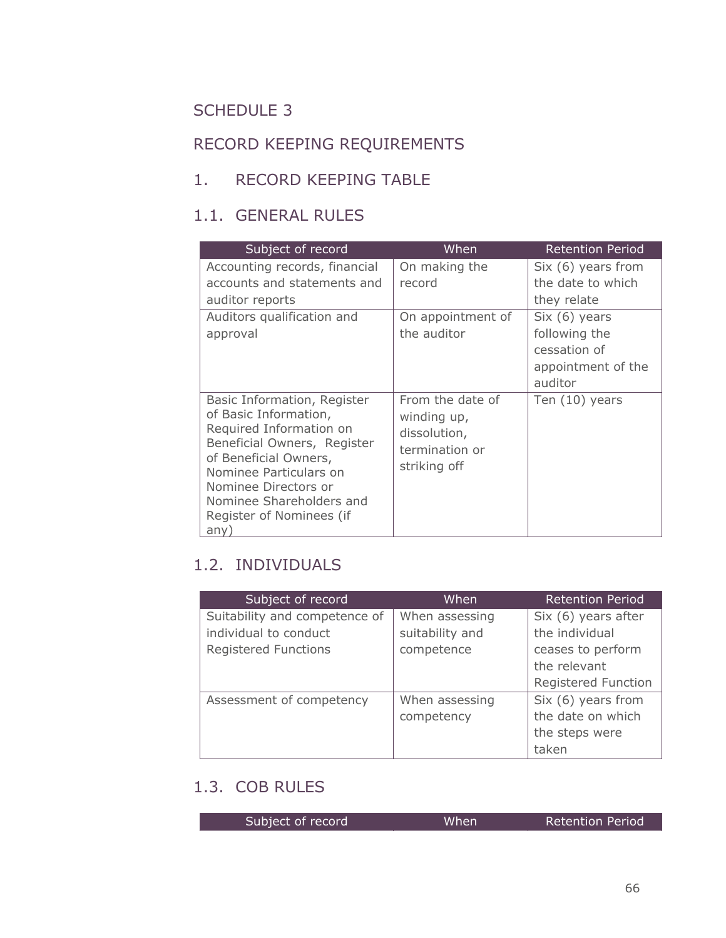# RECORD KEEPING REQUIREMENTS

# 1. RECORD KEEPING TABLE

# 1.1. GENERAL RULES

| Subject of record                                                                                                                                                                                                                                         | <b>When</b>                                                                       | <b>Retention Period</b>                                              |
|-----------------------------------------------------------------------------------------------------------------------------------------------------------------------------------------------------------------------------------------------------------|-----------------------------------------------------------------------------------|----------------------------------------------------------------------|
| Accounting records, financial                                                                                                                                                                                                                             | On making the                                                                     | Six (6) years from                                                   |
| accounts and statements and                                                                                                                                                                                                                               | record                                                                            | the date to which                                                    |
| auditor reports                                                                                                                                                                                                                                           |                                                                                   | they relate                                                          |
| Auditors qualification and<br>approval                                                                                                                                                                                                                    | On appointment of<br>the auditor                                                  | Six (6) years<br>following the<br>cessation of<br>appointment of the |
| Basic Information, Register<br>of Basic Information,<br>Required Information on<br>Beneficial Owners, Register<br>of Beneficial Owners,<br>Nominee Particulars on<br>Nominee Directors or<br>Nominee Shareholders and<br>Register of Nominees (if<br>any) | From the date of<br>winding up,<br>dissolution,<br>termination or<br>striking off | auditor<br>Ten $(10)$ years                                          |

# 1.2. INDIVIDUALS

| Subject of record             | When            | <b>Retention Period</b>    |
|-------------------------------|-----------------|----------------------------|
| Suitability and competence of | When assessing  | Six (6) years after        |
| individual to conduct         | suitability and | the individual             |
| <b>Registered Functions</b>   | competence      | ceases to perform          |
|                               |                 | the relevant               |
|                               |                 | <b>Registered Function</b> |
| Assessment of competency      | When assessing  | Six (6) years from         |
|                               | competency      | the date on which          |
|                               |                 | the steps were             |
|                               |                 | taken                      |

# 1.3. COB RULES

| Subject of record | When. | Retention Period |
|-------------------|-------|------------------|
|                   |       |                  |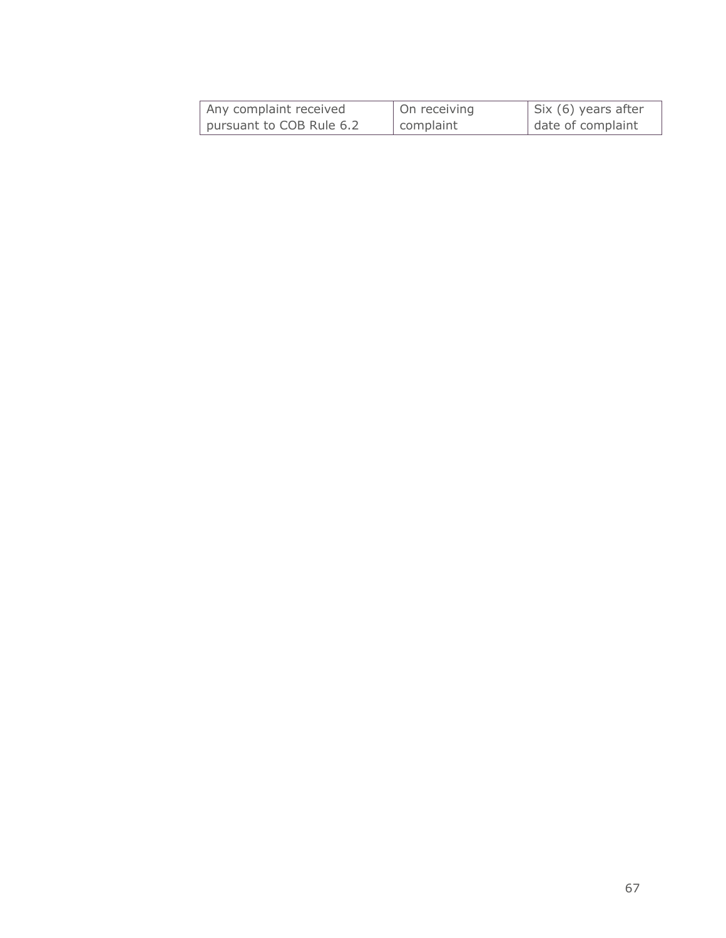| Any complaint received   | On receiving | $\vert$ Six (6) years after |
|--------------------------|--------------|-----------------------------|
| pursuant to COB Rule 6.2 | complaint    | date of complaint           |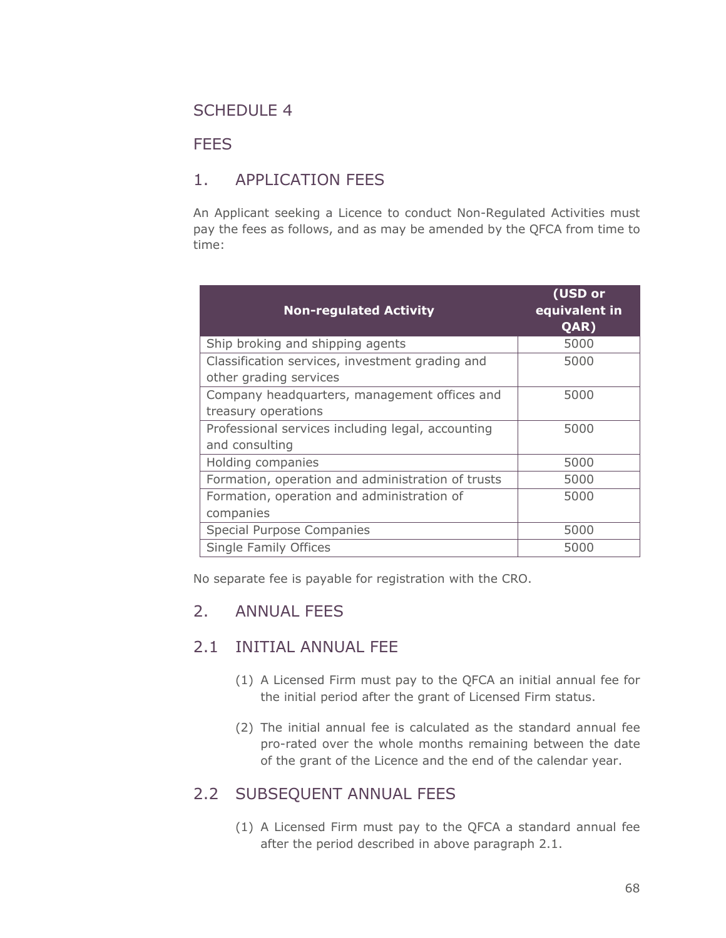## **FFFS**

# 1. APPLICATION FEES

An Applicant seeking a Licence to conduct Non-Regulated Activities must pay the fees as follows, and as may be amended by the QFCA from time to time:

| <b>Non-regulated Activity</b>                                             | (USD or<br>equivalent in<br>QAR) |
|---------------------------------------------------------------------------|----------------------------------|
| Ship broking and shipping agents                                          | 5000                             |
| Classification services, investment grading and<br>other grading services | 5000                             |
| Company headquarters, management offices and<br>treasury operations       | 5000                             |
| Professional services including legal, accounting<br>and consulting       | 5000                             |
| Holding companies                                                         | 5000                             |
| Formation, operation and administration of trusts                         | 5000                             |
| Formation, operation and administration of<br>companies                   | 5000                             |
| Special Purpose Companies                                                 | 5000                             |
| <b>Single Family Offices</b>                                              | 5000                             |

No separate fee is payable for registration with the CRO.

# 2. ANNUAL FEES

# 2.1 INITIAL ANNUAL FEE

- (1) A Licensed Firm must pay to the QFCA an initial annual fee for the initial period after the grant of Licensed Firm status.
- (2) The initial annual fee is calculated as the standard annual fee pro-rated over the whole months remaining between the date of the grant of the Licence and the end of the calendar year.

## 2.2 SUBSEQUENT ANNUAL FEES

(1) A Licensed Firm must pay to the QFCA a standard annual fee after the period described in above paragraph 2.1.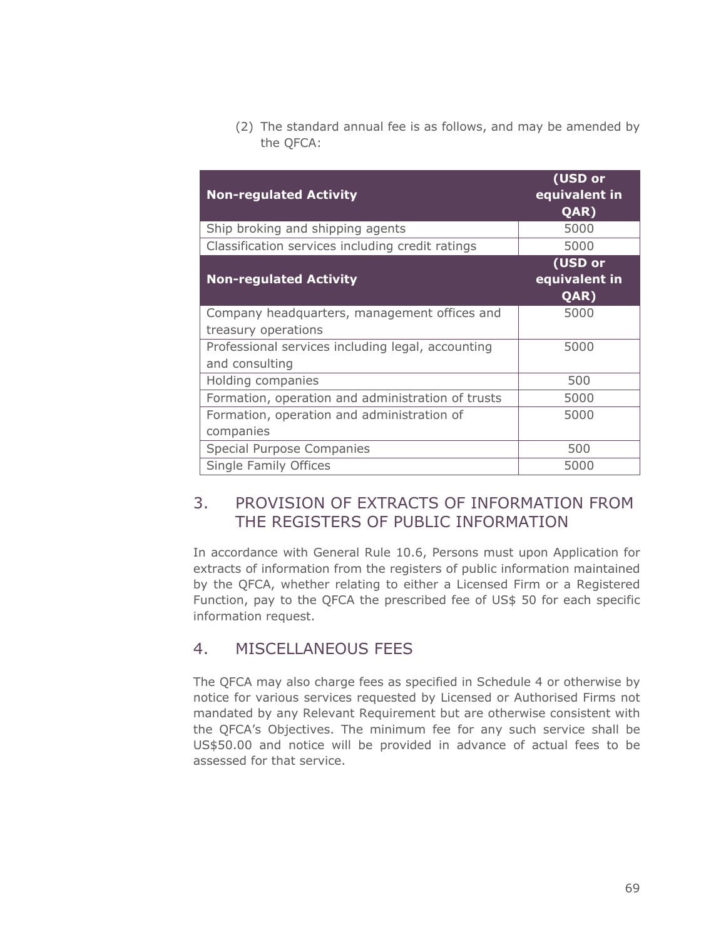(2) The standard annual fee is as follows, and may be amended by the QFCA:

| <b>Non-regulated Activity</b>                                       | (USD or<br>equivalent in<br>QAR) |
|---------------------------------------------------------------------|----------------------------------|
| Ship broking and shipping agents                                    | 5000                             |
| Classification services including credit ratings                    | 5000                             |
| <b>Non-regulated Activity</b>                                       | (USD or<br>equivalent in<br>QAR) |
| Company headquarters, management offices and                        | 5000                             |
| treasury operations                                                 |                                  |
| Professional services including legal, accounting<br>and consulting | 5000                             |
| Holding companies                                                   | 500                              |
| Formation, operation and administration of trusts                   | 5000                             |
| Formation, operation and administration of                          | 5000                             |
| companies                                                           |                                  |
| Special Purpose Companies                                           | 500                              |
| <b>Single Family Offices</b>                                        | 5000                             |

## 3. PROVISION OF EXTRACTS OF INFORMATION FROM THE REGISTERS OF PUBLIC INFORMATION

In accordance with General Rule 10.6, Persons must upon Application for extracts of information from the registers of public information maintained by the QFCA, whether relating to either a Licensed Firm or a Registered Function, pay to the QFCA the prescribed fee of US\$ 50 for each specific information request.

## 4. MISCELLANEOUS FEES

The QFCA may also charge fees as specified in Schedule 4 or otherwise by notice for various services requested by Licensed or Authorised Firms not mandated by any Relevant Requirement but are otherwise consistent with the QFCA's Objectives. The minimum fee for any such service shall be US\$50.00 and notice will be provided in advance of actual fees to be assessed for that service.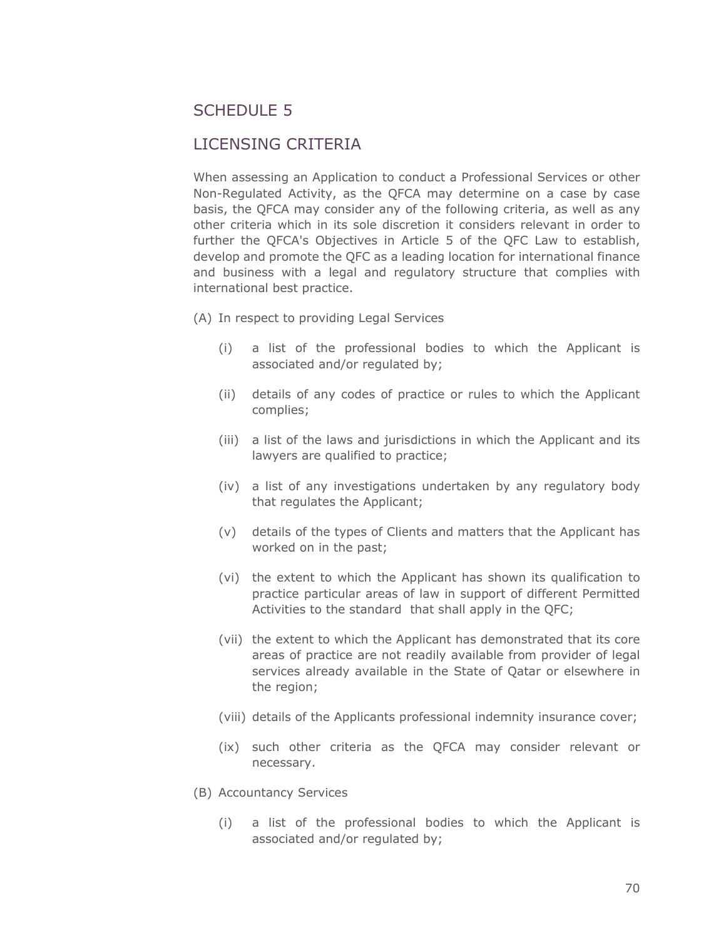## LICENSING CRITERIA

When assessing an Application to conduct a Professional Services or other Non-Regulated Activity, as the QFCA may determine on a case by case basis, the QFCA may consider any of the following criteria, as well as any other criteria which in its sole discretion it considers relevant in order to further the QFCA's Objectives in Article 5 of the QFC Law to establish, develop and promote the QFC as a leading location for international finance and business with a legal and regulatory structure that complies with international best practice.

- (A) In respect to providing Legal Services
	- (i) a list of the professional bodies to which the Applicant is associated and/or regulated by;
	- (ii) details of any codes of practice or rules to which the Applicant complies;
	- (iii) a list of the laws and jurisdictions in which the Applicant and its lawyers are qualified to practice;
	- (iv) a list of any investigations undertaken by any regulatory body that regulates the Applicant;
	- (v) details of the types of Clients and matters that the Applicant has worked on in the past;
	- (vi) the extent to which the Applicant has shown its qualification to practice particular areas of law in support of different Permitted Activities to the standard that shall apply in the QFC;
	- (vii) the extent to which the Applicant has demonstrated that its core areas of practice are not readily available from provider of legal services already available in the State of Qatar or elsewhere in the region;
	- (viii) details of the Applicants professional indemnity insurance cover;
	- (ix) such other criteria as the QFCA may consider relevant or necessary.
- (B) Accountancy Services
	- (i) a list of the professional bodies to which the Applicant is associated and/or regulated by;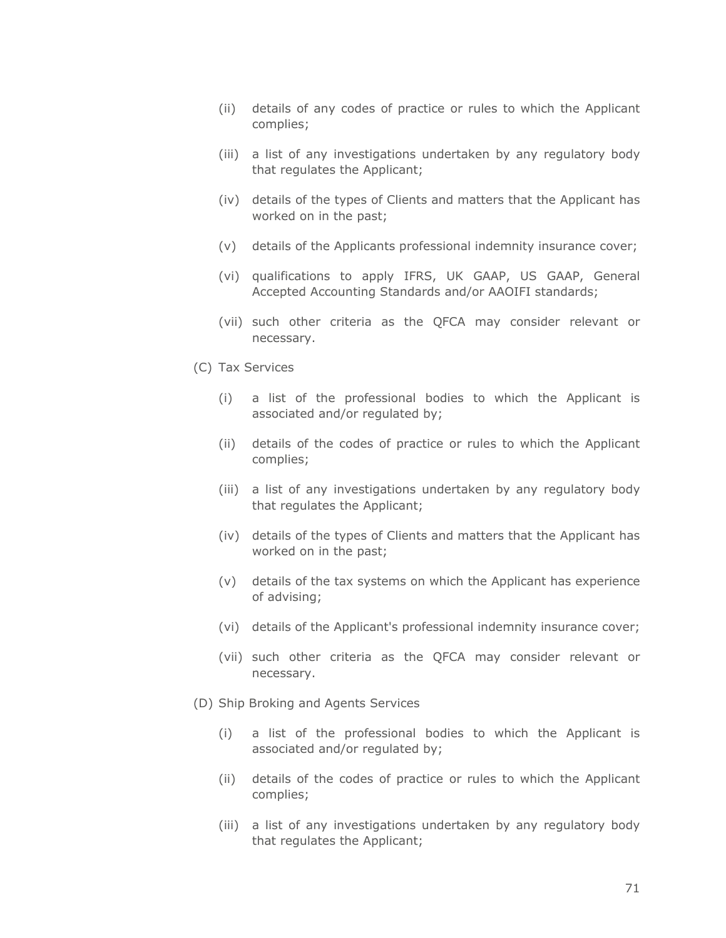- (ii) details of any codes of practice or rules to which the Applicant complies;
- (iii) a list of any investigations undertaken by any regulatory body that regulates the Applicant;
- (iv) details of the types of Clients and matters that the Applicant has worked on in the past;
- (v) details of the Applicants professional indemnity insurance cover;
- (vi) qualifications to apply IFRS, UK GAAP, US GAAP, General Accepted Accounting Standards and/or AAOIFI standards;
- (vii) such other criteria as the QFCA may consider relevant or necessary.
- (C) Tax Services
	- (i) a list of the professional bodies to which the Applicant is associated and/or regulated by;
	- (ii) details of the codes of practice or rules to which the Applicant complies;
	- (iii) a list of any investigations undertaken by any regulatory body that regulates the Applicant;
	- (iv) details of the types of Clients and matters that the Applicant has worked on in the past;
	- (v) details of the tax systems on which the Applicant has experience of advising;
	- (vi) details of the Applicant's professional indemnity insurance cover;
	- (vii) such other criteria as the QFCA may consider relevant or necessary.
- (D) Ship Broking and Agents Services
	- (i) a list of the professional bodies to which the Applicant is associated and/or regulated by;
	- (ii) details of the codes of practice or rules to which the Applicant complies;
	- (iii) a list of any investigations undertaken by any regulatory body that regulates the Applicant;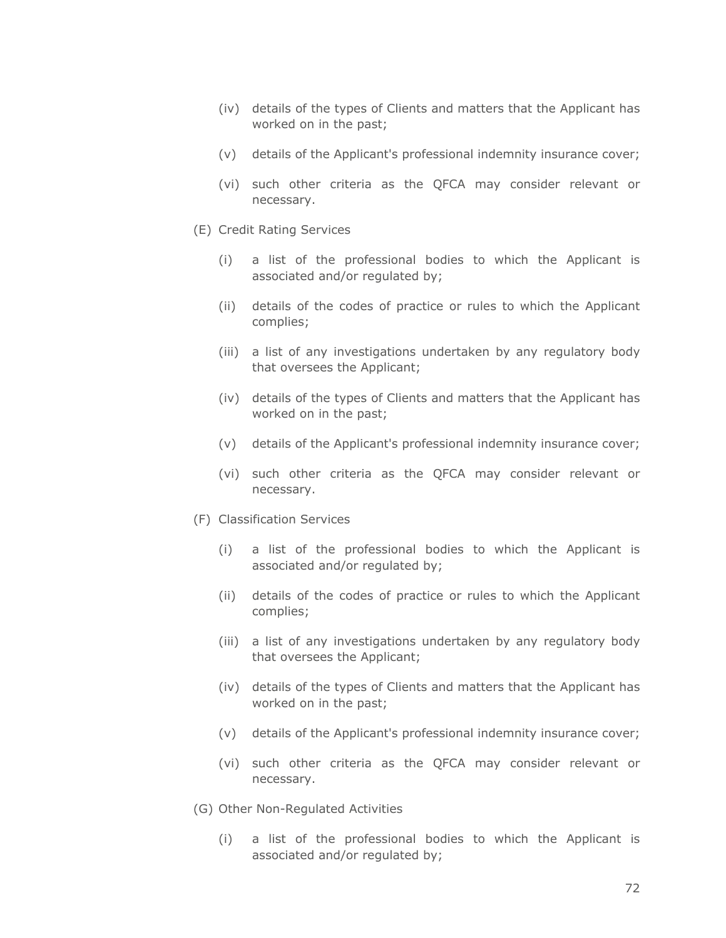- (iv) details of the types of Clients and matters that the Applicant has worked on in the past;
- (v) details of the Applicant's professional indemnity insurance cover;
- (vi) such other criteria as the QFCA may consider relevant or necessary.
- (E) Credit Rating Services
	- (i) a list of the professional bodies to which the Applicant is associated and/or regulated by;
	- (ii) details of the codes of practice or rules to which the Applicant complies;
	- (iii) a list of any investigations undertaken by any regulatory body that oversees the Applicant;
	- (iv) details of the types of Clients and matters that the Applicant has worked on in the past;
	- (v) details of the Applicant's professional indemnity insurance cover;
	- (vi) such other criteria as the QFCA may consider relevant or necessary.
- (F) Classification Services
	- (i) a list of the professional bodies to which the Applicant is associated and/or regulated by;
	- (ii) details of the codes of practice or rules to which the Applicant complies;
	- (iii) a list of any investigations undertaken by any regulatory body that oversees the Applicant;
	- (iv) details of the types of Clients and matters that the Applicant has worked on in the past;
	- (v) details of the Applicant's professional indemnity insurance cover;
	- (vi) such other criteria as the QFCA may consider relevant or necessary.
- (G) Other Non-Regulated Activities
	- (i) a list of the professional bodies to which the Applicant is associated and/or regulated by;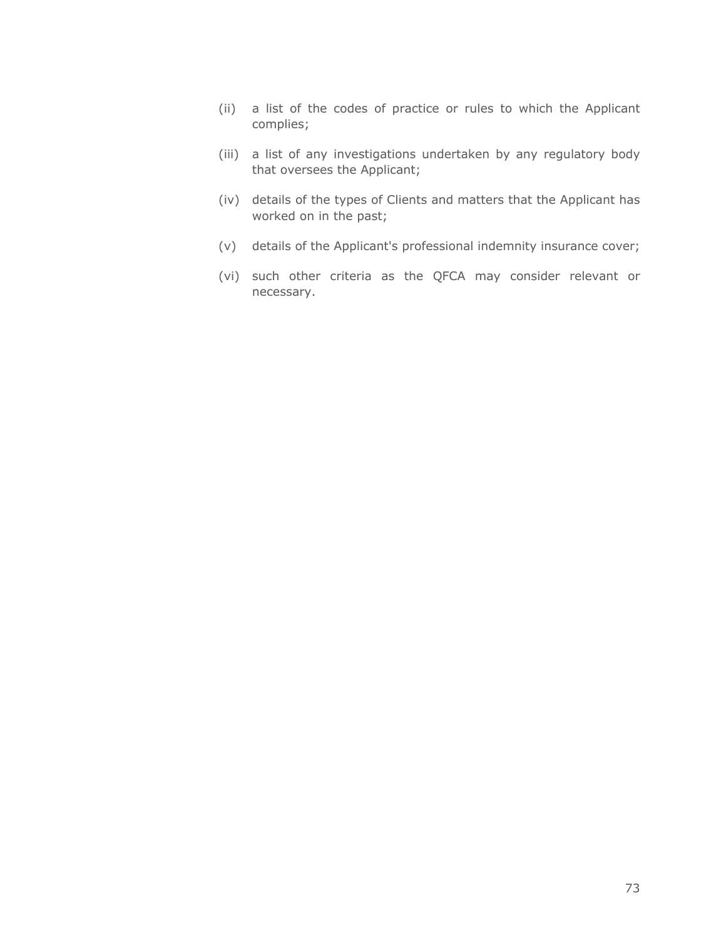- (ii) a list of the codes of practice or rules to which the Applicant complies;
- (iii) a list of any investigations undertaken by any regulatory body that oversees the Applicant;
- (iv) details of the types of Clients and matters that the Applicant has worked on in the past;
- (v) details of the Applicant's professional indemnity insurance cover;
- (vi) such other criteria as the QFCA may consider relevant or necessary.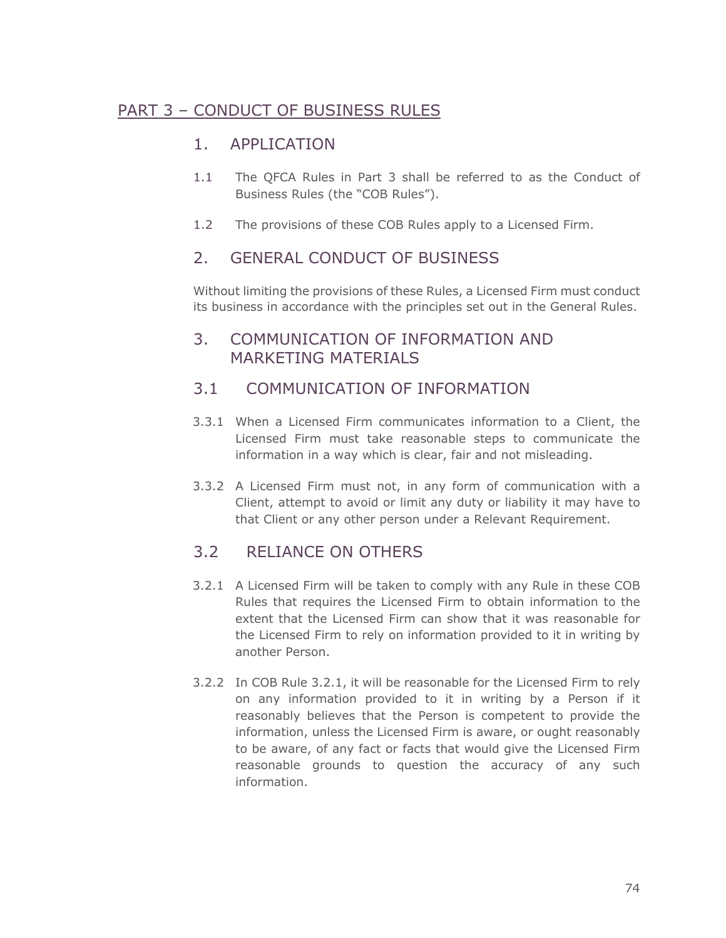# PART 3 – CONDUCT OF BUSINESS RULES

## 1. APPLICATION

- 1.1 The QFCA Rules in Part 3 shall be referred to as the Conduct of Business Rules (the "COB Rules").
- 1.2 The provisions of these COB Rules apply to a Licensed Firm.

## 2. GENERAL CONDUCT OF BUSINESS

Without limiting the provisions of these Rules, a Licensed Firm must conduct its business in accordance with the principles set out in the General Rules.

## 3. COMMUNICATION OF INFORMATION AND MARKETING MATERIALS

## 3.1 COMMUNICATION OF INFORMATION

- 3.3.1 When a Licensed Firm communicates information to a Client, the Licensed Firm must take reasonable steps to communicate the information in a way which is clear, fair and not misleading.
- 3.3.2 A Licensed Firm must not, in any form of communication with a Client, attempt to avoid or limit any duty or liability it may have to that Client or any other person under a Relevant Requirement.

# 3.2 RELIANCE ON OTHERS

- 3.2.1 A Licensed Firm will be taken to comply with any Rule in these COB Rules that requires the Licensed Firm to obtain information to the extent that the Licensed Firm can show that it was reasonable for the Licensed Firm to rely on information provided to it in writing by another Person.
- 3.2.2 In COB Rule 3.2.1, it will be reasonable for the Licensed Firm to rely on any information provided to it in writing by a Person if it reasonably believes that the Person is competent to provide the information, unless the Licensed Firm is aware, or ought reasonably to be aware, of any fact or facts that would give the Licensed Firm reasonable grounds to question the accuracy of any such information.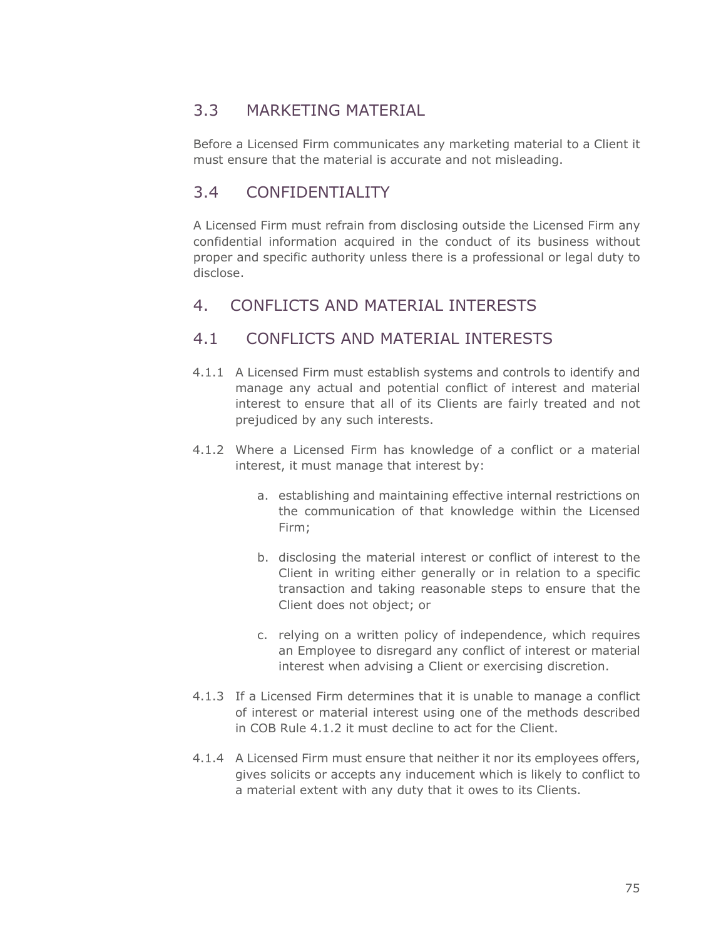## 3.3 MARKETING MATERIAL

Before a Licensed Firm communicates any marketing material to a Client it must ensure that the material is accurate and not misleading.

# 3.4 CONFIDENTIALITY

A Licensed Firm must refrain from disclosing outside the Licensed Firm any confidential information acquired in the conduct of its business without proper and specific authority unless there is a professional or legal duty to disclose.

# 4. CONFLICTS AND MATERIAL INTERESTS

# 4.1 CONFLICTS AND MATERIAL INTERESTS

- 4.1.1 A Licensed Firm must establish systems and controls to identify and manage any actual and potential conflict of interest and material interest to ensure that all of its Clients are fairly treated and not prejudiced by any such interests.
- 4.1.2 Where a Licensed Firm has knowledge of a conflict or a material interest, it must manage that interest by:
	- a. establishing and maintaining effective internal restrictions on the communication of that knowledge within the Licensed Firm;
	- b. disclosing the material interest or conflict of interest to the Client in writing either generally or in relation to a specific transaction and taking reasonable steps to ensure that the Client does not object; or
	- c. relying on a written policy of independence, which requires an Employee to disregard any conflict of interest or material interest when advising a Client or exercising discretion.
- 4.1.3 If a Licensed Firm determines that it is unable to manage a conflict of interest or material interest using one of the methods described in COB Rule 4.1.2 it must decline to act for the Client.
- 4.1.4 A Licensed Firm must ensure that neither it nor its employees offers, gives solicits or accepts any inducement which is likely to conflict to a material extent with any duty that it owes to its Clients.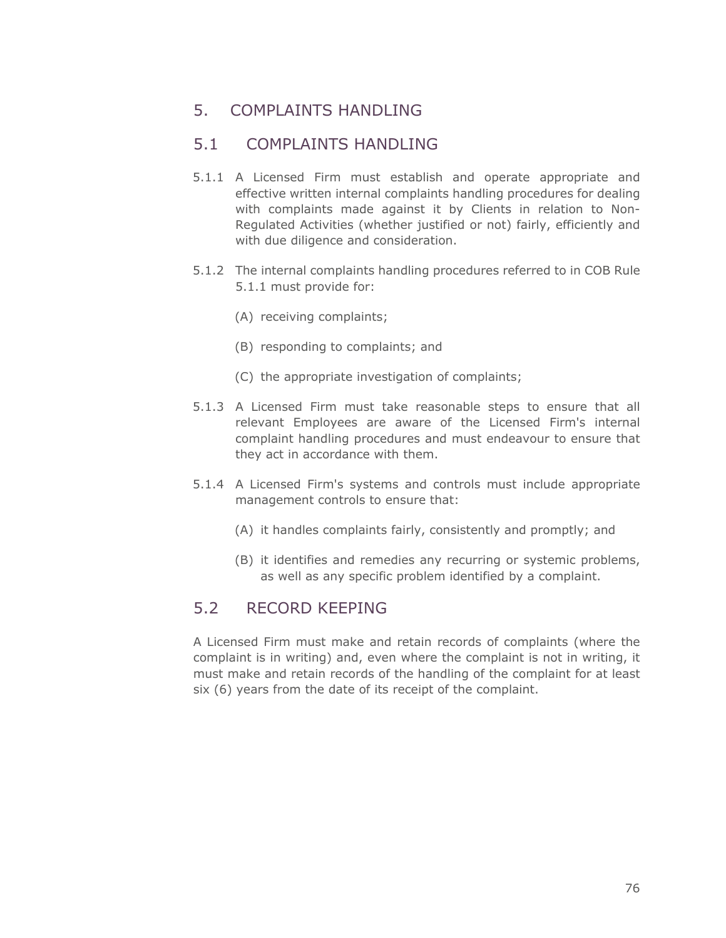### 5. COMPLAINTS HANDLING

### 5.1 COMPLAINTS HANDLING

- 5.1.1 A Licensed Firm must establish and operate appropriate and effective written internal complaints handling procedures for dealing with complaints made against it by Clients in relation to Non-Regulated Activities (whether justified or not) fairly, efficiently and with due diligence and consideration.
- 5.1.2 The internal complaints handling procedures referred to in COB Rule 5.1.1 must provide for:
	- (A) receiving complaints;
	- (B) responding to complaints; and
	- (C) the appropriate investigation of complaints;
- 5.1.3 A Licensed Firm must take reasonable steps to ensure that all relevant Employees are aware of the Licensed Firm's internal complaint handling procedures and must endeavour to ensure that they act in accordance with them.
- 5.1.4 A Licensed Firm's systems and controls must include appropriate management controls to ensure that:
	- (A) it handles complaints fairly, consistently and promptly; and
	- (B) it identifies and remedies any recurring or systemic problems, as well as any specific problem identified by a complaint.

## 5.2 RECORD KEEPING

A Licensed Firm must make and retain records of complaints (where the complaint is in writing) and, even where the complaint is not in writing, it must make and retain records of the handling of the complaint for at least six (6) years from the date of its receipt of the complaint.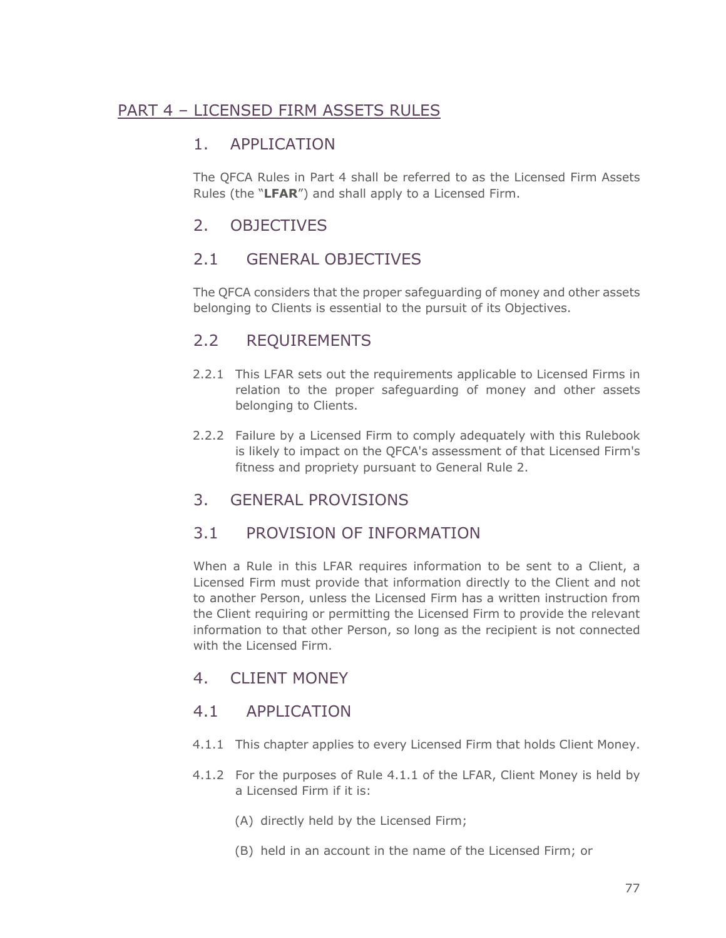## PART 4 – LICENSED FIRM ASSETS RULES

### 1. APPLICATION

The QFCA Rules in Part 4 shall be referred to as the Licensed Firm Assets Rules (the "**LFAR**") and shall apply to a Licensed Firm.

## 2. OBJECTIVES

# 2.1 GENERAL OBJECTIVES

The QFCA considers that the proper safeguarding of money and other assets belonging to Clients is essential to the pursuit of its Objectives.

## 2.2 REQUIREMENTS

- 2.2.1 This LFAR sets out the requirements applicable to Licensed Firms in relation to the proper safeguarding of money and other assets belonging to Clients.
- 2.2.2 Failure by a Licensed Firm to comply adequately with this Rulebook is likely to impact on the QFCA's assessment of that Licensed Firm's fitness and propriety pursuant to General Rule 2.

## 3. GENERAL PROVISIONS

## 3.1 PROVISION OF INFORMATION

When a Rule in this LFAR requires information to be sent to a Client, a Licensed Firm must provide that information directly to the Client and not to another Person, unless the Licensed Firm has a written instruction from the Client requiring or permitting the Licensed Firm to provide the relevant information to that other Person, so long as the recipient is not connected with the Licensed Firm.

## 4. CLIENT MONEY

## 4.1 APPLICATION

- 4.1.1 This chapter applies to every Licensed Firm that holds Client Money.
- 4.1.2 For the purposes of Rule 4.1.1 of the LFAR, Client Money is held by a Licensed Firm if it is:
	- (A) directly held by the Licensed Firm;
	- (B) held in an account in the name of the Licensed Firm; or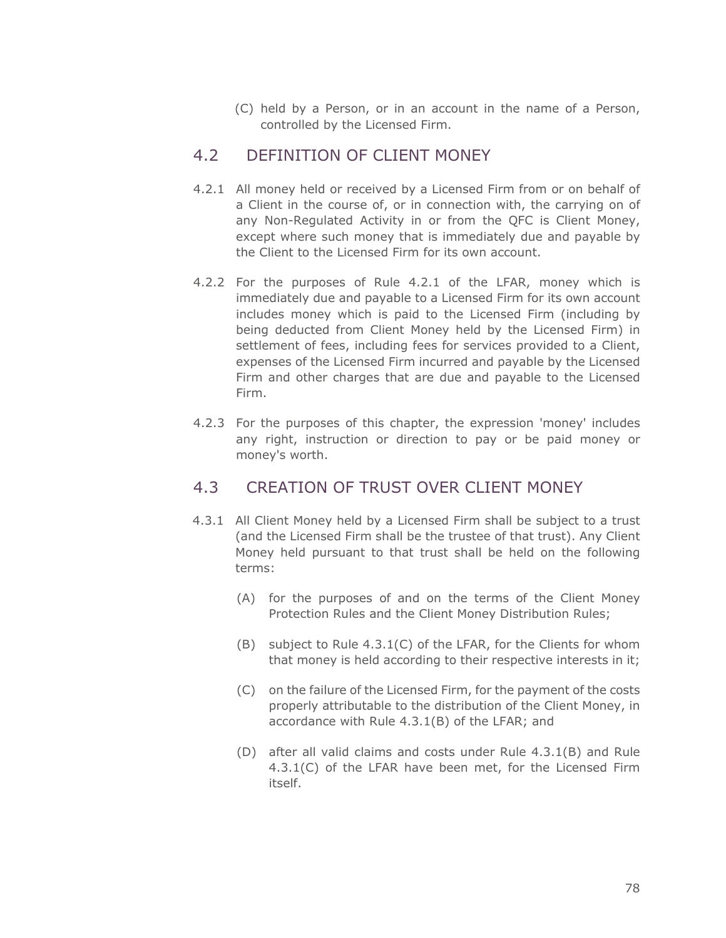(C) held by a Person, or in an account in the name of a Person, controlled by the Licensed Firm.

### 4.2 DEFINITION OF CLIENT MONEY

- 4.2.1 All money held or received by a Licensed Firm from or on behalf of a Client in the course of, or in connection with, the carrying on of any Non-Regulated Activity in or from the QFC is Client Money, except where such money that is immediately due and payable by the Client to the Licensed Firm for its own account.
- 4.2.2 For the purposes of Rule 4.2.1 of the LFAR, money which is immediately due and payable to a Licensed Firm for its own account includes money which is paid to the Licensed Firm (including by being deducted from Client Money held by the Licensed Firm) in settlement of fees, including fees for services provided to a Client, expenses of the Licensed Firm incurred and payable by the Licensed Firm and other charges that are due and payable to the Licensed Firm.
- 4.2.3 For the purposes of this chapter, the expression 'money' includes any right, instruction or direction to pay or be paid money or money's worth.

## 4.3 CREATION OF TRUST OVER CLIENT MONEY

- 4.3.1 All Client Money held by a Licensed Firm shall be subject to a trust (and the Licensed Firm shall be the trustee of that trust). Any Client Money held pursuant to that trust shall be held on the following terms:
	- (A) for the purposes of and on the terms of the Client Money Protection Rules and the Client Money Distribution Rules;
	- (B) subject to Rule 4.3.1(C) of the LFAR, for the Clients for whom that money is held according to their respective interests in it;
	- (C) on the failure of the Licensed Firm, for the payment of the costs properly attributable to the distribution of the Client Money, in accordance with Rule 4.3.1(B) of the LFAR; and
	- (D) after all valid claims and costs under Rule 4.3.1(B) and Rule 4.3.1(C) of the LFAR have been met, for the Licensed Firm itself.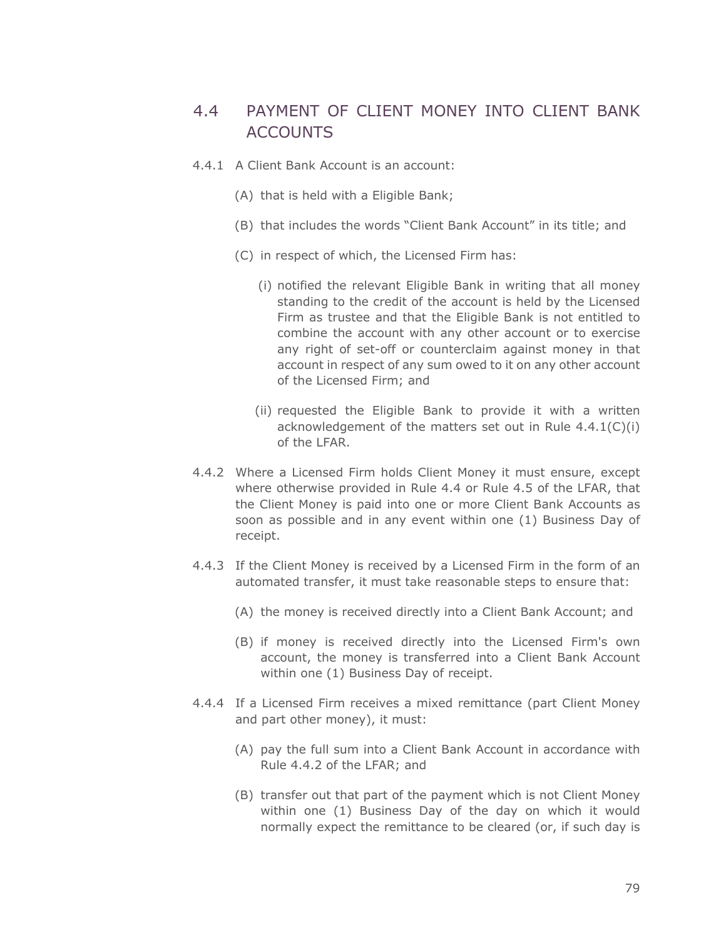## 4.4 PAYMENT OF CLIENT MONEY INTO CLIENT BANK ACCOUNTS

- 4.4.1 A Client Bank Account is an account:
	- (A) that is held with a Eligible Bank;
	- (B) that includes the words "Client Bank Account" in its title; and
	- (C) in respect of which, the Licensed Firm has:
		- (i) notified the relevant Eligible Bank in writing that all money standing to the credit of the account is held by the Licensed Firm as trustee and that the Eligible Bank is not entitled to combine the account with any other account or to exercise any right of set-off or counterclaim against money in that account in respect of any sum owed to it on any other account of the Licensed Firm; and
		- (ii) requested the Eligible Bank to provide it with a written acknowledgement of the matters set out in Rule 4.4.1(C)(i) of the LFAR.
- 4.4.2 Where a Licensed Firm holds Client Money it must ensure, except where otherwise provided in Rule 4.4 or Rule 4.5 of the LFAR, that the Client Money is paid into one or more Client Bank Accounts as soon as possible and in any event within one (1) Business Day of receipt.
- 4.4.3 If the Client Money is received by a Licensed Firm in the form of an automated transfer, it must take reasonable steps to ensure that:
	- (A) the money is received directly into a Client Bank Account; and
	- (B) if money is received directly into the Licensed Firm's own account, the money is transferred into a Client Bank Account within one (1) Business Day of receipt.
- 4.4.4 If a Licensed Firm receives a mixed remittance (part Client Money and part other money), it must:
	- (A) pay the full sum into a Client Bank Account in accordance with Rule 4.4.2 of the LFAR; and
	- (B) transfer out that part of the payment which is not Client Money within one (1) Business Day of the day on which it would normally expect the remittance to be cleared (or, if such day is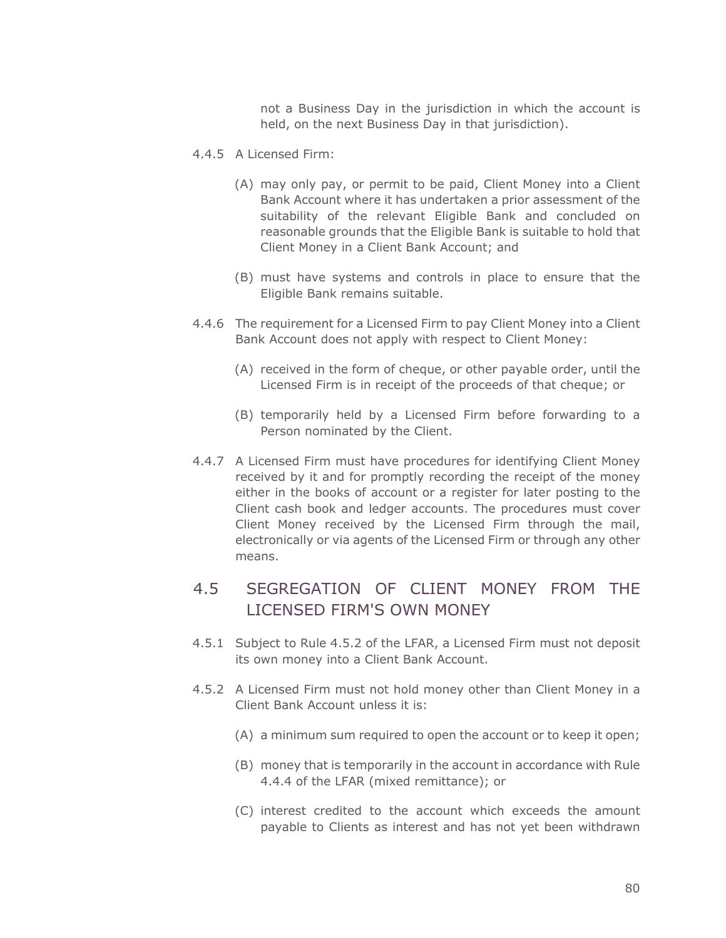not a Business Day in the jurisdiction in which the account is held, on the next Business Day in that jurisdiction).

- 4.4.5 A Licensed Firm:
	- (A) may only pay, or permit to be paid, Client Money into a Client Bank Account where it has undertaken a prior assessment of the suitability of the relevant Eligible Bank and concluded on reasonable grounds that the Eligible Bank is suitable to hold that Client Money in a Client Bank Account; and
	- (B) must have systems and controls in place to ensure that the Eligible Bank remains suitable.
- 4.4.6 The requirement for a Licensed Firm to pay Client Money into a Client Bank Account does not apply with respect to Client Money:
	- (A) received in the form of cheque, or other payable order, until the Licensed Firm is in receipt of the proceeds of that cheque; or
	- (B) temporarily held by a Licensed Firm before forwarding to a Person nominated by the Client.
- 4.4.7 A Licensed Firm must have procedures for identifying Client Money received by it and for promptly recording the receipt of the money either in the books of account or a register for later posting to the Client cash book and ledger accounts. The procedures must cover Client Money received by the Licensed Firm through the mail, electronically or via agents of the Licensed Firm or through any other means.

## 4.5 SEGREGATION OF CLIENT MONEY FROM THE LICENSED FIRM'S OWN MONEY

- 4.5.1 Subject to Rule 4.5.2 of the LFAR, a Licensed Firm must not deposit its own money into a Client Bank Account.
- 4.5.2 A Licensed Firm must not hold money other than Client Money in a Client Bank Account unless it is:
	- (A) a minimum sum required to open the account or to keep it open;
	- (B) money that is temporarily in the account in accordance with Rule 4.4.4 of the LFAR (mixed remittance); or
	- (C) interest credited to the account which exceeds the amount payable to Clients as interest and has not yet been withdrawn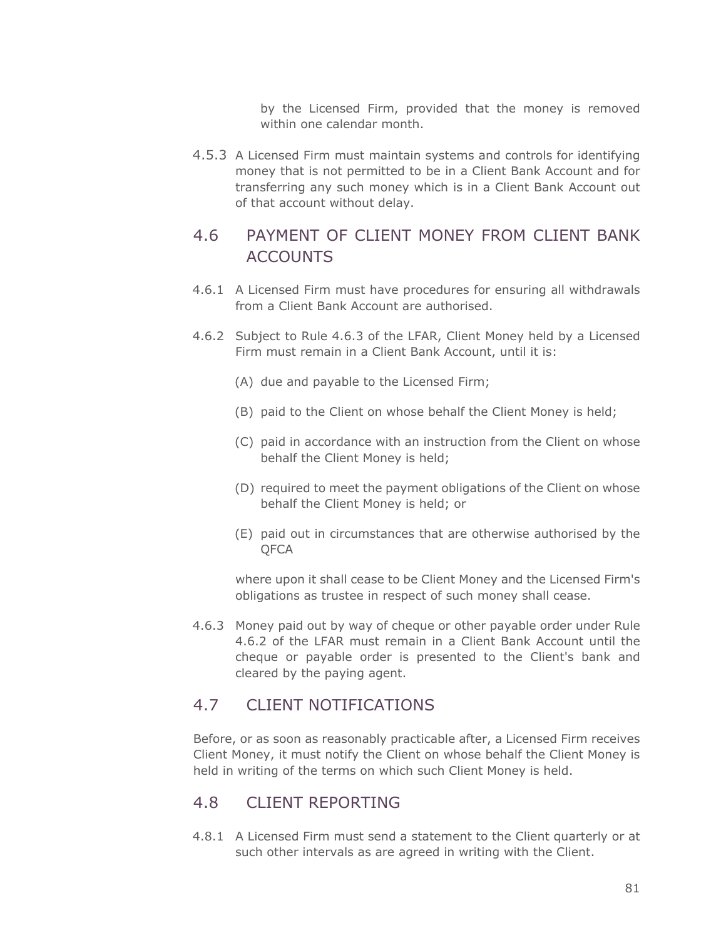by the Licensed Firm, provided that the money is removed within one calendar month.

4.5.3 A Licensed Firm must maintain systems and controls for identifying money that is not permitted to be in a Client Bank Account and for transferring any such money which is in a Client Bank Account out of that account without delay.

## 4.6 PAYMENT OF CLIENT MONEY FROM CLIENT BANK **ACCOUNTS**

- 4.6.1 A Licensed Firm must have procedures for ensuring all withdrawals from a Client Bank Account are authorised.
- 4.6.2 Subject to Rule 4.6.3 of the LFAR, Client Money held by a Licensed Firm must remain in a Client Bank Account, until it is:
	- (A) due and payable to the Licensed Firm;
	- (B) paid to the Client on whose behalf the Client Money is held;
	- (C) paid in accordance with an instruction from the Client on whose behalf the Client Money is held;
	- (D) required to meet the payment obligations of the Client on whose behalf the Client Money is held; or
	- (E) paid out in circumstances that are otherwise authorised by the QFCA

where upon it shall cease to be Client Money and the Licensed Firm's obligations as trustee in respect of such money shall cease.

4.6.3 Money paid out by way of cheque or other payable order under Rule 4.6.2 of the LFAR must remain in a Client Bank Account until the cheque or payable order is presented to the Client's bank and cleared by the paying agent.

## 4.7 CLIENT NOTIFICATIONS

Before, or as soon as reasonably practicable after, a Licensed Firm receives Client Money, it must notify the Client on whose behalf the Client Money is held in writing of the terms on which such Client Money is held.

## 4.8 CLIENT REPORTING

4.8.1 A Licensed Firm must send a statement to the Client quarterly or at such other intervals as are agreed in writing with the Client.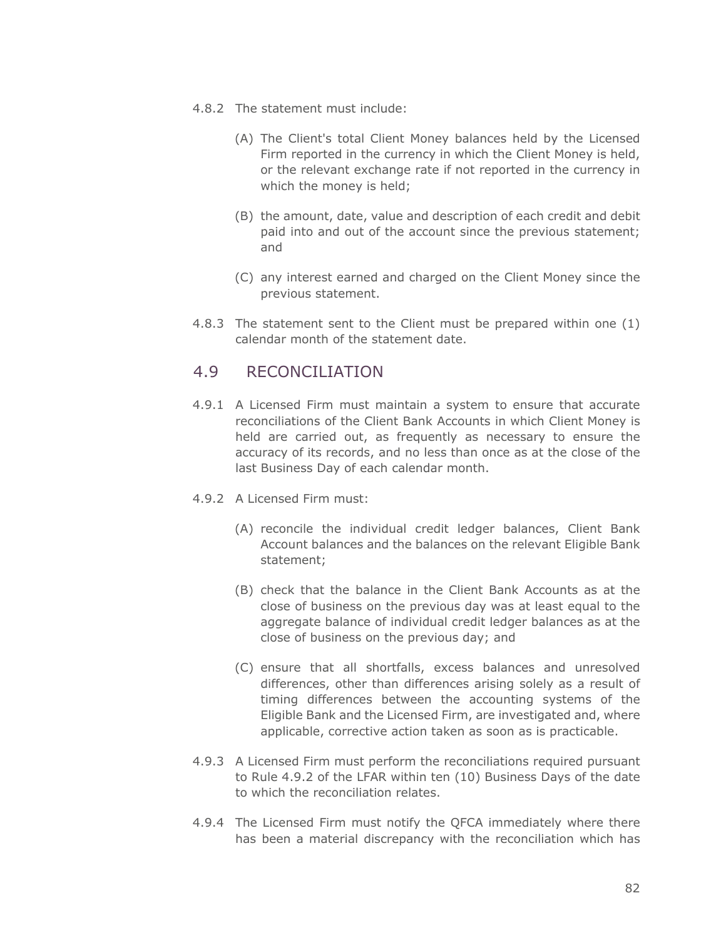- 4.8.2 The statement must include:
	- (A) The Client's total Client Money balances held by the Licensed Firm reported in the currency in which the Client Money is held, or the relevant exchange rate if not reported in the currency in which the money is held;
	- (B) the amount, date, value and description of each credit and debit paid into and out of the account since the previous statement; and
	- (C) any interest earned and charged on the Client Money since the previous statement.
- 4.8.3 The statement sent to the Client must be prepared within one (1) calendar month of the statement date.

## 4.9 RECONCILIATION

- 4.9.1 A Licensed Firm must maintain a system to ensure that accurate reconciliations of the Client Bank Accounts in which Client Money is held are carried out, as frequently as necessary to ensure the accuracy of its records, and no less than once as at the close of the last Business Day of each calendar month.
- 4.9.2 A Licensed Firm must:
	- (A) reconcile the individual credit ledger balances, Client Bank Account balances and the balances on the relevant Eligible Bank statement;
	- (B) check that the balance in the Client Bank Accounts as at the close of business on the previous day was at least equal to the aggregate balance of individual credit ledger balances as at the close of business on the previous day; and
	- (C) ensure that all shortfalls, excess balances and unresolved differences, other than differences arising solely as a result of timing differences between the accounting systems of the Eligible Bank and the Licensed Firm, are investigated and, where applicable, corrective action taken as soon as is practicable.
- 4.9.3 A Licensed Firm must perform the reconciliations required pursuant to Rule 4.9.2 of the LFAR within ten (10) Business Days of the date to which the reconciliation relates.
- 4.9.4 The Licensed Firm must notify the QFCA immediately where there has been a material discrepancy with the reconciliation which has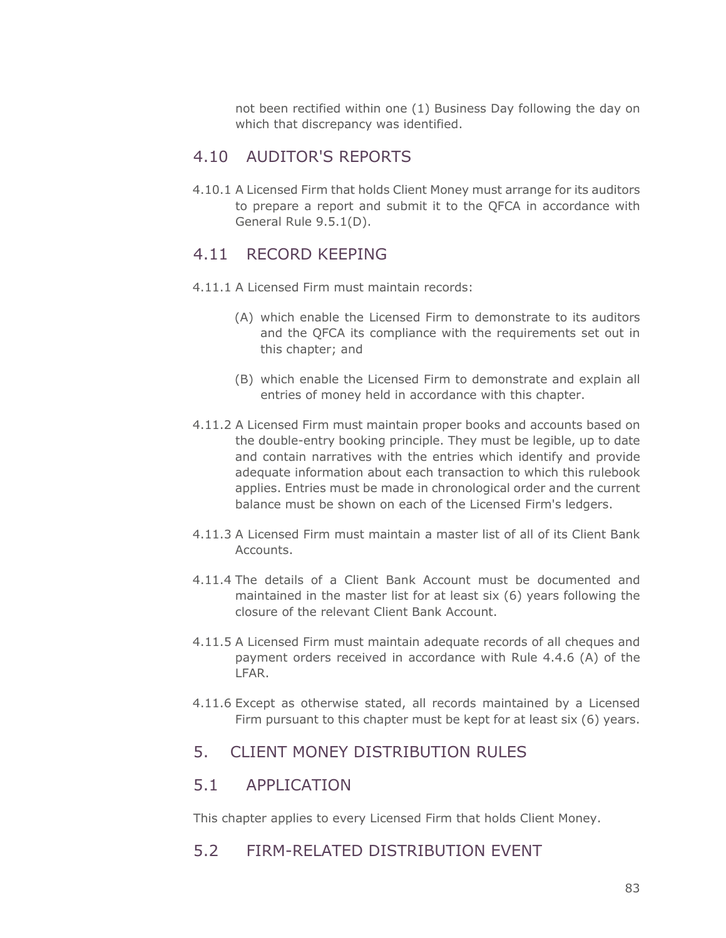not been rectified within one (1) Business Day following the day on which that discrepancy was identified.

### 4.10 AUDITOR'S REPORTS

4.10.1 A Licensed Firm that holds Client Money must arrange for its auditors to prepare a report and submit it to the QFCA in accordance with General Rule 9.5.1(D).

### 4.11 RECORD KEEPING

- 4.11.1 A Licensed Firm must maintain records:
	- (A) which enable the Licensed Firm to demonstrate to its auditors and the QFCA its compliance with the requirements set out in this chapter; and
	- (B) which enable the Licensed Firm to demonstrate and explain all entries of money held in accordance with this chapter.
- 4.11.2 A Licensed Firm must maintain proper books and accounts based on the double-entry booking principle. They must be legible, up to date and contain narratives with the entries which identify and provide adequate information about each transaction to which this rulebook applies. Entries must be made in chronological order and the current balance must be shown on each of the Licensed Firm's ledgers.
- 4.11.3 A Licensed Firm must maintain a master list of all of its Client Bank Accounts.
- 4.11.4 The details of a Client Bank Account must be documented and maintained in the master list for at least six (6) years following the closure of the relevant Client Bank Account.
- 4.11.5 A Licensed Firm must maintain adequate records of all cheques and payment orders received in accordance with Rule 4.4.6 (A) of the LFAR.
- 4.11.6 Except as otherwise stated, all records maintained by a Licensed Firm pursuant to this chapter must be kept for at least six (6) years.

## 5. CLIENT MONEY DISTRIBUTION RULES

### 5.1 APPLICATION

This chapter applies to every Licensed Firm that holds Client Money.

## 5.2 FIRM-RELATED DISTRIBUTION EVENT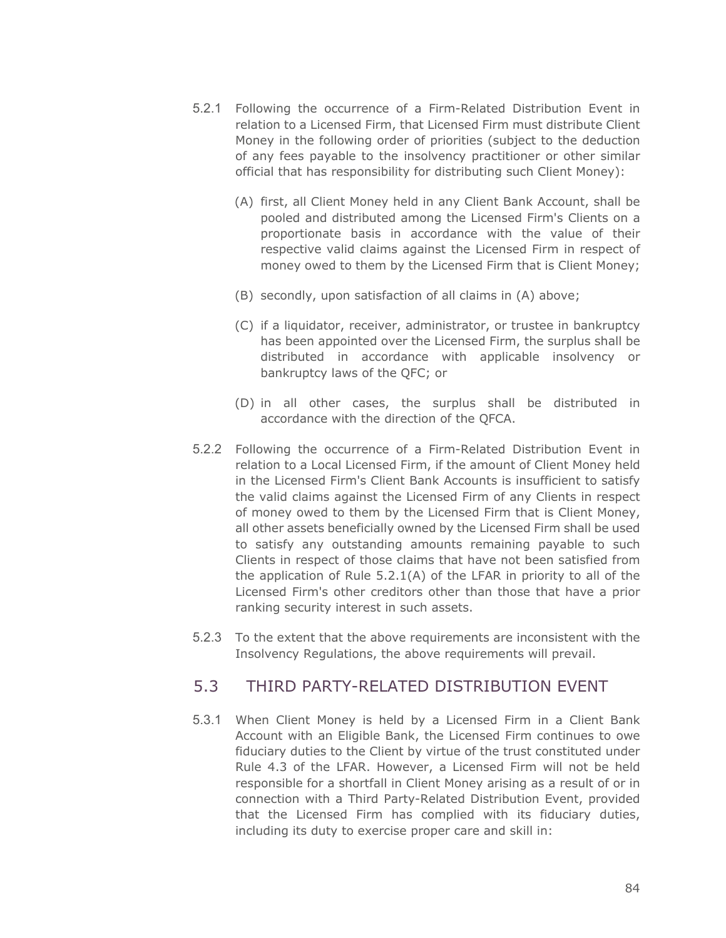- 5.2.1 Following the occurrence of a Firm-Related Distribution Event in relation to a Licensed Firm, that Licensed Firm must distribute Client Money in the following order of priorities (subject to the deduction of any fees payable to the insolvency practitioner or other similar official that has responsibility for distributing such Client Money):
	- (A) first, all Client Money held in any Client Bank Account, shall be pooled and distributed among the Licensed Firm's Clients on a proportionate basis in accordance with the value of their respective valid claims against the Licensed Firm in respect of money owed to them by the Licensed Firm that is Client Money;
	- (B) secondly, upon satisfaction of all claims in (A) above;
	- (C) if a liquidator, receiver, administrator, or trustee in bankruptcy has been appointed over the Licensed Firm, the surplus shall be distributed in accordance with applicable insolvency or bankruptcy laws of the QFC; or
	- (D) in all other cases, the surplus shall be distributed in accordance with the direction of the QFCA.
- 5.2.2 Following the occurrence of a Firm-Related Distribution Event in relation to a Local Licensed Firm, if the amount of Client Money held in the Licensed Firm's Client Bank Accounts is insufficient to satisfy the valid claims against the Licensed Firm of any Clients in respect of money owed to them by the Licensed Firm that is Client Money, all other assets beneficially owned by the Licensed Firm shall be used to satisfy any outstanding amounts remaining payable to such Clients in respect of those claims that have not been satisfied from the application of Rule 5.2.1(A) of the LFAR in priority to all of the Licensed Firm's other creditors other than those that have a prior ranking security interest in such assets.
- 5.2.3 To the extent that the above requirements are inconsistent with the Insolvency Regulations, the above requirements will prevail.

### 5.3 THIRD PARTY-RELATED DISTRIBUTION EVENT

5.3.1 When Client Money is held by a Licensed Firm in a Client Bank Account with an Eligible Bank, the Licensed Firm continues to owe fiduciary duties to the Client by virtue of the trust constituted under Rule 4.3 of the LFAR. However, a Licensed Firm will not be held responsible for a shortfall in Client Money arising as a result of or in connection with a Third Party-Related Distribution Event, provided that the Licensed Firm has complied with its fiduciary duties, including its duty to exercise proper care and skill in: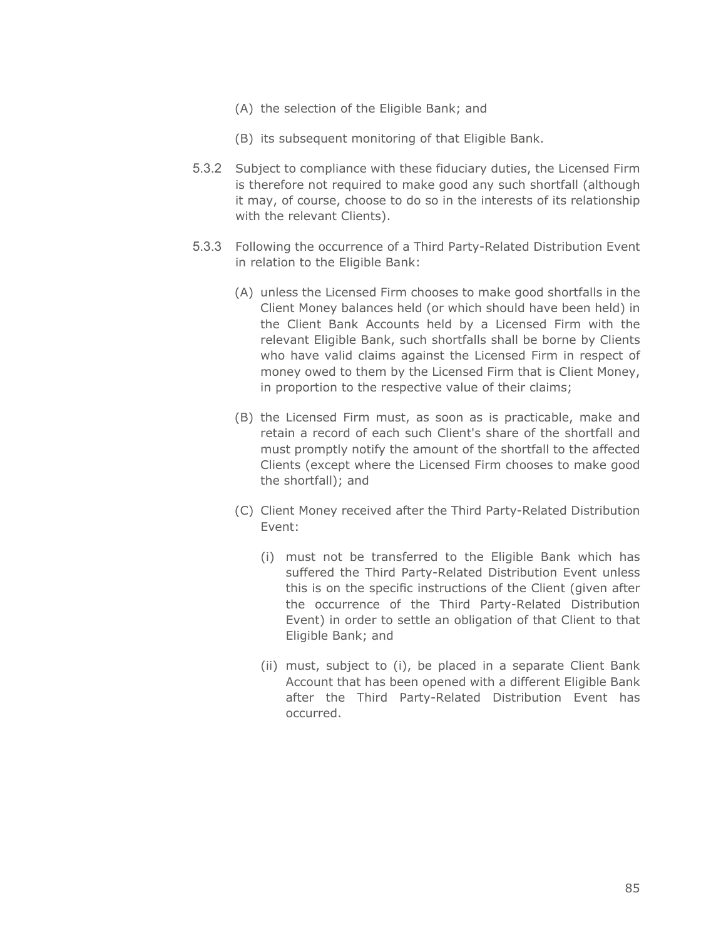- (A) the selection of the Eligible Bank; and
- (B) its subsequent monitoring of that Eligible Bank.
- 5.3.2 Subject to compliance with these fiduciary duties, the Licensed Firm is therefore not required to make good any such shortfall (although it may, of course, choose to do so in the interests of its relationship with the relevant Clients).
- 5.3.3 Following the occurrence of a Third Party-Related Distribution Event in relation to the Eligible Bank:
	- (A) unless the Licensed Firm chooses to make good shortfalls in the Client Money balances held (or which should have been held) in the Client Bank Accounts held by a Licensed Firm with the relevant Eligible Bank, such shortfalls shall be borne by Clients who have valid claims against the Licensed Firm in respect of money owed to them by the Licensed Firm that is Client Money, in proportion to the respective value of their claims;
	- (B) the Licensed Firm must, as soon as is practicable, make and retain a record of each such Client's share of the shortfall and must promptly notify the amount of the shortfall to the affected Clients (except where the Licensed Firm chooses to make good the shortfall); and
	- (C) Client Money received after the Third Party-Related Distribution Event:
		- (i) must not be transferred to the Eligible Bank which has suffered the Third Party-Related Distribution Event unless this is on the specific instructions of the Client (given after the occurrence of the Third Party-Related Distribution Event) in order to settle an obligation of that Client to that Eligible Bank; and
		- (ii) must, subject to (i), be placed in a separate Client Bank Account that has been opened with a different Eligible Bank after the Third Party-Related Distribution Event has occurred.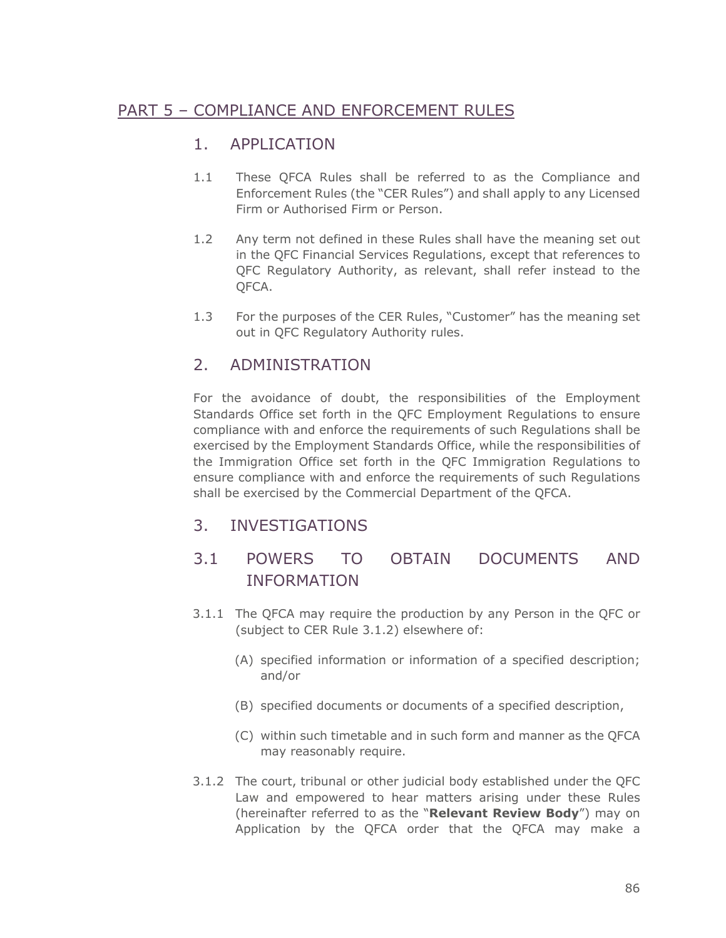## PART 5 – COMPLIANCE AND ENFORCEMENT RULES

### 1. APPLICATION

- 1.1 These QFCA Rules shall be referred to as the Compliance and Enforcement Rules (the "CER Rules") and shall apply to any Licensed Firm or Authorised Firm or Person.
- 1.2 Any term not defined in these Rules shall have the meaning set out in the QFC Financial Services Regulations, except that references to QFC Regulatory Authority, as relevant, shall refer instead to the QFCA.
- 1.3 For the purposes of the CER Rules, "Customer" has the meaning set out in QFC Regulatory Authority rules.

## 2. ADMINISTRATION

For the avoidance of doubt, the responsibilities of the Employment Standards Office set forth in the QFC Employment Regulations to ensure compliance with and enforce the requirements of such Regulations shall be exercised by the Employment Standards Office, while the responsibilities of the Immigration Office set forth in the QFC Immigration Regulations to ensure compliance with and enforce the requirements of such Regulations shall be exercised by the Commercial Department of the QFCA.

## 3. INVESTIGATIONS

## 3.1 POWERS TO OBTAIN DOCUMENTS AND INFORMATION

- 3.1.1 The QFCA may require the production by any Person in the QFC or (subject to CER Rule 3.1.2) elsewhere of:
	- (A) specified information or information of a specified description; and/or
	- (B) specified documents or documents of a specified description,
	- (C) within such timetable and in such form and manner as the QFCA may reasonably require.
- 3.1.2 The court, tribunal or other judicial body established under the QFC Law and empowered to hear matters arising under these Rules (hereinafter referred to as the "**Relevant Review Body**") may on Application by the QFCA order that the QFCA may make a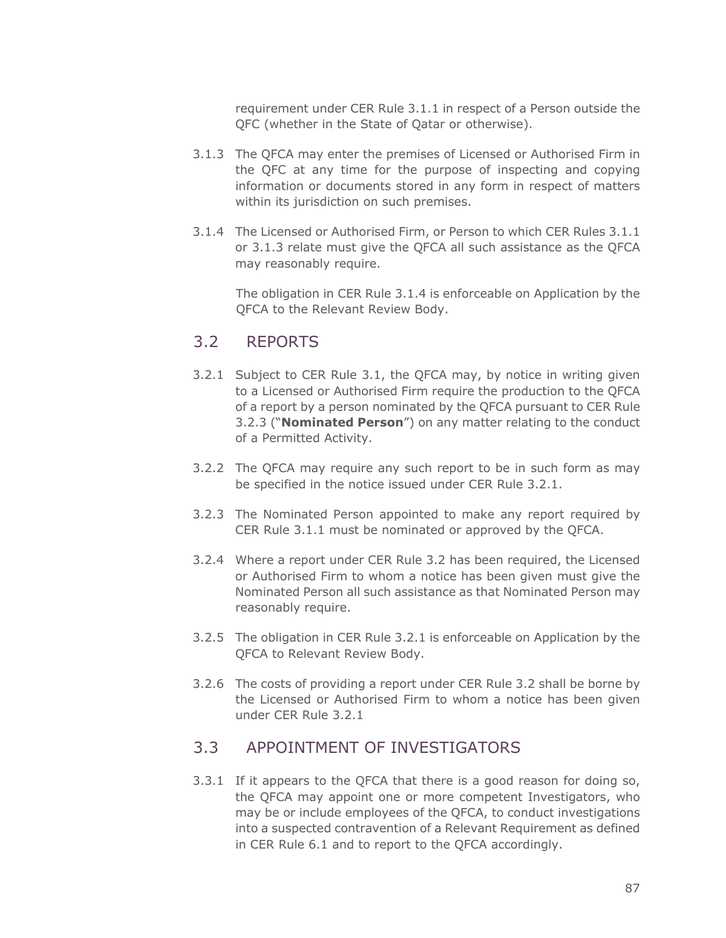requirement under CER Rule 3.1.1 in respect of a Person outside the QFC (whether in the State of Qatar or otherwise).

- 3.1.3 The QFCA may enter the premises of Licensed or Authorised Firm in the QFC at any time for the purpose of inspecting and copying information or documents stored in any form in respect of matters within its jurisdiction on such premises.
- 3.1.4 The Licensed or Authorised Firm, or Person to which CER Rules 3.1.1 or 3.1.3 relate must give the QFCA all such assistance as the QFCA may reasonably require.

The obligation in CER Rule 3.1.4 is enforceable on Application by the QFCA to the Relevant Review Body.

### 3.2 REPORTS

- 3.2.1 Subject to CER Rule 3.1, the QFCA may, by notice in writing given to a Licensed or Authorised Firm require the production to the QFCA of a report by a person nominated by the QFCA pursuant to CER Rule 3.2.3 ("**Nominated Person**") on any matter relating to the conduct of a Permitted Activity.
- 3.2.2 The QFCA may require any such report to be in such form as may be specified in the notice issued under CER Rule 3.2.1.
- 3.2.3 The Nominated Person appointed to make any report required by CER Rule 3.1.1 must be nominated or approved by the QFCA.
- 3.2.4 Where a report under CER Rule 3.2 has been required, the Licensed or Authorised Firm to whom a notice has been given must give the Nominated Person all such assistance as that Nominated Person may reasonably require.
- 3.2.5 The obligation in CER Rule 3.2.1 is enforceable on Application by the QFCA to Relevant Review Body.
- 3.2.6 The costs of providing a report under CER Rule 3.2 shall be borne by the Licensed or Authorised Firm to whom a notice has been given under CER Rule 3.2.1

## 3.3 APPOINTMENT OF INVESTIGATORS

3.3.1 If it appears to the QFCA that there is a good reason for doing so, the QFCA may appoint one or more competent Investigators, who may be or include employees of the QFCA, to conduct investigations into a suspected contravention of a Relevant Requirement as defined in CER Rule 6.1 and to report to the QFCA accordingly.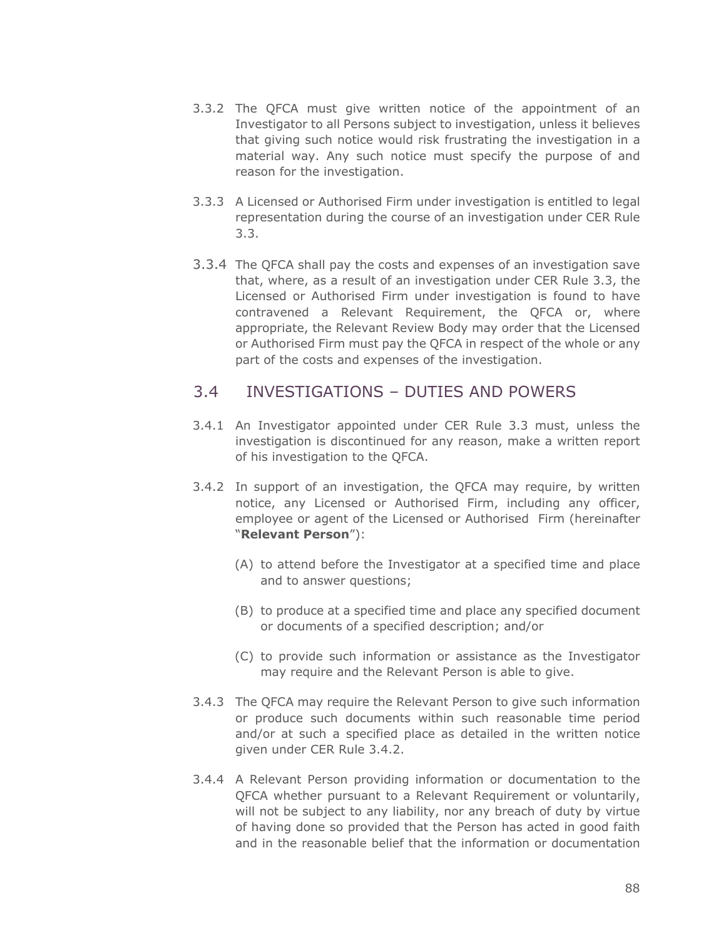- 3.3.2 The QFCA must give written notice of the appointment of an Investigator to all Persons subject to investigation, unless it believes that giving such notice would risk frustrating the investigation in a material way. Any such notice must specify the purpose of and reason for the investigation.
- 3.3.3 A Licensed or Authorised Firm under investigation is entitled to legal representation during the course of an investigation under CER Rule 3.3.
- 3.3.4 The QFCA shall pay the costs and expenses of an investigation save that, where, as a result of an investigation under CER Rule 3.3, the Licensed or Authorised Firm under investigation is found to have contravened a Relevant Requirement, the QFCA or, where appropriate, the Relevant Review Body may order that the Licensed or Authorised Firm must pay the QFCA in respect of the whole or any part of the costs and expenses of the investigation.

### 3.4 INVESTIGATIONS – DUTIES AND POWERS

- 3.4.1 An Investigator appointed under CER Rule 3.3 must, unless the investigation is discontinued for any reason, make a written report of his investigation to the QFCA.
- 3.4.2 In support of an investigation, the QFCA may require, by written notice, any Licensed or Authorised Firm, including any officer, employee or agent of the Licensed or Authorised Firm (hereinafter "**Relevant Person**"):
	- (A) to attend before the Investigator at a specified time and place and to answer questions;
	- (B) to produce at a specified time and place any specified document or documents of a specified description; and/or
	- (C) to provide such information or assistance as the Investigator may require and the Relevant Person is able to give.
- 3.4.3 The QFCA may require the Relevant Person to give such information or produce such documents within such reasonable time period and/or at such a specified place as detailed in the written notice given under CER Rule 3.4.2.
- 3.4.4 A Relevant Person providing information or documentation to the QFCA whether pursuant to a Relevant Requirement or voluntarily, will not be subject to any liability, nor any breach of duty by virtue of having done so provided that the Person has acted in good faith and in the reasonable belief that the information or documentation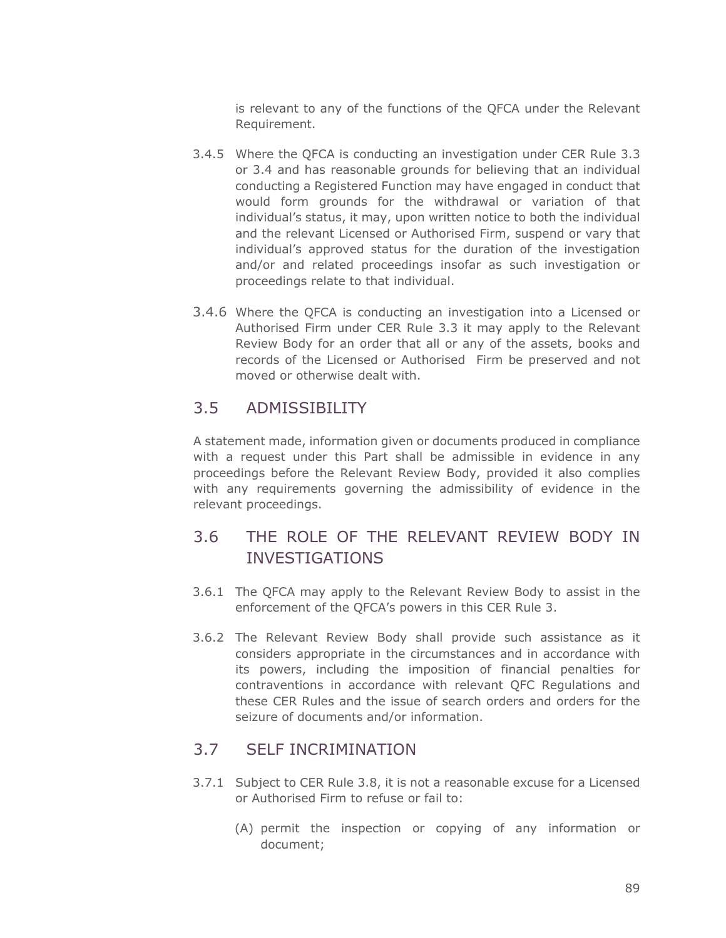is relevant to any of the functions of the QFCA under the Relevant Requirement.

- 3.4.5 Where the QFCA is conducting an investigation under CER Rule 3.3 or 3.4 and has reasonable grounds for believing that an individual conducting a Registered Function may have engaged in conduct that would form grounds for the withdrawal or variation of that individual's status, it may, upon written notice to both the individual and the relevant Licensed or Authorised Firm, suspend or vary that individual's approved status for the duration of the investigation and/or and related proceedings insofar as such investigation or proceedings relate to that individual.
- 3.4.6 Where the QFCA is conducting an investigation into a Licensed or Authorised Firm under CER Rule 3.3 it may apply to the Relevant Review Body for an order that all or any of the assets, books and records of the Licensed or Authorised Firm be preserved and not moved or otherwise dealt with.

## 3.5 ADMISSIBILITY

A statement made, information given or documents produced in compliance with a request under this Part shall be admissible in evidence in any proceedings before the Relevant Review Body, provided it also complies with any requirements governing the admissibility of evidence in the relevant proceedings.

# 3.6 THE ROLE OF THE RELEVANT REVIEW BODY IN INVESTIGATIONS

- 3.6.1 The QFCA may apply to the Relevant Review Body to assist in the enforcement of the QFCA's powers in this CER Rule 3.
- 3.6.2 The Relevant Review Body shall provide such assistance as it considers appropriate in the circumstances and in accordance with its powers, including the imposition of financial penalties for contraventions in accordance with relevant QFC Regulations and these CER Rules and the issue of search orders and orders for the seizure of documents and/or information.

## 3.7 SELF INCRIMINATION

- 3.7.1 Subject to CER Rule 3.8, it is not a reasonable excuse for a Licensed or Authorised Firm to refuse or fail to:
	- (A) permit the inspection or copying of any information or document;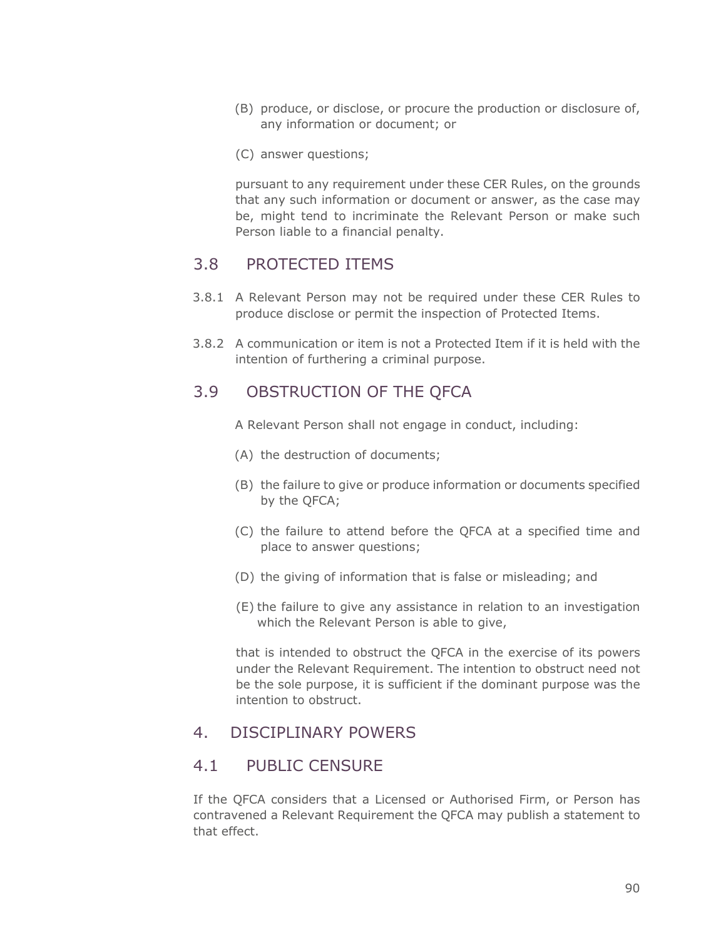- (B) produce, or disclose, or procure the production or disclosure of, any information or document; or
- (C) answer questions;

pursuant to any requirement under these CER Rules, on the grounds that any such information or document or answer, as the case may be, might tend to incriminate the Relevant Person or make such Person liable to a financial penalty.

### 3.8 PROTECTED ITEMS

- 3.8.1 A Relevant Person may not be required under these CER Rules to produce disclose or permit the inspection of Protected Items.
- 3.8.2 A communication or item is not a Protected Item if it is held with the intention of furthering a criminal purpose.

### 3.9 OBSTRUCTION OF THE QFCA

A Relevant Person shall not engage in conduct, including:

- (A) the destruction of documents;
- (B) the failure to give or produce information or documents specified by the QFCA;
- (C) the failure to attend before the QFCA at a specified time and place to answer questions;
- (D) the giving of information that is false or misleading; and
- (E) the failure to give any assistance in relation to an investigation which the Relevant Person is able to give,

that is intended to obstruct the QFCA in the exercise of its powers under the Relevant Requirement. The intention to obstruct need not be the sole purpose, it is sufficient if the dominant purpose was the intention to obstruct.

### 4. DISCIPLINARY POWERS

### 4.1 PUBLIC CENSURE

If the QFCA considers that a Licensed or Authorised Firm, or Person has contravened a Relevant Requirement the QFCA may publish a statement to that effect.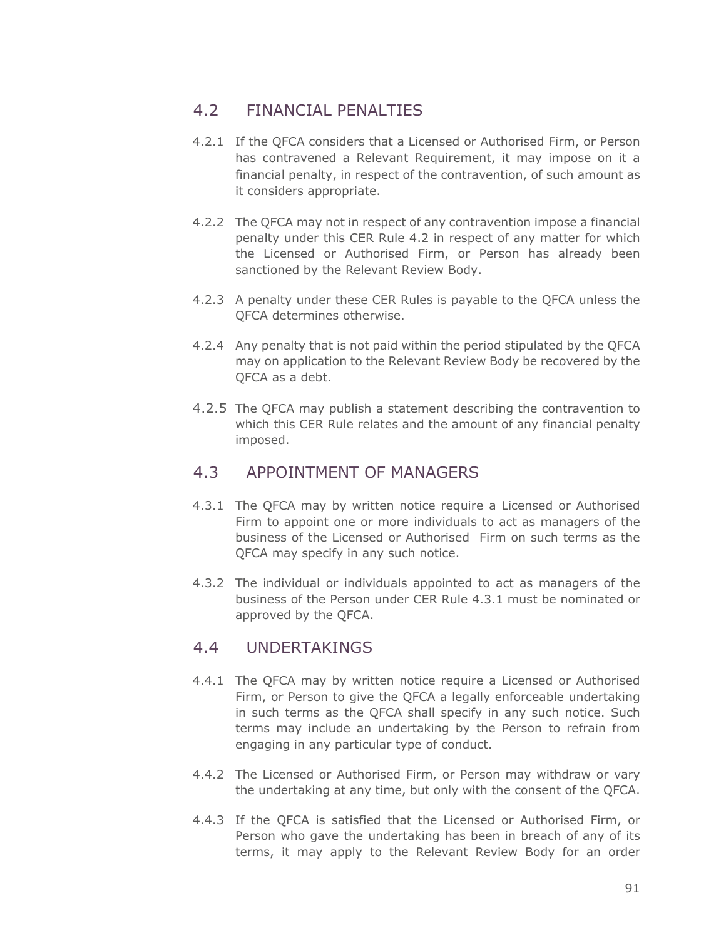### 4.2 FINANCIAL PENALTIES

- 4.2.1 If the QFCA considers that a Licensed or Authorised Firm, or Person has contravened a Relevant Requirement, it may impose on it a financial penalty, in respect of the contravention, of such amount as it considers appropriate.
- 4.2.2 The QFCA may not in respect of any contravention impose a financial penalty under this CER Rule 4.2 in respect of any matter for which the Licensed or Authorised Firm, or Person has already been sanctioned by the Relevant Review Body.
- 4.2.3 A penalty under these CER Rules is payable to the QFCA unless the QFCA determines otherwise.
- 4.2.4 Any penalty that is not paid within the period stipulated by the QFCA may on application to the Relevant Review Body be recovered by the QFCA as a debt.
- 4.2.5 The QFCA may publish a statement describing the contravention to which this CER Rule relates and the amount of any financial penalty imposed.

### 4.3 APPOINTMENT OF MANAGERS

- 4.3.1 The QFCA may by written notice require a Licensed or Authorised Firm to appoint one or more individuals to act as managers of the business of the Licensed or Authorised Firm on such terms as the QFCA may specify in any such notice.
- 4.3.2 The individual or individuals appointed to act as managers of the business of the Person under CER Rule 4.3.1 must be nominated or approved by the QFCA.

## 4.4 UNDERTAKINGS

- 4.4.1 The QFCA may by written notice require a Licensed or Authorised Firm, or Person to give the QFCA a legally enforceable undertaking in such terms as the QFCA shall specify in any such notice. Such terms may include an undertaking by the Person to refrain from engaging in any particular type of conduct.
- 4.4.2 The Licensed or Authorised Firm, or Person may withdraw or vary the undertaking at any time, but only with the consent of the QFCA.
- 4.4.3 If the QFCA is satisfied that the Licensed or Authorised Firm, or Person who gave the undertaking has been in breach of any of its terms, it may apply to the Relevant Review Body for an order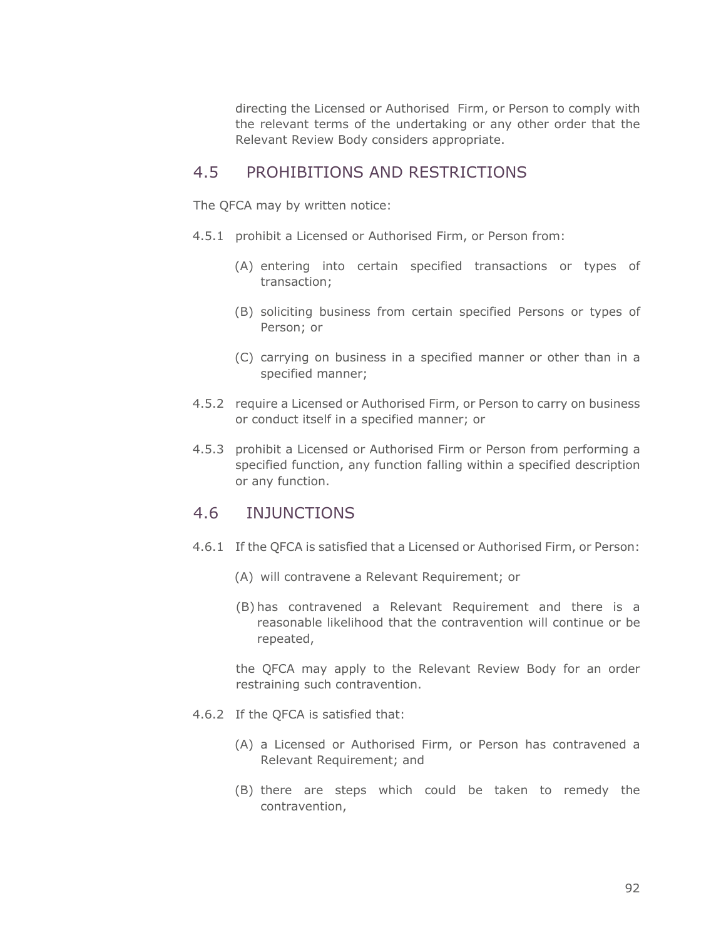directing the Licensed or Authorised Firm, or Person to comply with the relevant terms of the undertaking or any other order that the Relevant Review Body considers appropriate.

### 4.5 PROHIBITIONS AND RESTRICTIONS

The QFCA may by written notice:

- 4.5.1 prohibit a Licensed or Authorised Firm, or Person from:
	- (A) entering into certain specified transactions or types of transaction;
	- (B) soliciting business from certain specified Persons or types of Person; or
	- (C) carrying on business in a specified manner or other than in a specified manner;
- 4.5.2 require a Licensed or Authorised Firm, or Person to carry on business or conduct itself in a specified manner; or
- 4.5.3 prohibit a Licensed or Authorised Firm or Person from performing a specified function, any function falling within a specified description or any function.

### 4.6 INJUNCTIONS

- 4.6.1 If the QFCA is satisfied that a Licensed or Authorised Firm, or Person:
	- (A) will contravene a Relevant Requirement; or
	- (B) has contravened a Relevant Requirement and there is a reasonable likelihood that the contravention will continue or be repeated,

the QFCA may apply to the Relevant Review Body for an order restraining such contravention.

- 4.6.2 If the QFCA is satisfied that:
	- (A) a Licensed or Authorised Firm, or Person has contravened a Relevant Requirement; and
	- (B) there are steps which could be taken to remedy the contravention,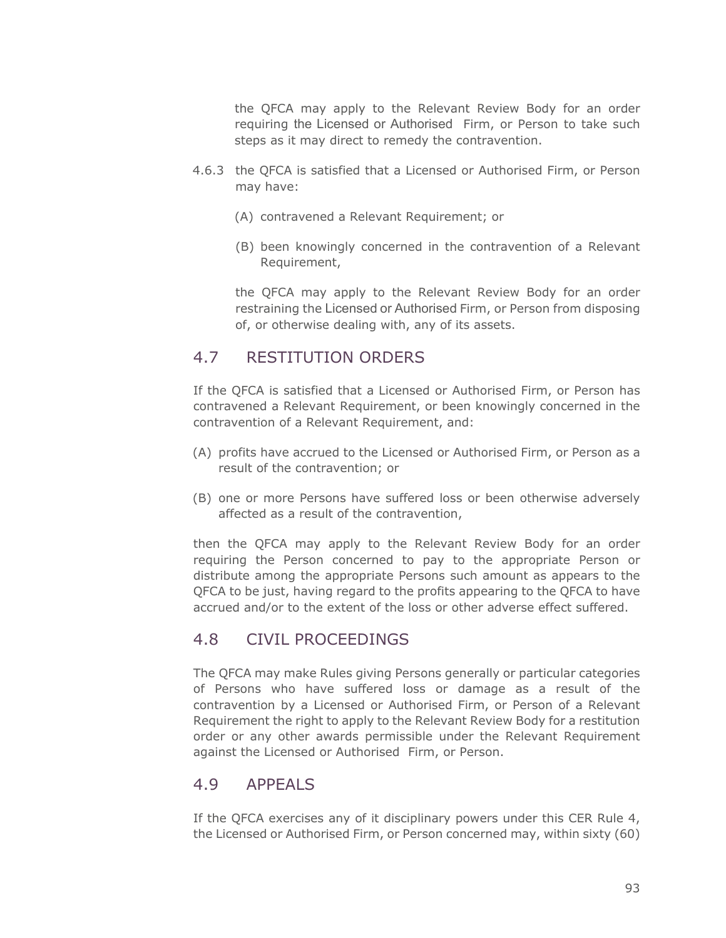the QFCA may apply to the Relevant Review Body for an order requiring the Licensed or Authorised Firm, or Person to take such steps as it may direct to remedy the contravention.

- 4.6.3 the QFCA is satisfied that a Licensed or Authorised Firm, or Person may have:
	- (A) contravened a Relevant Requirement; or
	- (B) been knowingly concerned in the contravention of a Relevant Requirement,

the QFCA may apply to the Relevant Review Body for an order restraining the Licensed or Authorised Firm, or Person from disposing of, or otherwise dealing with, any of its assets.

## 4.7 RESTITUTION ORDERS

If the QFCA is satisfied that a Licensed or Authorised Firm, or Person has contravened a Relevant Requirement, or been knowingly concerned in the contravention of a Relevant Requirement, and:

- (A) profits have accrued to the Licensed or Authorised Firm, or Person as a result of the contravention; or
- (B) one or more Persons have suffered loss or been otherwise adversely affected as a result of the contravention,

then the QFCA may apply to the Relevant Review Body for an order requiring the Person concerned to pay to the appropriate Person or distribute among the appropriate Persons such amount as appears to the QFCA to be just, having regard to the profits appearing to the QFCA to have accrued and/or to the extent of the loss or other adverse effect suffered.

## 4.8 CIVIL PROCEEDINGS

The QFCA may make Rules giving Persons generally or particular categories of Persons who have suffered loss or damage as a result of the contravention by a Licensed or Authorised Firm, or Person of a Relevant Requirement the right to apply to the Relevant Review Body for a restitution order or any other awards permissible under the Relevant Requirement against the Licensed or Authorised Firm, or Person.

## 4.9 APPEALS

If the QFCA exercises any of it disciplinary powers under this CER Rule 4, the Licensed or Authorised Firm, or Person concerned may, within sixty (60)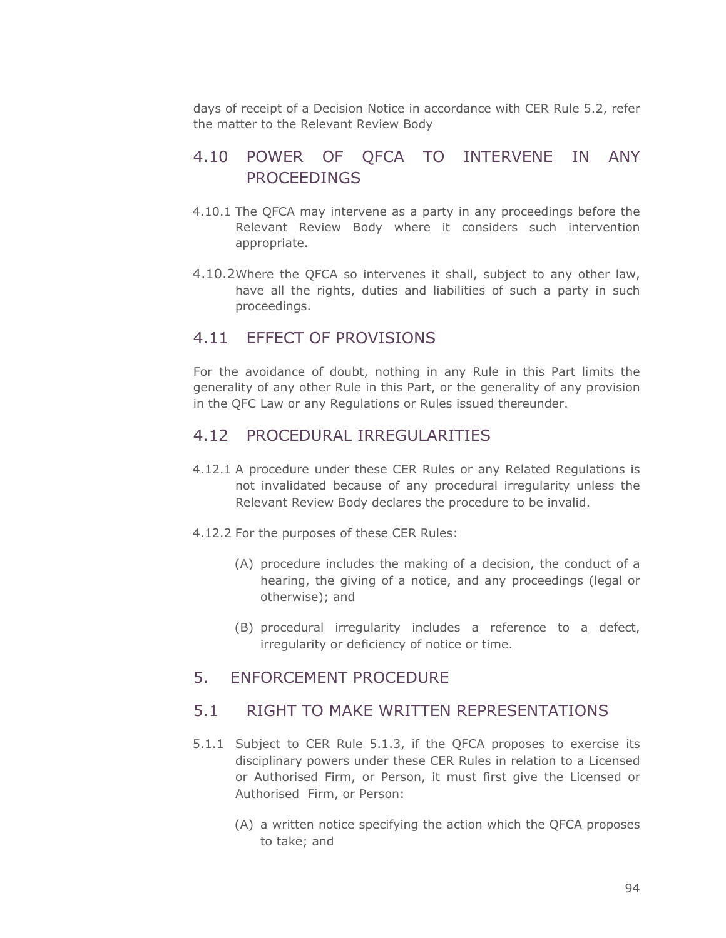days of receipt of a Decision Notice in accordance with CER Rule 5.2, refer the matter to the Relevant Review Body

## 4.10 POWER OF QFCA TO INTERVENE IN ANY **PROCEEDINGS**

- 4.10.1 The QFCA may intervene as a party in any proceedings before the Relevant Review Body where it considers such intervention appropriate.
- 4.10.2Where the QFCA so intervenes it shall, subject to any other law, have all the rights, duties and liabilities of such a party in such proceedings.

### 4.11 EFFECT OF PROVISIONS

For the avoidance of doubt, nothing in any Rule in this Part limits the generality of any other Rule in this Part, or the generality of any provision in the QFC Law or any Regulations or Rules issued thereunder.

### 4.12 PROCEDURAL IRREGULARITIES

- 4.12.1 A procedure under these CER Rules or any Related Regulations is not invalidated because of any procedural irregularity unless the Relevant Review Body declares the procedure to be invalid.
- 4.12.2 For the purposes of these CER Rules:
	- (A) procedure includes the making of a decision, the conduct of a hearing, the giving of a notice, and any proceedings (legal or otherwise); and
	- (B) procedural irregularity includes a reference to a defect, irregularity or deficiency of notice or time.

### 5. ENFORCEMENT PROCEDURE

### 5.1 RIGHT TO MAKE WRITTEN REPRESENTATIONS

- 5.1.1 Subject to CER Rule 5.1.3, if the QFCA proposes to exercise its disciplinary powers under these CER Rules in relation to a Licensed or Authorised Firm, or Person, it must first give the Licensed or Authorised Firm, or Person:
	- (A) a written notice specifying the action which the QFCA proposes to take; and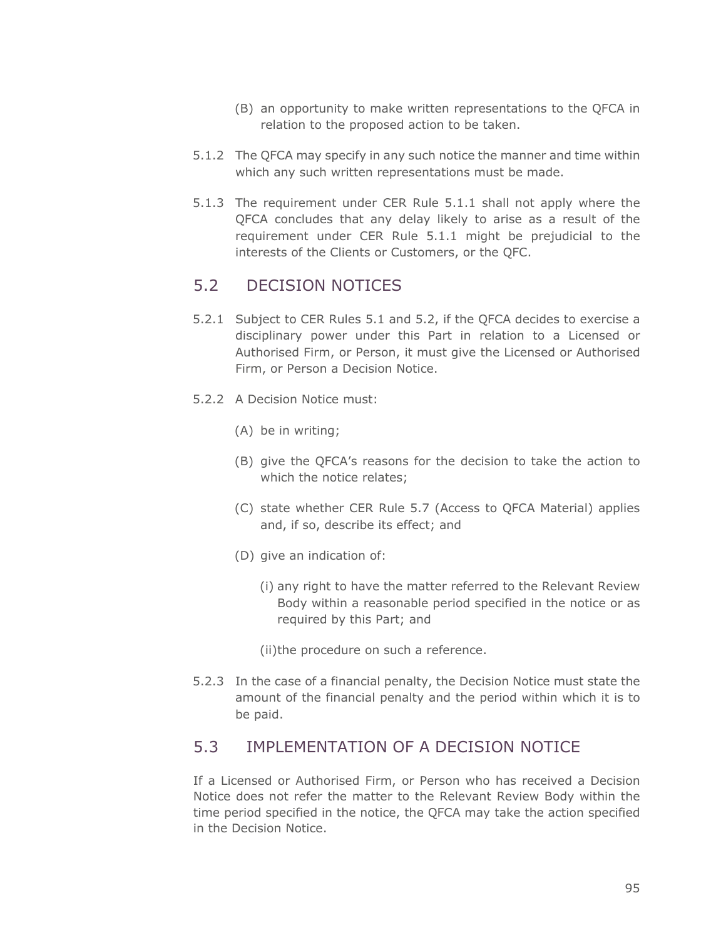- (B) an opportunity to make written representations to the QFCA in relation to the proposed action to be taken.
- 5.1.2 The QFCA may specify in any such notice the manner and time within which any such written representations must be made.
- 5.1.3 The requirement under CER Rule 5.1.1 shall not apply where the QFCA concludes that any delay likely to arise as a result of the requirement under CER Rule 5.1.1 might be prejudicial to the interests of the Clients or Customers, or the QFC.

## 5.2 DECISION NOTICES

- 5.2.1 Subject to CER Rules 5.1 and 5.2, if the QFCA decides to exercise a disciplinary power under this Part in relation to a Licensed or Authorised Firm, or Person, it must give the Licensed or Authorised Firm, or Person a Decision Notice.
- 5.2.2 A Decision Notice must:
	- (A) be in writing;
	- (B) give the QFCA's reasons for the decision to take the action to which the notice relates;
	- (C) state whether CER Rule 5.7 (Access to QFCA Material) applies and, if so, describe its effect; and
	- (D) give an indication of:
		- (i) any right to have the matter referred to the Relevant Review Body within a reasonable period specified in the notice or as required by this Part; and

(ii)the procedure on such a reference.

5.2.3 In the case of a financial penalty, the Decision Notice must state the amount of the financial penalty and the period within which it is to be paid.

## 5.3 IMPLEMENTATION OF A DECISION NOTICE

If a Licensed or Authorised Firm, or Person who has received a Decision Notice does not refer the matter to the Relevant Review Body within the time period specified in the notice, the QFCA may take the action specified in the Decision Notice.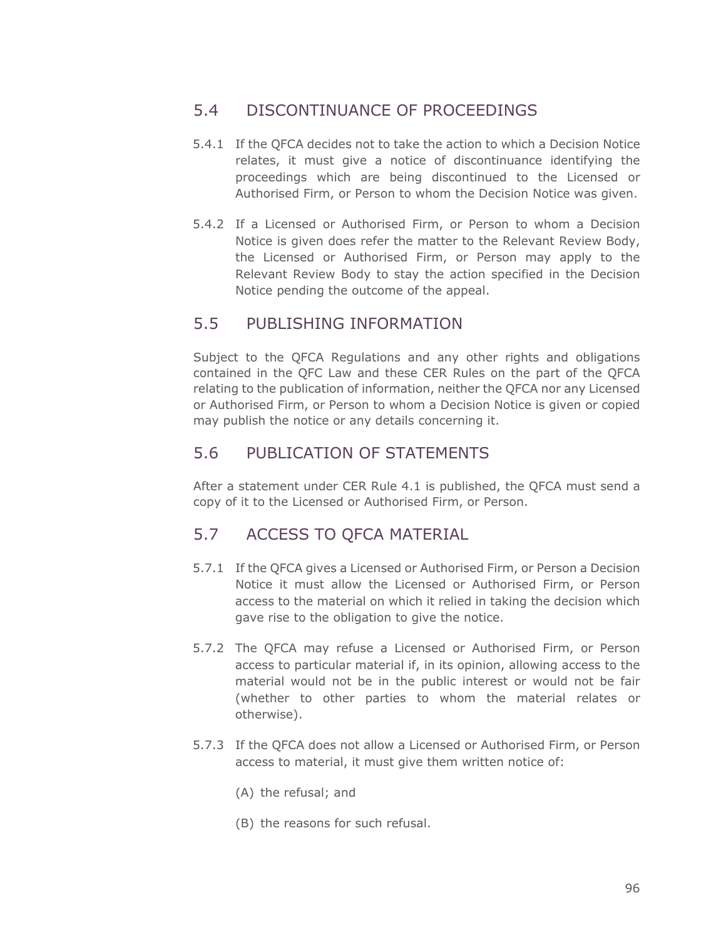## 5.4 DISCONTINUANCE OF PROCEEDINGS

- 5.4.1 If the QFCA decides not to take the action to which a Decision Notice relates, it must give a notice of discontinuance identifying the proceedings which are being discontinued to the Licensed or Authorised Firm, or Person to whom the Decision Notice was given.
- 5.4.2 If a Licensed or Authorised Firm, or Person to whom a Decision Notice is given does refer the matter to the Relevant Review Body, the Licensed or Authorised Firm, or Person may apply to the Relevant Review Body to stay the action specified in the Decision Notice pending the outcome of the appeal.

### 5.5 PUBLISHING INFORMATION

Subject to the QFCA Regulations and any other rights and obligations contained in the QFC Law and these CER Rules on the part of the QFCA relating to the publication of information, neither the QFCA nor any Licensed or Authorised Firm, or Person to whom a Decision Notice is given or copied may publish the notice or any details concerning it.

### 5.6 PUBLICATION OF STATEMENTS

After a statement under CER Rule 4.1 is published, the QFCA must send a copy of it to the Licensed or Authorised Firm, or Person.

## 5.7 ACCESS TO QFCA MATERIAL

- 5.7.1 If the QFCA gives a Licensed or Authorised Firm, or Person a Decision Notice it must allow the Licensed or Authorised Firm, or Person access to the material on which it relied in taking the decision which gave rise to the obligation to give the notice.
- 5.7.2 The QFCA may refuse a Licensed or Authorised Firm, or Person access to particular material if, in its opinion, allowing access to the material would not be in the public interest or would not be fair (whether to other parties to whom the material relates or otherwise).
- 5.7.3 If the QFCA does not allow a Licensed or Authorised Firm, or Person access to material, it must give them written notice of:
	- (A) the refusal; and
	- (B) the reasons for such refusal.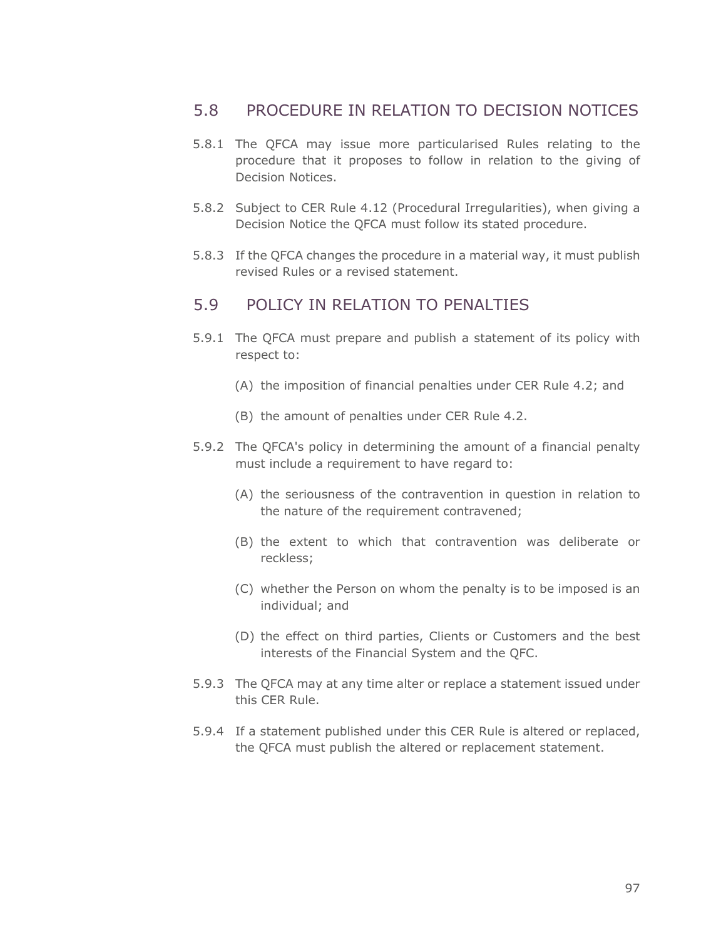### 5.8 PROCEDURE IN RELATION TO DECISION NOTICES

- 5.8.1 The QFCA may issue more particularised Rules relating to the procedure that it proposes to follow in relation to the giving of Decision Notices.
- 5.8.2 Subject to CER Rule 4.12 (Procedural Irregularities), when giving a Decision Notice the QFCA must follow its stated procedure.
- 5.8.3 If the QFCA changes the procedure in a material way, it must publish revised Rules or a revised statement.

#### 5.9 POLICY IN RELATION TO PENALTIES

- 5.9.1 The QFCA must prepare and publish a statement of its policy with respect to:
	- (A) the imposition of financial penalties under CER Rule 4.2; and
	- (B) the amount of penalties under CER Rule 4.2.
- 5.9.2 The QFCA's policy in determining the amount of a financial penalty must include a requirement to have regard to:
	- (A) the seriousness of the contravention in question in relation to the nature of the requirement contravened;
	- (B) the extent to which that contravention was deliberate or reckless;
	- (C) whether the Person on whom the penalty is to be imposed is an individual; and
	- (D) the effect on third parties, Clients or Customers and the best interests of the Financial System and the QFC.
- 5.9.3 The QFCA may at any time alter or replace a statement issued under this CER Rule.
- 5.9.4 If a statement published under this CER Rule is altered or replaced, the QFCA must publish the altered or replacement statement.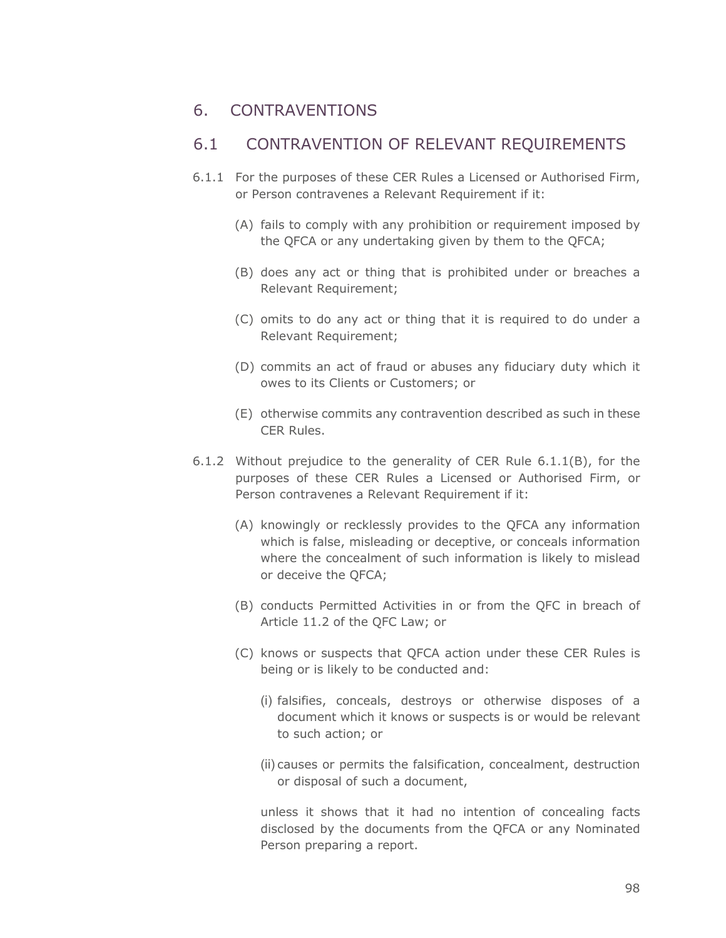### 6. CONTRAVENTIONS

### 6.1 CONTRAVENTION OF RELEVANT REQUIREMENTS

- 6.1.1 For the purposes of these CER Rules a Licensed or Authorised Firm, or Person contravenes a Relevant Requirement if it:
	- (A) fails to comply with any prohibition or requirement imposed by the QFCA or any undertaking given by them to the QFCA;
	- (B) does any act or thing that is prohibited under or breaches a Relevant Requirement;
	- (C) omits to do any act or thing that it is required to do under a Relevant Requirement;
	- (D) commits an act of fraud or abuses any fiduciary duty which it owes to its Clients or Customers; or
	- (E) otherwise commits any contravention described as such in these CER Rules.
- 6.1.2 Without prejudice to the generality of CER Rule 6.1.1(B), for the purposes of these CER Rules a Licensed or Authorised Firm, or Person contravenes a Relevant Requirement if it:
	- (A) knowingly or recklessly provides to the QFCA any information which is false, misleading or deceptive, or conceals information where the concealment of such information is likely to mislead or deceive the QFCA;
	- (B) conducts Permitted Activities in or from the QFC in breach of Article 11.2 of the QFC Law; or
	- (C) knows or suspects that QFCA action under these CER Rules is being or is likely to be conducted and:
		- (i) falsifies, conceals, destroys or otherwise disposes of a document which it knows or suspects is or would be relevant to such action; or
		- (ii) causes or permits the falsification, concealment, destruction or disposal of such a document,

unless it shows that it had no intention of concealing facts disclosed by the documents from the QFCA or any Nominated Person preparing a report.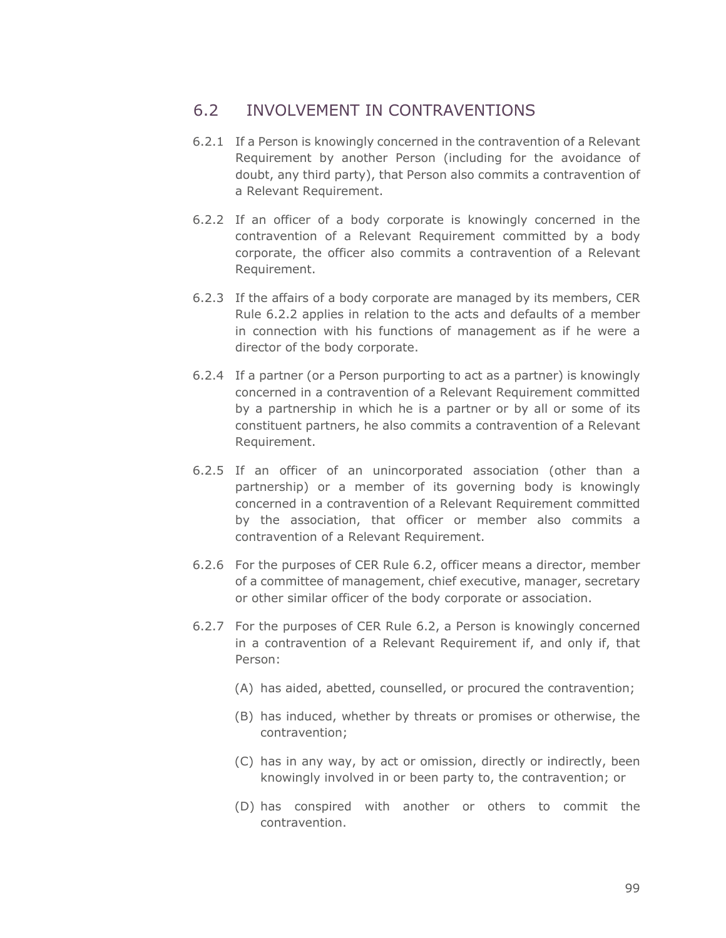#### 6.2 INVOLVEMENT IN CONTRAVENTIONS

- 6.2.1 If a Person is knowingly concerned in the contravention of a Relevant Requirement by another Person (including for the avoidance of doubt, any third party), that Person also commits a contravention of a Relevant Requirement.
- 6.2.2 If an officer of a body corporate is knowingly concerned in the contravention of a Relevant Requirement committed by a body corporate, the officer also commits a contravention of a Relevant Requirement.
- 6.2.3 If the affairs of a body corporate are managed by its members, CER Rule 6.2.2 applies in relation to the acts and defaults of a member in connection with his functions of management as if he were a director of the body corporate.
- 6.2.4 If a partner (or a Person purporting to act as a partner) is knowingly concerned in a contravention of a Relevant Requirement committed by a partnership in which he is a partner or by all or some of its constituent partners, he also commits a contravention of a Relevant Requirement.
- 6.2.5 If an officer of an unincorporated association (other than a partnership) or a member of its governing body is knowingly concerned in a contravention of a Relevant Requirement committed by the association, that officer or member also commits a contravention of a Relevant Requirement.
- 6.2.6 For the purposes of CER Rule 6.2, officer means a director, member of a committee of management, chief executive, manager, secretary or other similar officer of the body corporate or association.
- 6.2.7 For the purposes of CER Rule 6.2, a Person is knowingly concerned in a contravention of a Relevant Requirement if, and only if, that Person:
	- (A) has aided, abetted, counselled, or procured the contravention;
	- (B) has induced, whether by threats or promises or otherwise, the contravention;
	- (C) has in any way, by act or omission, directly or indirectly, been knowingly involved in or been party to, the contravention; or
	- (D) has conspired with another or others to commit the contravention.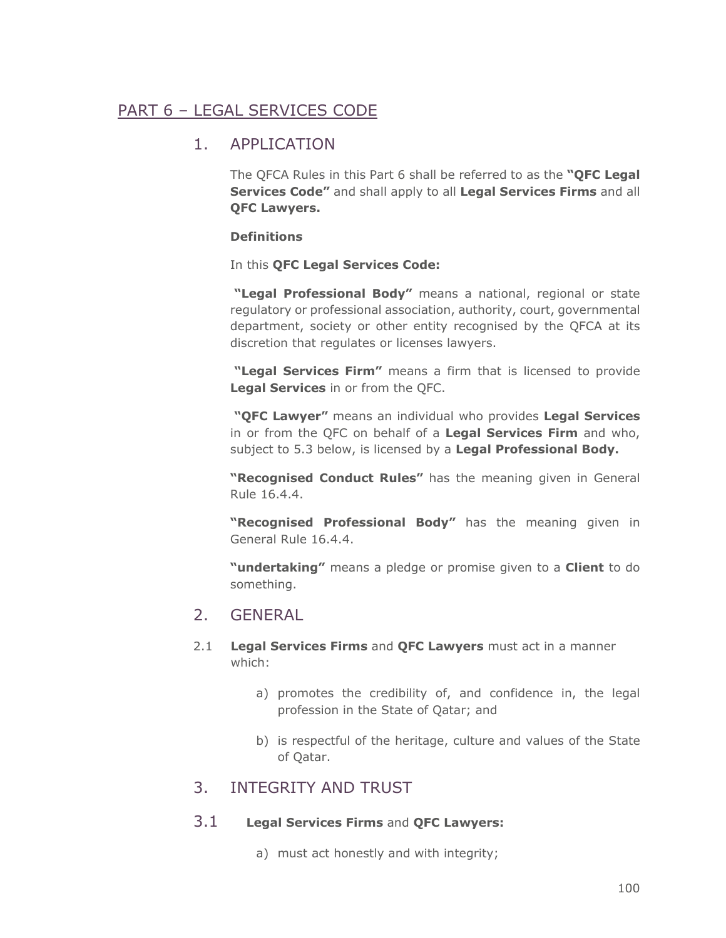## PART 6 – LEGAL SERVICES CODE

### 1. APPLICATION

The [QFCA Rules](javascript:void(gwin=window.open() in this Part 6 shall be referred to as the **"QFC Legal Services Code"** and shall apply to all **Legal Services Firms** and all **QFC Lawyers.**

#### **Definitions**

In this **QFC Legal Services Code:**

**"Legal Professional Body"** means a national, regional or state regulatory or professional association, authority, court, governmental department, society or other entity recognised by the QFCA at its discretion that regulates or licenses lawyers.

**"Legal Services Firm"** means a firm that is licensed to provide **Legal Services** in or from the QFC.

**"QFC Lawyer"** means an individual who provides **Legal Services**  in or from the QFC on behalf of a **Legal Services Firm** and who, subject to 5.3 below, is licensed by a **Legal Professional Body.** 

**"Recognised Conduct Rules"** has the meaning given in General Rule 16.4.4.

**"Recognised Professional Body"** has the meaning given in General Rule 16.4.4.

**"undertaking"** means a pledge or promise given to a **Client** to do something.

### 2. GENERAL

- 2.1 **Legal Services Firms** and **QFC Lawyers** must act in a manner which:
	- a) promotes the credibility of, and confidence in, the legal profession in the State of Qatar; and
	- b) is respectful of the heritage, culture and values of the State of Qatar.

### 3. INTEGRITY AND TRUST

#### 3.1 **Legal Services Firms** and **QFC Lawyers:**

a) must act honestly and with integrity;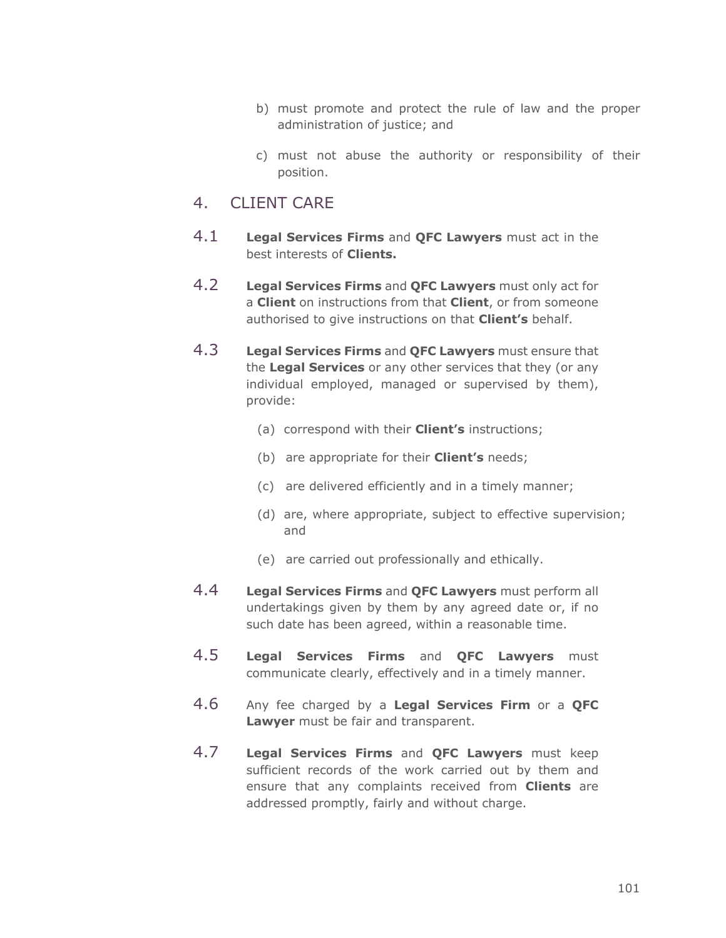- b) must promote and protect the rule of law and the proper administration of justice; and
- c) must not abuse the authority or responsibility of their position.

### 4. CLIENT CARE

- 4.1 **Legal Services Firms** and **QFC Lawyers** must act in the best interests of **Clients.**
- 4.2 **Legal Services Firms** and **QFC Lawyers** must only act for a **Client** on instructions from that **Client**, or from someone authorised to give instructions on that **Client's** behalf.
- 4.3 **Legal Services Firms** and **QFC Lawyers** must ensure that the **Legal Services** or any other services that they (or any individual employed, managed or supervised by them), provide:
	- (a) correspond with their **Client's** instructions;
	- (b) are appropriate for their **Client's** needs;
	- (c) are delivered efficiently and in a timely manner;
	- (d) are, where appropriate, subject to effective supervision; and
	- (e) are carried out professionally and ethically.
- 4.4 **Legal Services Firms** and **QFC Lawyers** must perform all undertakings given by them by any agreed date or, if no such date has been agreed, within a reasonable time.
- 4.5 **Legal Services Firms** and **QFC Lawyers** must communicate clearly, effectively and in a timely manner.
- 4.6 Any fee charged by a **Legal Services Firm** or a **QFC Lawyer** must be fair and transparent.
- 4.7 **Legal Services Firms** and **QFC Lawyers** must keep sufficient records of the work carried out by them and ensure that any complaints received from **Clients** are addressed promptly, fairly and without charge.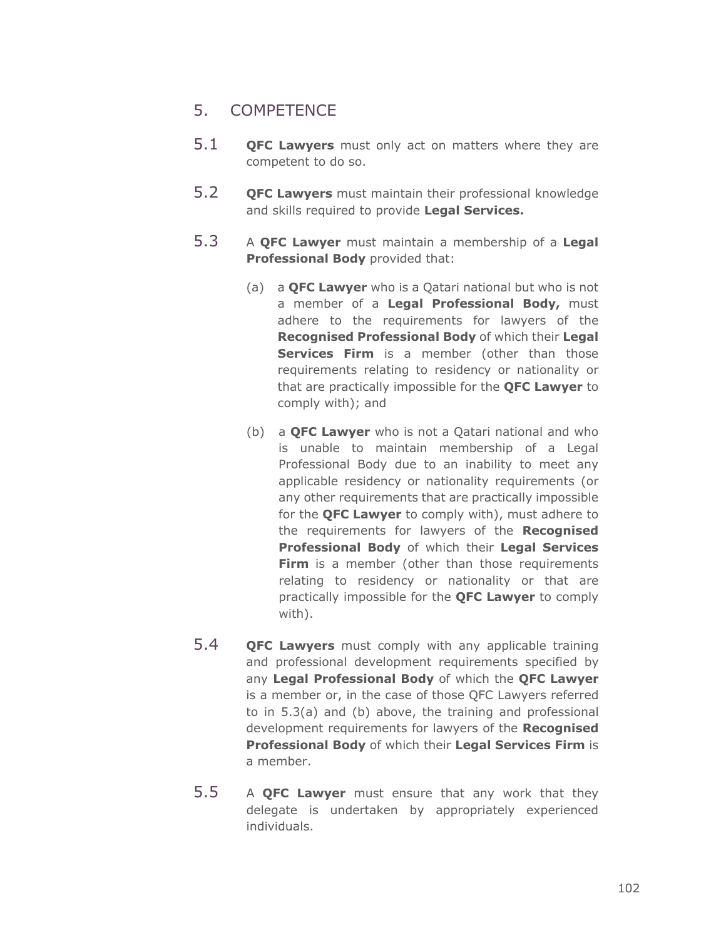## 5. COMPETENCE

- 5.1 **QFC Lawyers** must only act on matters where they are competent to do so.
- 5.2 **QFC Lawyers** must maintain their professional knowledge and skills required to provide **Legal Services.**
- 5.3 A **QFC Lawyer** must maintain a membership of a **Legal Professional Body** provided that:
	- (a) a **QFC Lawyer** who is a Qatari national but who is not a member of a **Legal Professional Body,** must adhere to the requirements for lawyers of the **Recognised Professional Body** of which their **Legal Services Firm** is a member (other than those requirements relating to residency or nationality or that are practically impossible for the **QFC Lawyer** to comply with); and
	- (b) a **QFC Lawyer** who is not a Qatari national and who is unable to maintain membership of a Legal Professional Body due to an inability to meet any applicable residency or nationality requirements (or any other requirements that are practically impossible for the **QFC Lawyer** to comply with), must adhere to the requirements for lawyers of the **Recognised Professional Body** of which their **Legal Services Firm** is a member (other than those requirements relating to residency or nationality or that are practically impossible for the **QFC Lawyer** to comply with).
- 5.4 **QFC Lawyers** must comply with any applicable training and professional development requirements specified by any **Legal Professional Body** of which the **QFC Lawyer**  is a member or, in the case of those QFC Lawyers referred to in 5.3(a) and (b) above, the training and professional development requirements for lawyers of the **Recognised Professional Body** of which their **Legal Services Firm** is a member.
- 5.5 A **QFC Lawyer** must ensure that any work that they delegate is undertaken by appropriately experienced individuals.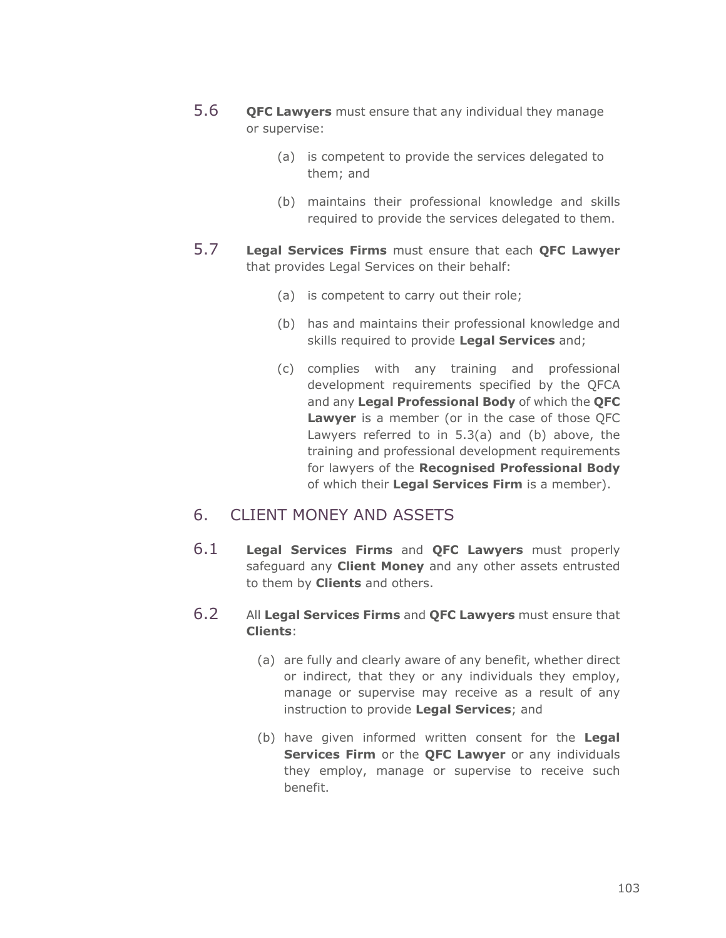- 5.6 **QFC Lawyers** must ensure that any individual they manage or supervise:
	- (a) is competent to provide the services delegated to them; and
	- (b) maintains their professional knowledge and skills required to provide the services delegated to them.
- 5.7 **Legal Services Firms** must ensure that each **QFC Lawyer** that provides Legal Services on their behalf:
	- (a) is competent to carry out their role;
	- (b) has and maintains their professional knowledge and skills required to provide **Legal Services** and;
	- (c) complies with any training and professional development requirements specified by the QFCA and any **Legal Professional Body** of which the **QFC Lawyer** is a member (or in the case of those QFC Lawyers referred to in 5.3(a) and (b) above, the training and professional development requirements for lawyers of the **Recognised Professional Body**  of which their **Legal Services Firm** is a member).

## 6. CLIENT MONEY AND ASSETS

- 6.1 **Legal Services Firms** and **QFC Lawyers** must properly safeguard any **Client Money** and any other assets entrusted to them by **Clients** and others.
- 6.2 All **Legal Services Firms** and **QFC Lawyers** must ensure that **Clients**:
	- (a) are fully and clearly aware of any benefit, whether direct or indirect, that they or any individuals they employ, manage or supervise may receive as a result of any instruction to provide **Legal Services**; and
	- (b) have given informed written consent for the **Legal Services Firm** or the **QFC Lawyer** or any individuals they employ, manage or supervise to receive such benefit.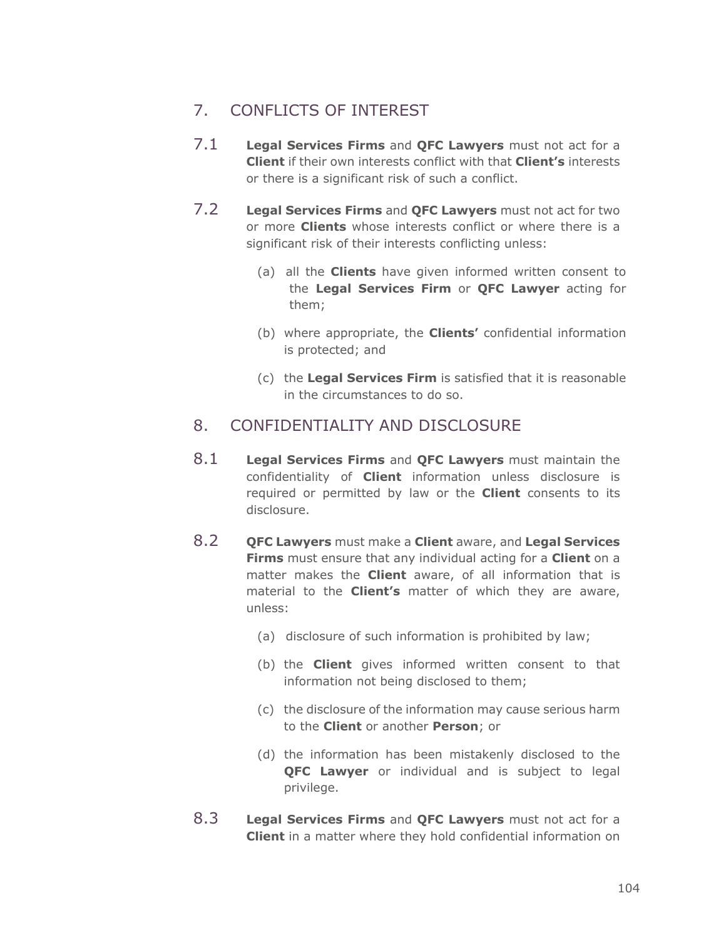## 7. CONFLICTS OF INTEREST

- 7.1 **Legal Services Firms** and **QFC Lawyers** must not act for a **Client** if their own interests conflict with that **Client's** interests or there is a significant risk of such a conflict.
- 7.2 **Legal Services Firms** and **QFC Lawyers** must not act for two or more **Clients** whose interests conflict or where there is a significant risk of their interests conflicting unless:
	- (a) all the **Clients** have given informed written consent to the **Legal Services Firm** or **QFC Lawyer** acting for them;
	- (b) where appropriate, the **Clients'** confidential information is protected; and
	- (c) the **Legal Services Firm** is satisfied that it is reasonable in the circumstances to do so.

## 8. CONFIDENTIALITY AND DISCLOSURE

- 8.1 **Legal Services Firms** and **QFC Lawyers** must maintain the confidentiality of **Client** information unless disclosure is required or permitted by law or the **Client** consents to its disclosure.
- 8.2 **QFC Lawyers** must make a **Client** aware, and **Legal Services Firms** must ensure that any individual acting for a **Client** on a matter makes the **Client** aware, of all information that is material to the **Client's** matter of which they are aware, unless:
	- (a) disclosure of such information is prohibited by law;
	- (b) the **Client** gives informed written consent to that information not being disclosed to them;
	- (c) the disclosure of the information may cause serious harm to the **Client** or another **Person**; or
	- (d) the information has been mistakenly disclosed to the **QFC Lawyer** or individual and is subject to legal privilege.
- 8.3 **Legal Services Firms** and **QFC Lawyers** must not act for a **Client** in a matter where they hold confidential information on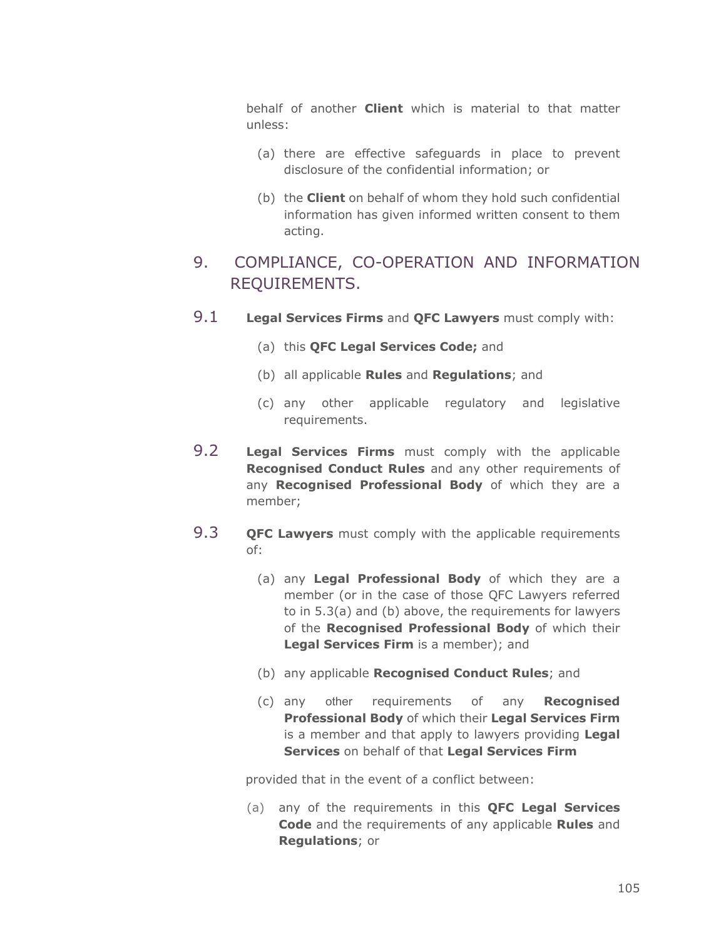behalf of another **Client** which is material to that matter unless:

- (a) there are effective safeguards in place to prevent disclosure of the confidential information; or
- (b) the **Client** on behalf of whom they hold such confidential information has given informed written consent to them acting.
- 9. COMPLIANCE, CO-OPERATION AND INFORMATION REQUIREMENTS.
- 9.1 **Legal Services Firms** and **QFC Lawyers** must comply with:
	- (a) this **QFC Legal Services Code;** and
	- (b) all applicable **Rules** and **Regulations**; and
	- (c) any other applicable regulatory and legislative requirements.
- 9.2 **Legal Services Firms** must comply with the applicable **Recognised Conduct Rules** and any other requirements of any **Recognised Professional Body** of which they are a member;
- 9.3 **QFC Lawyers** must comply with the applicable requirements of:
	- (a) any **Legal Professional Body** of which they are a member (or in the case of those QFC Lawyers referred to in 5.3(a) and (b) above, the requirements for lawyers of the **Recognised Professional Body** of which their **Legal Services Firm** is a member); and
	- (b) any applicable **Recognised Conduct Rules**; and
	- (c) any other requirements of any **Recognised Professional Body** of which their **Legal Services Firm** is a member and that apply to lawyers providing **Legal Services** on behalf of that **Legal Services Firm**

provided that in the event of a conflict between:

(a) any of the requirements in this **QFC Legal Services Code** and the requirements of any applicable **Rules** and **Regulations**; or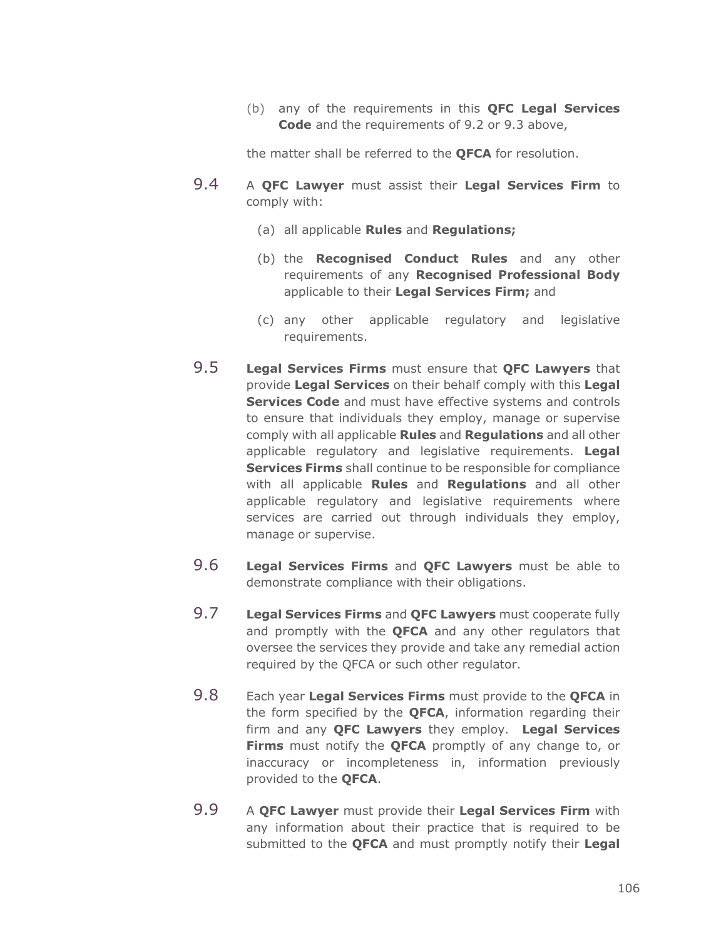(b) any of the requirements in this **QFC Legal Services Code** and the requirements of 9.2 or 9.3 above,

the matter shall be referred to the **QFCA** for resolution.

- 9.4 A **QFC Lawyer** must assist their **Legal Services Firm** to comply with:
	- (a) all applicable **Rules** and **Regulations;**
	- (b) the **Recognised Conduct Rules** and any other requirements of any **Recognised Professional Body**  applicable to their **Legal Services Firm;** and
	- (c) any other applicable regulatory and legislative requirements.
- 9.5 **Legal Services Firms** must ensure that **QFC Lawyers** that provide **Legal Services** on their behalf comply with this **Legal Services Code** and must have effective systems and controls to ensure that individuals they employ, manage or supervise comply with all applicable **Rules** and **Regulations** and all other applicable regulatory and legislative requirements. **Legal Services Firms** shall continue to be responsible for compliance with all applicable **Rules** and **Regulations** and all other applicable regulatory and legislative requirements where services are carried out through individuals they employ, manage or supervise.
- 9.6 **Legal Services Firms** and **QFC Lawyers** must be able to demonstrate compliance with their obligations.
- 9.7 **Legal Services Firms** and **QFC Lawyers** must cooperate fully and promptly with the **QFCA** and any other regulators that oversee the services they provide and take any remedial action required by the QFCA or such other regulator.
- 9.8 Each year **Legal Services Firms** must provide to the **QFCA** in the form specified by the **QFCA**, information regarding their firm and any **QFC Lawyers** they employ. **Legal Services Firms** must notify the **QFCA** promptly of any change to, or inaccuracy or incompleteness in, information previously provided to the **QFCA**.
- 9.9 A **QFC Lawyer** must provide their **Legal Services Firm** with any information about their practice that is required to be submitted to the **QFCA** and must promptly notify their **Legal**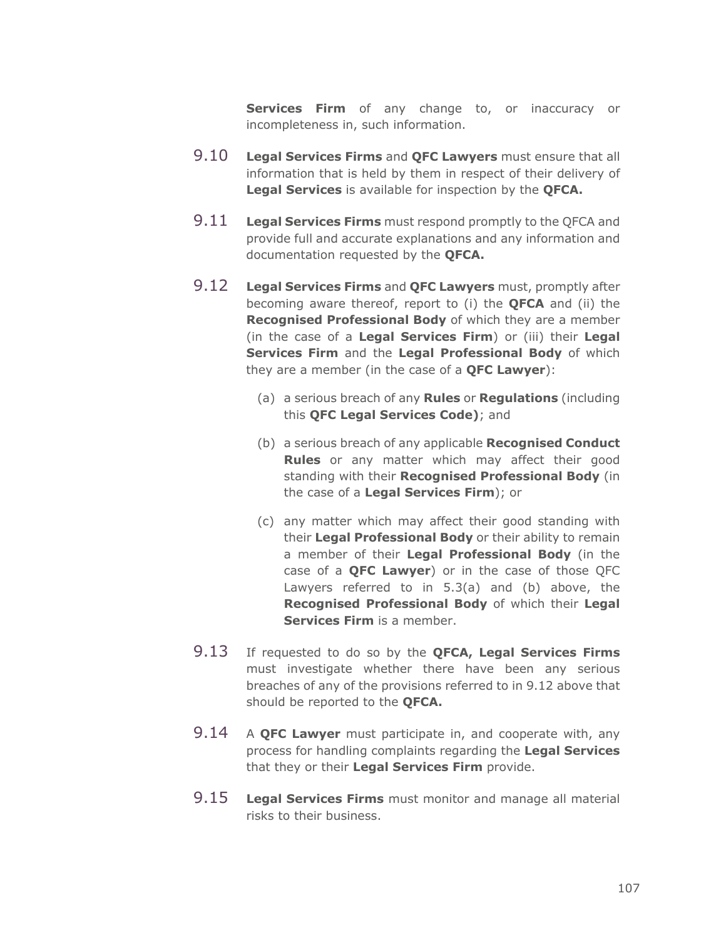**Services Firm** of any change to, or inaccuracy or incompleteness in, such information.

- 9.10 **Legal Services Firms** and **QFC Lawyers** must ensure that all information that is held by them in respect of their delivery of **Legal Services** is available for inspection by the **QFCA.**
- 9.11 **Legal Services Firms** must respond promptly to the QFCA and provide full and accurate explanations and any information and documentation requested by the **QFCA.**
- 9.12 **Legal Services Firms** and **QFC Lawyers** must, promptly after becoming aware thereof, report to (i) the **QFCA** and (ii) the **Recognised Professional Body** of which they are a member (in the case of a **Legal Services Firm**) or (iii) their **Legal Services Firm** and the **Legal Professional Body** of which they are a member (in the case of a **QFC Lawyer**):
	- (a) a serious breach of any **Rules** or **Regulations** (including this **QFC Legal Services Code)**; and
	- (b) a serious breach of any applicable **Recognised Conduct Rules** or any matter which may affect their good standing with their **Recognised Professional Body** (in the case of a **Legal Services Firm**); or
	- (c) any matter which may affect their good standing with their **Legal Professional Body** or their ability to remain a member of their **Legal Professional Body** (in the case of a **QFC Lawyer**) or in the case of those QFC Lawyers referred to in 5.3(a) and (b) above, the **Recognised Professional Body** of which their **Legal Services Firm** is a member.
- 9.13 If requested to do so by the **QFCA, Legal Services Firms** must investigate whether there have been any serious breaches of any of the provisions referred to in 9.12 above that should be reported to the **QFCA.**
- 9.14 A **QFC Lawyer** must participate in, and cooperate with, any process for handling complaints regarding the **Legal Services**  that they or their **Legal Services Firm** provide.
- 9.15 **Legal Services Firms** must monitor and manage all material risks to their business.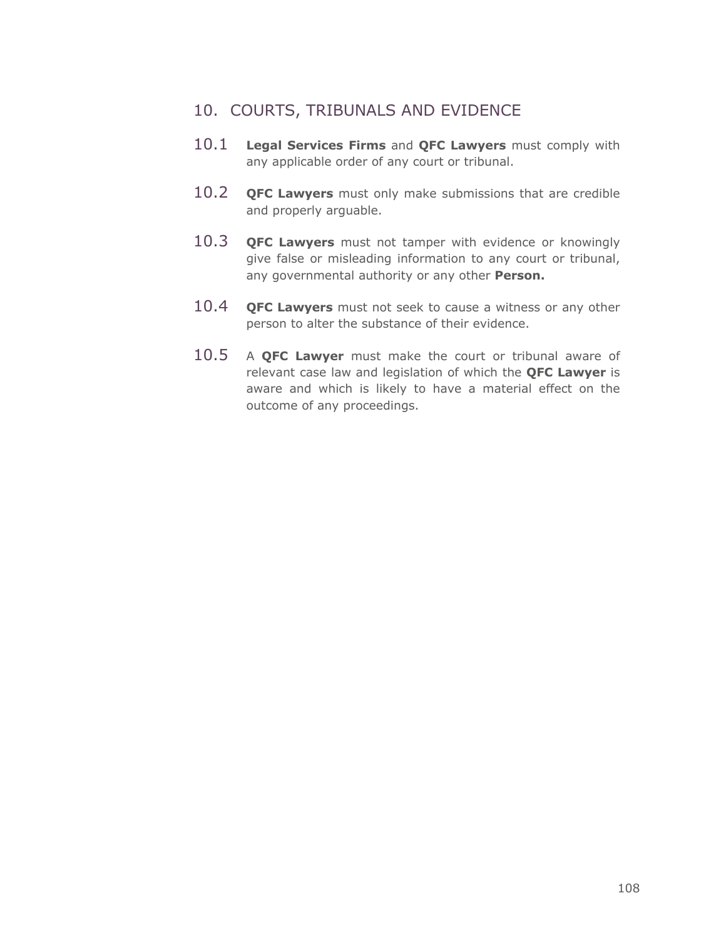## 10. COURTS, TRIBUNALS AND EVIDENCE

- 10.1 **Legal Services Firms** and **QFC Lawyers** must comply with any applicable order of any court or tribunal.
- 10.2 **QFC Lawyers** must only make submissions that are credible and properly arguable.
- 10.3 **QFC Lawyers** must not tamper with evidence or knowingly give false or misleading information to any court or tribunal, any governmental authority or any other **Person.**
- 10.4 **QFC Lawyers** must not seek to cause a witness or any other person to alter the substance of their evidence.
- 10.5 A **QFC Lawyer** must make the court or tribunal aware of relevant case law and legislation of which the **QFC Lawyer** is aware and which is likely to have a material effect on the outcome of any proceedings.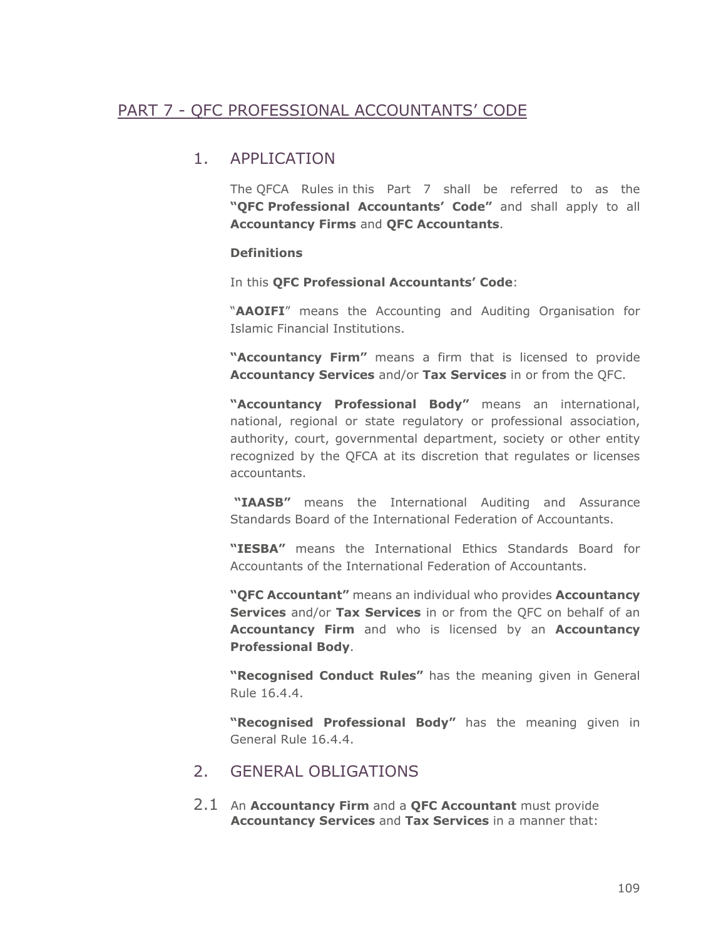## PART 7 - QFC PROFESSIONAL ACCOUNTANTS' CODE

## 1. APPLICATION

The [QFCA Rules](javascript:void(gwin=window.open() in this Part 7 shall be referred to as the **"QFC Professional Accountants' Code"** and shall apply to all **Accountancy Firms** and **QFC Accountants**.

#### **Definitions**

In this **QFC Professional Accountants' Code**:

"**AAOIFI**" means the Accounting and Auditing Organisation for Islamic Financial Institutions.

**"Accountancy Firm"** means a firm that is licensed to provide **Accountancy Services** and/or **Tax Services** in or from the QFC.

**"Accountancy Professional Body"** means an international, national, regional or state regulatory or professional association, authority, court, governmental department, society or other entity recognized by the QFCA at its discretion that regulates or licenses accountants.

**"IAASB"** means the International Auditing and Assurance Standards Board of the International Federation of Accountants.

**"IESBA"** means the International Ethics Standards Board for Accountants of the International Federation of Accountants.

**"QFC Accountant"** means an individual who provides **Accountancy Services** and/or **Tax Services** in or from the QFC on behalf of an **Accountancy Firm** and who is licensed by an **Accountancy Professional Body**.

**"Recognised Conduct Rules"** has the meaning given in General Rule 16.4.4.

**"Recognised Professional Body"** has the meaning given in General Rule 16.4.4.

## 2. GENERAL OBLIGATIONS

2.1 An **Accountancy Firm** and a **QFC Accountant** must provide **Accountancy Services** and **Tax Services** in a manner that: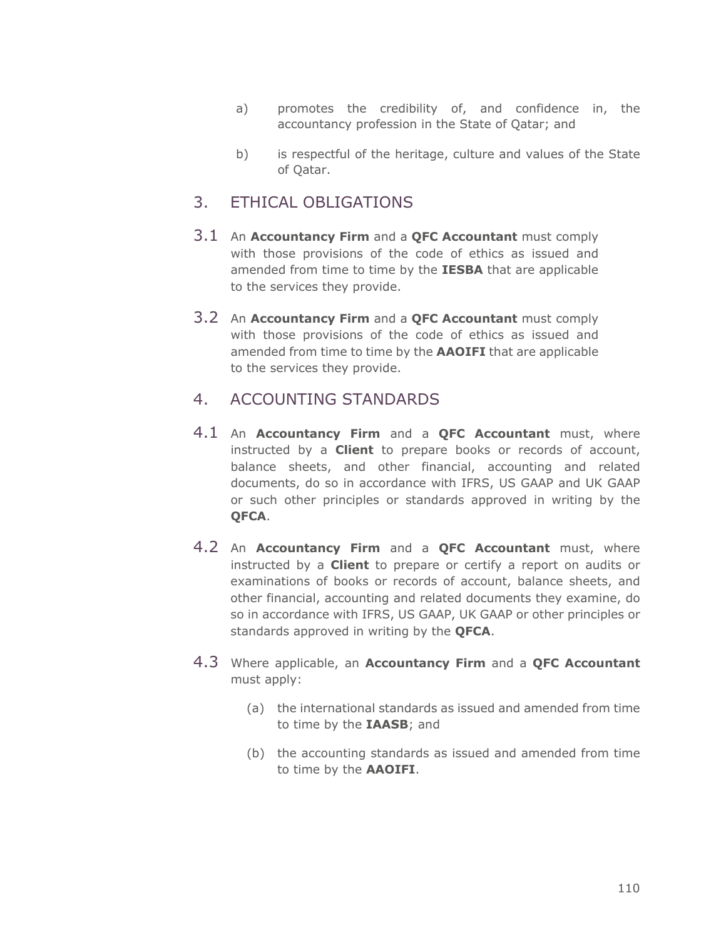- a) promotes the credibility of, and confidence in, the accountancy profession in the State of Qatar; and
- b) is respectful of the heritage, culture and values of the State of Qatar.

## 3. ETHICAL OBLIGATIONS

- 3.1 An **Accountancy Firm** and a **QFC Accountant** must comply with those provisions of the code of ethics as issued and amended from time to time by the **IESBA** that are applicable to the services they provide.
- 3.2 An **Accountancy Firm** and a **QFC Accountant** must comply with those provisions of the code of ethics as issued and amended from time to time by the **AAOIFI** that are applicable to the services they provide.

### 4. ACCOUNTING STANDARDS

- 4.1 An **Accountancy Firm** and a **QFC Accountant** must, where instructed by a **Client** to prepare books or records of account, balance sheets, and other financial, accounting and related documents, do so in accordance with IFRS, US GAAP and UK GAAP or such other principles or standards approved in writing by the **QFCA**.
- 4.2 An **Accountancy Firm** and a **QFC Accountant** must, where instructed by a **Client** to prepare or certify a report on audits or examinations of books or records of account, balance sheets, and other financial, accounting and related documents they examine, do so in accordance with IFRS, US GAAP, UK GAAP or other principles or standards approved in writing by the **QFCA**.
- 4.3 Where applicable, an **Accountancy Firm** and a **QFC Accountant** must apply:
	- (a) the international standards as issued and amended from time to time by the **IAASB**; and
	- (b) the accounting standards as issued and amended from time to time by the **AAOIFI**.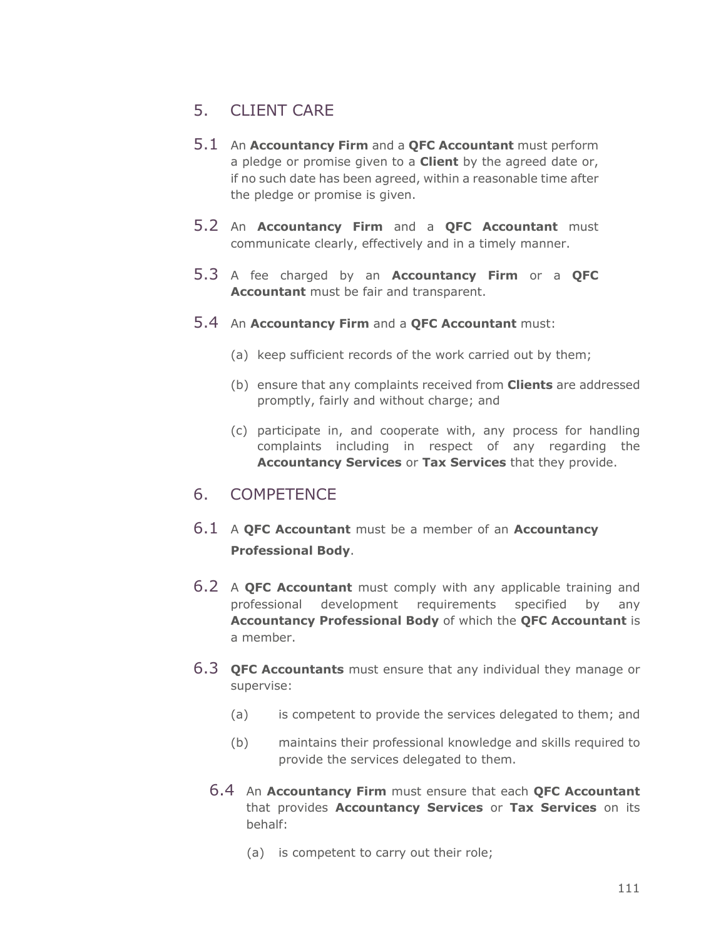## 5. CLIENT CARE

- 5.1 An **Accountancy Firm** and a **QFC Accountant** must perform a pledge or promise given to a **Client** by the agreed date or, if no such date has been agreed, within a reasonable time after the pledge or promise is given.
- 5.2 An **Accountancy Firm** and a **QFC Accountant** must communicate clearly, effectively and in a timely manner.
- 5.3 A fee charged by an **Accountancy Firm** or a **QFC Accountant** must be fair and transparent.
- 5.4 An **Accountancy Firm** and a **QFC Accountant** must:
	- (a) keep sufficient records of the work carried out by them;
	- (b) ensure that any complaints received from **Clients** are addressed promptly, fairly and without charge; and
	- (c) participate in, and cooperate with, any process for handling complaints including in respect of any regarding the **Accountancy Services** or **Tax Services** that they provide.

### 6. COMPETENCE

- 6.1 A **QFC Accountant** must be a member of an **Accountancy Professional Body**.
- 6.2 A **QFC Accountant** must comply with any applicable training and professional development requirements specified by any **Accountancy Professional Body** of which the **QFC Accountant** is a member.
- 6.3 **QFC Accountants** must ensure that any individual they manage or supervise:
	- (a) is competent to provide the services delegated to them; and
	- (b) maintains their professional knowledge and skills required to provide the services delegated to them.
	- 6.4 An **Accountancy Firm** must ensure that each **QFC Accountant**  that provides **Accountancy Services** or **Tax Services** on its behalf:
		- (a) is competent to carry out their role;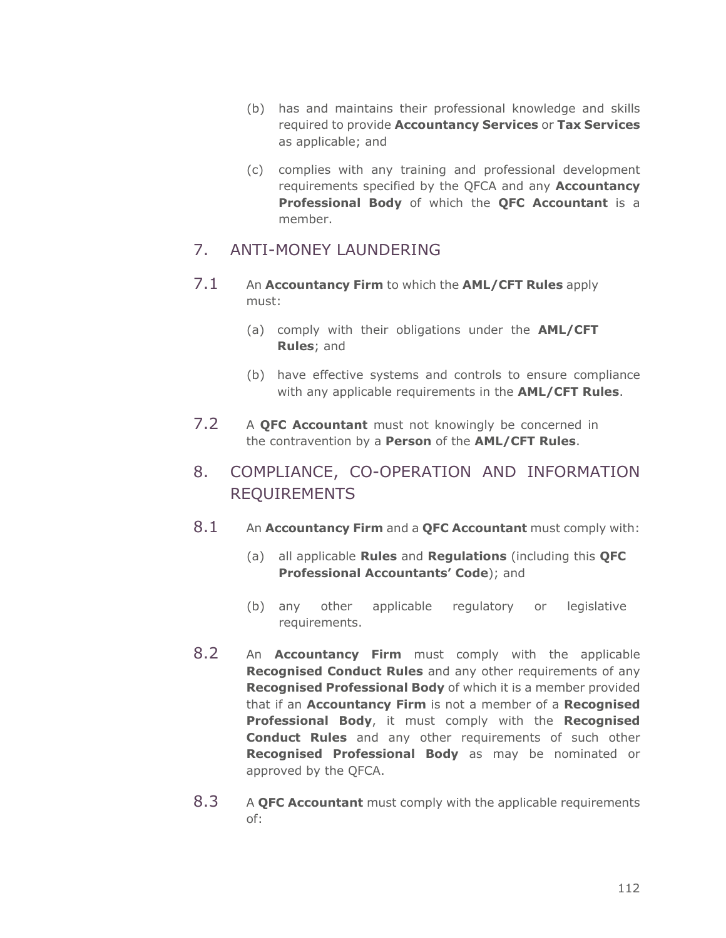- (b) has and maintains their professional knowledge and skills required to provide **Accountancy Services** or **Tax Services** as applicable; and
- (c) complies with any training and professional development requirements specified by the QFCA and any **Accountancy Professional Body** of which the **QFC Accountant** is a member.

### 7. ANTI-MONEY LAUNDERING

- 7.1 An **Accountancy Firm** to which the **AML/CFT Rules** apply must:
	- (a) comply with their obligations under the **AML/CFT Rules**; and
	- (b) have effective systems and controls to ensure compliance with any applicable requirements in the **AML/CFT Rules**.
- 7.2 A **QFC Accountant** must not knowingly be concerned in the contravention by a **Person** of the **AML/CFT Rules**.
- 8. COMPLIANCE, CO-OPERATION AND INFORMATION REQUIREMENTS
- 8.1 An **Accountancy Firm** and a **QFC Accountant** must comply with:
	- (a) all applicable **Rules** and **Regulations** (including this **QFC Professional Accountants' Code**); and
	- (b) any other applicable regulatory or legislative requirements.
- 8.2 An **Accountancy Firm** must comply with the applicable **Recognised Conduct Rules** and any other requirements of any **Recognised Professional Body** of which it is a member provided that if an **Accountancy Firm** is not a member of a **Recognised Professional Body**, it must comply with the **Recognised Conduct Rules** and any other requirements of such other **Recognised Professional Body** as may be nominated or approved by the QFCA.
- 8.3 A **QFC Accountant** must comply with the applicable requirements of: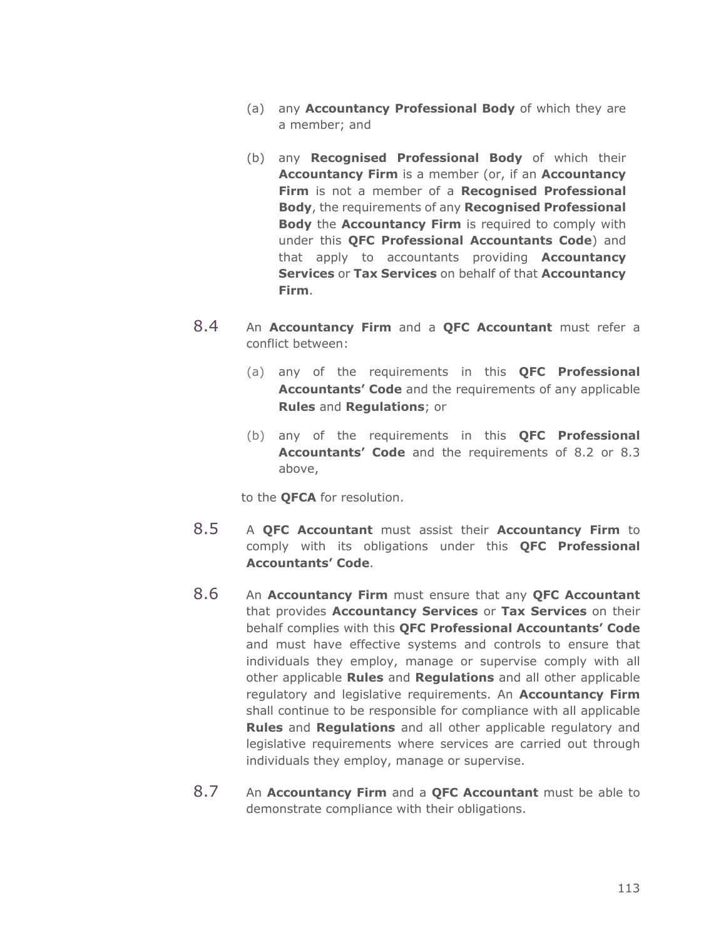- (a) any **Accountancy Professional Body** of which they are a member; and
- (b) any **Recognised Professional Body** of which their **Accountancy Firm** is a member (or, if an **Accountancy Firm** is not a member of a **Recognised Professional Body**, the requirements of any **Recognised Professional Body** the **Accountancy Firm** is required to comply with under this **QFC Professional Accountants Code**) and that apply to accountants providing **Accountancy Services** or **Tax Services** on behalf of that **Accountancy Firm**.
- 8.4 An **Accountancy Firm** and a **QFC Accountant** must refer a conflict between:
	- (a) any of the requirements in this **QFC Professional Accountants' Code** and the requirements of any applicable **Rules** and **Regulations**; or
	- (b) any of the requirements in this **QFC Professional Accountants' Code** and the requirements of 8.2 or 8.3 above,

to the **QFCA** for resolution.

- 8.5 A **QFC Accountant** must assist their **Accountancy Firm** to comply with its obligations under this **QFC Professional Accountants' Code**.
- 8.6 An **Accountancy Firm** must ensure that any **QFC Accountant** that provides **Accountancy Services** or **Tax Services** on their behalf complies with this **QFC Professional Accountants' Code** and must have effective systems and controls to ensure that individuals they employ, manage or supervise comply with all other applicable **Rules** and **Regulations** and all other applicable regulatory and legislative requirements. An **Accountancy Firm** shall continue to be responsible for compliance with all applicable **Rules** and **Regulations** and all other applicable regulatory and legislative requirements where services are carried out through individuals they employ, manage or supervise.
- 8.7 An **Accountancy Firm** and a **QFC Accountant** must be able to demonstrate compliance with their obligations.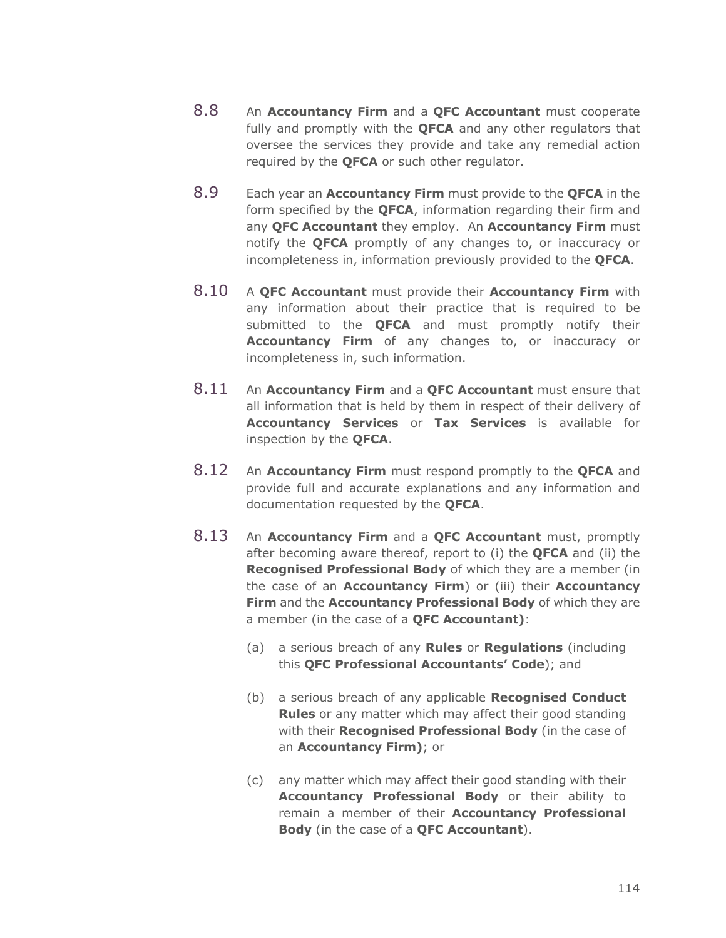- 8.8 An **Accountancy Firm** and a **QFC Accountant** must cooperate fully and promptly with the **QFCA** and any other regulators that oversee the services they provide and take any remedial action required by the **QFCA** or such other regulator.
- 8.9 Each year an **Accountancy Firm** must provide to the **QFCA** in the form specified by the **QFCA**, information regarding their firm and any **QFC Accountant** they employ. An **Accountancy Firm** must notify the **QFCA** promptly of any changes to, or inaccuracy or incompleteness in, information previously provided to the **QFCA**.
- 8.10 A **QFC Accountant** must provide their **Accountancy Firm** with any information about their practice that is required to be submitted to the **QFCA** and must promptly notify their **Accountancy Firm** of any changes to, or inaccuracy or incompleteness in, such information.
- 8.11 An **Accountancy Firm** and a **QFC Accountant** must ensure that all information that is held by them in respect of their delivery of **Accountancy Services** or **Tax Services** is available for inspection by the **QFCA**.
- 8.12 An **Accountancy Firm** must respond promptly to the **QFCA** and provide full and accurate explanations and any information and documentation requested by the **QFCA**.
- 8.13 An **Accountancy Firm** and a **QFC Accountant** must, promptly after becoming aware thereof, report to (i) the **QFCA** and (ii) the **Recognised Professional Body** of which they are a member (in the case of an **Accountancy Firm**) or (iii) their **Accountancy Firm** and the **Accountancy Professional Body** of which they are a member (in the case of a **QFC Accountant)**:
	- (a) a serious breach of any **Rules** or **Regulations** (including this **QFC Professional Accountants' Code**); and
	- (b) a serious breach of any applicable **Recognised Conduct Rules** or any matter which may affect their good standing with their **Recognised Professional Body** (in the case of an **Accountancy Firm)**; or
	- (c) any matter which may affect their good standing with their **Accountancy Professional Body** or their ability to remain a member of their **Accountancy Professional Body** (in the case of a **QFC Accountant**).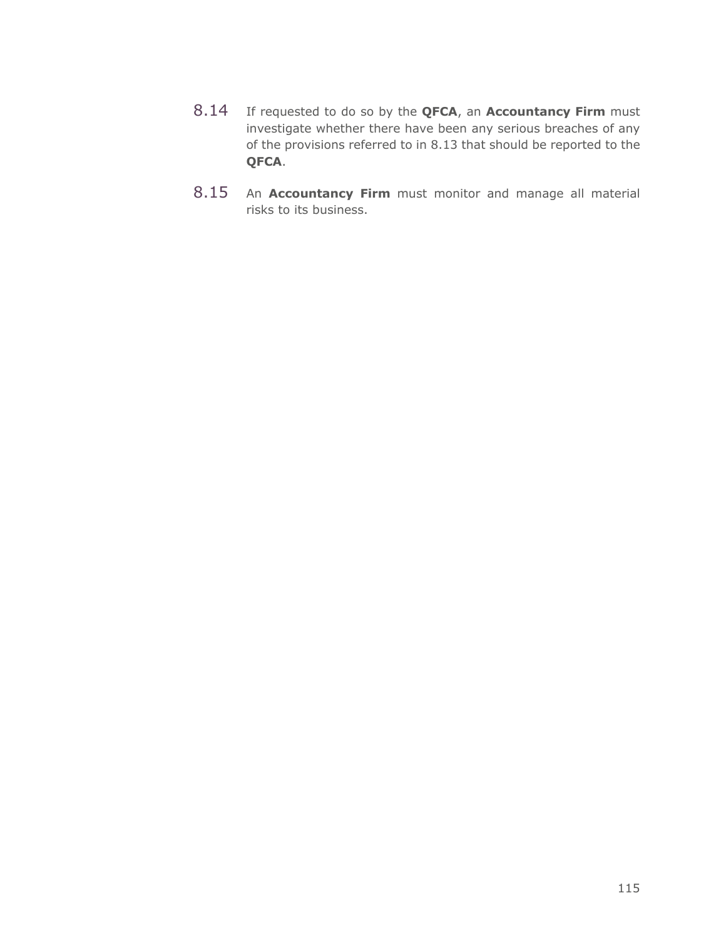- 8.14 If requested to do so by the **QFCA**, an **Accountancy Firm** must investigate whether there have been any serious breaches of any of the provisions referred to in 8.13 that should be reported to the **QFCA**.
- 8.15 An **Accountancy Firm** must monitor and manage all material risks to its business.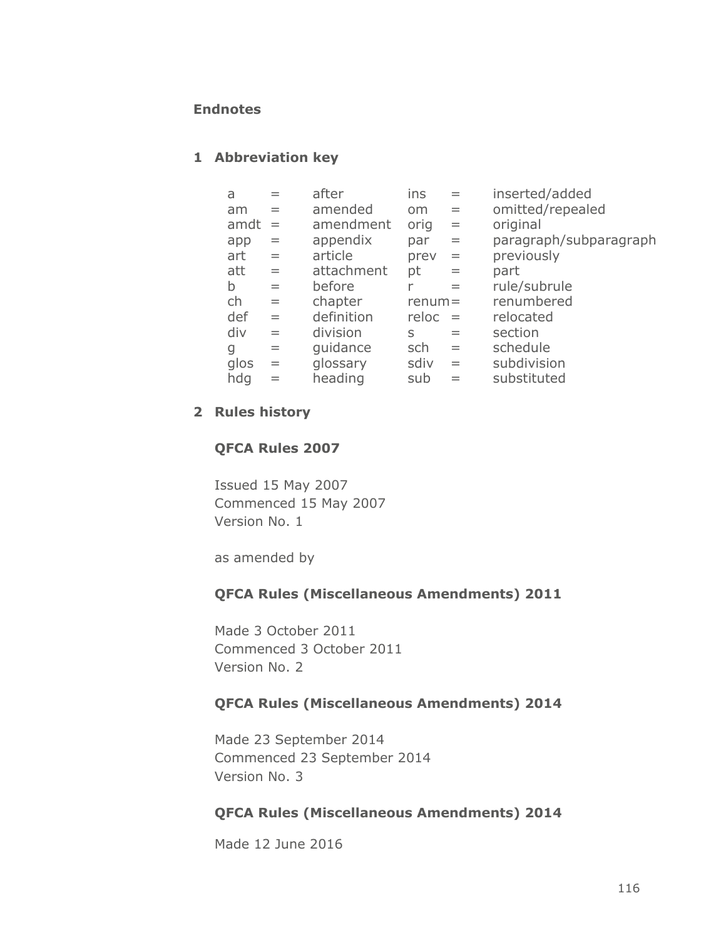#### **Endnotes**

### **1 Abbreviation key**

| a    |     | after      | ins       | $=$ | inserted/added         |
|------|-----|------------|-----------|-----|------------------------|
| am   |     | amended    | <b>om</b> | $=$ | omitted/repealed       |
| amdt | $=$ | amendment  | orig      | $=$ | original               |
| app  | $=$ | appendix   | par       | $=$ | paragraph/subparagraph |
| art  | $=$ | article    | prev      | $=$ | previously             |
| att  | $=$ | attachment | pt        | $=$ | part                   |
| b    | $=$ | before     | r         | $=$ | rule/subrule           |
| ch   | $=$ | chapter    | $remum =$ |     | renumbered             |
| def  | $=$ | definition | reloc     | $=$ | relocated              |
| div  | $=$ | division   | S         | $=$ | section                |
| g    | $=$ | quidance   | sch       | $=$ | schedule               |
| glos | $=$ | glossary   | sdiv      | $=$ | subdivision            |
| hdg  |     | heading    | sub       | $=$ | substituted            |

#### **2 Rules history**

#### **QFCA Rules 2007**

Issued 15 May 2007 Commenced 15 May 2007 Version No. 1

as amended by

### **QFCA Rules (Miscellaneous Amendments) 2011**

Made 3 October 2011 Commenced 3 October 2011 Version No. 2

### **QFCA Rules (Miscellaneous Amendments) 2014**

Made 23 September 2014 Commenced 23 September 2014 Version No. 3

### **QFCA Rules (Miscellaneous Amendments) 2014**

Made 12 June 2016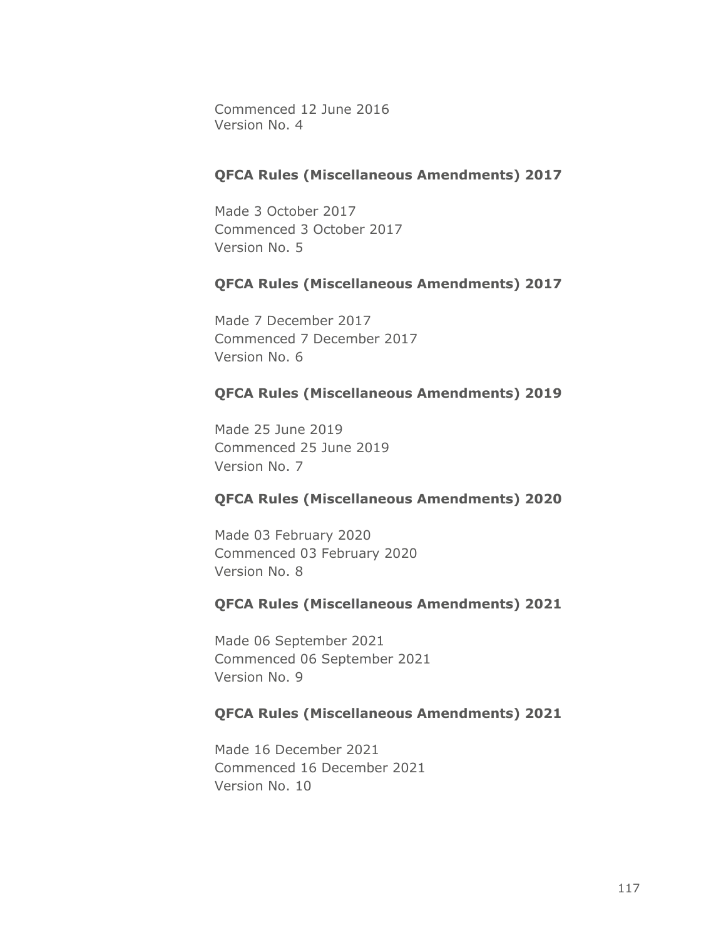Commenced 12 June 2016 Version No. 4

#### **QFCA Rules (Miscellaneous Amendments) 2017**

Made 3 October 2017 Commenced 3 October 2017 Version No. 5

#### **QFCA Rules (Miscellaneous Amendments) 2017**

Made 7 December 2017 Commenced 7 December 2017 Version No. 6

#### **QFCA Rules (Miscellaneous Amendments) 2019**

Made 25 June 2019 Commenced 25 June 2019 Version No. 7

### **QFCA Rules (Miscellaneous Amendments) 2020**

Made 03 February 2020 Commenced 03 February 2020 Version No. 8

### **QFCA Rules (Miscellaneous Amendments) 2021**

Made 06 September 2021 Commenced 06 September 2021 Version No. 9

### **QFCA Rules (Miscellaneous Amendments) 2021**

Made 16 December 2021 Commenced 16 December 2021 Version No. 10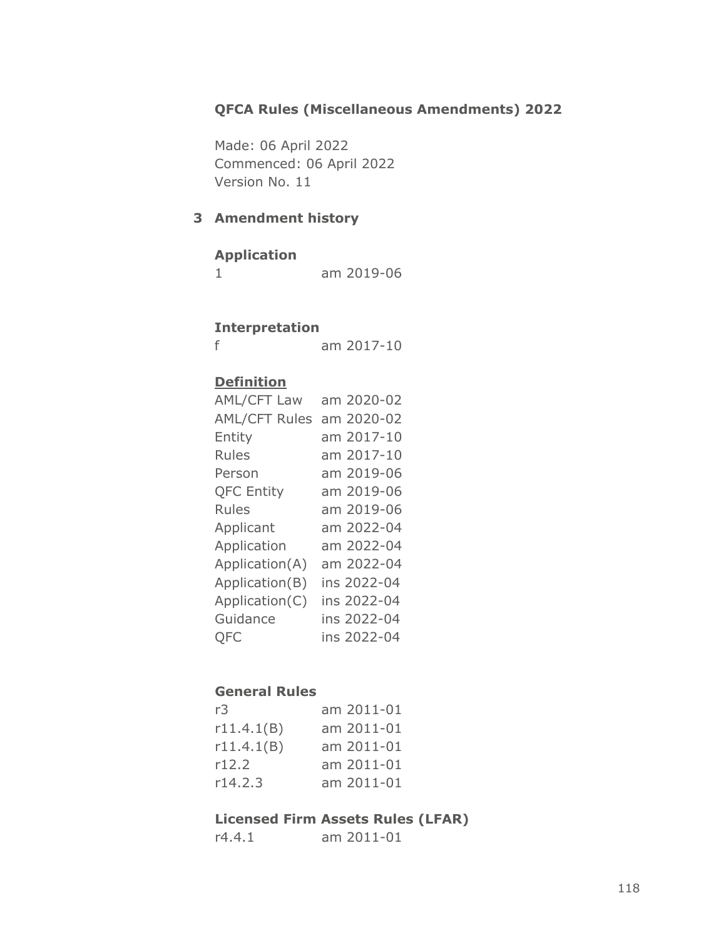### **QFCA Rules (Miscellaneous Amendments) 2022**

Made: 06 April 2022 Commenced: 06 April 2022 Version No. 11

### **3 Amendment history**

### **Application**

1 am 2019-06

### **Interpretation**

|  |  | am 2017-10 |  |
|--|--|------------|--|
|--|--|------------|--|

### **Definition**

| am 2020-02  |
|-------------|
| am 2020-02  |
| am 2017-10  |
| am 2017-10  |
| am 2019-06  |
| am 2019-06  |
| am 2019-06  |
| am 2022-04  |
| am 2022-04  |
| am 2022-04  |
| ins 2022-04 |
| ins 2022-04 |
| ins 2022-04 |
| ins 2022-04 |
|             |

### **General Rules**

| am 2011-01 |
|------------|
| am 2011-01 |
| am 2011-01 |
| am 2011-01 |
| am 2011-01 |
|            |

### **Licensed Firm Assets Rules (LFAR)**

| am 2011-01<br>r4.4.1 |  |  |  |  |
|----------------------|--|--|--|--|
|----------------------|--|--|--|--|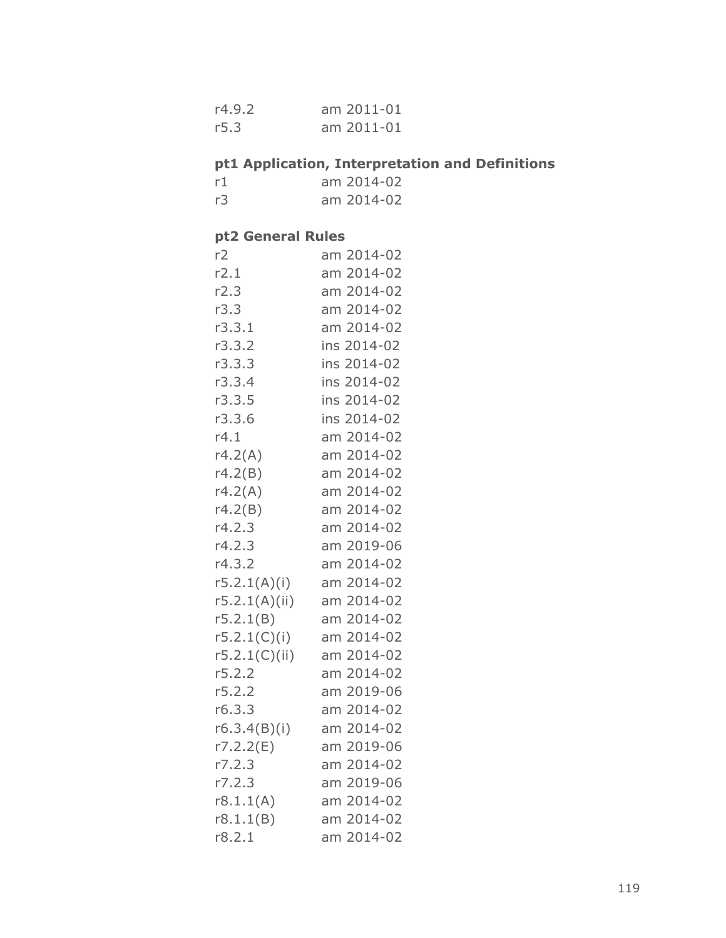| r4.9.2 | am 2011-01 |
|--------|------------|
| r5.3   | am 2011-01 |

# **pt1 Application, Interpretation and Definitions**

| -r1 | am 2014-02 |
|-----|------------|
| r3  | am 2014-02 |

### **pt2 General Rules**

| r2            | am 2014-02  |
|---------------|-------------|
| r2.1          | am 2014-02  |
| r2.3          | am 2014-02  |
| r3.3          | am 2014-02  |
| r3.3.1        | am 2014-02  |
| r3.3.2        | ins 2014-02 |
| r3.3.3        | ins 2014-02 |
| r3.3.4        | ins 2014-02 |
| r3.3.5        | ins 2014-02 |
| r3.3.6        | ins 2014-02 |
| r4.1          | am 2014-02  |
| r4.2(A)       | am 2014-02  |
| r4.2(B)       | am 2014-02  |
| r4.2(A)       | am 2014-02  |
| r4.2(B)       | am 2014-02  |
| r4.2.3        | am 2014-02  |
| r4.2.3        | am 2019-06  |
| r4.3.2        | am 2014-02  |
| r5.2.1(A)(i)  | am 2014-02  |
| r5.2.1(A)(ii) | am 2014-02  |
| r5.2.1(B)     | am 2014-02  |
| r5.2.1(C)(i)  | am 2014-02  |
| r5.2.1(C)(ii) | am 2014-02  |
| r5.2.2        | am 2014-02  |
| r5.2.2        | am 2019-06  |
| r6.3.3        | am 2014-02  |
| r6.3.4(B)(i)  | am 2014-02  |
| r7.2.2(E)     | am 2019-06  |
| r7.2.3        | am 2014-02  |
| r7.2.3        | am 2019-06  |
| r8.1.1(A)     | am 2014-02  |
| r8.1.1(B)     | am 2014-02  |
| r8.2.1        | am 2014-02  |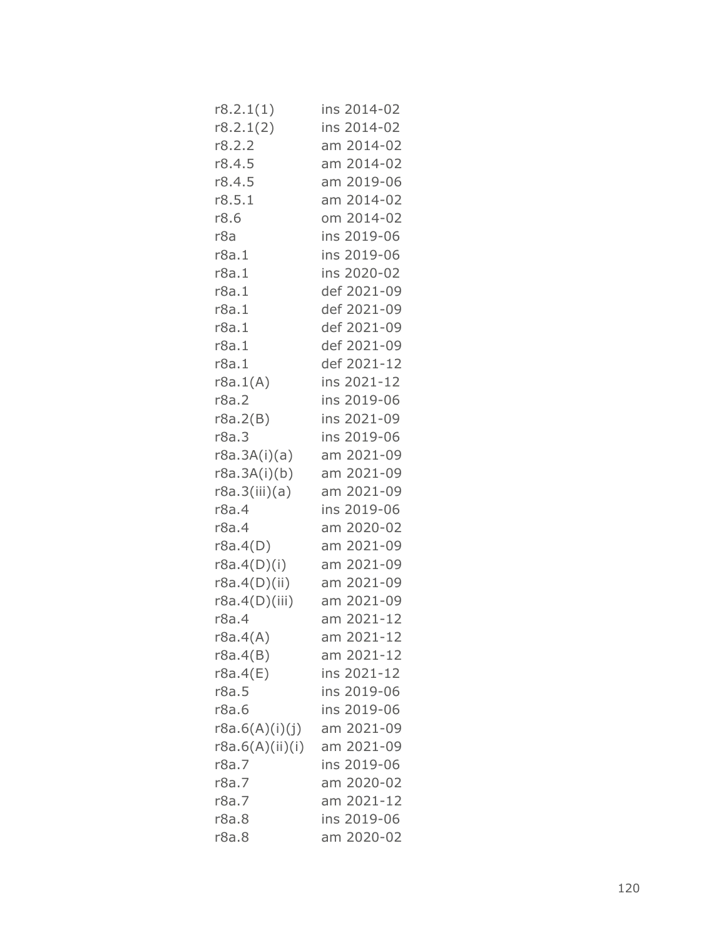| r8.2.1(1)       | ins 2014-02 |
|-----------------|-------------|
| r8.2.1(2)       | ins 2014-02 |
| r8.2.2          | am 2014-02  |
| r8.4.5          | am 2014-02  |
| r8.4.5          | am 2019-06  |
| r8.5.1          | am 2014-02  |
| r8.6            | om 2014-02  |
| r8a             | ins 2019-06 |
| r8a.1           | ins 2019-06 |
| r8a.1           | ins 2020-02 |
| r8a.1           | def 2021-09 |
| r8a.1           | def 2021-09 |
| r8a.1           | def 2021-09 |
| r8a.1           | def 2021-09 |
| r8a.1           | def 2021-12 |
| r8a.1(A)        | ins 2021-12 |
| r8a.2           | ins 2019-06 |
| r8a.2(B)        | ins 2021-09 |
| r8a.3           | ins 2019-06 |
| r8a.3A(i)(a)    | am 2021-09  |
| r8a.3A(i)(b)    | am 2021-09  |
| r8a.3(iii)(a)   | am 2021-09  |
| r8a.4           | ins 2019-06 |
| r8a.4           | am 2020-02  |
| r8a.4(D)        | am 2021-09  |
| r8a.4(D)(i)     | am 2021-09  |
| r8a.4(D)(ii)    | am 2021-09  |
| r8a.4(D)(iii)   | am 2021-09  |
| r8a.4           | am 2021-12  |
| r8a.4(A)        | am 2021-12  |
| r8a.4(B)        | am 2021-12  |
| r8a.4(E)        | ins 2021-12 |
| r8a.5           | ins 2019-06 |
| r8a.6           | ins 2019-06 |
| r8a.6(A)(i)(j)  | am 2021-09  |
| r8a.6(A)(ii)(i) | am 2021-09  |
| r8a.7           | ins 2019-06 |
| r8a.7           | am 2020-02  |
| r8a.7           | am 2021-12  |
| r8a.8           | ins 2019-06 |
| r8a.8           | am 2020-02  |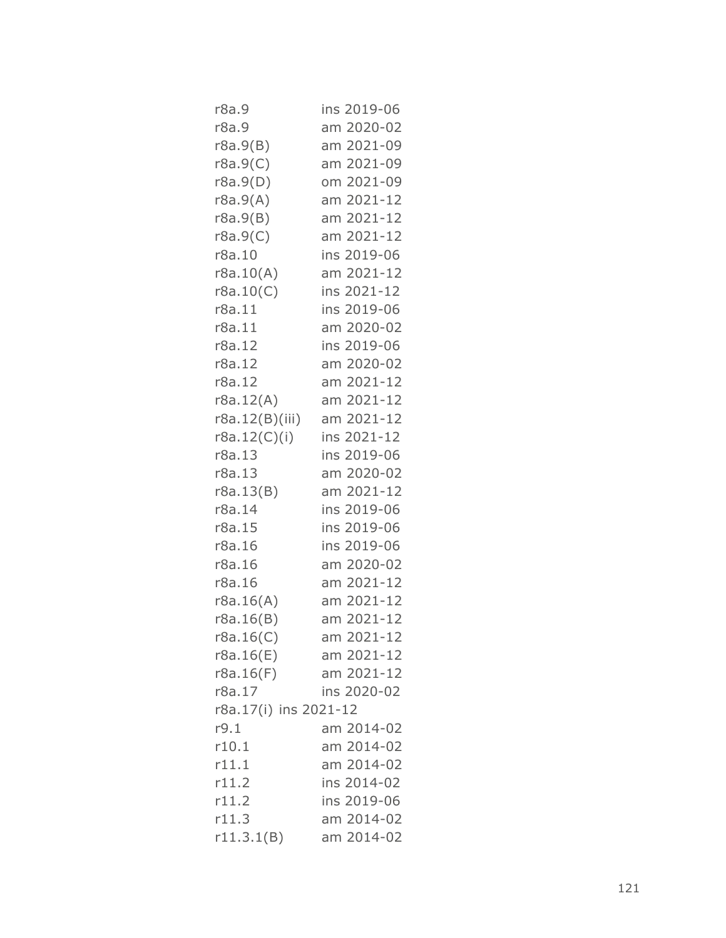| r8a.9                 | ins 2019-06 |
|-----------------------|-------------|
| r8a.9                 | am 2020-02  |
| r8a.9(B)              | am 2021-09  |
| r8a.9(C)              | am 2021-09  |
| r8a.9(D)              | om 2021-09  |
| r8a.9(A)              | am 2021-12  |
| r8a.9(B)              | am 2021-12  |
| r8a.9(C)              | am 2021-12  |
| r8a.10                | ins 2019-06 |
| r8a.10(A)             | am 2021-12  |
| r8a.10(C)             | ins 2021-12 |
| r8a.11                | ins 2019-06 |
| r8a.11                | am 2020-02  |
| r8a.12                | ins 2019-06 |
| r8a.12                | am 2020-02  |
| r8a.12                | am 2021-12  |
| r8a.12(A)             | am 2021-12  |
| r8a.12(B)(iii)        | am 2021-12  |
| r8a.12(C)(i)          | ins 2021-12 |
| r8a.13                | ins 2019-06 |
| r8a.13                | am 2020-02  |
| r8a.13(B)             | am 2021-12  |
| r8a.14                | ins 2019-06 |
| r8a.15                | ins 2019-06 |
| r8a.16                | ins 2019-06 |
| r8a.16                | am 2020-02  |
| r8a.16                | am 2021-12  |
| r8a.16(A)             | am 2021-12  |
| r8a.16(B)             | am 2021-12  |
| r8a.16(C)             | am 2021-12  |
| r8a.16(E)             | am 2021-12  |
| r8a.16(F)             | am 2021-12  |
| r8a.17                | ins 2020-02 |
| r8a.17(i) ins 2021-12 |             |
| r9.1                  | am 2014-02  |
| r10.1                 | am 2014-02  |
| r11.1                 | am 2014-02  |
| r11.2                 | ins 2014-02 |
| r11.2                 | ins 2019-06 |
| r11.3                 | am 2014-02  |
| r11.3.1(B)            | am 2014-02  |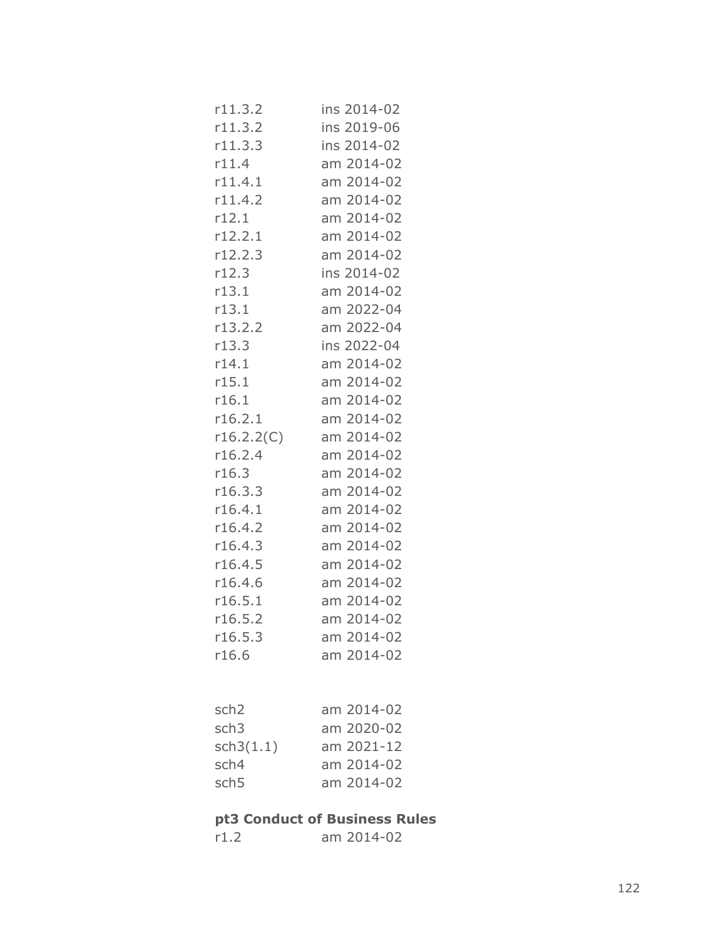| r11.3.2    | ins 2014-02 |
|------------|-------------|
| r11.3.2    | ins 2019-06 |
| r11.3.3    | ins 2014-02 |
| r11.4      | am 2014-02  |
| r11.4.1    | am 2014-02  |
| r11.4.2    | am 2014-02  |
| r12.1      | am 2014-02  |
| r12.2.1    | am 2014-02  |
| r12.2.3    | am 2014-02  |
| r12.3      | ins 2014-02 |
| r13.1      | am 2014-02  |
| r13.1      | am 2022-04  |
| r13.2.2    | am 2022-04  |
| r13.3      | ins 2022-04 |
| r14.1      | am 2014-02  |
| r15.1      | am 2014-02  |
| r16.1      | am 2014-02  |
| r16.2.1    | am 2014-02  |
| r16.2.2(C) | am 2014-02  |
| r16.2.4    | am 2014-02  |
| r16.3      | am 2014-02  |
| r16.3.3    | am 2014-02  |
| r16.4.1    | am 2014-02  |
| r16.4.2    | am 2014-02  |
| r16.4.3    | am 2014-02  |
| r16.4.5    | am 2014-02  |
| r16.4.6    | am 2014-02  |
| r16.5.1    | am 2014-02  |
| r16.5.2    | am 2014-02  |
| r16.5.3    | am 2014-02  |
| r16.6      | am 2014-02  |
|            |             |
|            |             |

| sch <sub>2</sub> | am 2014-02 |
|------------------|------------|
| sch <sub>3</sub> | am 2020-02 |
| sch3(1.1)        | am 2021-12 |
| sch4             | am 2014-02 |
| sch <sub>5</sub> | am 2014-02 |
|                  |            |

## **pt3 Conduct of Business Rules**

| r1.2 |  | am 2014-02 |
|------|--|------------|
|------|--|------------|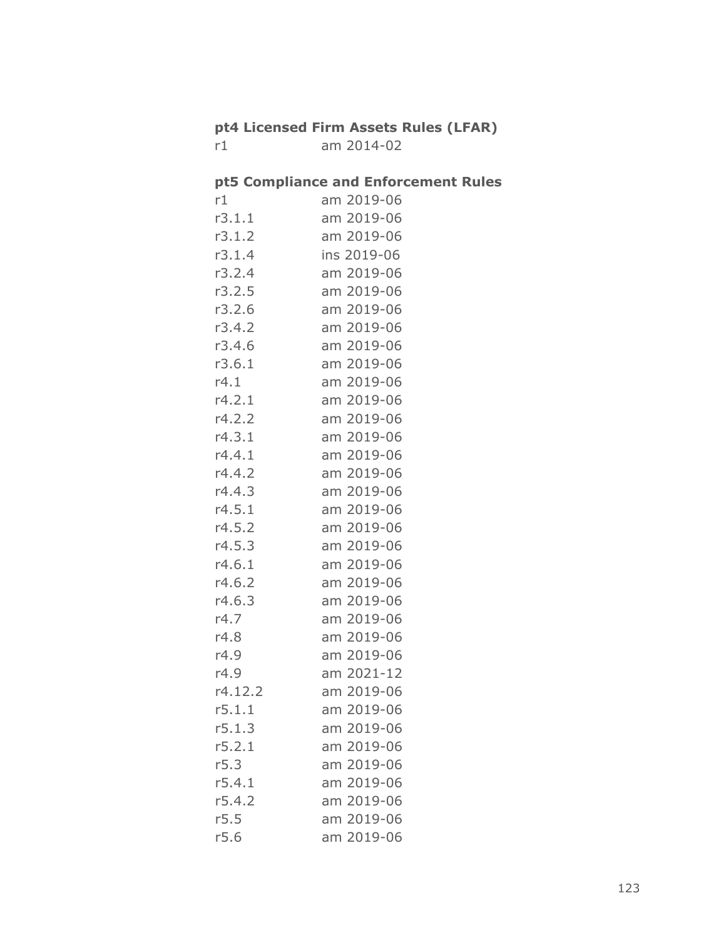# **pt4 Licensed Firm Assets Rules (LFAR)**

r1 am 2014-02

### **pt5 Compliance and Enforcement Rules**

| r1      | am 2019-06  |
|---------|-------------|
| r3.1.1  | am 2019-06  |
| r3.1.2  | am 2019-06  |
| r3.1.4  | ins 2019-06 |
| r3.2.4  | am 2019-06  |
| r3.2.5  | am 2019-06  |
| r3.2.6  | am 2019-06  |
| r3.4.2  | am 2019-06  |
| r3.4.6  | am 2019-06  |
| r3.6.1  | am 2019-06  |
| r4.1    | am 2019-06  |
| r4.2.1  | am 2019-06  |
| r4.2.2  | am 2019-06  |
| r4.3.1  | am 2019-06  |
| r4.4.1  | am 2019-06  |
| r4.4.2  | am 2019-06  |
| r4.4.3  | am 2019-06  |
| r4.5.1  | am 2019-06  |
| r4.5.2  | am 2019-06  |
| r4.5.3  | am 2019-06  |
| r4.6.1  | am 2019-06  |
| r4.6.2  | am 2019-06  |
| r4.6.3  | am 2019-06  |
| r4.7    | am 2019-06  |
| r4.8    | am 2019-06  |
| r4.9    | am 2019-06  |
| r4.9    | am 2021-12  |
| r4.12.2 | am 2019-06  |
| r5.1.1  | am 2019-06  |
| r5.1.3  | am 2019-06  |
| r5.2.1  | am 2019-06  |
| r5.3    | am 2019-06  |
| r5.4.1  | am 2019-06  |
| r5.4.2  | am 2019-06  |
| r5.5    | am 2019-06  |
| r5.6    | am 2019-06  |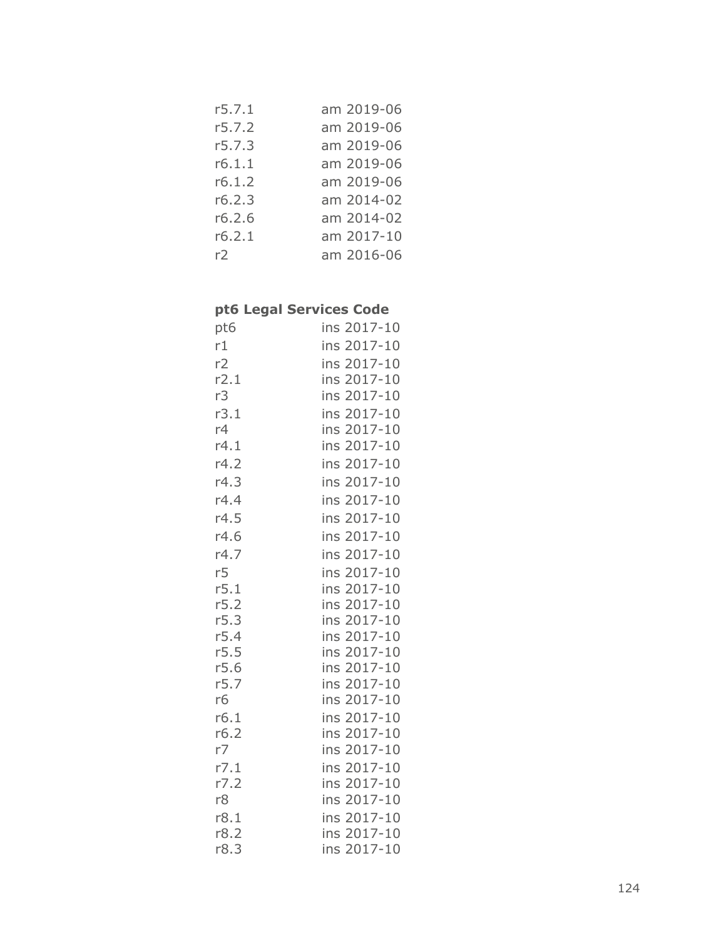| r5.7.1 | am 2019-06 |
|--------|------------|
| r5.7.2 | am 2019-06 |
| r5.7.3 | am 2019-06 |
| r6.1.1 | am 2019-06 |
| r6.1.2 | am 2019-06 |
| r6.2.3 | am 2014-02 |
| r6.2.6 | am 2014-02 |
| r6.2.1 | am 2017-10 |
| r2     | am 2016-06 |

# **pt6 Legal Services Code**

| pt6  | ins 2017-10 |
|------|-------------|
| r1   | ins 2017-10 |
| r2   | ins 2017-10 |
| r2.1 | ins 2017-10 |
| r3 I | ins 2017-10 |
| r3.1 | ins 2017-10 |
| r4   | ins 2017-10 |
| r4.1 | ins 2017-10 |
| r4.2 | ins 2017-10 |
| r4.3 | ins 2017-10 |
| r4.4 | ins 2017-10 |
| r4.5 | ins 2017-10 |
| r4.6 | ins 2017-10 |
| r4.7 | ins 2017-10 |
| r5   | ins 2017-10 |
| r5.1 | ins 2017-10 |
| r5.2 | ins 2017-10 |
| r5.3 | ins 2017-10 |
| r5.4 | ins 2017-10 |
| r5.5 | ins 2017-10 |
| r5.6 | ins 2017-10 |
| r5.7 | ins 2017-10 |
| r6   | ins 2017-10 |
| r6.1 | ins 2017-10 |
| r6.2 | ins 2017-10 |
| r7   | ins 2017-10 |
| r7.1 | ins 2017-10 |
| r7.2 | ins 2017-10 |
| r8   | ins 2017-10 |
| r8.1 | ins 2017-10 |
| r8.2 | ins 2017-10 |
| r8.3 | ins 2017-10 |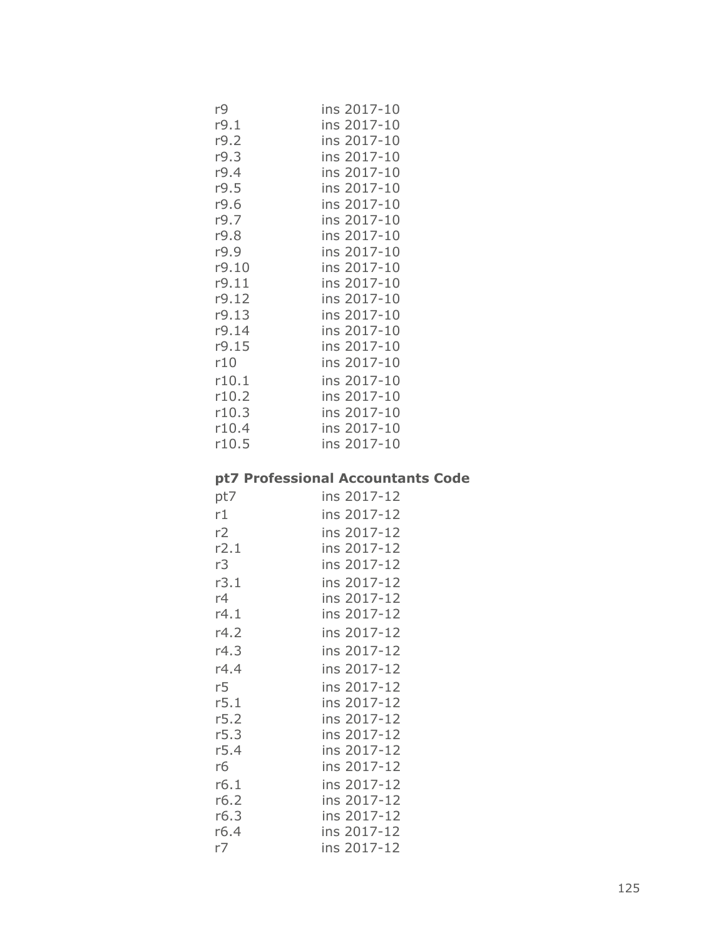| r9    | ins 2017-10 |
|-------|-------------|
| r9.1  | ins 2017-10 |
| r9.2  | ins 2017-10 |
| r9.3  | ins 2017-10 |
| r9.4  | ins 2017-10 |
| r9.5  | ins 2017-10 |
| r9.6  | ins 2017-10 |
| r9.7  | ins 2017-10 |
| r9.8  | ins 2017-10 |
| r9.9  | ins 2017-10 |
| r9.10 | ins 2017-10 |
| r9.11 | ins 2017-10 |
| r9.12 | ins 2017-10 |
| r9.13 | ins 2017-10 |
| r9.14 | ins 2017-10 |
| r9.15 | ins 2017-10 |
| r10   | ins 2017-10 |
| r10.1 | ins 2017-10 |
| r10.2 | ins 2017-10 |
| r10.3 | ins 2017-10 |
| r10.4 | ins 2017-10 |
| r10.5 | ins 2017-10 |

### **pt7 Professional Accountants Code**

| pt7  | ins 2017-12 |
|------|-------------|
| r1   | ins 2017-12 |
| r2   | ins 2017-12 |
| r2.1 | ins 2017-12 |
| r3.  | ins 2017-12 |
| r3.1 | ins 2017-12 |
| r4   | ins 2017-12 |
| r4.1 | ins 2017-12 |
| r4.2 | ins 2017-12 |
| r4.3 | ins 2017-12 |
| r4.4 | ins 2017-12 |
| r5   | ins 2017-12 |
| r5.1 | ins 2017-12 |
| r5.2 | ins 2017-12 |
| r5.3 | ins 2017-12 |
| r5.4 | ins 2017-12 |
| r6   | ins 2017-12 |
| r6.1 | ins 2017-12 |
| r6.2 | ins 2017-12 |
| r6.3 | ins 2017-12 |
| r6.4 | ins 2017-12 |
| r7   | ins 2017-12 |